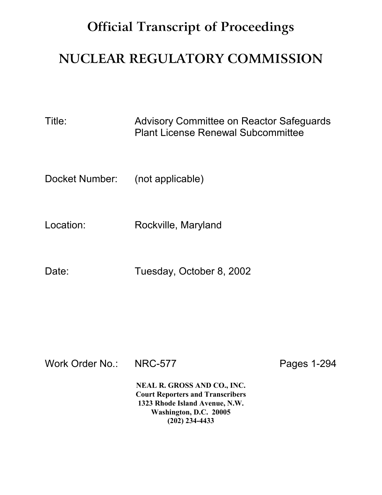## **Official Transcript of Proceedings**

## **NUCLEAR REGULATORY COMMISSION**

Title: Advisory Committee on Reactor Safeguards Plant License Renewal Subcommittee

Docket Number: (not applicable)

Location: Rockville, Maryland

Date: Tuesday, October 8, 2002

Work Order No.: NRC-577 Pages 1-294

**NEAL R. GROSS AND CO., INC. Court Reporters and Transcribers 1323 Rhode Island Avenue, N.W. Washington, D.C. 20005 (202) 234-4433**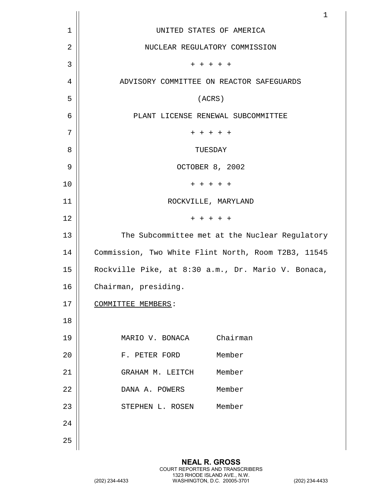|    | $\mathbf 1$                                         |
|----|-----------------------------------------------------|
| 1  | UNITED STATES OF AMERICA                            |
| 2  | NUCLEAR REGULATORY COMMISSION                       |
| 3  | + + + + +                                           |
| 4  | ADVISORY COMMITTEE ON REACTOR SAFEGUARDS            |
| 5  | (ACRS)                                              |
| 6  | PLANT LICENSE RENEWAL SUBCOMMITTEE                  |
| 7  | $+ + + + + +$                                       |
| 8  | TUESDAY                                             |
| 9  | OCTOBER 8, 2002                                     |
| 10 | $+ + + + + +$                                       |
| 11 | ROCKVILLE, MARYLAND                                 |
| 12 | $+ + + + + +$                                       |
| 13 | The Subcommittee met at the Nuclear Regulatory      |
| 14 | Commission, Two White Flint North, Room T2B3, 11545 |
| 15 | Rockville Pike, at 8:30 a.m., Dr. Mario V. Bonaca,  |
| 16 | Chairman, presiding.                                |
| 17 | COMMITTEE MEMBERS:                                  |
| 18 |                                                     |
| 19 | MARIO V. BONACA Chairman                            |
| 20 | F. PETER FORD Member                                |
| 21 | GRAHAM M. LEITCH Member                             |
| 22 | DANA A. POWERS Member                               |
| 23 | STEPHEN L. ROSEN Member                             |
| 24 |                                                     |
| 25 |                                                     |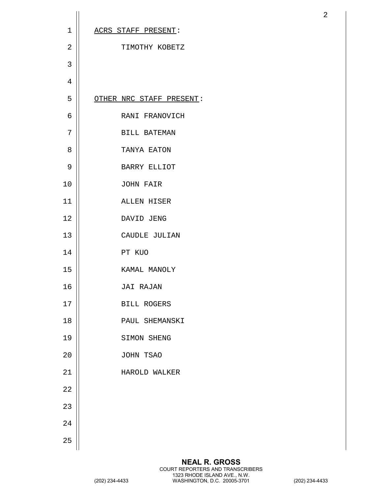| $\mathbf 1$    | ACRS STAFF PRESENT:      |
|----------------|--------------------------|
| $\overline{2}$ | TIMOTHY KOBETZ           |
| 3              |                          |
| 4              |                          |
| 5              | OTHER NRC STAFF PRESENT: |
| 6              | RANI FRANOVICH           |
| 7              | <b>BILL BATEMAN</b>      |
| 8              | TANYA EATON              |
| $\overline{9}$ | <b>BARRY ELLIOT</b>      |
| 10             | JOHN FAIR                |
| 11             | ALLEN HISER              |
| 12             | DAVID JENG               |
| 13             | CAUDLE JULIAN            |
| 14             | PT KUO                   |
| 15             | KAMAL MANOLY             |
| 16             | <b>JAI RAJAN</b>         |
| 17             | BILL ROGERS              |
| 18             | PAUL SHEMANSKI           |
| 19             | SIMON SHENG              |
| 20             | JOHN TSAO                |
| 21             | HAROLD WALKER            |
| 22             |                          |
| 23             |                          |
| 24             |                          |
| 25             |                          |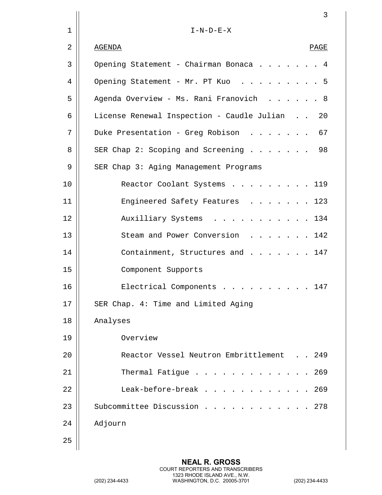|    | 3                                                |
|----|--------------------------------------------------|
| 1  | $I-N-D-E-X$                                      |
| 2  | AGENDA<br>PAGE                                   |
| 3  | Opening Statement - Chairman Bonaca 4            |
| 4  | Opening Statement - Mr. PT Kuo<br>-5             |
| 5  | Agenda Overview - Ms. Rani Franovich 8           |
| 6  | License Renewal Inspection - Caudle Julian<br>20 |
| 7  | Duke Presentation - Greg Robison<br>67           |
| 8  | 98<br>SER Chap 2: Scoping and Screening          |
| 9  | SER Chap 3: Aging Management Programs            |
| 10 | Reactor Coolant Systems<br>119                   |
| 11 | Engineered Safety Features<br>123                |
| 12 | Auxilliary Systems<br>134                        |
| 13 | Steam and Power Conversion<br>$\ldots$ 142       |
| 14 | Containment, Structures and<br>147               |
| 15 | Component Supports                               |
| 16 | Electrical Components 147                        |
| 17 | SER Chap. 4: Time and Limited Aging              |
| 18 | Analyses                                         |
| 19 | Overview                                         |
| 20 | Reactor Vessel Neutron Embrittlement 249         |
| 21 | Thermal Fatigue<br>269                           |
| 22 | Leak-before-break<br>269                         |
| 23 | Subcommittee Discussion<br>. 278                 |
| 24 | Adjourn                                          |
| 25 |                                                  |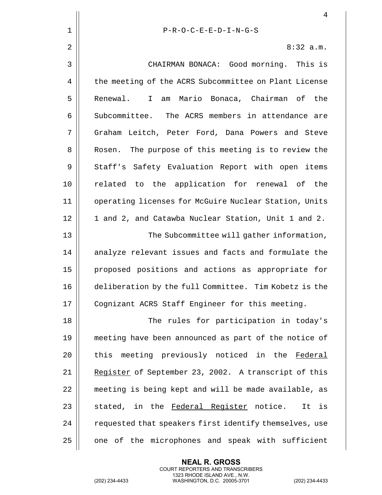|             | 4                                                       |
|-------------|---------------------------------------------------------|
| $\mathbf 1$ | $P-R-O-C-E-E-D-I-N-G-S$                                 |
| 2           | 8:32 a.m.                                               |
| 3           | CHAIRMAN BONACA: Good morning. This is                  |
| 4           | the meeting of the ACRS Subcommittee on Plant License   |
| 5           | Renewal.<br>I am Mario Bonaca, Chairman of the          |
| 6           | Subcommittee. The ACRS members in attendance are        |
| 7           | Graham Leitch, Peter Ford, Dana Powers and Steve        |
| 8           | Rosen. The purpose of this meeting is to review the     |
| 9           | Staff's Safety Evaluation Report with open items        |
| 10          | related to the application for renewal of the           |
| 11          | operating licenses for McGuire Nuclear Station, Units   |
| 12          | 1 and 2, and Catawba Nuclear Station, Unit 1 and 2.     |
| 13          | The Subcommittee will gather information,               |
| 14          | analyze relevant issues and facts and formulate the     |
| 15          | proposed positions and actions as appropriate for       |
| 16          | deliberation by the full Committee. Tim Kobetz is the   |
| 17          | Cognizant ACRS Staff Engineer for this meeting.         |
| 18          | The rules for participation in today's                  |
| 19          | meeting have been announced as part of the notice of    |
| 20          | this meeting previously noticed in the Federal          |
| 21          | Register of September 23, 2002. A transcript of this    |
| 22          | meeting is being kept and will be made available, as    |
| 23          | stated, in the <u>Federal Register</u> notice.<br>It is |
| 24          | requested that speakers first identify themselves, use  |
| 25          | one of the microphones and speak with sufficient        |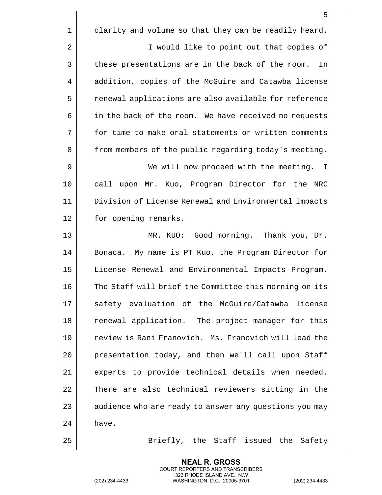|                | 5                                                      |
|----------------|--------------------------------------------------------|
| $\mathbf 1$    | clarity and volume so that they can be readily heard.  |
| $\overline{2}$ | I would like to point out that copies of               |
| 3              | these presentations are in the back of the room.<br>In |
| 4              | addition, copies of the McGuire and Catawba license    |
| 5              | renewal applications are also available for reference  |
| 6              | in the back of the room. We have received no requests  |
| 7              | for time to make oral statements or written comments   |
| 8              | from members of the public regarding today's meeting.  |
| 9              | We will now proceed with the meeting. I                |
| 10             | call upon Mr. Kuo, Program Director for the NRC        |
| 11             | Division of License Renewal and Environmental Impacts  |
| 12             | for opening remarks.                                   |
| 13             | MR. KUO: Good morning. Thank you, Dr.                  |
| 14             | Bonaca. My name is PT Kuo, the Program Director for    |
| 15             | License Renewal and Environmental Impacts Program.     |
| 16             | The Staff will brief the Committee this morning on its |
| 17             | safety evaluation of the McGuire/Catawba license       |
| 18             | renewal application. The project manager for this      |
| 19             | review is Rani Franovich. Ms. Franovich will lead the  |
| 20             | presentation today, and then we'll call upon Staff     |
| 21             | experts to provide technical details when needed.      |
| 22             | There are also technical reviewers sitting in the      |
| 23             | audience who are ready to answer any questions you may |
| 24             | have.                                                  |
| 25             | Briefly, the Staff issued the Safety                   |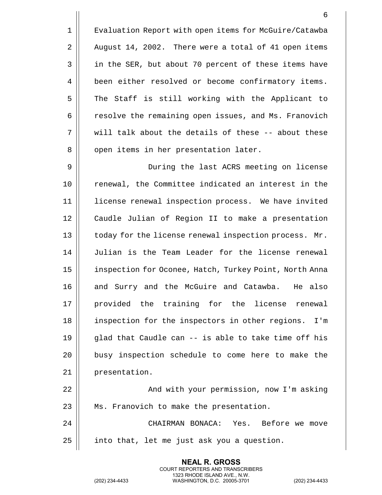1 | Evaluation Report with open items for McGuire/Catawba  $2 \parallel$  August 14, 2002. There were a total of 41 open items 3 || in the SER, but about 70 percent of these items have 4 | been either resolved or become confirmatory items. 5 || The Staff is still working with the Applicant to 6 | resolve the remaining open issues, and Ms. Franovich  $7$   $\parallel$  will talk about the details of these -- about these 8 || open items in her presentation later. 9 During the last ACRS meeting on license 10 || renewal, the Committee indicated an interest in the 11 || license renewal inspection process. We have invited 12 || Caudle Julian of Region II to make a presentation 13 || today for the license renewal inspection process. Mr. 14 Julian is the Team Leader for the license renewal 15 | inspection for Oconee, Hatch, Turkey Point, North Anna 16 and Surry and the McGuire and Catawba. He also 17 || provided the training for the license renewal 18 || inspection for the inspectors in other regions. I'm 19  $\parallel$  qlad that Caudle can -- is able to take time off his

20 || busy inspection schedule to come here to make the 21 | presentation.

22 And with your permission, now I'm asking  $23$  || Ms. Franovich to make the presentation.

24 CHAIRMAN BONACA: Yes. Before we move  $25$  | into that, let me just ask you a question.

> **NEAL R. GROSS** COURT REPORTERS AND TRANSCRIBERS 1323 RHODE ISLAND AVE., N.W.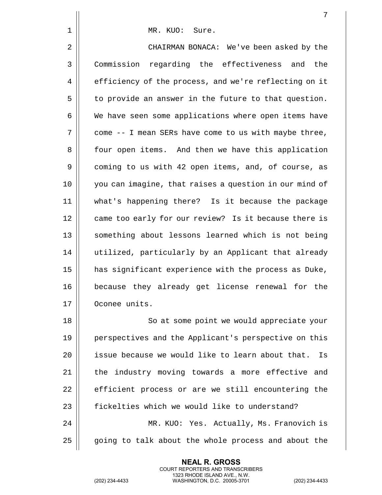|              | 7                                                      |
|--------------|--------------------------------------------------------|
| $\mathbf{1}$ | MR. KUO: Sure.                                         |
| 2            | CHAIRMAN BONACA: We've been asked by the               |
| 3            | Commission regarding the effectiveness and the         |
| 4            | efficiency of the process, and we're reflecting on it  |
| 5            | to provide an answer in the future to that question.   |
| 6            | We have seen some applications where open items have   |
| 7            | come -- I mean SERs have come to us with maybe three,  |
| 8            | four open items. And then we have this application     |
| 9            | coming to us with 42 open items, and, of course, as    |
| 10           | you can imagine, that raises a question in our mind of |
| 11           | what's happening there? Is it because the package      |
| 12           | came too early for our review? Is it because there is  |
| 13           | something about lessons learned which is not being     |
| 14           | utilized, particularly by an Applicant that already    |
| 15           | has significant experience with the process as Duke,   |
| 16           | because they already get license renewal for the       |
| 17           | Oconee units.                                          |
| 18           | So at some point we would appreciate your              |
| 19           | perspectives and the Applicant's perspective on this   |
| 20           | issue because we would like to learn about that.<br>Is |
| 21           | the industry moving towards a more effective and       |
| 22           | efficient process or are we still encountering the     |
| 23           | fickelties which we would like to understand?          |
| 24           | MR. KUO: Yes. Actually, Ms. Franovich is               |
| 25           | going to talk about the whole process and about the    |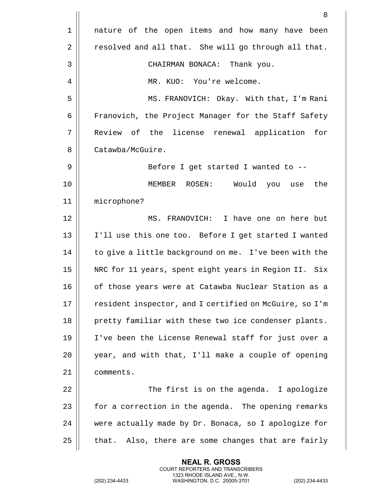1 || nature of the open items and how many have been 2 | resolved and all that. She will go through all that. 3 CHAIRMAN BONACA: Thank you. 4 | MR. KUO: You're welcome. 5 MS. FRANOVICH: Okay. With that, I'm Rani 6 | Franovich, the Project Manager for the Staff Safety 7 Review of the license renewal application for 8 | Catawba/McGuire. 9 Before I get started I wanted to -- 10 MEMBER ROSEN: Would you use the 11 microphone? 12 MS. FRANOVICH: I have one on here but 13 I'll use this one too. Before I get started I wanted 14 || to give a little background on me. I've been with the 15 || NRC for 11 years, spent eight years in Region II. Six 16 || of those years were at Catawba Nuclear Station as a 17 || resident inspector, and I certified on McGuire, so I'm 18 || pretty familiar with these two ice condenser plants. 19 I've been the License Renewal staff for just over a 20 || year, and with that, I'll make a couple of opening 21 | comments. 22 || The first is on the agenda. I apologize 23  $\parallel$  for a correction in the agenda. The opening remarks 24 were actually made by Dr. Bonaca, so I apologize for  $25$  || that. Also, there are some changes that are fairly

> **NEAL R. GROSS** COURT REPORTERS AND TRANSCRIBERS 1323 RHODE ISLAND AVE., N.W.

(202) 234-4433 WASHINGTON, D.C. 20005-3701 (202) 234-4433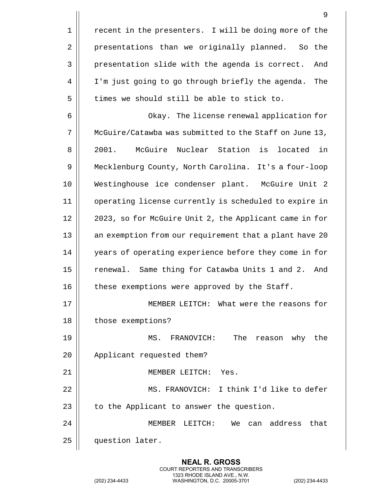1 | recent in the presenters. I will be doing more of the 2 | presentations than we originally planned. So the 3 | presentation slide with the agenda is correct. And 4 | I'm just going to go through briefly the agenda. The  $5$   $\parallel$  times we should still be able to stick to. 6 Okay. The license renewal application for 7 McGuire/Catawba was submitted to the Staff on June 13, 8 2001. McGuire Nuclear Station is located in 9 Mecklenburg County, North Carolina. It's a four-loop 10 Westinghouse ice condenser plant. McGuire Unit 2 11 operating license currently is scheduled to expire in 12 || 2023, so for McGuire Unit 2, the Applicant came in for 13 || an exemption from our requirement that a plant have 20 14 | years of operating experience before they come in for 15 || renewal. Same thing for Catawba Units 1 and 2. And 16  $\parallel$  these exemptions were approved by the Staff. 17 MEMBER LEITCH: What were the reasons for 18 | those exemptions? 19 MS. FRANOVICH: The reason why the 20 || Applicant requested them? 21 MEMBER LEITCH: Yes. 22 MS. FRANOVICH: I think I'd like to defer  $23$  | to the Applicant to answer the question. 24 MEMBER LEITCH: We can address that 25 | question later.

> **NEAL R. GROSS** COURT REPORTERS AND TRANSCRIBERS 1323 RHODE ISLAND AVE., N.W.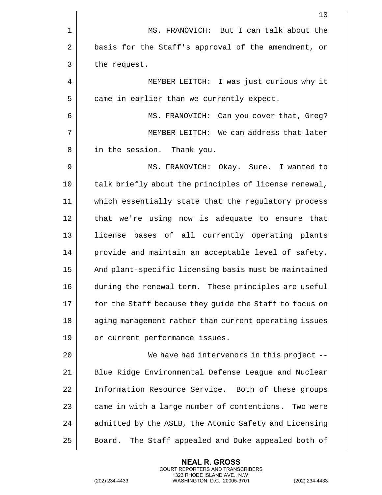|    | 10                                                     |
|----|--------------------------------------------------------|
| 1  | MS. FRANOVICH: But I can talk about the                |
| 2  | basis for the Staff's approval of the amendment, or    |
| 3  | the request.                                           |
| 4  | MEMBER LEITCH: I was just curious why it               |
| 5  | came in earlier than we currently expect.              |
| 6  | MS. FRANOVICH: Can you cover that, Greg?               |
| 7  | MEMBER LEITCH: We can address that later               |
| 8  | in the session. Thank you.                             |
| 9  | MS. FRANOVICH: Okay. Sure. I wanted to                 |
| 10 | talk briefly about the principles of license renewal,  |
| 11 | which essentially state that the regulatory process    |
| 12 | that we're using now is adequate to ensure that        |
| 13 | license bases of all currently operating plants        |
| 14 | provide and maintain an acceptable level of safety.    |
| 15 | And plant-specific licensing basis must be maintained  |
| 16 | during the renewal term. These principles are useful   |
| 17 | for the Staff because they guide the Staff to focus on |
| 18 | aging management rather than current operating issues  |
| 19 | or current performance issues.                         |
| 20 | We have had intervenors in this project $-$ -          |
| 21 | Blue Ridge Environmental Defense League and Nuclear    |
| 22 | Information Resource Service. Both of these groups     |
| 23 | came in with a large number of contentions. Two were   |
| 24 | admitted by the ASLB, the Atomic Safety and Licensing  |
| 25 | The Staff appealed and Duke appealed both of<br>Board. |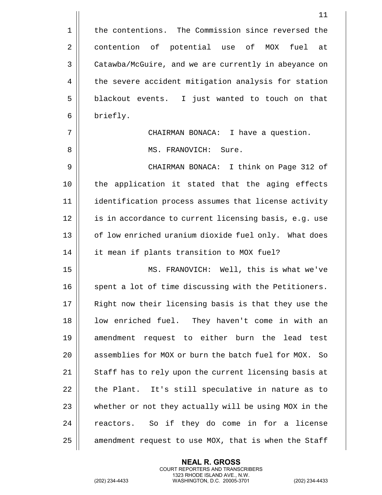|    | 11                                                    |
|----|-------------------------------------------------------|
| 1  | the contentions. The Commission since reversed the    |
| 2  | contention of potential use of<br>fuel<br>MOX<br>at   |
| 3  | Catawba/McGuire, and we are currently in abeyance on  |
| 4  | the severe accident mitigation analysis for station   |
| 5  | blackout events. I just wanted to touch on that       |
| 6  | briefly.                                              |
| 7  | CHAIRMAN BONACA: I have a question.                   |
| 8  | MS. FRANOVICH: Sure.                                  |
| 9  | CHAIRMAN BONACA: I think on Page 312 of               |
| 10 | the application it stated that the aging effects      |
| 11 | identification process assumes that license activity  |
| 12 | is in accordance to current licensing basis, e.g. use |
| 13 | of low enriched uranium dioxide fuel only. What does  |
| 14 | it mean if plants transition to MOX fuel?             |
| 15 | MS. FRANOVICH: Well, this is what we've               |
| 16 | spent a lot of time discussing with the Petitioners.  |
| 17 | Right now their licensing basis is that they use the  |
| 18 | low enriched fuel. They haven't come in with an       |
| 19 | amendment request to either burn the lead test        |
| 20 | assemblies for MOX or burn the batch fuel for MOX. So |
| 21 | Staff has to rely upon the current licensing basis at |
| 22 | the Plant. It's still speculative in nature as to     |
| 23 | whether or not they actually will be using MOX in the |
| 24 | reactors. So if they do come in for a license         |
| 25 | amendment request to use MOX, that is when the Staff  |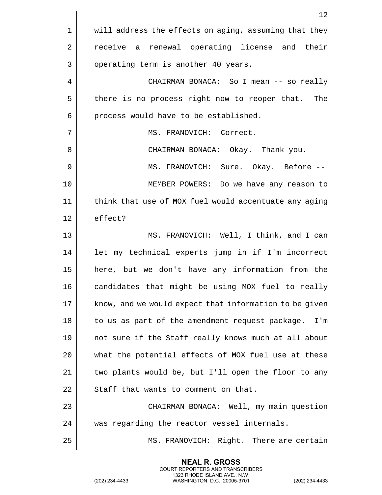|    | 12                                                     |
|----|--------------------------------------------------------|
| 1  | will address the effects on aging, assuming that they  |
| 2  | receive a renewal operating license and their          |
| 3  | operating term is another 40 years.                    |
| 4  | CHAIRMAN BONACA: So I mean -- so really                |
| 5  | there is no process right now to reopen that.<br>The   |
| 6  | process would have to be established.                  |
| 7  | MS. FRANOVICH: Correct.                                |
| 8  | CHAIRMAN BONACA: Okay. Thank you.                      |
| 9  | MS. FRANOVICH: Sure. Okay. Before --                   |
| 10 | MEMBER POWERS: Do we have any reason to                |
| 11 | think that use of MOX fuel would accentuate any aging  |
| 12 | effect?                                                |
| 13 | MS. FRANOVICH: Well, I think, and I can                |
| 14 | let my technical experts jump in if I'm incorrect      |
| 15 | here, but we don't have any information from the       |
| 16 | candidates that might be using MOX fuel to really      |
| 17 | know, and we would expect that information to be given |
| 18 | to us as part of the amendment request package.<br>I'm |
| 19 | not sure if the Staff really knows much at all about   |
| 20 | what the potential effects of MOX fuel use at these    |
| 21 | two plants would be, but I'll open the floor to any    |
| 22 | Staff that wants to comment on that.                   |
| 23 | CHAIRMAN BONACA: Well, my main question                |
| 24 | was regarding the reactor vessel internals.            |
| 25 | MS. FRANOVICH: Right. There are certain                |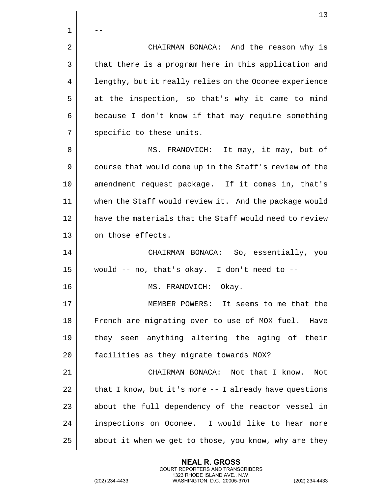$\mathbf 1$ 2 | CHAIRMAN BONACA: And the reason why is 3 || that there is a program here in this application and 4 | lengthy, but it really relies on the Oconee experience  $5 \parallel$  at the inspection, so that's why it came to mind  $6 \parallel$  because I don't know if that may require something 7 || specific to these units. 8 || MS. FRANOVICH: It may, it may, but of 9 || course that would come up in the Staff's review of the 10 || amendment request package. If it comes in, that's 11 when the Staff would review it. And the package would 12 || have the materials that the Staff would need to review 13 | on those effects. 14 CHAIRMAN BONACA: So, essentially, you  $15$  | would -- no, that's okay. I don't need to --16 MS. FRANOVICH: Okay. 17 MEMBER POWERS: It seems to me that the 18 || French are migrating over to use of MOX fuel. Have 19 they seen anything altering the aging of their 20 | facilities as they migrate towards MOX? 21 CHAIRMAN BONACA: Not that I know. Not 22  $\parallel$  that I know, but it's more  $-$ - I already have questions  $23$  || about the full dependency of the reactor vessel in 24 | inspections on Oconee. I would like to hear more 25  $\parallel$  about it when we get to those, you know, why are they

> **NEAL R. GROSS** COURT REPORTERS AND TRANSCRIBERS 1323 RHODE ISLAND AVE., N.W.

(202) 234-4433 WASHINGTON, D.C. 20005-3701 (202) 234-4433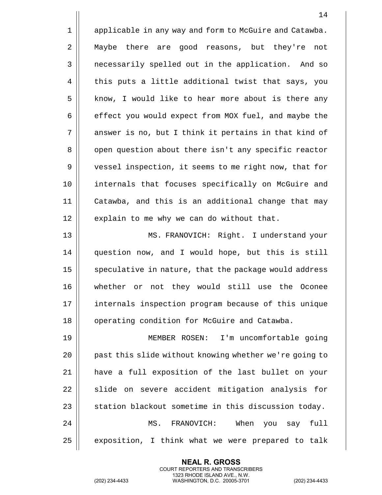1 | applicable in any way and form to McGuire and Catawba. 2 Maybe there are good reasons, but they're not 3 | necessarily spelled out in the application. And so 4 | this puts a little additional twist that says, you  $5 \parallel$  know, I would like to hear more about is there any 6 | effect you would expect from MOX fuel, and maybe the 7 || answer is no, but I think it pertains in that kind of 8 | open question about there isn't any specific reactor 9 | vessel inspection, it seems to me right now, that for 10 internals that focuses specifically on McGuire and 11 Catawba, and this is an additional change that may  $12$  | explain to me why we can do without that. 13 MS. FRANOVICH: Right. I understand your 14 question now, and I would hope, but this is still

 speculative in nature, that the package would address whether or not they would still use the Oconee internals inspection program because of this unique 18 | operating condition for McGuire and Catawba.

 MEMBER ROSEN: I'm uncomfortable going 20 || past this slide without knowing whether we're going to have a full exposition of the last bullet on your  $\parallel$  slide on severe accident mitigation analysis for  $\parallel$  station blackout sometime in this discussion today. MS. FRANOVICH: When you say full | exposition, I think what we were prepared to talk

> **NEAL R. GROSS** COURT REPORTERS AND TRANSCRIBERS 1323 RHODE ISLAND AVE., N.W.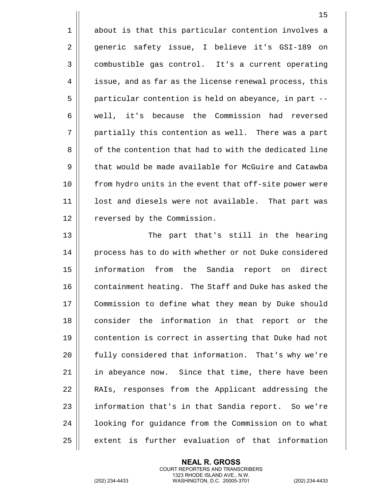1 || about is that this particular contention involves a 2 generic safety issue, I believe it's GSI-189 on 3 | combustible gas control. It's a current operating 4 | issue, and as far as the license renewal process, this 5 | particular contention is held on abeyance, in part --6 | well, it's because the Commission had reversed 7 || partially this contention as well. There was a part 8 || of the contention that had to with the dedicated line 9 | that would be made available for McGuire and Catawba 10 || from hydro units in the event that off-site power were 11 || lost and diesels were not available. That part was 12 | reversed by the Commission.

13 The part that's still in the hearing 14 | process has to do with whether or not Duke considered 15 information from the Sandia report on direct 16 | containment heating. The Staff and Duke has asked the 17 | Commission to define what they mean by Duke should 18 || consider the information in that report or the 19 contention is correct in asserting that Duke had not 20 || fully considered that information. That's why we're 21 || in abeyance now. Since that time, there have been 22 || RAIs, responses from the Applicant addressing the 23 | information that's in that Sandia report. So we're 24 | looking for guidance from the Commission on to what 25 | extent is further evaluation of that information

> **NEAL R. GROSS** COURT REPORTERS AND TRANSCRIBERS 1323 RHODE ISLAND AVE., N.W.

(202) 234-4433 WASHINGTON, D.C. 20005-3701 (202) 234-4433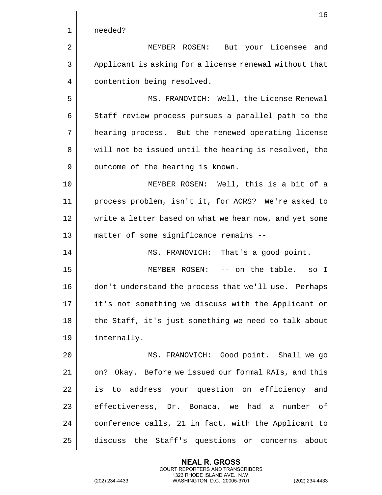|    | 16                                                     |
|----|--------------------------------------------------------|
| 1  | needed?                                                |
| 2  | MEMBER ROSEN:<br>But your Licensee<br>and              |
| 3  | Applicant is asking for a license renewal without that |
| 4  | contention being resolved.                             |
| 5  | MS. FRANOVICH: Well, the License Renewal               |
| 6  | Staff review process pursues a parallel path to the    |
| 7  | hearing process. But the renewed operating license     |
| 8  | will not be issued until the hearing is resolved, the  |
| 9  | outcome of the hearing is known.                       |
| 10 | MEMBER ROSEN: Well, this is a bit of a                 |
| 11 | process problem, isn't it, for ACRS? We're asked to    |
| 12 | write a letter based on what we hear now, and yet some |
| 13 | matter of some significance remains --                 |
| 14 | That's a good point.<br>MS. FRANOVICH:                 |
| 15 | -- on the table.<br>MEMBER ROSEN:<br>so I              |
| 16 | don't understand the process that we'll use. Perhaps   |
| 17 | it's not something we discuss with the Applicant or    |
| 18 | the Staff, it's just something we need to talk about   |
| 19 | internally.                                            |
| 20 | MS. FRANOVICH: Good point. Shall we go                 |
| 21 | on? Okay. Before we issued our formal RAIs, and this   |
| 22 | is to address your question on efficiency and          |
| 23 | effectiveness, Dr. Bonaca, we had a number<br>of       |
| 24 | conference calls, 21 in fact, with the Applicant to    |
| 25 | discuss the Staff's questions or concerns about        |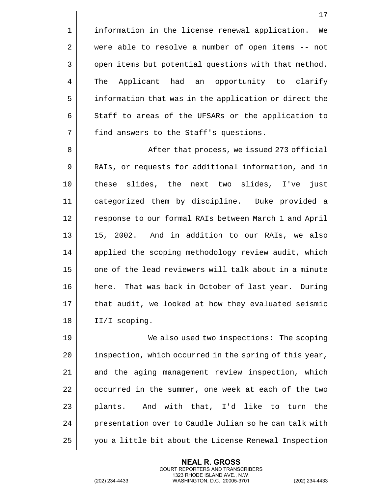1 | information in the license renewal application. We 2 were able to resolve a number of open items -- not 3 | open items but potential questions with that method. 4 The Applicant had an opportunity to clarify 5 | information that was in the application or direct the  $6 \parallel$  Staff to areas of the UFSARs or the application to 7 | find answers to the Staff's questions.

8 || After that process, we issued 273 official 9 || RAIs, or requests for additional information, and in 10 these slides, the next two slides, I've just 11 categorized them by discipline. Duke provided a 12 | response to our formal RAIs between March 1 and April 13 15, 2002. And in addition to our RAIs, we also 14 || applied the scoping methodology review audit, which 15  $\parallel$  one of the lead reviewers will talk about in a minute 16 || here. That was back in October of last year. During 17 || that audit, we looked at how they evaluated seismic 18 || II/I scoping.

19 || We also used two inspections: The scoping  $20$  || inspection, which occurred in the spring of this year, 21 || and the aging management review inspection, which 22  $\parallel$  occurred in the summer, one week at each of the two  $23$  || plants. And with that, I'd like to turn the 24 | presentation over to Caudle Julian so he can talk with 25 | you a little bit about the License Renewal Inspection

> **NEAL R. GROSS** COURT REPORTERS AND TRANSCRIBERS 1323 RHODE ISLAND AVE., N.W.

(202) 234-4433 WASHINGTON, D.C. 20005-3701 (202) 234-4433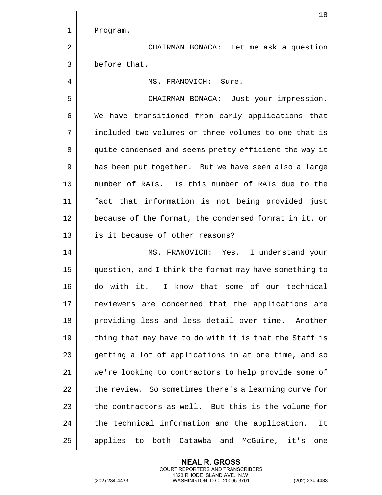|             | 18                                                     |
|-------------|--------------------------------------------------------|
| $\mathbf 1$ | Program.                                               |
| 2           | CHAIRMAN BONACA: Let me ask a question                 |
| 3           | before that.                                           |
| 4           | MS. FRANOVICH: Sure.                                   |
| 5           | CHAIRMAN BONACA: Just your impression.                 |
| 6           | We have transitioned from early applications that      |
| 7           | included two volumes or three volumes to one that is   |
| 8           | quite condensed and seems pretty efficient the way it  |
| 9           | has been put together. But we have seen also a large   |
| 10          | number of RAIs. Is this number of RAIs due to the      |
| 11          | fact that information is not being provided just       |
| 12          | because of the format, the condensed format in it, or  |
| 13          | is it because of other reasons?                        |
| 14          | MS. FRANOVICH: Yes. I understand your                  |
| 15          | question, and I think the format may have something to |
| 16          | do with it. I know that some of our technical          |
| 17          | reviewers are concerned that the applications are      |
| 18          | providing less and less detail over time. Another      |
| 19          | thing that may have to do with it is that the Staff is |
| 20          | getting a lot of applications in at one time, and so   |
| 21          | we're looking to contractors to help provide some of   |
| 22          | the review. So sometimes there's a learning curve for  |
| 23          | the contractors as well. But this is the volume for    |
| 24          | the technical information and the application.<br>It   |
| 25          | applies to both Catawba and McGuire, it's<br>one       |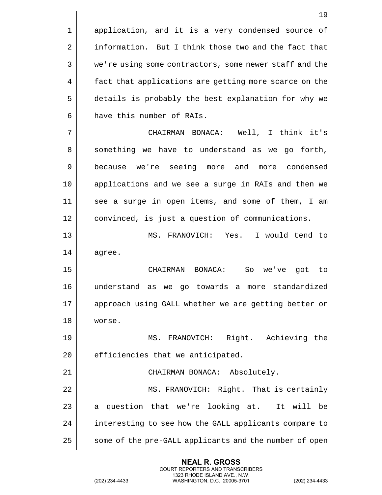1 | application, and it is a very condensed source of 2 | information. But I think those two and the fact that 3 || we're using some contractors, some newer staff and the 4 | fact that applications are getting more scarce on the 5 details is probably the best explanation for why we 6 **h** have this number of RAIs. 7 CHAIRMAN BONACA: Well, I think it's 8 Something we have to understand as we go forth, 9 || because we're seeing more and more condensed 10 applications and we see a surge in RAIs and then we 11 || see a surge in open items, and some of them, I am 12 | convinced, is just a question of communications. 13 MS. FRANOVICH: Yes. I would tend to 14 agree. 15 CHAIRMAN BONACA: So we've got to 16 understand as we go towards a more standardized 17 || approach using GALL whether we are getting better or 18 worse. 19 MS. FRANOVICH: Right. Achieving the  $20$  || efficiencies that we anticipated. 21 || CHAIRMAN BONACA: Absolutely. 22 MS. FRANOVICH: Right. That is certainly  $23$  a question that we're looking at. It will be 24 || interesting to see how the GALL applicants compare to 25 | some of the pre-GALL applicants and the number of open

> **NEAL R. GROSS** COURT REPORTERS AND TRANSCRIBERS 1323 RHODE ISLAND AVE., N.W.

(202) 234-4433 WASHINGTON, D.C. 20005-3701 (202) 234-4433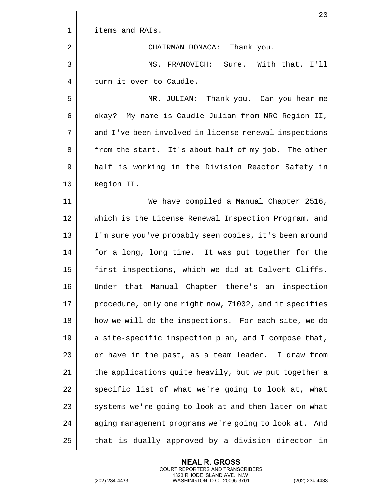|             | 20                                                       |
|-------------|----------------------------------------------------------|
| $\mathbf 1$ | items and RAIs.                                          |
| 2           | CHAIRMAN BONACA: Thank you.                              |
| 3           | MS. FRANOVICH: Sure. With that, I'll                     |
| 4           | turn it over to Caudle.                                  |
| 5           | MR. JULIAN: Thank you. Can you hear me                   |
| 6           | okay? My name is Caudle Julian from NRC Region II,       |
| 7           | and I've been involved in license renewal inspections    |
| 8           | from the start. It's about half of my job. The other     |
| 9           | half is working in the Division Reactor Safety in        |
| 10          | Region II.                                               |
| 11          | We have compiled a Manual Chapter 2516,                  |
| 12          | which is the License Renewal Inspection Program, and     |
| 13          | I'm sure you've probably seen copies, it's been around   |
| 14          | for a long, long time. It was put together for the       |
| 15          | first inspections, which we did at Calvert Cliffs.       |
| 16          | Under that Manual Chapter there's an inspection          |
| 17          | procedure, only one right now, 71002, and it specifies   |
| 18          | how we will do the inspections. For each site, we do     |
| 19          | a site-specific inspection plan, and I compose that,     |
| 20          | or have in the past, as a team leader. I draw from       |
| 21          | the applications quite heavily, but we put together a    |
| 22          | specific list of what we're going to look at, what       |
| 23          | systems we're going to look at and then later on what    |
| 24          | aging management programs we're going to look at.<br>And |
| 25          | that is dually approved by a division director in        |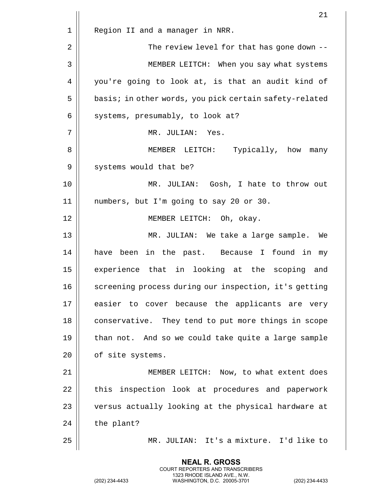|    | 21                                                     |
|----|--------------------------------------------------------|
| 1  | Region II and a manager in NRR.                        |
| 2  | The review level for that has gone down --             |
| 3  | MEMBER LEITCH: When you say what systems               |
| 4  | you're going to look at, is that an audit kind of      |
| 5  | basis; in other words, you pick certain safety-related |
| 6  | systems, presumably, to look at?                       |
| 7  | MR. JULIAN: Yes.                                       |
| 8  | MEMBER LEITCH: Typically, how many                     |
| 9  | systems would that be?                                 |
| 10 | MR. JULIAN: Gosh, I hate to throw out                  |
| 11 | numbers, but I'm going to say 20 or 30.                |
| 12 | MEMBER LEITCH: Oh, okay.                               |
| 13 | MR. JULIAN: We take a large sample.<br>We              |
| 14 | have been in the past. Because I found in my           |
| 15 | experience that in looking at the scoping and          |
| 16 | screening process during our inspection, it's getting  |
| 17 | easier to cover because the applicants are very        |
| 18 | conservative. They tend to put more things in scope    |
| 19 | than not. And so we could take quite a large sample    |
| 20 | of site systems.                                       |
| 21 | MEMBER LEITCH: Now, to what extent does                |
| 22 | inspection look at procedures and paperwork<br>this    |
| 23 | versus actually looking at the physical hardware at    |
| 24 | the plant?                                             |
| 25 | MR. JULIAN: It's a mixture. I'd like to                |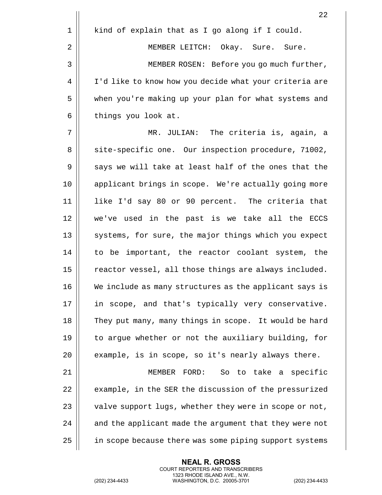|    | 22                                                     |
|----|--------------------------------------------------------|
| 1  | kind of explain that as I go along if I could.         |
| 2  | MEMBER LEITCH: Okay. Sure. Sure.                       |
| 3  | MEMBER ROSEN: Before you go much further,              |
| 4  | I'd like to know how you decide what your criteria are |
| 5  | when you're making up your plan for what systems and   |
| 6  | things you look at.                                    |
| 7  | MR. JULIAN: The criteria is, again, a                  |
| 8  | site-specific one. Our inspection procedure, 71002,    |
| 9  | says we will take at least half of the ones that the   |
| 10 | applicant brings in scope. We're actually going more   |
| 11 | like I'd say 80 or 90 percent. The criteria that       |
| 12 | we've used in the past is we take all the ECCS         |
| 13 | systems, for sure, the major things which you expect   |
| 14 | to be important, the reactor coolant system, the       |
| 15 | reactor vessel, all those things are always included.  |
| 16 | We include as many structures as the applicant says is |
| 17 | in scope, and that's typically very conservative.      |
| 18 | They put many, many things in scope. It would be hard  |
| 19 | to argue whether or not the auxiliary building, for    |
| 20 | example, is in scope, so it's nearly always there.     |
| 21 | MEMBER FORD:<br>So to take a specific                  |
| 22 | example, in the SER the discussion of the pressurized  |
| 23 | valve support lugs, whether they were in scope or not, |
| 24 | and the applicant made the argument that they were not |
| 25 | in scope because there was some piping support systems |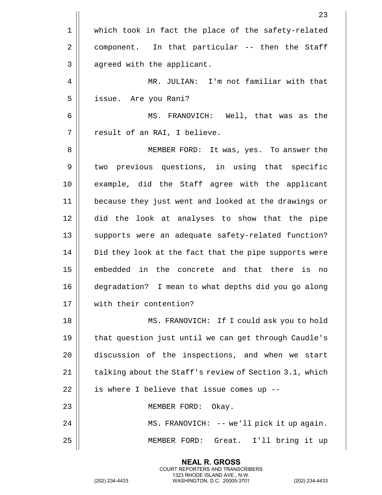|             | 23                                                     |
|-------------|--------------------------------------------------------|
| $\mathbf 1$ | which took in fact the place of the safety-related     |
| 2           | component. In that particular -- then the Staff        |
| 3           | agreed with the applicant.                             |
| 4           | MR. JULIAN: I'm not familiar with that                 |
| 5           | issue. Are you Rani?                                   |
| 6           | MS. FRANOVICH: Well, that was as the                   |
| 7           | result of an RAI, I believe.                           |
| 8           | MEMBER FORD: It was, yes. To answer the                |
| 9           | two previous questions, in using that specific         |
| 10          | example, did the Staff agree with the applicant        |
| 11          | because they just went and looked at the drawings or   |
| 12          | did the look at analyses to show that the pipe         |
| 13          | supports were an adequate safety-related function?     |
| 14          | Did they look at the fact that the pipe supports were  |
| 15          | embedded in the concrete and that there is no          |
| 16          | degradation? I mean to what depths did you go along    |
| 17          | with their contention?                                 |
| 18          | MS. FRANOVICH: If I could ask you to hold              |
| 19          | that question just until we can get through Caudle's   |
| 20          | discussion of the inspections, and when we start       |
| 21          | talking about the Staff's review of Section 3.1, which |
| 22          | is where I believe that issue comes up --              |
| 23          | MEMBER FORD:<br>Okay.                                  |
| 24          | MS. FRANOVICH: -- we'll pick it up again.              |
| 25          | Great. I'll bring it up<br>MEMBER FORD:                |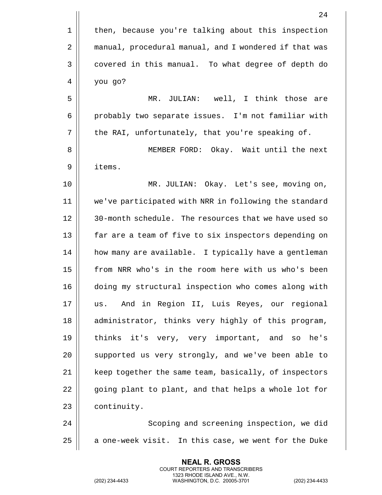|             | 24                                                    |
|-------------|-------------------------------------------------------|
| $\mathbf 1$ | then, because you're talking about this inspection    |
| 2           | manual, procedural manual, and I wondered if that was |
| 3           | covered in this manual. To what degree of depth do    |
| 4           | you go?                                               |
| 5           | MR. JULIAN: well, I think those are                   |
| 6           | probably two separate issues. I'm not familiar with   |
| 7           | the RAI, unfortunately, that you're speaking of.      |
| 8           | MEMBER FORD: Okay. Wait until the next                |
| 9           | items.                                                |
| 10          | MR. JULIAN: Okay. Let's see, moving on,               |
| 11          | we've participated with NRR in following the standard |
| 12          | 30-month schedule. The resources that we have used so |
| 13          | far are a team of five to six inspectors depending on |
| 14          | how many are available. I typically have a gentleman  |
| 15          | from NRR who's in the room here with us who's been    |
| 16          | doing my structural inspection who comes along with   |
| 17          | And in Region II, Luis Reyes, our regional<br>us.     |
| 18          | administrator, thinks very highly of this program,    |
| 19          | thinks it's very, very important, and so he's         |
| 20          | supported us very strongly, and we've been able to    |
| 21          | keep together the same team, basically, of inspectors |
| 22          | going plant to plant, and that helps a whole lot for  |
| 23          | continuity.                                           |
| 24          | Scoping and screening inspection, we did              |
| 25          | a one-week visit. In this case, we went for the Duke  |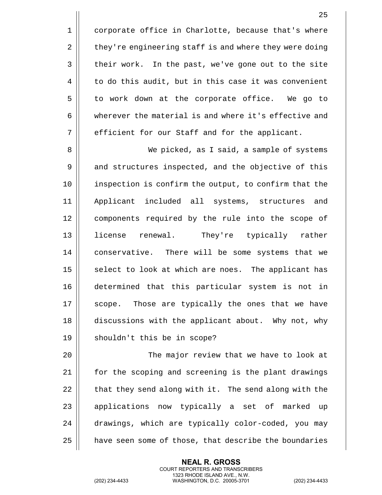1 | corporate office in Charlotte, because that's where 2 | they're engineering staff is and where they were doing  $3 \parallel$  their work. In the past, we've gone out to the site  $4 \parallel$  to do this audit, but in this case it was convenient 5 to work down at the corporate office. We go to 6  $\parallel$  wherever the material is and where it's effective and  $7 \parallel$  efficient for our Staff and for the applicant.

8 We picked, as I said, a sample of systems 9 || and structures inspected, and the objective of this 10 inspection is confirm the output, to confirm that the 11 Applicant included all systems, structures and 12 || components required by the rule into the scope of 13 license renewal. They're typically rather 14 | conservative. There will be some systems that we  $15$  select to look at which are noes. The applicant has 16 determined that this particular system is not in 17 || scope. Those are typically the ones that we have 18 discussions with the applicant about. Why not, why 19 || shouldn't this be in scope?

20 The major review that we have to look at 21 | for the scoping and screening is the plant drawings  $22$   $\parallel$  that they send along with it. The send along with the  $23$  || applications now typically a set of marked up 24 drawings, which are typically color-coded, you may 25 | have seen some of those, that describe the boundaries

> **NEAL R. GROSS** COURT REPORTERS AND TRANSCRIBERS 1323 RHODE ISLAND AVE., N.W.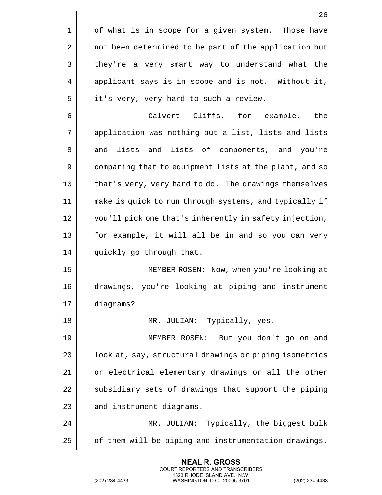|    | 26                                                     |
|----|--------------------------------------------------------|
| 1  | of what is in scope for a given system. Those have     |
| 2  | not been determined to be part of the application but  |
| 3  | they're a very smart way to understand what the        |
| 4  | applicant says is in scope and is not. Without it,     |
| 5  | it's very, very hard to such a review.                 |
| 6  | Calvert Cliffs, for example,<br>the                    |
| 7  | application was nothing but a list, lists and lists    |
| 8  | lists and lists of components, and you're<br>and       |
| 9  | comparing that to equipment lists at the plant, and so |
| 10 | that's very, very hard to do. The drawings themselves  |
| 11 | make is quick to run through systems, and typically if |
| 12 | you'll pick one that's inherently in safety injection, |
| 13 | for example, it will all be in and so you can very     |
| 14 | quickly go through that.                               |
| 15 | MEMBER ROSEN: Now, when you're looking at              |
| 16 | drawings, you're looking at piping and instrument      |
| 17 | diagrams?                                              |
| 18 | MR. JULIAN: Typically, yes.                            |
| 19 | But you don't go on and<br>MEMBER ROSEN:               |
| 20 | look at, say, structural drawings or piping isometrics |
| 21 | or electrical elementary drawings or all the other     |
| 22 | subsidiary sets of drawings that support the piping    |
| 23 | and instrument diagrams.                               |
| 24 | MR. JULIAN: Typically, the biggest bulk                |
| 25 | of them will be piping and instrumentation drawings.   |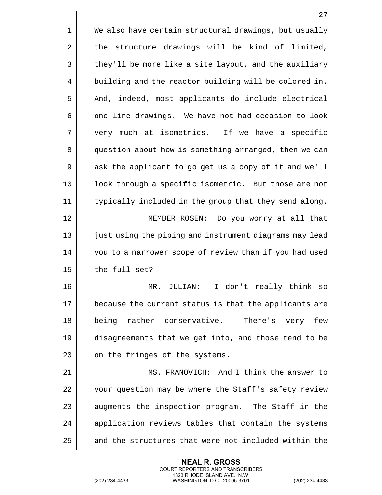|    | 27                                                     |
|----|--------------------------------------------------------|
| 1  | We also have certain structural drawings, but usually  |
| 2  | structure drawings will be kind of limited,<br>the     |
| 3  | they'll be more like a site layout, and the auxiliary  |
| 4  | building and the reactor building will be colored in.  |
| 5  | And, indeed, most applicants do include electrical     |
| 6  | one-line drawings. We have not had occasion to look    |
| 7  | very much at isometrics. If we have a specific         |
| 8  | question about how is something arranged, then we can  |
| 9  | ask the applicant to go get us a copy of it and we'll  |
| 10 | look through a specific isometric. But those are not   |
| 11 | typically included in the group that they send along.  |
| 12 | MEMBER ROSEN: Do you worry at all that                 |
| 13 | just using the piping and instrument diagrams may lead |
| 14 | you to a narrower scope of review than if you had used |
| 15 | the full set?                                          |
| 16 | I don't really think so<br>MR.<br>JULIAN:              |
| 17 | because the current status is that the applicants are  |
| 18 | being rather conservative. There's very<br>few         |
| 19 | disagreements that we get into, and those tend to be   |
| 20 | on the fringes of the systems.                         |
| 21 | MS. FRANOVICH: And I think the answer to               |
| 22 | your question may be where the Staff's safety review   |
| 23 | augments the inspection program. The Staff in the      |
| 24 | application reviews tables that contain the systems    |
| 25 | and the structures that were not included within the   |

(202) 234-4433 WASHINGTON, D.C. 20005-3701 (202) 234-4433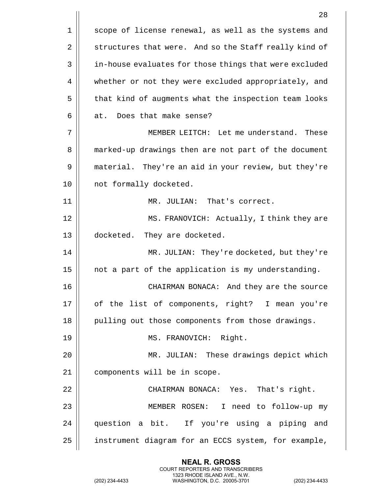|    | 28                                                     |
|----|--------------------------------------------------------|
| 1  | scope of license renewal, as well as the systems and   |
| 2  | structures that were. And so the Staff really kind of  |
| 3  | in-house evaluates for those things that were excluded |
| 4  | whether or not they were excluded appropriately, and   |
| 5  | that kind of augments what the inspection team looks   |
| 6  | at. Does that make sense?                              |
| 7  | MEMBER LEITCH: Let me understand. These                |
| 8  | marked-up drawings then are not part of the document   |
| 9  | material. They're an aid in your review, but they're   |
| 10 | not formally docketed.                                 |
| 11 | MR. JULIAN: That's correct.                            |
| 12 | MS. FRANOVICH: Actually, I think they are              |
| 13 | docketed. They are docketed.                           |
| 14 | MR. JULIAN: They're docketed, but they're              |
| 15 | not a part of the application is my understanding.     |
| 16 | CHAIRMAN BONACA: And they are the source               |
| 17 | of the list of components, right? I mean you're        |
| 18 | pulling out those components from those drawings.      |
| 19 | MS. FRANOVICH: Right.                                  |
| 20 | MR. JULIAN: These drawings depict which                |
| 21 | components will be in scope.                           |
| 22 | CHAIRMAN BONACA: Yes. That's right.                    |
| 23 | MEMBER ROSEN: I need to follow-up my                   |
| 24 | question a bit. If you're using a piping and           |
| 25 | instrument diagram for an ECCS system, for example,    |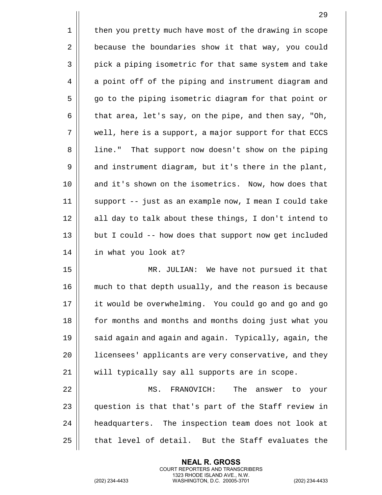|    | 29                                                     |
|----|--------------------------------------------------------|
| 1  | then you pretty much have most of the drawing in scope |
| 2  | because the boundaries show it that way, you could     |
| 3  | pick a piping isometric for that same system and take  |
| 4  | a point off of the piping and instrument diagram and   |
| 5  | go to the piping isometric diagram for that point or   |
| 6  | that area, let's say, on the pipe, and then say, "Oh,  |
| 7  | well, here is a support, a major support for that ECCS |
| 8  | line." That support now doesn't show on the piping     |
| 9  | and instrument diagram, but it's there in the plant,   |
| 10 | and it's shown on the isometrics. Now, how does that   |
| 11 | support -- just as an example now, I mean I could take |
| 12 | all day to talk about these things, I don't intend to  |
| 13 | but I could -- how does that support now get included  |
| 14 | in what you look at?                                   |
| 15 | MR. JULIAN: We have not pursued it that                |
| 16 | much to that depth usually, and the reason is because  |
| 17 | it would be overwhelming. You could go and go and go   |
| 18 | for months and months and months doing just what you   |
| 19 | said again and again and again. Typically, again, the  |
| 20 | licensees' applicants are very conservative, and they  |
| 21 | will typically say all supports are in scope.          |
| 22 | MS.<br>FRANOVICH:<br>The<br>answer to<br>your          |
| 23 | question is that that's part of the Staff review in    |
| 24 | headquarters. The inspection team does not look at     |
| 25 | that level of detail. But the Staff evaluates the      |

(202) 234-4433 WASHINGTON, D.C. 20005-3701 (202) 234-4433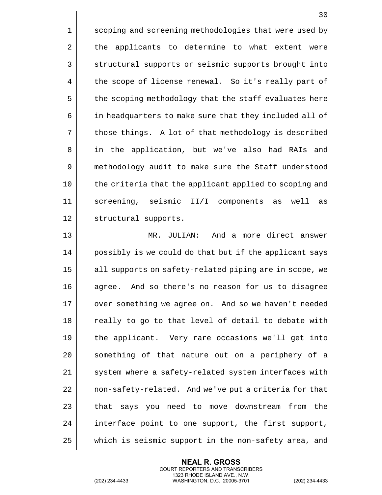1 | scoping and screening methodologies that were used by 2 || the applicants to determine to what extent were 3 || structural supports or seismic supports brought into 4 | the scope of license renewal. So it's really part of 5 | the scoping methodology that the staff evaluates here 6 | in headquarters to make sure that they included all of 7 || those things. A lot of that methodology is described 8 || in the application, but we've also had RAIs and 9 methodology audit to make sure the Staff understood 10 the criteria that the applicant applied to scoping and 11 screening, seismic II/I components as well as 12 || structural supports.

13 MR. JULIAN: And a more direct answer 14 || possibly is we could do that but if the applicant says 15 || all supports on safety-related piping are in scope, we 16 || agree. And so there's no reason for us to disagree 17 || over something we agree on. And so we haven't needed 18 || really to go to that level of detail to debate with 19 the applicant. Very rare occasions we'll get into 20 || something of that nature out on a periphery of a 21 || system where a safety-related system interfaces with 22 | | non-safety-related. And we've put a criteria for that 23 | that says you need to move downstream from the 24 || interface point to one support, the first support, 25 which is seismic support in the non-safety area, and

> **NEAL R. GROSS** COURT REPORTERS AND TRANSCRIBERS 1323 RHODE ISLAND AVE., N.W.

(202) 234-4433 WASHINGTON, D.C. 20005-3701 (202) 234-4433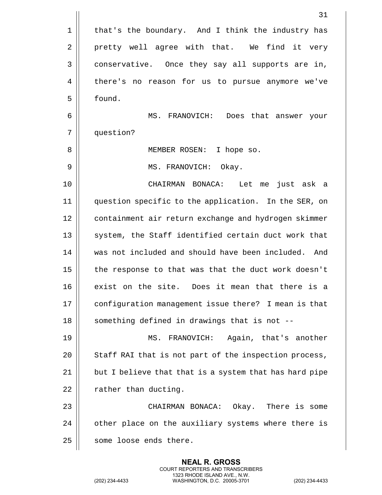|    | 31                                                     |
|----|--------------------------------------------------------|
| 1  | that's the boundary. And I think the industry has      |
| 2  | pretty well agree with that. We find it very           |
| 3  | conservative. Once they say all supports are in,       |
| 4  | there's no reason for us to pursue anymore we've       |
| 5  | found.                                                 |
| 6  | MS. FRANOVICH: Does that answer your                   |
| 7  | question?                                              |
| 8  | MEMBER ROSEN: I hope so.                               |
| 9  | MS. FRANOVICH: Okay.                                   |
| 10 | Let me<br>CHAIRMAN BONACA:<br>just ask a               |
| 11 | question specific to the application. In the SER, on   |
| 12 | containment air return exchange and hydrogen skimmer   |
| 13 | system, the Staff identified certain duct work that    |
| 14 | was not included and should have been included. And    |
| 15 | the response to that was that the duct work doesn't    |
| 16 | exist on the site.<br>Does it mean that there is a     |
| 17 | configuration management issue there? I mean is that   |
| 18 | something defined in drawings that is not --           |
| 19 | Again, that's another<br>MS.<br>FRANOVICH:             |
| 20 | Staff RAI that is not part of the inspection process,  |
| 21 | but I believe that that is a system that has hard pipe |
| 22 | rather than ducting.                                   |
| 23 | CHAIRMAN BONACA: Okay. There is some                   |
| 24 | other place on the auxiliary systems where there is    |
| 25 | some loose ends there.                                 |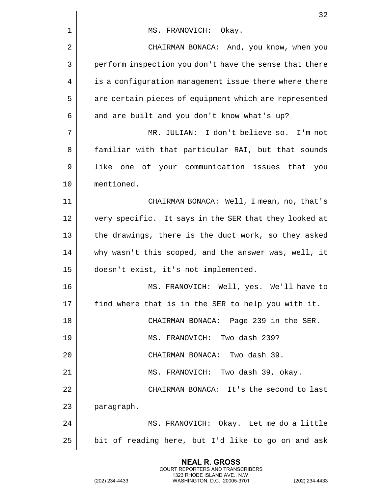|    | 32                                                     |
|----|--------------------------------------------------------|
| 1  | MS. FRANOVICH: Okay.                                   |
| 2  | CHAIRMAN BONACA: And, you know, when you               |
| 3  | perform inspection you don't have the sense that there |
| 4  | is a configuration management issue there where there  |
| 5  | are certain pieces of equipment which are represented  |
| 6  | and are built and you don't know what's up?            |
| 7  | MR. JULIAN: I don't believe so. I'm not                |
| 8  | familiar with that particular RAI, but that sounds     |
| 9  | like one of your communication issues that you         |
| 10 | mentioned.                                             |
| 11 | CHAIRMAN BONACA: Well, I mean, no, that's              |
| 12 | very specific. It says in the SER that they looked at  |
| 13 | the drawings, there is the duct work, so they asked    |
| 14 | why wasn't this scoped, and the answer was, well, it   |
| 15 | doesn't exist, it's not implemented.                   |
| 16 | MS. FRANOVICH: Well, yes. We'll have to                |
| 17 | find where that is in the SER to help you with it.     |
| 18 | CHAIRMAN BONACA: Page 239 in the SER.                  |
| 19 | MS. FRANOVICH: Two dash 239?                           |
| 20 | CHAIRMAN BONACA: Two dash 39.                          |
| 21 | MS. FRANOVICH: Two dash 39, okay.                      |
| 22 | CHAIRMAN BONACA: It's the second to last               |
| 23 | paragraph.                                             |
| 24 | MS. FRANOVICH: Okay. Let me do a little                |
| 25 | bit of reading here, but I'd like to go on and ask     |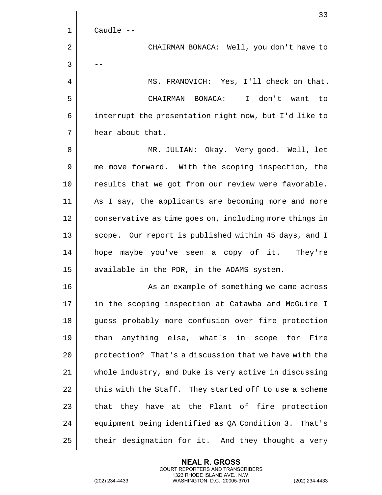|             | 33                                                     |
|-------------|--------------------------------------------------------|
| $\mathbf 1$ | Caudle --                                              |
| 2           | CHAIRMAN BONACA: Well, you don't have to               |
| 3           |                                                        |
| 4           | MS. FRANOVICH: Yes, I'll check on that.                |
| 5           | CHAIRMAN BONACA: I don't want to                       |
| 6           | interrupt the presentation right now, but I'd like to  |
| 7           | hear about that.                                       |
| 8           | MR. JULIAN: Okay. Very good. Well, let                 |
| 9           | me move forward. With the scoping inspection, the      |
| 10          | results that we got from our review were favorable.    |
| 11          | As I say, the applicants are becoming more and more    |
| 12          | conservative as time goes on, including more things in |
| 13          | scope. Our report is published within 45 days, and I   |
| 14          | hope maybe you've seen a copy of it. They're           |
| 15          | available in the PDR, in the ADAMS system.             |
| 16          | As an example of something we came across              |
| 17          | in the scoping inspection at Catawba and McGuire I     |
| 18          | guess probably more confusion over fire protection     |
| 19          | than anything else, what's in scope for Fire           |
| 20          | protection? That's a discussion that we have with the  |
| 21          | whole industry, and Duke is very active in discussing  |
| 22          | this with the Staff. They started off to use a scheme  |
| 23          | that they have at the Plant of fire protection         |
| 24          | equipment being identified as QA Condition 3. That's   |
| 25          | their designation for it. And they thought a very      |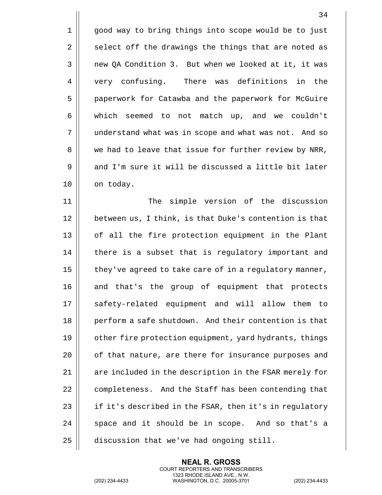|             | 34                                                     |
|-------------|--------------------------------------------------------|
| $\mathbf 1$ | good way to bring things into scope would be to just   |
| 2           | select off the drawings the things that are noted as   |
| 3           | new QA Condition 3. But when we looked at it, it was   |
| 4           | very confusing.<br>There was definitions in the        |
| 5           | paperwork for Catawba and the paperwork for McGuire    |
| 6           | which seemed to not match up, and we couldn't          |
| 7           | understand what was in scope and what was not. And so  |
| 8           | we had to leave that issue for further review by NRR,  |
| 9           | and I'm sure it will be discussed a little bit later   |
| 10          | on today.                                              |
| 11          | simple version of the discussion<br>The                |
| 12          | between us, I think, is that Duke's contention is that |
| 13          | of all the fire protection equipment in the Plant      |
| 14          | there is a subset that is regulatory important and     |
| 15          | they've agreed to take care of in a regulatory manner, |
| 16          | and that's the group of equipment that protects        |
| 17          | safety-related equipment and will allow them to        |
| 18          | perform a safe shutdown. And their contention is that  |
| 19          | other fire protection equipment, yard hydrants, things |
| 20          | of that nature, are there for insurance purposes and   |
| 21          | are included in the description in the FSAR merely for |
| 22          | completeness. And the Staff has been contending that   |
| 23          | if it's described in the FSAR, then it's in regulatory |
| 24          | space and it should be in scope. And so that's a       |
| 25          | discussion that we've had ongoing still.               |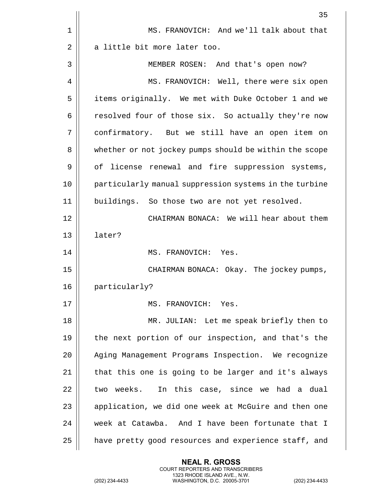|    | 35                                                     |
|----|--------------------------------------------------------|
| 1  | MS. FRANOVICH: And we'll talk about that               |
| 2  | a little bit more later too.                           |
| 3  | MEMBER ROSEN: And that's open now?                     |
| 4  | MS. FRANOVICH: Well, there were six open               |
| 5  | items originally. We met with Duke October 1 and we    |
| 6  | resolved four of those six. So actually they're now    |
| 7  | confirmatory. But we still have an open item on        |
| 8  | whether or not jockey pumps should be within the scope |
| 9  | of license renewal and fire suppression systems,       |
| 10 | particularly manual suppression systems in the turbine |
| 11 | buildings. So those two are not yet resolved.          |
| 12 | CHAIRMAN BONACA: We will hear about them               |
| 13 | later?                                                 |
| 14 | MS. FRANOVICH: Yes.                                    |
| 15 | CHAIRMAN BONACA: Okay. The jockey pumps,               |
| 16 | particularly?                                          |
| 17 | MS. FRANOVICH: Yes.                                    |
| 18 | MR. JULIAN: Let me speak briefly then to               |
| 19 | the next portion of our inspection, and that's the     |
| 20 | Aging Management Programs Inspection. We recognize     |
| 21 | that this one is going to be larger and it's always    |
| 22 | two weeks. In this case, since we had a dual           |
| 23 | application, we did one week at McGuire and then one   |
| 24 | week at Catawba. And I have been fortunate that I      |
| 25 | have pretty good resources and experience staff, and   |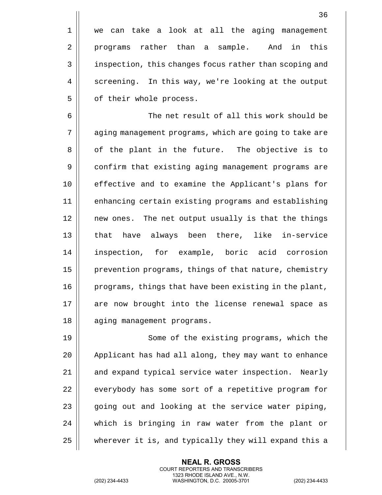| $1 \mid$        | we can take a look at all the aging management         |
|-----------------|--------------------------------------------------------|
| $\overline{a}$  | programs rather than a sample. And in this             |
| $\overline{3}$  | inspection, this changes focus rather than scoping and |
| $4\overline{ }$ | screening. In this way, we're looking at the output    |
| 5               | of their whole process.                                |

6 The net result of all this work should be 7 || aging management programs, which are going to take are 8 || of the plant in the future. The objective is to 9 | confirm that existing aging management programs are 10 effective and to examine the Applicant's plans for 11 || enhancing certain existing programs and establishing 12 || new ones. The net output usually is that the things 13 || that have always been there, like in-service 14 inspection, for example, boric acid corrosion 15 | prevention programs, things of that nature, chemistry  $16$  | programs, things that have been existing in the plant, 17 || are now brought into the license renewal space as 18 | aging management programs.

19 || Some of the existing programs, which the 20 | Applicant has had all along, they may want to enhance 21 || and expand typical service water inspection. Nearly 22 | everybody has some sort of a repetitive program for  $23$  | going out and looking at the service water piping, 24 which is bringing in raw water from the plant or 25 wherever it is, and typically they will expand this a

> **NEAL R. GROSS** COURT REPORTERS AND TRANSCRIBERS 1323 RHODE ISLAND AVE., N.W.

(202) 234-4433 WASHINGTON, D.C. 20005-3701 (202) 234-4433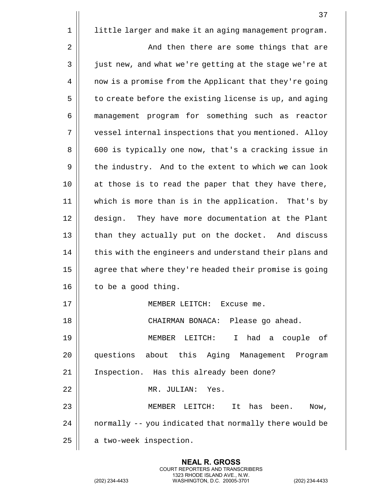|             | 37                                                     |
|-------------|--------------------------------------------------------|
| $\mathbf 1$ | little larger and make it an aging management program. |
| 2           | And then there are some things that are                |
| 3           | just new, and what we're getting at the stage we're at |
| 4           | now is a promise from the Applicant that they're going |
| 5           | to create before the existing license is up, and aging |
| 6           | management program for something such as reactor       |
| 7           | vessel internal inspections that you mentioned. Alloy  |
| 8           | 600 is typically one now, that's a cracking issue in   |
| 9           | the industry. And to the extent to which we can look   |
| 10          | at those is to read the paper that they have there,    |
| 11          | which is more than is in the application. That's by    |
| 12          | design. They have more documentation at the Plant      |
| 13          | than they actually put on the docket. And discuss      |
| 14          | this with the engineers and understand their plans and |
| 15          | agree that where they're headed their promise is going |
| 16          | to be a good thing.                                    |
| 17          | MEMBER LEITCH: Excuse me.                              |
| 18          | CHAIRMAN BONACA: Please go ahead.                      |
| 19          | I had a couple of<br>MEMBER LEITCH:                    |
| 20          | questions about this Aging Management Program          |
| 21          | Inspection. Has this already been done?                |
| 22          | MR. JULIAN: Yes.                                       |
| 23          | MEMBER LEITCH: It has been.<br>Now,                    |
| 24          | normally -- you indicated that normally there would be |
| 25          | a two-week inspection.                                 |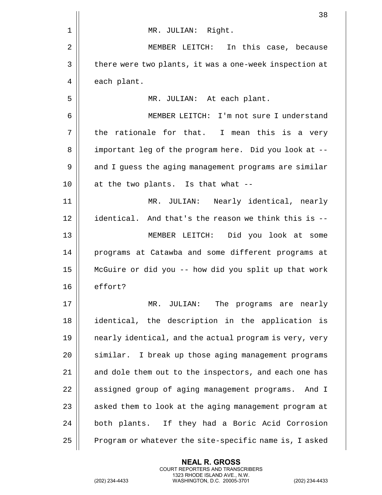|    | 38                                                     |
|----|--------------------------------------------------------|
| 1  | MR. JULIAN: Right.                                     |
| 2  | In this case, because<br>MEMBER LEITCH:                |
| 3  | there were two plants, it was a one-week inspection at |
| 4  | each plant.                                            |
| 5  | MR. JULIAN: At each plant.                             |
| 6  | MEMBER LEITCH: I'm not sure I understand               |
| 7  | the rationale for that. I mean this is a very          |
| 8  | important leg of the program here. Did you look at --  |
| 9  | and I guess the aging management programs are similar  |
| 10 | at the two plants. Is that what --                     |
| 11 | Nearly identical, nearly<br>MR. JULIAN:                |
| 12 | identical. And that's the reason we think this is --   |
| 13 | MEMBER LEITCH: Did you look at some                    |
| 14 | programs at Catawba and some different programs at     |
| 15 | McGuire or did you -- how did you split up that work   |
| 16 | effort?                                                |
| 17 | The programs are nearly<br>MR. JULIAN:                 |
| 18 | identical, the description in the application is       |
| 19 | nearly identical, and the actual program is very, very |
| 20 | similar. I break up those aging management programs    |
| 21 | and dole them out to the inspectors, and each one has  |
| 22 | assigned group of aging management programs. And I     |
| 23 | asked them to look at the aging management program at  |
| 24 | both plants. If they had a Boric Acid Corrosion        |
| 25 | Program or whatever the site-specific name is, I asked |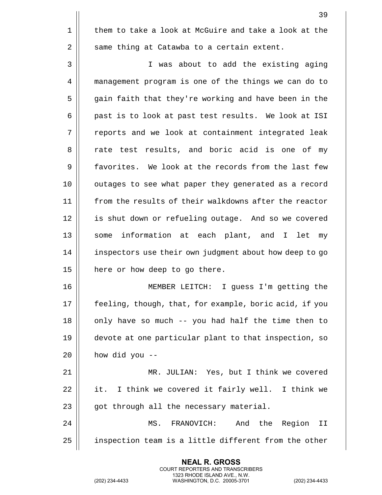39 1 | them to take a look at McGuire and take a look at the  $2 \parallel$  same thing at Catawba to a certain extent. 3 I was about to add the existing aging 4 management program is one of the things we can do to 5 || gain faith that they're working and have been in the 6 | past is to look at past test results. We look at ISI 7 || reports and we look at containment integrated leak 8 || rate test results, and boric acid is one of my 9 | favorites. We look at the records from the last few 10 || outages to see what paper they generated as a record 11 || from the results of their walkdowns after the reactor 12 || is shut down or refueling outage. And so we covered 13 || some information at each plant, and I let my 14 | inspectors use their own judgment about how deep to go 15 | here or how deep to go there. 16 MEMBER LEITCH: I guess I'm getting the 17 || feeling, though, that, for example, boric acid, if you  $18$  || only have so much -- you had half the time then to 19 devote at one particular plant to that inspection, so  $20$  | how did you --21 MR. JULIAN: Yes, but I think we covered  $22$  | it. I think we covered it fairly well. I think we  $23$  || got through all the necessary material.

24 MS. FRANOVICH: And the Region II 25 | inspection team is a little different from the other

> **NEAL R. GROSS** COURT REPORTERS AND TRANSCRIBERS 1323 RHODE ISLAND AVE., N.W.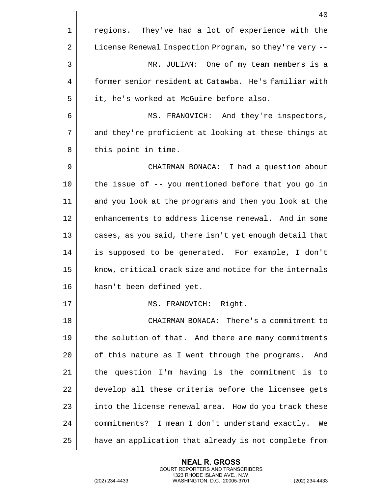|    | 40                                                     |
|----|--------------------------------------------------------|
| 1  | regions. They've had a lot of experience with the      |
| 2  | License Renewal Inspection Program, so they're very -- |
| 3  | MR. JULIAN: One of my team members is a                |
| 4  | former senior resident at Catawba. He's familiar with  |
| 5  | it, he's worked at McGuire before also.                |
| 6  | MS. FRANOVICH: And they're inspectors,                 |
| 7  | and they're proficient at looking at these things at   |
| 8  | this point in time.                                    |
| 9  | CHAIRMAN BONACA: I had a question about                |
| 10 | the issue of -- you mentioned before that you go in    |
| 11 | and you look at the programs and then you look at the  |
| 12 | enhancements to address license renewal. And in some   |
| 13 | cases, as you said, there isn't yet enough detail that |
| 14 | is supposed to be generated. For example, I don't      |
| 15 | know, critical crack size and notice for the internals |
| 16 | hasn't been defined yet.                               |
| 17 | MS. FRANOVICH: Right.                                  |
| 18 | CHAIRMAN BONACA: There's a commitment to               |
| 19 | the solution of that. And there are many commitments   |
| 20 | of this nature as I went through the programs.<br>And  |
| 21 | the question I'm having is the commitment is to        |
| 22 | develop all these criteria before the licensee gets    |
| 23 | into the license renewal area. How do you track these  |
| 24 | commitments? I mean I don't understand exactly.<br>We  |
| 25 | have an application that already is not complete from  |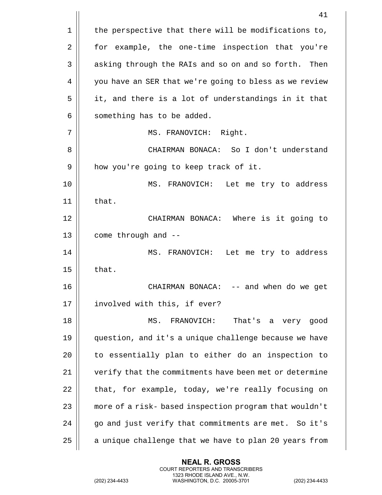|    | 41                                                     |
|----|--------------------------------------------------------|
| 1  | the perspective that there will be modifications to,   |
| 2  | for example, the one-time inspection that you're       |
| 3  | asking through the RAIs and so on and so forth. Then   |
| 4  | you have an SER that we're going to bless as we review |
| 5  | it, and there is a lot of understandings in it that    |
| 6  | something has to be added.                             |
| 7  | MS. FRANOVICH: Right.                                  |
| 8  | CHAIRMAN BONACA: So I don't understand                 |
| 9  | how you're going to keep track of it.                  |
| 10 | MS. FRANOVICH: Let me try to address                   |
| 11 | that.                                                  |
| 12 | CHAIRMAN BONACA: Where is it going to                  |
| 13 | come through and --                                    |
| 14 | MS. FRANOVICH: Let me try to address                   |
| 15 | that.                                                  |
| 16 | -- and when do we get<br>CHAIRMAN BONACA:              |
| 17 | involved with this, if ever?                           |
| 18 | FRANOVICH:<br>That's a very good<br>MS.                |
| 19 | question, and it's a unique challenge because we have  |
| 20 | to essentially plan to either do an inspection to      |
| 21 | verify that the commitments have been met or determine |
| 22 | that, for example, today, we're really focusing on     |
| 23 | more of a risk- based inspection program that wouldn't |
| 24 | go and just verify that commitments are met. So it's   |
| 25 | a unique challenge that we have to plan 20 years from  |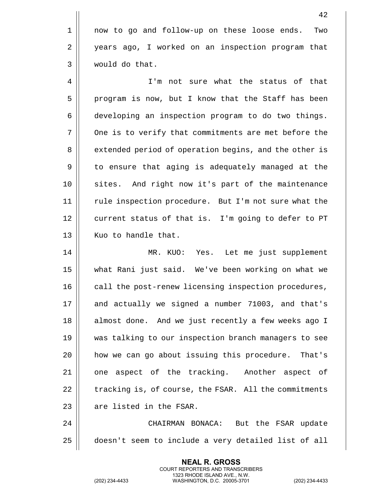1 now to go and follow-up on these loose ends. Two 2 | years ago, I worked on an inspection program that 3 would do that.

4 I'm not sure what the status of that 5 | program is now, but I know that the Staff has been 6 developing an inspection program to do two things. 7 | One is to verify that commitments are met before the 8 | extended period of operation begins, and the other is 9 || to ensure that aging is adequately managed at the 10 sites. And right now it's part of the maintenance 11 || rule inspection procedure. But I'm not sure what the 12 | current status of that is. I'm going to defer to PT 13 || Kuo to handle that.

14 MR. KUO: Yes. Let me just supplement 15 what Rani just said. We've been working on what we 16 || call the post-renew licensing inspection procedures, 17 and actually we signed a number 71003, and that's 18 || almost done. And we just recently a few weeks ago I 19 was talking to our inspection branch managers to see 20 || how we can go about issuing this procedure. That's 21 || one aspect of the tracking. Another aspect of  $22$   $\parallel$  tracking is, of course, the FSAR. All the commitments  $23$   $\parallel$  are listed in the FSAR.

24 CHAIRMAN BONACA: But the FSAR update 25 doesn't seem to include a very detailed list of all

> **NEAL R. GROSS** COURT REPORTERS AND TRANSCRIBERS 1323 RHODE ISLAND AVE., N.W.

(202) 234-4433 WASHINGTON, D.C. 20005-3701 (202) 234-4433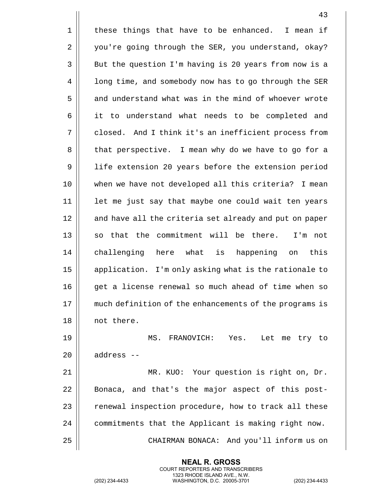$1 \parallel$  these things that have to be enhanced. I mean if 2 | you're going through the SER, you understand, okay? 3 | But the question I'm having is 20 years from now is a 4 | long time, and somebody now has to go through the SER 5 || and understand what was in the mind of whoever wrote 6 || it to understand what needs to be completed and 7 || closed. And I think it's an inefficient process from 8 | that perspective. I mean why do we have to go for a 9 || life extension 20 years before the extension period 10 when we have not developed all this criteria? I mean 11 || let me just say that maybe one could wait ten years 12 || and have all the criteria set already and put on paper  $13$  || so that the commitment will be there. I'm not 14 || challenging here what is happening on this 15 | application. I'm only asking what is the rationale to 16 || qet a license renewal so much ahead of time when so 17 || much definition of the enhancements of the programs is 18 || not there. 19 MS. FRANOVICH: Yes. Let me try to 20 || address --21 MR. KUO: Your question is right on, Dr. 22 || Bonaca, and that's the major aspect of this post-23 | renewal inspection procedure, how to track all these 24 | commitments that the Applicant is making right now. 25 CHAIRMAN BONACA: And you'll inform us on

> **NEAL R. GROSS** COURT REPORTERS AND TRANSCRIBERS 1323 RHODE ISLAND AVE., N.W.

(202) 234-4433 WASHINGTON, D.C. 20005-3701 (202) 234-4433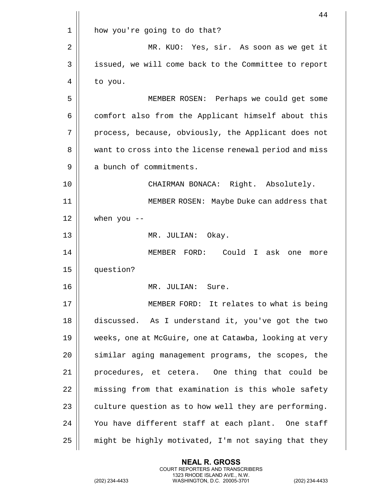|    | 44                                                     |
|----|--------------------------------------------------------|
| 1  | how you're going to do that?                           |
| 2  | MR. KUO: Yes, sir. As soon as we get it                |
| 3  | issued, we will come back to the Committee to report   |
| 4  | to you.                                                |
| 5  | MEMBER ROSEN: Perhaps we could get some                |
| 6  | comfort also from the Applicant himself about this     |
| 7  | process, because, obviously, the Applicant does not    |
| 8  | want to cross into the license renewal period and miss |
| 9  | a bunch of commitments.                                |
| 10 | CHAIRMAN BONACA: Right. Absolutely.                    |
| 11 | MEMBER ROSEN: Maybe Duke can address that              |
| 12 | when you $-$                                           |
| 13 | MR. JULIAN: Okay.                                      |
| 14 | Could I ask one<br>MEMBER FORD:<br>more                |
| 15 | question?                                              |
| 16 | MR. JULIAN:<br>Sure.                                   |
| 17 | MEMBER FORD: It relates to what is being               |
| 18 | discussed. As I understand it, you've got the two      |
| 19 | weeks, one at McGuire, one at Catawba, looking at very |
| 20 | similar aging management programs, the scopes, the     |
| 21 | procedures, et cetera. One thing that could be         |
| 22 | missing from that examination is this whole safety     |
| 23 | culture question as to how well they are performing.   |
| 24 | You have different staff at each plant. One staff      |
| 25 | might be highly motivated, I'm not saying that they    |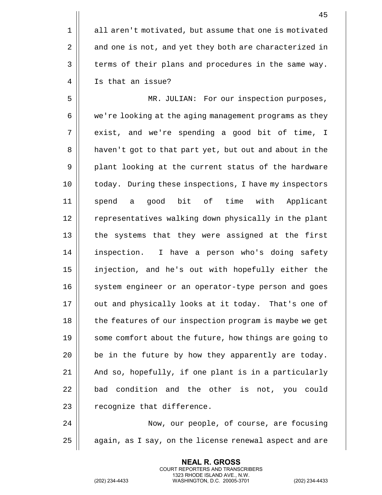1 all aren't motivated, but assume that one is motivated 2 || and one is not, and yet they both are characterized in  $3 \parallel$  terms of their plans and procedures in the same way. 4 | Is that an issue?

5 MR. JULIAN: For our inspection purposes, 6 | we're looking at the aging management programs as they 7 exist, and we're spending a good bit of time, I 8 | haven't got to that part yet, but out and about in the 9 | plant looking at the current status of the hardware 10 || today. During these inspections, I have my inspectors 11 spend a good bit of time with Applicant 12 | representatives walking down physically in the plant 13 || the systems that they were assigned at the first 14 || inspection. I have a person who's doing safety 15 injection, and he's out with hopefully either the 16 || system engineer or an operator-type person and goes 17 || out and physically looks at it today. That's one of 18 || the features of our inspection program is maybe we get 19 || some comfort about the future, how things are going to  $20$  | be in the future by how they apparently are today.  $21$  | And so, hopefully, if one plant is in a particularly  $22$   $\parallel$  bad condition and the other is not, you could  $23$  | recognize that difference.

24 | Now, our people, of course, are focusing  $25$  | again, as I say, on the license renewal aspect and are

> **NEAL R. GROSS** COURT REPORTERS AND TRANSCRIBERS 1323 RHODE ISLAND AVE., N.W.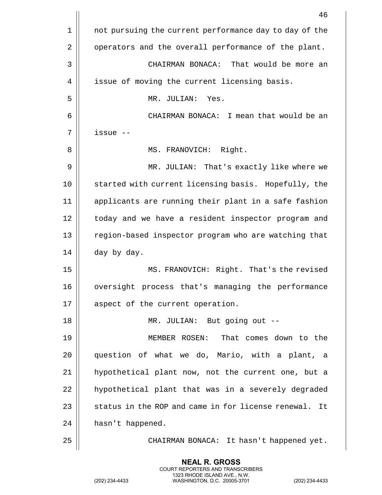|    | 46                                                     |
|----|--------------------------------------------------------|
| 1  | not pursuing the current performance day to day of the |
| 2  | operators and the overall performance of the plant.    |
| 3  | CHAIRMAN BONACA: That would be more an                 |
| 4  | issue of moving the current licensing basis.           |
| 5  | MR. JULIAN:<br>Yes.                                    |
| 6  | CHAIRMAN BONACA: I mean that would be an               |
| 7  | issue --                                               |
| 8  | MS. FRANOVICH: Right.                                  |
| 9  | MR. JULIAN: That's exactly like where we               |
| 10 | started with current licensing basis. Hopefully, the   |
| 11 | applicants are running their plant in a safe fashion   |
| 12 | today and we have a resident inspector program and     |
| 13 | region-based inspector program who are watching that   |
| 14 | day by day.                                            |
| 15 | MS. FRANOVICH: Right. That's the revised               |
| 16 | process that's managing the performance<br>oversight   |
| 17 | aspect of the current operation.                       |
| 18 | MR. JULIAN: But going out --                           |
| 19 | MEMBER ROSEN: That comes down to the                   |
| 20 | question of what we do, Mario, with a plant, a         |
| 21 | hypothetical plant now, not the current one, but a     |
| 22 | hypothetical plant that was in a severely degraded     |
| 23 | status in the ROP and came in for license renewal. It  |
| 24 | hasn't happened.                                       |
| 25 | CHAIRMAN BONACA: It hasn't happened yet.               |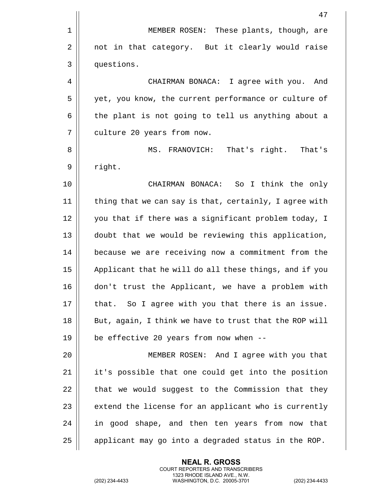|    | 47                                                     |
|----|--------------------------------------------------------|
| 1  | MEMBER ROSEN: These plants, though, are                |
| 2  | not in that category. But it clearly would raise       |
| 3  | questions.                                             |
| 4  | CHAIRMAN BONACA: I agree with you. And                 |
| 5  | yet, you know, the current performance or culture of   |
| 6  | the plant is not going to tell us anything about a     |
| 7  | culture 20 years from now.                             |
| 8  | MS. FRANOVICH:<br>That's right.<br>That's              |
| 9  | right.                                                 |
| 10 | CHAIRMAN BONACA: So I think the only                   |
| 11 | thing that we can say is that, certainly, I agree with |
| 12 | you that if there was a significant problem today, I   |
| 13 | doubt that we would be reviewing this application,     |
| 14 | because we are receiving now a commitment from the     |
| 15 | Applicant that he will do all these things, and if you |
| 16 | don't trust the Applicant, we have a problem with      |
| 17 | that. So I agree with you that there is an issue.      |
| 18 | But, again, I think we have to trust that the ROP will |
| 19 | be effective 20 years from now when --                 |
| 20 | MEMBER ROSEN: And I agree with you that                |
| 21 | it's possible that one could get into the position     |
| 22 | that we would suggest to the Commission that they      |
| 23 | extend the license for an applicant who is currently   |
| 24 | in good shape, and then ten years from now that        |
| 25 | applicant may go into a degraded status in the ROP.    |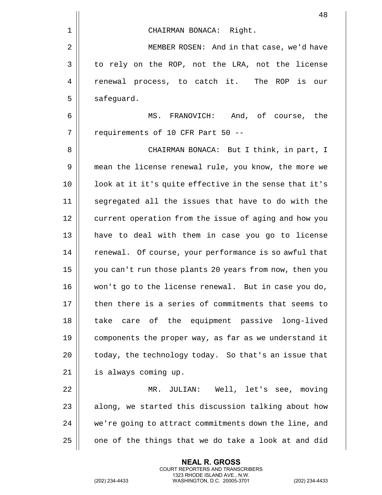|    | 48                                                     |
|----|--------------------------------------------------------|
| 1  | CHAIRMAN BONACA: Right.                                |
| 2  | MEMBER ROSEN: And in that case, we'd have              |
| 3  | to rely on the ROP, not the LRA, not the license       |
| 4  | renewal process, to catch it.<br>The ROP is<br>our     |
| 5  | safeguard.                                             |
| 6  | FRANOVICH: And, of course, the<br>MS.                  |
| 7  | requirements of 10 CFR Part 50 --                      |
| 8  | CHAIRMAN BONACA: But I think, in part, I               |
| 9  | mean the license renewal rule, you know, the more we   |
| 10 | look at it it's quite effective in the sense that it's |
| 11 | segregated all the issues that have to do with the     |
| 12 | current operation from the issue of aging and how you  |
| 13 | have to deal with them in case you go to license       |
| 14 | renewal. Of course, your performance is so awful that  |
| 15 | you can't run those plants 20 years from now, then you |
| 16 | won't go to the license renewal. But in case you do,   |
| 17 | then there is a series of commitments that seems to    |
| 18 | care of the equipment passive long-lived<br>take       |
| 19 | components the proper way, as far as we understand it  |
| 20 | today, the technology today. So that's an issue that   |
| 21 | is always coming up.                                   |
| 22 | JULIAN: Well, let's see, moving<br>MR.                 |
| 23 | along, we started this discussion talking about how    |
| 24 | we're going to attract commitments down the line, and  |
| 25 | one of the things that we do take a look at and did    |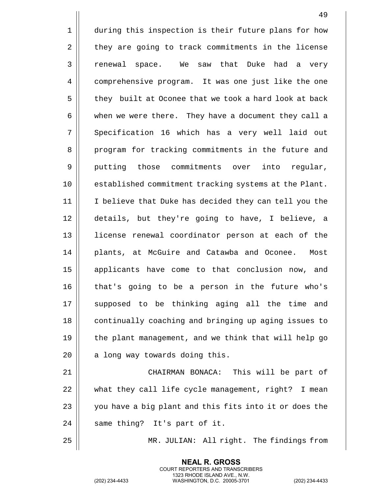1 | during this inspection is their future plans for how 2 | they are going to track commitments in the license 3 || renewal space. We saw that Duke had a very 4 | comprehensive program. It was one just like the one 5 | they built at Oconee that we took a hard look at back 6 | when we were there. They have a document they call a 7 Specification 16 which has a very well laid out 8 || program for tracking commitments in the future and 9 || putting those commitments over into regular, 10 established commitment tracking systems at the Plant. 11 I believe that Duke has decided they can tell you the 12 details, but they're going to have, I believe, a 13 || license renewal coordinator person at each of the 14 || plants, at McGuire and Catawba and Oconee. Most 15 || applicants have come to that conclusion now, and 16 || that's going to be a person in the future who's 17 || supposed to be thinking aging all the time and 18 || continually coaching and bringing up aging issues to 19  $\parallel$  the plant management, and we think that will help go  $20$  | a long way towards doing this. 21 CHAIRMAN BONACA: This will be part of 22 what they call life cycle management, right? I mean  $23$   $\parallel$  you have a big plant and this fits into it or does the

 $24$  || same thing? It's part of it.

25 MR. JULIAN: All right. The findings from

**NEAL R. GROSS** COURT REPORTERS AND TRANSCRIBERS 1323 RHODE ISLAND AVE., N.W.

(202) 234-4433 WASHINGTON, D.C. 20005-3701 (202) 234-4433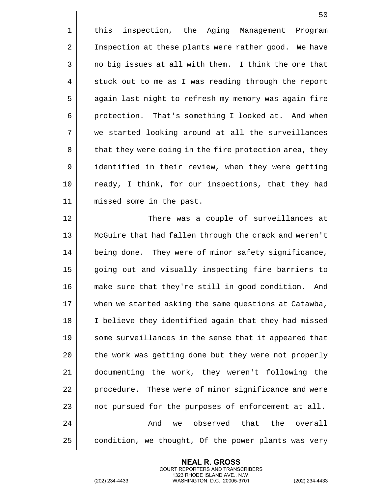50 1 || this inspection, the Aging Management Program 2 | Inspection at these plants were rather good. We have 3 || no big issues at all with them. I think the one that  $4 \parallel$  stuck out to me as I was reading through the report 5 | again last night to refresh my memory was again fire 6 | protection. That's something I looked at. And when 7 we started looking around at all the surveillances 8 | that they were doing in the fire protection area, they 9 identified in their review, when they were getting 10 || ready, I think, for our inspections, that they had 11 missed some in the past. 12 There was a couple of surveillances at 13 McGuire that had fallen through the crack and weren't 14 | being done. They were of minor safety significance, 15 || going out and visually inspecting fire barriers to 16 make sure that they're still in good condition. And 17 | when we started asking the same questions at Catawba, 18 || I believe they identified again that they had missed 19 || some surveillances in the sense that it appeared that 20 | the work was getting done but they were not properly

**NEAL R. GROSS**

21 documenting the work, they weren't following the

22 | procedure. These were of minor significance and were

 $23$  | not pursued for the purposes of enforcement at all.

 $24$   $\parallel$  and we observed that the overall

 $25$  | condition, we thought, Of the power plants was very

COURT REPORTERS AND TRANSCRIBERS 1323 RHODE ISLAND AVE., N.W. (202) 234-4433 WASHINGTON, D.C. 20005-3701 (202) 234-4433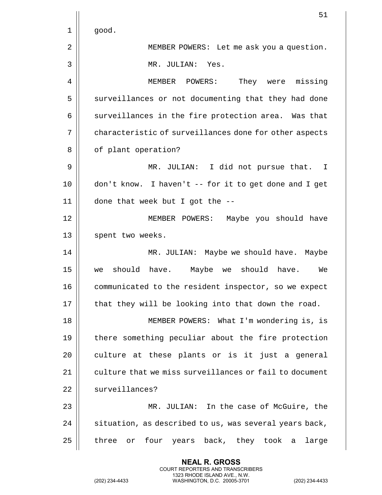|    | 51                                                     |
|----|--------------------------------------------------------|
| 1  | good.                                                  |
| 2  | MEMBER POWERS: Let me ask you a question.              |
| 3  | MR. JULIAN: Yes.                                       |
| 4  | MEMBER POWERS:<br>They were missing                    |
| 5  | surveillances or not documenting that they had done    |
| 6  | surveillances in the fire protection area. Was that    |
| 7  | characteristic of surveillances done for other aspects |
| 8  | of plant operation?                                    |
| 9  | MR. JULIAN: I did not pursue that. I                   |
| 10 | don't know. I haven't -- for it to get done and I get  |
| 11 | done that week but I got the --                        |
| 12 | MEMBER POWERS: Maybe you should have                   |
| 13 | spent two weeks.                                       |
| 14 | MR. JULIAN: Maybe we should have. Maybe                |
| 15 | should have. Maybe we<br>should have.<br>We<br>we      |
| 16 | communicated to the resident inspector, so we expect   |
| 17 | that they will be looking into that down the road.     |
| 18 | MEMBER POWERS: What I'm wondering is, is               |
| 19 | there something peculiar about the fire protection     |
| 20 | culture at these plants or is it just a general        |
| 21 | culture that we miss surveillances or fail to document |
| 22 | surveillances?                                         |
| 23 | MR. JULIAN: In the case of McGuire, the                |
| 24 | situation, as described to us, was several years back, |
| 25 | four years back, they took a<br>large<br>three<br>or   |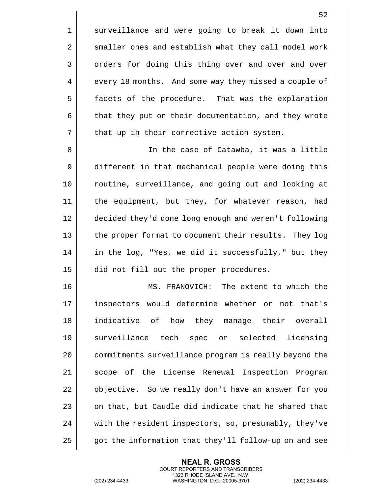52

4 every 18 months. And some way they missed a couple of 5 | facets of the procedure. That was the explanation 6 | that they put on their documentation, and they wrote  $7 \parallel$  that up in their corrective action system.

 In the case of Catawba, it was a little different in that mechanical people were doing this 10 || routine, surveillance, and going out and looking at the equipment, but they, for whatever reason, had decided they'd done long enough and weren't following 13 || the proper format to document their results. They log 14 || in the log, "Yes, we did it successfully," but they did not fill out the proper procedures.

16 MS. FRANOVICH: The extent to which the 17 || inspectors would determine whether or not that's 18 indicative of how they manage their overall 19 Surveillance tech spec or selected licensing 20 | commitments surveillance program is really beyond the 21 || scope of the License Renewal Inspection Program 22 | objective. So we really don't have an answer for you 23  $\parallel$  on that, but Caudle did indicate that he shared that 24 | with the resident inspectors, so, presumably, they've  $25$  |  $\sigma$  got the information that they'll follow-up on and see

> **NEAL R. GROSS** COURT REPORTERS AND TRANSCRIBERS 1323 RHODE ISLAND AVE., N.W.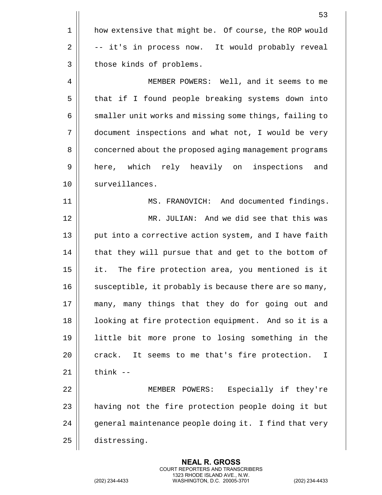|    | 53                                                            |
|----|---------------------------------------------------------------|
| 1  | how extensive that might be. Of course, the ROP would         |
| 2  | -- it's in process now. It would probably reveal              |
| 3  | those kinds of problems.                                      |
| 4  | MEMBER POWERS: Well, and it seems to me                       |
| 5  | that if I found people breaking systems down into             |
| 6  | smaller unit works and missing some things, failing to        |
| 7  | document inspections and what not, I would be very            |
| 8  | concerned about the proposed aging management programs        |
| 9  | here, which rely heavily on inspections and                   |
| 10 | surveillances.                                                |
| 11 | MS. FRANOVICH: And documented findings.                       |
| 12 | MR. JULIAN: And we did see that this was                      |
| 13 | put into a corrective action system, and I have faith         |
| 14 | that they will pursue that and get to the bottom of           |
| 15 | it. The fire protection area, you mentioned is it             |
| 16 | susceptible, it probably is because there are so many,        |
| 17 | many, many things that they do for going out and              |
| 18 | looking at fire protection equipment. And so it is a          |
| 19 | little bit more prone to losing something in the              |
| 20 | crack. It seems to me that's fire protection.<br>$\mathbf{I}$ |
| 21 | think $--$                                                    |
| 22 | MEMBER POWERS: Especially if they're                          |
| 23 | having not the fire protection people doing it but            |
| 24 | general maintenance people doing it. I find that very         |
| 25 | distressing.                                                  |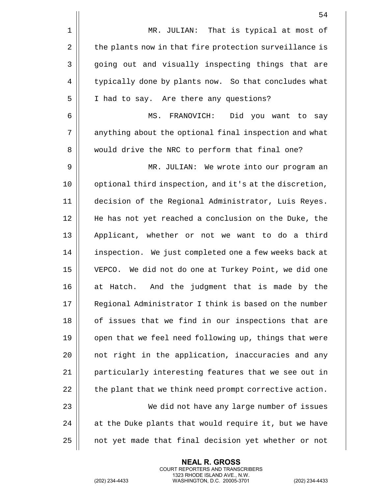|             | 54                                                     |
|-------------|--------------------------------------------------------|
| $\mathbf 1$ | MR. JULIAN: That is typical at most of                 |
| 2           | the plants now in that fire protection surveillance is |
| 3           | going out and visually inspecting things that are      |
| 4           | typically done by plants now. So that concludes what   |
| 5           | I had to say. Are there any questions?                 |
| 6           | Did you want to<br>MS.<br>FRANOVICH:<br>say            |
| 7           | anything about the optional final inspection and what  |
| 8           | would drive the NRC to perform that final one?         |
| 9           | MR. JULIAN: We wrote into our program an               |
| 10          | optional third inspection, and it's at the discretion, |
| 11          | decision of the Regional Administrator, Luis Reyes.    |
| 12          | He has not yet reached a conclusion on the Duke, the   |
| 13          | Applicant, whether or not we want to do a third        |
| 14          | inspection. We just completed one a few weeks back at  |
| 15          | VEPCO. We did not do one at Turkey Point, we did one   |
| 16          | at Hatch. And the judgment that is made by the         |
| 17          | Regional Administrator I think is based on the number  |
| 18          | of issues that we find in our inspections that are     |
| 19          | open that we feel need following up, things that were  |
| 20          | not right in the application, inaccuracies and any     |
| 21          | particularly interesting features that we see out in   |
| 22          | the plant that we think need prompt corrective action. |
| 23          | We did not have any large number of issues             |
| 24          | at the Duke plants that would require it, but we have  |
| 25          | not yet made that final decision yet whether or not    |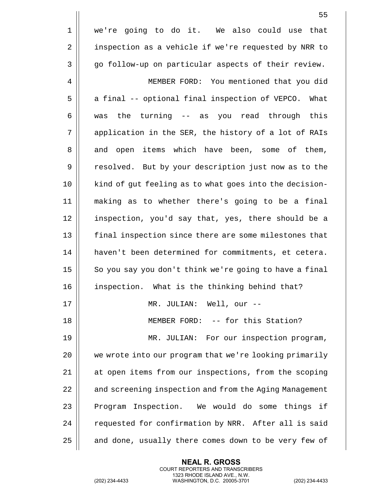|    | 55                                                     |
|----|--------------------------------------------------------|
| 1  | we're going to do it. We also could use that           |
| 2  | inspection as a vehicle if we're requested by NRR to   |
| 3  | go follow-up on particular aspects of their review.    |
| 4  | MEMBER FORD: You mentioned that you did                |
| 5  | a final -- optional final inspection of VEPCO. What    |
| 6  | the turning -- as you read through this<br>was         |
| 7  | application in the SER, the history of a lot of RAIs   |
| 8  | and open items which have been, some of them,          |
| 9  | resolved. But by your description just now as to the   |
| 10 | kind of gut feeling as to what goes into the decision- |
| 11 | making as to whether there's going to be a final       |
| 12 | inspection, you'd say that, yes, there should be a     |
| 13 | final inspection since there are some milestones that  |
| 14 | haven't been determined for commitments, et cetera.    |
| 15 | So you say you don't think we're going to have a final |
| 16 | inspection. What is the thinking behind that?          |
| 17 | MR. JULIAN: Well, our --                               |
| 18 | MEMBER FORD: -- for this Station?                      |
| 19 | MR. JULIAN: For our inspection program,                |
| 20 | we wrote into our program that we're looking primarily |
| 21 | at open items from our inspections, from the scoping   |
| 22 | and screening inspection and from the Aging Management |
| 23 | Program Inspection. We would do some things if         |
| 24 | requested for confirmation by NRR. After all is said   |
| 25 | and done, usually there comes down to be very few of   |

(202) 234-4433 WASHINGTON, D.C. 20005-3701 (202) 234-4433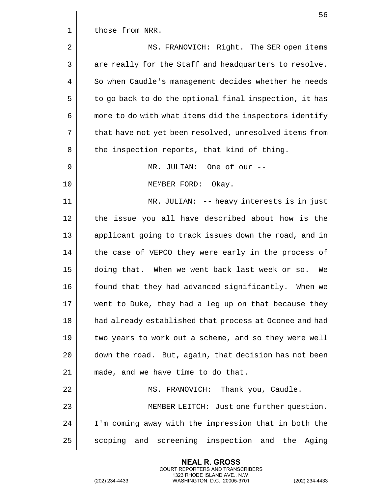|             | 56                                                     |
|-------------|--------------------------------------------------------|
| $\mathbf 1$ | those from NRR.                                        |
| 2           | MS. FRANOVICH: Right. The SER open items               |
| 3           | are really for the Staff and headquarters to resolve.  |
| 4           | So when Caudle's management decides whether he needs   |
| 5           | to go back to do the optional final inspection, it has |
| 6           | more to do with what items did the inspectors identify |
| 7           | that have not yet been resolved, unresolved items from |
| 8           | the inspection reports, that kind of thing.            |
| 9           | MR. JULIAN: One of our --                              |
| 10          | MEMBER FORD: Okay.                                     |
| 11          | MR. JULIAN: -- heavy interests is in just              |
| 12          | the issue you all have described about how is the      |
| 13          | applicant going to track issues down the road, and in  |
| 14          | the case of VEPCO they were early in the process of    |
| 15          | doing that. When we went back last week or so.<br>We   |
| 16          | found that they had advanced significantly. When we    |
| 17          | went to Duke, they had a leg up on that because they   |
| 18          | had already established that process at Oconee and had |
| 19          | two years to work out a scheme, and so they were well  |
| 20          | down the road. But, again, that decision has not been  |
| 21          | made, and we have time to do that.                     |
| 22          | MS. FRANOVICH: Thank you, Caudle.                      |
| 23          | MEMBER LEITCH: Just one further question.              |
| 24          | I'm coming away with the impression that in both the   |
| 25          | scoping and screening inspection and the Aging         |

(202) 234-4433 WASHINGTON, D.C. 20005-3701 (202) 234-4433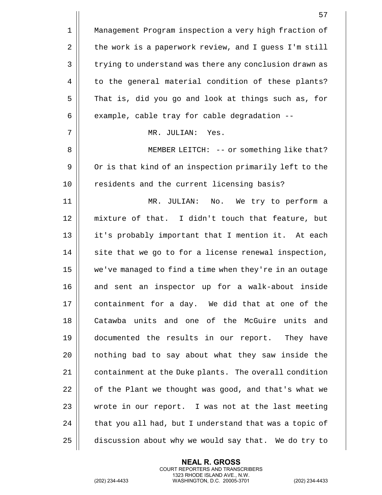|             | 57                                                     |
|-------------|--------------------------------------------------------|
| $\mathbf 1$ | Management Program inspection a very high fraction of  |
| 2           | the work is a paperwork review, and I guess I'm still  |
| 3           | trying to understand was there any conclusion drawn as |
| 4           | to the general material condition of these plants?     |
| 5           | That is, did you go and look at things such as, for    |
| 6           | example, cable tray for cable degradation --           |
| 7           | MR. JULIAN:<br>Yes.                                    |
| 8           | MEMBER LEITCH: -- or something like that?              |
| 9           | Or is that kind of an inspection primarily left to the |
| 10          | residents and the current licensing basis?             |
| 11          | MR. JULIAN:<br>No. We try to perform a                 |
| 12          | mixture of that. I didn't touch that feature, but      |
| 13          | it's probably important that I mention it. At each     |
| 14          | site that we go to for a license renewal inspection,   |
| 15          | we've managed to find a time when they're in an outage |
| 16          | and sent an inspector up for a walk-about inside       |
| 17          | containment for a day. We did that at one of the       |
| 18          | Catawba units and one of the McGuire units and         |
| 19          | documented the results in our report. They have        |
| 20          | nothing bad to say about what they saw inside the      |
| 21          | containment at the Duke plants. The overall condition  |
| 22          | of the Plant we thought was good, and that's what we   |
| 23          | wrote in our report. I was not at the last meeting     |
| 24          | that you all had, but I understand that was a topic of |
| 25          | discussion about why we would say that. We do try to   |

(202) 234-4433 WASHINGTON, D.C. 20005-3701 (202) 234-4433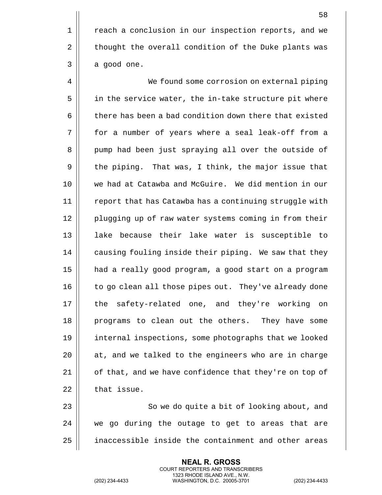1 | reach a conclusion in our inspection reports, and we 2 | thought the overall condition of the Duke plants was  $3 \parallel$  a good one.

4 | We found some corrosion on external piping 5 | in the service water, the in-take structure pit where 6 detable has been a bad condition down there that existed 7 for a number of years where a seal leak-off from a 8 || pump had been just spraying all over the outside of  $9 \parallel$  the piping. That was, I think, the major issue that 10 we had at Catawba and McGuire. We did mention in our 11 || report that has Catawba has a continuing struggle with 12 || plugging up of raw water systems coming in from their 13 lake because their lake water is susceptible to 14 | causing fouling inside their piping. We saw that they 15 had a really good program, a good start on a program 16 || to go clean all those pipes out. They've already done 17 || the safety-related one, and they're working on 18 programs to clean out the others. They have some 19 internal inspections, some photographs that we looked 20  $\parallel$  at, and we talked to the engineers who are in charge 21  $\parallel$  of that, and we have confidence that they're on top of  $22$  | that issue.

23 || So we do quite a bit of looking about, and  $24$   $\parallel$  we go during the outage to get to areas that are 25 | inaccessible inside the containment and other areas

> **NEAL R. GROSS** COURT REPORTERS AND TRANSCRIBERS 1323 RHODE ISLAND AVE., N.W.

(202) 234-4433 WASHINGTON, D.C. 20005-3701 (202) 234-4433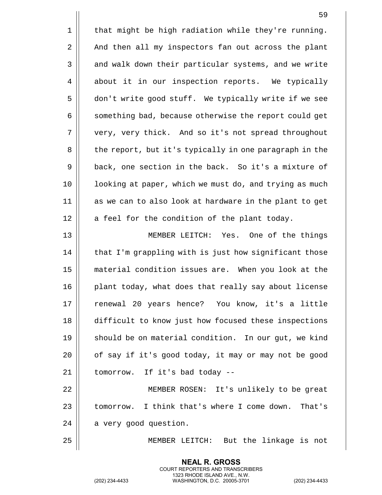|          | 59                                                     |
|----------|--------------------------------------------------------|
| 1        | that might be high radiation while they're running.    |
| 2        | And then all my inspectors fan out across the plant    |
| 3        | and walk down their particular systems, and we write   |
| 4        | about it in our inspection reports. We typically       |
| 5        | don't write good stuff. We typically write if we see   |
| 6        | something bad, because otherwise the report could get  |
| 7        | very, very thick. And so it's not spread throughout    |
| 8        | the report, but it's typically in one paragraph in the |
| 9        | back, one section in the back. So it's a mixture of    |
| 10       | looking at paper, which we must do, and trying as much |
| 11       | as we can to also look at hardware in the plant to get |
| 12       | a feel for the condition of the plant today.           |
| 13       | MEMBER LEITCH: Yes. One of the things                  |
|          |                                                        |
|          | that I'm grappling with is just how significant those  |
| 14<br>15 | material condition issues are. When you look at the    |
| 16       | plant today, what does that really say about license   |
| 17       | renewal 20 years hence? You know, it's a little        |
| 18       | difficult to know just how focused these inspections   |
| 19       | should be on material condition. In our gut, we kind   |
| 20       | of say if it's good today, it may or may not be good   |
| 21       | tomorrow. If it's bad today --                         |
| 22       | MEMBER ROSEN: It's unlikely to be great                |
| 23       | tomorrow. I think that's where I come down. That's     |
| 24       | a very good question.                                  |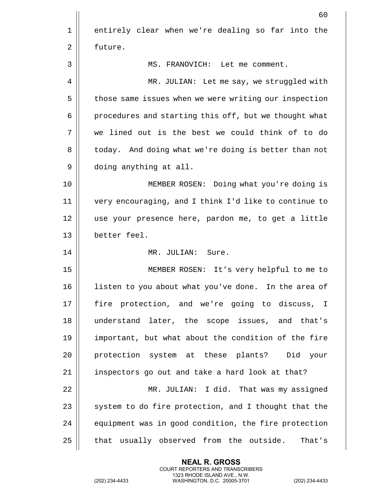|    | 60                                                    |
|----|-------------------------------------------------------|
| 1  | entirely clear when we're dealing so far into the     |
| 2  | future.                                               |
| 3  | MS. FRANOVICH: Let me comment.                        |
| 4  | MR. JULIAN: Let me say, we struggled with             |
| 5  | those same issues when we were writing our inspection |
| 6  | procedures and starting this off, but we thought what |
| 7  | we lined out is the best we could think of to do      |
| 8  | today. And doing what we're doing is better than not  |
| 9  | doing anything at all.                                |
| 10 | MEMBER ROSEN: Doing what you're doing is              |
| 11 | very encouraging, and I think I'd like to continue to |
| 12 | use your presence here, pardon me, to get a little    |
| 13 | better feel.                                          |
| 14 | MR. JULIAN: Sure.                                     |
| 15 | MEMBER ROSEN: It's very helpful to me to              |
| 16 | listen to you about what you've done. In the area of  |
| 17 | fire protection, and we're going to discuss, I        |
| 18 | understand later, the scope issues, and that's        |
| 19 | important, but what about the condition of the fire   |
| 20 | protection system at these plants? Did your           |
| 21 | inspectors go out and take a hard look at that?       |
| 22 | MR. JULIAN: I did. That was my assigned               |
| 23 | system to do fire protection, and I thought that the  |
| 24 | equipment was in good condition, the fire protection  |
| 25 | that usually observed from the outside.<br>That's     |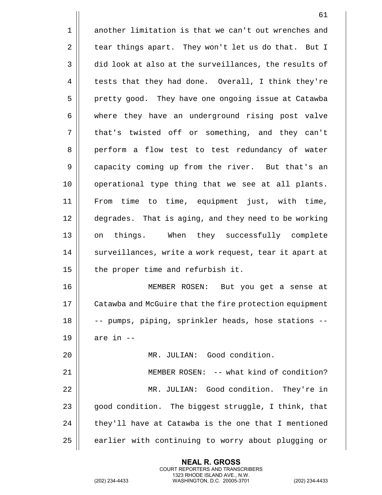1 another limitation is that we can't out wrenches and 2 | tear things apart. They won't let us do that. But I 3 did look at also at the surveillances, the results of  $4 \parallel$  tests that they had done. Overall, I think they're 5 | pretty good. They have one ongoing issue at Catawba 6 where they have an underground rising post valve 7 || that's twisted off or something, and they can't 8 || perform a flow test to test redundancy of water 9 || capacity coming up from the river. But that's an 10 || operational type thing that we see at all plants. 11 From time to time, equipment just, with time, 12 degrades. That is aging, and they need to be working 13 on things. When they successfully complete 14 || surveillances, write a work request, tear it apart at 15  $\parallel$  the proper time and refurbish it. 16 MEMBER ROSEN: But you get a sense at 17 | Catawba and McGuire that the fire protection equipment 18 || -- pumps, piping, sprinkler heads, hose stations --19  $\parallel$  are in  $-$ 20 MR. JULIAN: Good condition. 21 || MEMBER ROSEN: -- what kind of condition? 22 MR. JULIAN: Good condition. They're in 23  $\parallel$  good condition. The biggest struggle, I think, that  $24$  | they'll have at Catawba is the one that I mentioned 25 | earlier with continuing to worry about plugging or

> **NEAL R. GROSS** COURT REPORTERS AND TRANSCRIBERS 1323 RHODE ISLAND AVE., N.W.

(202) 234-4433 WASHINGTON, D.C. 20005-3701 (202) 234-4433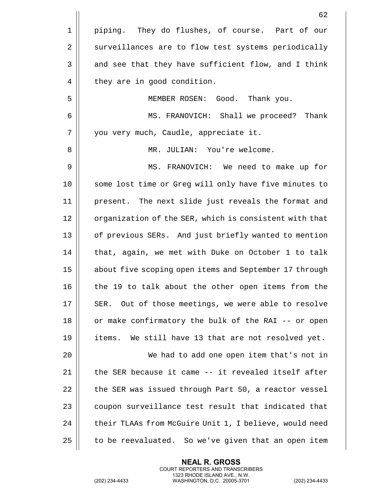|             | 62                                                     |
|-------------|--------------------------------------------------------|
| $\mathbf 1$ | piping. They do flushes, of course. Part of our        |
| 2           | surveillances are to flow test systems periodically    |
| 3           | and see that they have sufficient flow, and I think    |
| 4           | they are in good condition.                            |
| 5           | MEMBER ROSEN: Good. Thank you.                         |
| 6           | MS. FRANOVICH: Shall we proceed? Thank                 |
| 7           | you very much, Caudle, appreciate it.                  |
| 8           | MR. JULIAN: You're welcome.                            |
| 9           | MS. FRANOVICH: We need to make up for                  |
| 10          | some lost time or Greg will only have five minutes to  |
| 11          | present. The next slide just reveals the format and    |
| 12          | organization of the SER, which is consistent with that |
| 13          | of previous SERs. And just briefly wanted to mention   |
| 14          | that, again, we met with Duke on October 1 to talk     |
| 15          | about five scoping open items and September 17 through |
| 16          | the 19 to talk about the other open items from the     |
| 17          | Out of those meetings, we were able to resolve<br>SER. |
| 18          | or make confirmatory the bulk of the RAI -- or open    |
| 19          | items. We still have 13 that are not resolved yet.     |
| 20          | We had to add one open item that's not in              |
| 21          | the SER because it came -- it revealed itself after    |
| 22          | the SER was issued through Part 50, a reactor vessel   |
| 23          | coupon surveillance test result that indicated that    |
| 24          | their TLAAs from McGuire Unit 1, I believe, would need |
| 25          | to be reevaluated. So we've given that an open item    |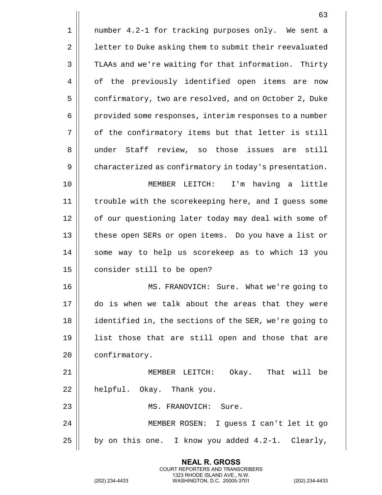|    | 63                                                     |
|----|--------------------------------------------------------|
| 1  | number 4.2-1 for tracking purposes only. We sent a     |
| 2  | letter to Duke asking them to submit their reevaluated |
| 3  | TLAAs and we're waiting for that information. Thirty   |
| 4  | of the previously identified open items are now        |
| 5  | confirmatory, two are resolved, and on October 2, Duke |
| 6  | provided some responses, interim responses to a number |
| 7  | of the confirmatory items but that letter is still     |
| 8  | under Staff review, so those issues are<br>still       |
| 9  | characterized as confirmatory in today's presentation. |
| 10 | I'm having a little<br>MEMBER LEITCH:                  |
| 11 | trouble with the scorekeeping here, and I guess some   |
| 12 | of our questioning later today may deal with some of   |
| 13 | these open SERs or open items. Do you have a list or   |
| 14 | some way to help us scorekeep as to which 13 you       |
| 15 | consider still to be open?                             |
| 16 | MS. FRANOVICH: Sure. What we're going to               |
| 17 | do is when we talk about the areas that they were      |
| 18 | identified in, the sections of the SER, we're going to |
| 19 | list those that are still open and those that are      |
| 20 | confirmatory.                                          |
| 21 | MEMBER LEITCH: Okay. That will be                      |
| 22 | helpful. Okay. Thank you.                              |
| 23 | MS. FRANOVICH: Sure.                                   |
| 24 | MEMBER ROSEN: I guess I can't let it go                |
| 25 | by on this one. I know you added 4.2-1. Clearly,       |

(202) 234-4433 WASHINGTON, D.C. 20005-3701 (202) 234-4433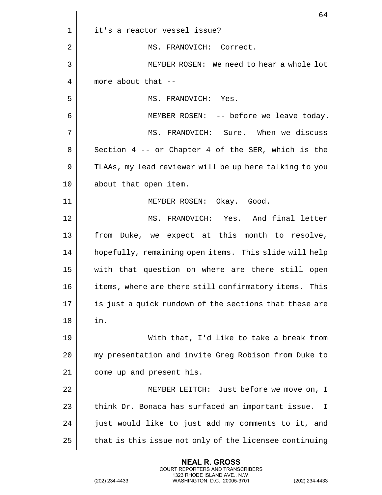|    | 64                                                                |
|----|-------------------------------------------------------------------|
| 1  | it's a reactor vessel issue?                                      |
| 2  | MS. FRANOVICH: Correct.                                           |
| 3  | MEMBER ROSEN: We need to hear a whole lot                         |
| 4  | more about that --                                                |
| 5  | MS. FRANOVICH: Yes.                                               |
| 6  | MEMBER ROSEN: -- before we leave today.                           |
| 7  | MS. FRANOVICH: Sure. When we discuss                              |
| 8  | Section 4 -- or Chapter 4 of the SER, which is the                |
| 9  | TLAAs, my lead reviewer will be up here talking to you            |
| 10 | about that open item.                                             |
| 11 | MEMBER ROSEN: Okay. Good.                                         |
| 12 | MS. FRANOVICH: Yes. And final letter                              |
| 13 | from Duke, we expect at this month to resolve,                    |
| 14 | hopefully, remaining open items. This slide will help             |
| 15 | with that question on where are there still open                  |
| 16 | items, where are there still confirmatory items. This             |
| 17 | is just a quick rundown of the sections that these are            |
| 18 | in.                                                               |
| 19 | With that, I'd like to take a break from                          |
| 20 | my presentation and invite Greg Robison from Duke to              |
| 21 | come up and present his.                                          |
| 22 | MEMBER LEITCH: Just before we move on, I                          |
| 23 | think Dr. Bonaca has surfaced an important issue.<br>$\mathbf{I}$ |
| 24 | just would like to just add my comments to it, and                |
| 25 | that is this issue not only of the licensee continuing            |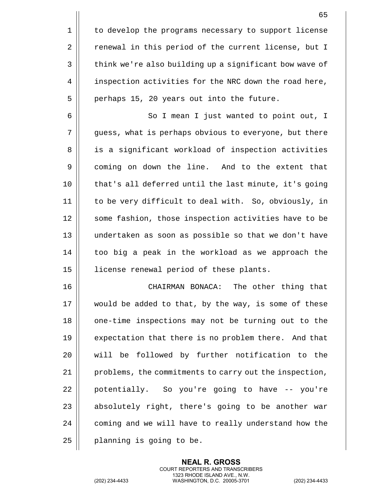1 | to develop the programs necessary to support license 2 | renewal in this period of the current license, but I 3 | think we're also building up a significant bow wave of 4 | inspection activities for the NRC down the road here,  $5 \parallel$  perhaps 15, 20 years out into the future. 6 | So I mean I just wanted to point out, I 7 guess, what is perhaps obvious to everyone, but there 8 || is a significant workload of inspection activities 9 | coming on down the line. And to the extent that 10 || that's all deferred until the last minute, it's going 11 to be very difficult to deal with. So, obviously, in 12 || some fashion, those inspection activities have to be

13 undertaken as soon as possible so that we don't have  $14$   $\parallel$  too big a peak in the workload as we approach the 15 | license renewal period of these plants.

 CHAIRMAN BONACA: The other thing that would be added to that, by the way, is some of these 18 || one-time inspections may not be turning out to the **expectation that there is no problem there.** And that will be followed by further notification to the 21 | problems, the commitments to carry out the inspection, || potentially. So you're going to have  $-$ - you're || absolutely right, there's going to be another war 24 | coming and we will have to really understand how the | planning is going to be.

> **NEAL R. GROSS** COURT REPORTERS AND TRANSCRIBERS 1323 RHODE ISLAND AVE., N.W.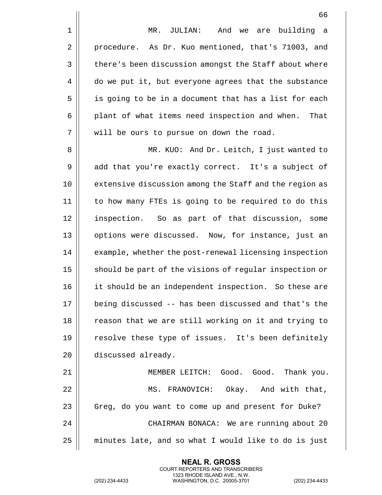1 || MR. JULIAN: And we are building a 2 | procedure. As Dr. Kuo mentioned, that's 71003, and 3 | there's been discussion amongst the Staff about where 4 do we put it, but everyone agrees that the substance 5 || is going to be in a document that has a list for each 6 | plant of what items need inspection and when. That 7 || will be ours to pursue on down the road.

8 MR. KUO: And Dr. Leitch, I just wanted to  $9 \parallel$  add that you're exactly correct. It's a subject of 10 extensive discussion among the Staff and the region as 11 to how many FTEs is going to be required to do this 12 || inspection. So as part of that discussion, some 13 || options were discussed. Now, for instance, just an 14 | example, whether the post-renewal licensing inspection 15 || should be part of the visions of regular inspection or 16 || it should be an independent inspection. So these are 17 being discussed -- has been discussed and that's the 18 || reason that we are still working on it and trying to 19 || resolve these type of issues. It's been definitely 20 | discussed already.

21 MEMBER LEITCH: Good. Good. Thank you. 22 || MS. FRANOVICH: Okay. And with that, 23 | Greg, do you want to come up and present for Duke? 24 | CHAIRMAN BONACA: We are running about 20  $25$  minutes late, and so what I would like to do is just

> **NEAL R. GROSS** COURT REPORTERS AND TRANSCRIBERS 1323 RHODE ISLAND AVE., N.W.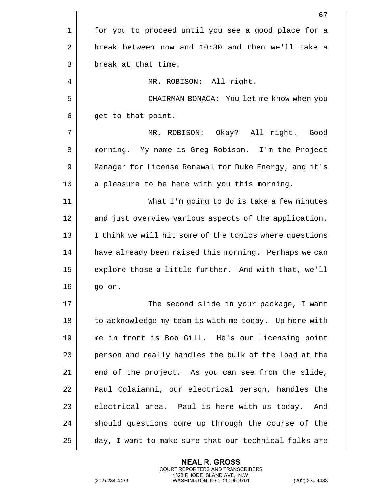|    | 67                                                     |
|----|--------------------------------------------------------|
| 1  | for you to proceed until you see a good place for a    |
| 2  | break between now and 10:30 and then we'll take a      |
| 3  | break at that time.                                    |
| 4  | MR. ROBISON: All right.                                |
| 5  | CHAIRMAN BONACA: You let me know when you              |
| 6  | get to that point.                                     |
| 7  | MR. ROBISON: Okay? All right. Good                     |
| 8  | morning. My name is Greg Robison. I'm the Project      |
| 9  | Manager for License Renewal for Duke Energy, and it's  |
| 10 | a pleasure to be here with you this morning.           |
| 11 | What I'm going to do is take a few minutes             |
| 12 | and just overview various aspects of the application.  |
| 13 | I think we will hit some of the topics where questions |
| 14 | have already been raised this morning. Perhaps we can  |
| 15 | explore those a little further. And with that, we'll   |
| 16 | go on.                                                 |
| 17 | The second slide in your package, I want               |
| 18 | to acknowledge my team is with me today. Up here with  |
| 19 | me in front is Bob Gill. He's our licensing point      |
| 20 | person and really handles the bulk of the load at the  |
| 21 | end of the project. As you can see from the slide,     |
| 22 | Paul Colaianni, our electrical person, handles the     |
| 23 | electrical area. Paul is here with us today.<br>And    |
| 24 | should questions come up through the course of the     |
| 25 | day, I want to make sure that our technical folks are  |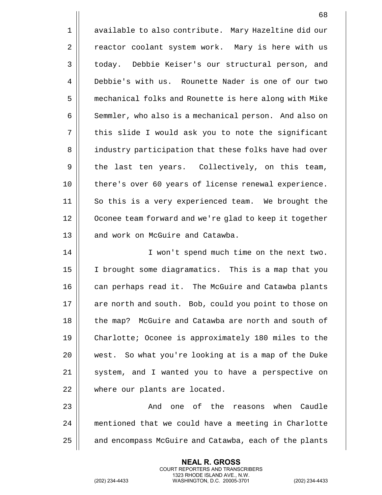1 | available to also contribute. Mary Hazeltine did our 2 | reactor coolant system work. Mary is here with us 3 | today. Debbie Keiser's our structural person, and 4 Debbie's with us. Rounette Nader is one of our two 5 mechanical folks and Rounette is here along with Mike 6 | Semmler, who also is a mechanical person. And also on 7 || this slide I would ask you to note the significant 8 | industry participation that these folks have had over 9 || the last ten years. Collectively, on this team, 10 || there's over 60 years of license renewal experience. 11 So this is a very experienced team. We brought the 12 | Oconee team forward and we're glad to keep it together 13 || and work on McGuire and Catawba. 14 || I won't spend much time on the next two.

15 I brought some diagramatics. This is a map that you 16 || can perhaps read it. The McGuire and Catawba plants 17 || are north and south. Bob, could you point to those on 18 || the map? McGuire and Catawba are north and south of 19 Charlotte; Oconee is approximately 180 miles to the 20 west. So what you're looking at is a map of the Duke 21 || system, and I wanted you to have a perspective on 22 || where our plants are located.

23 And one of the reasons when Caudle 24 | mentioned that we could have a meeting in Charlotte 25 | and encompass McGuire and Catawba, each of the plants

> **NEAL R. GROSS** COURT REPORTERS AND TRANSCRIBERS 1323 RHODE ISLAND AVE., N.W.

(202) 234-4433 WASHINGTON, D.C. 20005-3701 (202) 234-4433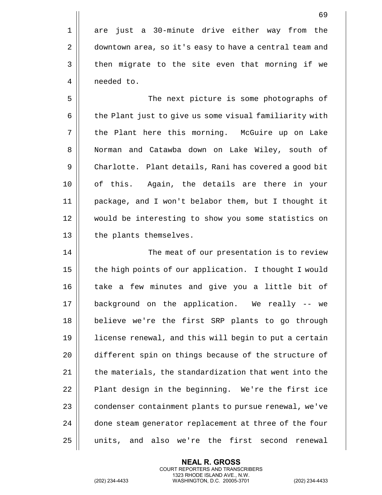1 || are just a 30-minute drive either way from the 2 | downtown area, so it's easy to have a central team and 3 | then migrate to the site even that morning if we 4 | needed to.

5 The next picture is some photographs of 6 | the Plant just to give us some visual familiarity with 7 || the Plant here this morning. McGuire up on Lake 8 | Norman and Catawba down on Lake Wiley, south of 9 | Charlotte. Plant details, Rani has covered a good bit 10 || of this. Again, the details are there in your 11 package, and I won't belabor them, but I thought it 12 would be interesting to show you some statistics on 13 | the plants themselves.

14 || The meat of our presentation is to review 15 | the high points of our application. I thought I would 16 || take a few minutes and give you a little bit of 17 background on the application. We really -- we 18 believe we're the first SRP plants to go through 19 license renewal, and this will begin to put a certain 20 different spin on things because of the structure of  $21$   $\parallel$  the materials, the standardization that went into the  $22$  | Plant design in the beginning. We're the first ice 23 | condenser containment plants to pursue renewal, we've 24 || done steam generator replacement at three of the four 25 units, and also we're the first second renewal

> **NEAL R. GROSS** COURT REPORTERS AND TRANSCRIBERS 1323 RHODE ISLAND AVE., N.W.

(202) 234-4433 WASHINGTON, D.C. 20005-3701 (202) 234-4433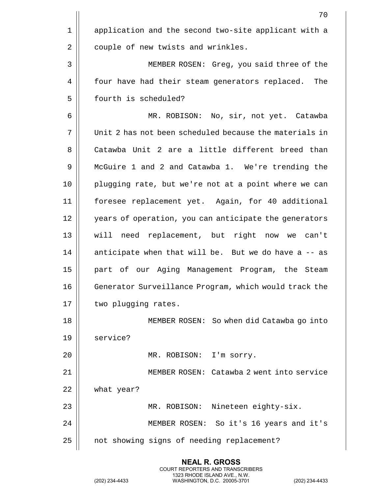|    | 70                                                     |
|----|--------------------------------------------------------|
| 1  | application and the second two-site applicant with a   |
| 2  | couple of new twists and wrinkles.                     |
| 3  | MEMBER ROSEN: Greg, you said three of the              |
| 4  | four have had their steam generators replaced.<br>The  |
| 5  | fourth is scheduled?                                   |
| 6  | MR. ROBISON: No, sir, not yet. Catawba                 |
| 7  | Unit 2 has not been scheduled because the materials in |
| 8  | Catawba Unit 2 are a little different breed than       |
| 9  | McGuire 1 and 2 and Catawba 1. We're trending the      |
| 10 | plugging rate, but we're not at a point where we can   |
| 11 | foresee replacement yet. Again, for 40 additional      |
| 12 | years of operation, you can anticipate the generators  |
| 13 | will need replacement, but right<br>now we can't       |
| 14 | anticipate when that will be. But we do have a -- as   |
| 15 | part of our Aging Management Program, the Steam        |
| 16 | Generator Surveillance Program, which would track the  |
| 17 | two plugging rates.                                    |
| 18 | MEMBER ROSEN: So when did Catawba go into              |
| 19 | service?                                               |
| 20 | MR. ROBISON: I'm sorry.                                |
| 21 | MEMBER ROSEN: Catawba 2 went into service              |
| 22 | what year?                                             |
| 23 | MR. ROBISON: Nineteen eighty-six.                      |
| 24 | MEMBER ROSEN: So it's 16 years and it's                |
| 25 | not showing signs of needing replacement?              |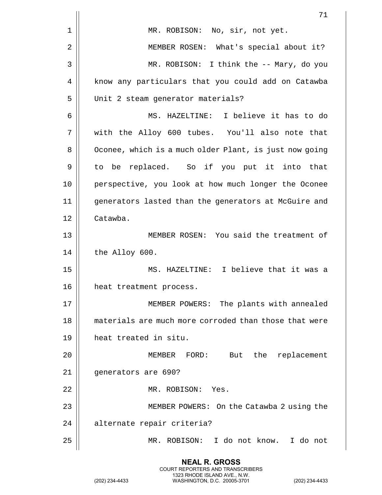|    | 71                                                     |
|----|--------------------------------------------------------|
| 1  | MR. ROBISON: No, sir, not yet.                         |
| 2  | MEMBER ROSEN: What's special about it?                 |
| 3  | MR. ROBISON: I think the -- Mary, do you               |
| 4  | know any particulars that you could add on Catawba     |
| 5  | Unit 2 steam generator materials?                      |
| 6  | MS. HAZELTINE: I believe it has to do                  |
| 7  | with the Alloy 600 tubes. You'll also note that        |
| 8  | Oconee, which is a much older Plant, is just now going |
| 9  | to be replaced. So if you put it into that             |
| 10 | perspective, you look at how much longer the Oconee    |
| 11 | generators lasted than the generators at McGuire and   |
| 12 | Catawba.                                               |
| 13 | MEMBER ROSEN: You said the treatment of                |
| 14 | the Alloy 600.                                         |
| 15 | MS. HAZELTINE: I believe that it was a                 |
| 16 | heat treatment process.                                |
| 17 | MEMBER POWERS: The plants with annealed                |
| 18 | materials are much more corroded than those that were  |
| 19 | heat treated in situ.                                  |
| 20 | But the replacement<br>MEMBER FORD:                    |
| 21 | generators are 690?                                    |
| 22 | MR. ROBISON:<br>Yes.                                   |
| 23 | MEMBER POWERS: On the Catawba 2 using the              |
| 24 | alternate repair criteria?                             |
| 25 | MR. ROBISON: I do not know. I do not                   |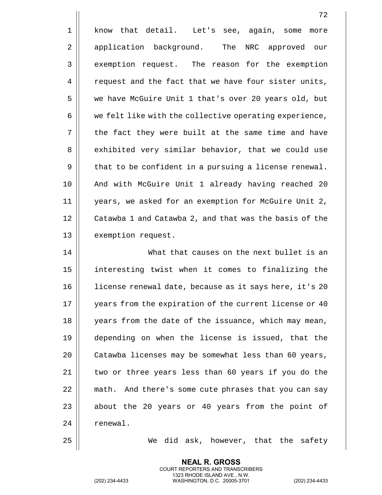|    | 72                                                     |
|----|--------------------------------------------------------|
| 1  | know that detail. Let's see, again, some<br>more       |
| 2  | application background.<br>The<br>NRC approved our     |
| 3  | exemption request. The reason for the exemption        |
| 4  | request and the fact that we have four sister units,   |
| 5  | we have McGuire Unit 1 that's over 20 years old, but   |
| 6  | we felt like with the collective operating experience, |
| 7  | the fact they were built at the same time and have     |
| 8  | exhibited very similar behavior, that we could use     |
| 9  | that to be confident in a pursuing a license renewal.  |
| 10 | And with McGuire Unit 1 already having reached 20      |
| 11 | years, we asked for an exemption for McGuire Unit 2,   |
| 12 | Catawba 1 and Catawba 2, and that was the basis of the |
| 13 | exemption request.                                     |
| 14 | What that causes on the next bullet is an              |
| 15 | interesting twist when it comes to finalizing the      |
| 16 | license renewal date, because as it says here, it's 20 |
| 17 | years from the expiration of the current license or 40 |
| 18 | years from the date of the issuance, which may mean,   |
| 19 | depending on when the license is issued, that the      |
| 20 | Catawba licenses may be somewhat less than 60 years,   |

 | Catawba licenses may be somewhat less than 60 years,  $\parallel$  two or three years less than 60 years if you do the || math. And there's some cute phrases that you can say  $\parallel$  about the 20 years or 40 years from the point of 24 | renewal.

25 || We did ask, however, that the safety

**NEAL R. GROSS** COURT REPORTERS AND TRANSCRIBERS 1323 RHODE ISLAND AVE., N.W.

(202) 234-4433 WASHINGTON, D.C. 20005-3701 (202) 234-4433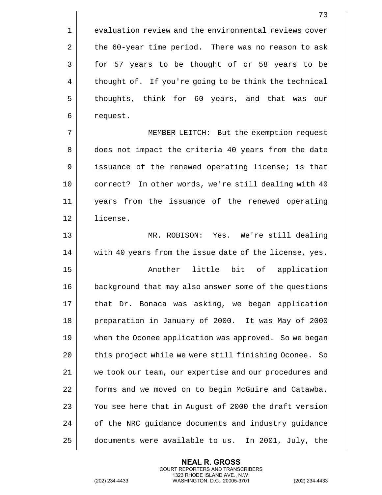1 evaluation review and the environmental reviews cover  $2 \parallel$  the 60-year time period. There was no reason to ask 3 || for 57 years to be thought of or 58 years to be 4 | thought of. If you're going to be think the technical 5 || thoughts, think for 60 years, and that was our 6 | request.

7 MEMBER LEITCH: But the exemption request 8 does not impact the criteria 40 years from the date 9 | issuance of the renewed operating license; is that 10 || correct? In other words, we're still dealing with 40 11 years from the issuance of the renewed operating 12 license.

13 MR. ROBISON: Yes. We're still dealing 14 || with 40 years from the issue date of the license, yes.

15 || Another little bit of application 16 | background that may also answer some of the questions 17 || that Dr. Bonaca was asking, we began application 18 | preparation in January of 2000. It was May of 2000 19 || when the Oconee application was approved. So we began 20 || this project while we were still finishing Oconee. So 21 || we took our team, our expertise and our procedures and 22 | forms and we moved on to begin McGuire and Catawba. 23  $\parallel$  You see here that in August of 2000 the draft version 24 | of the NRC quidance documents and industry quidance 25 documents were available to us. In 2001, July, the

> **NEAL R. GROSS** COURT REPORTERS AND TRANSCRIBERS 1323 RHODE ISLAND AVE., N.W.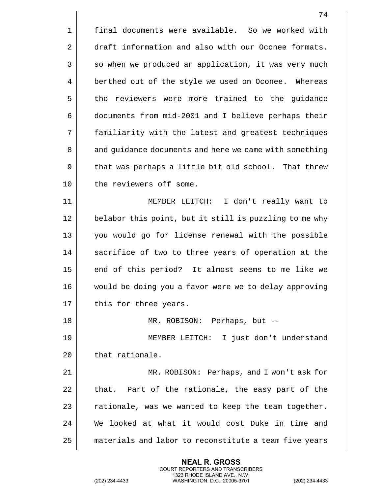1 | final documents were available. So we worked with 2 draft information and also with our Oconee formats.  $3 \parallel$  so when we produced an application, it was very much 4 | berthed out of the style we used on Oconee. Whereas 5 | the reviewers were more trained to the guidance 6 documents from mid-2001 and I believe perhaps their 7 familiarity with the latest and greatest techniques 8 || and guidance documents and here we came with something  $9 \parallel$  that was perhaps a little bit old school. That threw 10 || the reviewers off some. 11 MEMBER LEITCH: I don't really want to 12 || belabor this point, but it still is puzzling to me why 13 || you would go for license renewal with the possible 14 || sacrifice of two to three years of operation at the  $15$  | end of this period? It almost seems to me like we 16 would be doing you a favor were we to delay approving  $17$  | this for three years. 18 MR. ROBISON: Perhaps, but -- 19 MEMBER LEITCH: I just don't understand 20 | that rationale. 21 MR. ROBISON: Perhaps, and I won't ask for  $22$  || that. Part of the rationale, the easy part of the 23  $\parallel$  rationale, was we wanted to keep the team together. 24 We looked at what it would cost Duke in time and 25 | materials and labor to reconstitute a team five years

> **NEAL R. GROSS** COURT REPORTERS AND TRANSCRIBERS 1323 RHODE ISLAND AVE., N.W.

(202) 234-4433 WASHINGTON, D.C. 20005-3701 (202) 234-4433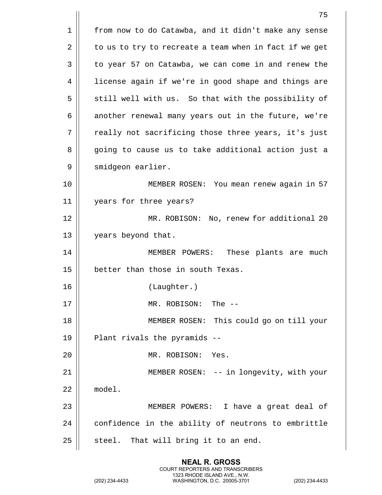|    | 75                                                     |
|----|--------------------------------------------------------|
| 1  | from now to do Catawba, and it didn't make any sense   |
| 2  | to us to try to recreate a team when in fact if we get |
| 3  | to year 57 on Catawba, we can come in and renew the    |
| 4  | license again if we're in good shape and things are    |
| 5  | still well with us. So that with the possibility of    |
| 6  | another renewal many years out in the future, we're    |
| 7  | really not sacrificing those three years, it's just    |
| 8  | going to cause us to take additional action just a     |
| 9  | smidgeon earlier.                                      |
| 10 | MEMBER ROSEN: You mean renew again in 57               |
| 11 | years for three years?                                 |
| 12 | MR. ROBISON: No, renew for additional 20               |
| 13 | years beyond that.                                     |
| 14 | These plants are much<br>MEMBER POWERS:                |
| 15 | better than those in south Texas.                      |
| 16 | (Laughter.)                                            |
| 17 | MR. ROBISON: The --                                    |
| 18 | MEMBER ROSEN: This could go on till your               |
| 19 | Plant rivals the pyramids --                           |
| 20 | MR. ROBISON:<br>Yes.                                   |
| 21 | MEMBER ROSEN: -- in longevity, with your               |
| 22 | model.                                                 |
| 23 | MEMBER POWERS: I have a great deal of                  |
| 24 | confidence in the ability of neutrons to embrittle     |
| 25 | steel. That will bring it to an end.                   |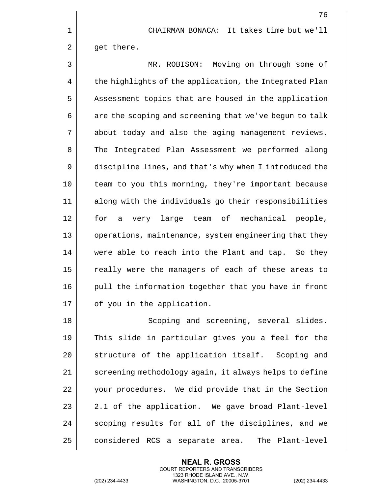76 1 CHAIRMAN BONACA: It takes time but we'll  $2 \parallel$  get there. 3 MR. ROBISON: Moving on through some of 4 | the highlights of the application, the Integrated Plan 5 | Assessment topics that are housed in the application  $6 \parallel$  are the scoping and screening that we've begun to talk 7 about today and also the aging management reviews. 8 The Integrated Plan Assessment we performed along 9 discipline lines, and that's why when I introduced the 10 || team to you this morning, they're important because 11 along with the individuals go their responsibilities 12 for a very large team of mechanical people, 13 || operations, maintenance, system engineering that they 14 || were able to reach into the Plant and tap. So they 15 || really were the managers of each of these areas to 16 pull the information together that you have in front 17 | of you in the application.

18 || Scoping and screening, several slides. 19 This slide in particular gives you a feel for the 20 || structure of the application itself. Scoping and 21 | screening methodology again, it always helps to define 22 | your procedures. We did provide that in the Section  $23 \parallel 2.1$  of the application. We gave broad Plant-level 24 || scoping results for all of the disciplines, and we 25 considered RCS a separate area. The Plant-level

> **NEAL R. GROSS** COURT REPORTERS AND TRANSCRIBERS 1323 RHODE ISLAND AVE., N.W.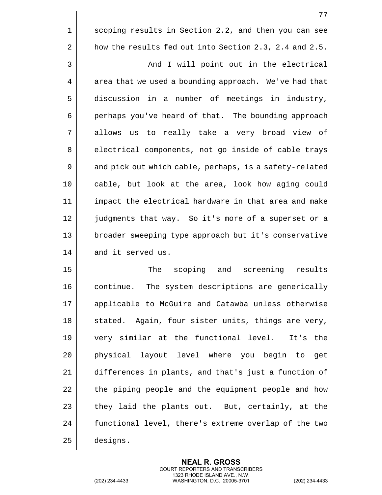1 | scoping results in Section 2.2, and then you can see 2 | how the results fed out into Section 2.3, 2.4 and 2.5.

3 And I will point out in the electrical  $4 \parallel$  area that we used a bounding approach. We've had that 5 discussion in a number of meetings in industry, 6 | perhaps you've heard of that. The bounding approach 7 allows us to really take a very broad view of 8 electrical components, not go inside of cable trays 9 || and pick out which cable, perhaps, is a safety-related 10 || cable, but look at the area, look how aging could 11 impact the electrical hardware in that area and make 12 || judgments that way. So it's more of a superset or a 13 || broader sweeping type approach but it's conservative 14 and it served us.

15 || The scoping and screening results  $16$   $\parallel$  continue. The system descriptions are generically 17 || applicable to McGuire and Catawba unless otherwise  $18$  stated. Again, four sister units, things are very, 19 very similar at the functional level. It's the 20 physical layout level where you begin to get 21 differences in plants, and that's just a function of 22 || the piping people and the equipment people and how  $23$  || they laid the plants out. But, certainly, at the 24 | functional level, there's extreme overlap of the two 25 designs.

> **NEAL R. GROSS** COURT REPORTERS AND TRANSCRIBERS 1323 RHODE ISLAND AVE., N.W.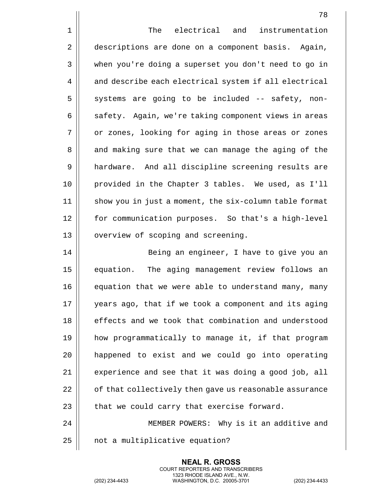78 1 | The electrical and instrumentation 2 descriptions are done on a component basis. Again, 3 || when you're doing a superset you don't need to go in 4 | and describe each electrical system if all electrical  $5 \parallel$  systems are going to be included -- safety, non-6 | safety. Again, we're taking component views in areas 7 || or zones, looking for aging in those areas or zones 8 || and making sure that we can manage the aging of the 9 || hardware. And all discipline screening results are 10 provided in the Chapter 3 tables. We used, as I'll 11 || show you in just a moment, the six-column table format 12 | for communication purposes. So that's a high-level 13 | overview of scoping and screening. 14 || Being an engineer, I have to give you an 15 || equation. The aging management review follows an 16 || equation that we were able to understand many, many 17 || years ago, that if we took a component and its aging 18 || effects and we took that combination and understood 19 how programmatically to manage it, if that program 20 happened to exist and we could go into operating  $21$  | experience and see that it was doing a good job, all 22 | cf that collectively then gave us reasonable assurance

24 MEMBER POWERS: Why is it an additive and  $25$  | not a multiplicative equation?

 $23$  || that we could carry that exercise forward.

**NEAL R. GROSS** COURT REPORTERS AND TRANSCRIBERS 1323 RHODE ISLAND AVE., N.W.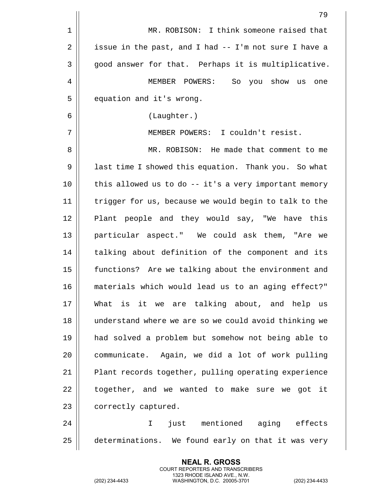|                | 79                                                    |
|----------------|-------------------------------------------------------|
| $\mathbf 1$    | MR. ROBISON: I think someone raised that              |
| $\overline{2}$ | issue in the past, and I had -- I'm not sure I have a |
| 3              | good answer for that. Perhaps it is multiplicative.   |
| 4              | MEMBER POWERS: So you show us<br>one                  |
| 5              | equation and it's wrong.                              |
| 6              | (Laughter.)                                           |
| 7              | MEMBER POWERS: I couldn't resist.                     |
| 8              | MR. ROBISON: He made that comment to me               |
| 9              | last time I showed this equation. Thank you. So what  |
| 10             | this allowed us to do -- it's a very important memory |
| 11             | trigger for us, because we would begin to talk to the |
| 12             | Plant people and they would say, "We have this        |
| 13             | particular aspect." We could ask them, "Are we        |
| 14             | talking about definition of the component and its     |
| 15             | functions? Are we talking about the environment and   |
| 16             | materials which would lead us to an aging effect?"    |
| 17             | What is it we are talking about, and help us          |
| 18             | understand where we are so we could avoid thinking we |
| 19             | had solved a problem but somehow not being able to    |
| 20             | communicate. Again, we did a lot of work pulling      |
| 21             | Plant records together, pulling operating experience  |
| 22             | together, and we wanted to make sure we got it        |
| 23             | correctly captured.                                   |
| 24             | just mentioned aging effects<br>I.                    |
| 25             | determinations. We found early on that it was very    |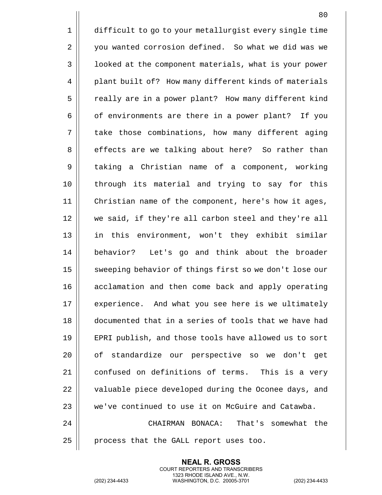1 difficult to go to your metallurgist every single time 2 | you wanted corrosion defined. So what we did was we 3 | | 1ooked at the component materials, what is your power 4 | plant built of? How many different kinds of materials 5 | Preally are in a power plant? How many different kind  $6 \parallel$  of environments are there in a power plant? If you 7 || take those combinations, how many different aging 8 || effects are we talking about here? So rather than 9 taking a Christian name of a component, working 10 through its material and trying to say for this 11 Christian name of the component, here's how it ages, 12 we said, if they're all carbon steel and they're all 13 in this environment, won't they exhibit similar 14 || behavior? Let's go and think about the broader 15 || sweeping behavior of things first so we don't lose our 16 || acclamation and then come back and apply operating 17 || experience. And what you see here is we ultimately 18 documented that in a series of tools that we have had 19 || EPRI publish, and those tools have allowed us to sort 20 || of standardize our perspective so we don't get 21 || confused on definitions of terms. This is a very 22 | valuable piece developed during the Oconee days, and 23 We've continued to use it on McGuire and Catawba. 24 CHAIRMAN BONACA: That's somewhat the

 $25$  | process that the GALL report uses too.

**NEAL R. GROSS** COURT REPORTERS AND TRANSCRIBERS 1323 RHODE ISLAND AVE., N.W.

(202) 234-4433 WASHINGTON, D.C. 20005-3701 (202) 234-4433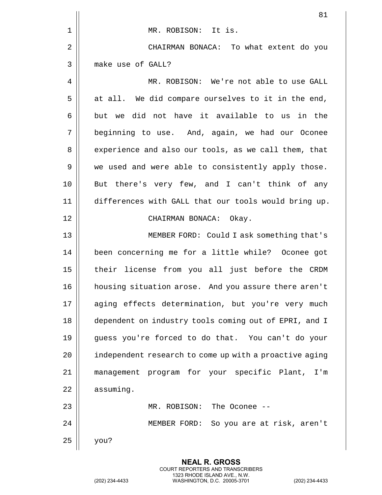|    | 81                                                     |
|----|--------------------------------------------------------|
| 1  | MR. ROBISON: It is.                                    |
| 2  | CHAIRMAN BONACA: To what extent do you                 |
| 3  | make use of GALL?                                      |
| 4  | MR. ROBISON: We're not able to use GALL                |
| 5  | at all. We did compare ourselves to it in the end,     |
| 6  | but we did not have it available to us in the          |
| 7  | beginning to use. And, again, we had our Oconee        |
| 8  | experience and also our tools, as we call them, that   |
| 9  | we used and were able to consistently apply those.     |
| 10 | But there's very few, and I can't think of any         |
| 11 | differences with GALL that our tools would bring up.   |
| 12 | CHAIRMAN BONACA: Okay.                                 |
| 13 | MEMBER FORD: Could I ask something that's              |
| 14 | been concerning me for a little while? Oconee got      |
| 15 | their license from you all just before the CRDM        |
| 16 | housing situation arose. And you assure there aren't   |
| 17 | aging effects determination, but you're very much      |
| 18 | dependent on industry tools coming out of EPRI, and I  |
| 19 | guess you're forced to do that. You can't do your      |
| 20 | independent research to come up with a proactive aging |
| 21 | management program for your specific Plant, I'm        |
| 22 | assuming.                                              |
| 23 | MR. ROBISON: The Oconee --                             |
| 24 | MEMBER FORD: So you are at risk, aren't                |
| 25 | you?                                                   |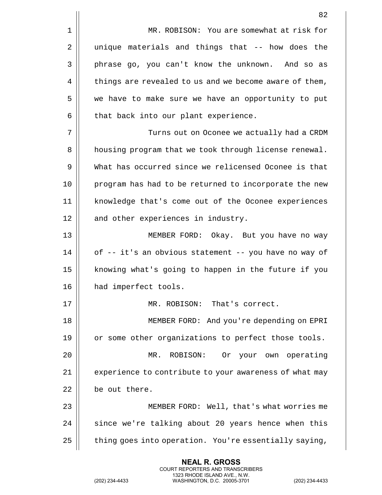1 || MR. ROBISON: You are somewhat at risk for 2 || unique materials and things that -- how does the 3 phrase go, you can't know the unknown. And so as  $4 \parallel$  things are revealed to us and we become aware of them, 5 | we have to make sure we have an opportunity to put  $6$  || that back into our plant experience. 7 Turns out on Oconee we actually had a CRDM 8 | housing program that we took through license renewal. 9 What has occurred since we relicensed Oconee is that 10 || program has had to be returned to incorporate the new 11 knowledge that's come out of the Oconee experiences 12 || and other experiences in industry. 13 MEMBER FORD: Okay. But you have no way

 $14$  | of -- it's an obvious statement -- you have no way of 15 || knowing what's going to happen in the future if you 16 || had imperfect tools.

 MR. ROBISON: That's correct. MEMBER FORD: And you're depending on EPRI 19 || or some other organizations to perfect those tools. MR. ROBISON: Or your own operating

21 | experience to contribute to your awareness of what may 22 be out there.

23 MEMBER FORD: Well, that's what worries me  $24$   $\parallel$  since we're talking about 20 years hence when this 25  $\parallel$  thing goes into operation. You're essentially saying,

> **NEAL R. GROSS** COURT REPORTERS AND TRANSCRIBERS 1323 RHODE ISLAND AVE., N.W.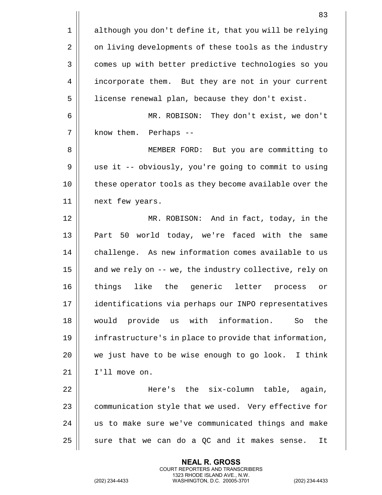|    | 83                                                       |
|----|----------------------------------------------------------|
| 1  | although you don't define it, that you will be relying   |
| 2  | on living developments of these tools as the industry    |
| 3  | comes up with better predictive technologies so you      |
| 4  | incorporate them. But they are not in your current       |
| 5  | license renewal plan, because they don't exist.          |
| 6  | MR. ROBISON: They don't exist, we don't                  |
| 7  | know them. Perhaps --                                    |
| 8  | MEMBER FORD:<br>But you are committing to                |
| 9  | use it -- obviously, you're going to commit to using     |
| 10 | these operator tools as they become available over the   |
| 11 | next few years.                                          |
| 12 | MR. ROBISON: And in fact, today, in the                  |
| 13 | 50 world today, we're faced with the same<br>Part        |
| 14 | challenge. As new information comes available to us      |
| 15 | and we rely on -- we, the industry collective, rely on   |
| 16 | things<br>like<br>the<br>generic<br>letter process<br>or |
| 17 | identifications via perhaps our INPO representatives     |
| 18 | provide us with information.<br>the<br>would<br>So       |
| 19 | infrastructure's in place to provide that information,   |
| 20 | we just have to be wise enough to go look. I think       |
| 21 | I'll move on.                                            |
| 22 | Here's the six-column table, again,                      |
| 23 | communication style that we used. Very effective for     |
| 24 | us to make sure we've communicated things and make       |
| 25 | sure that we can do a QC and it makes sense.<br>It       |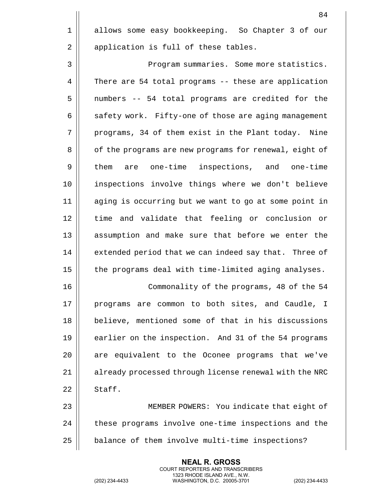1 || allows some easy bookkeeping. So Chapter 3 of our 2 || application is full of these tables.

3 | Program summaries. Some more statistics. 4 | There are 54 total programs -- these are application 5 || numbers -- 54 total programs are credited for the 6 | safety work. Fifty-one of those are aging management 7 || programs, 34 of them exist in the Plant today. Nine 8 | of the programs are new programs for renewal, eight of 9 | them are one-time inspections, and one-time 10 inspections involve things where we don't believe 11 aging is occurring but we want to go at some point in 12 || time and validate that feeling or conclusion or 13 || assumption and make sure that before we enter the 14 | extended period that we can indeed say that. Three of  $15$  | the programs deal with time-limited aging analyses.

16 Commonality of the programs, 48 of the 54 17 || programs are common to both sites, and Caudle, I 18 || believe, mentioned some of that in his discussions 19 || earlier on the inspection. And 31 of the 54 programs 20 || are equivalent to the Oconee programs that we've 21 | already processed through license renewal with the NRC  $22 \parallel$  Staff.

23 MEMBER POWERS: You indicate that eight of 24 | these programs involve one-time inspections and the  $25$  | balance of them involve multi-time inspections?

> **NEAL R. GROSS** COURT REPORTERS AND TRANSCRIBERS 1323 RHODE ISLAND AVE., N.W.

(202) 234-4433 WASHINGTON, D.C. 20005-3701 (202) 234-4433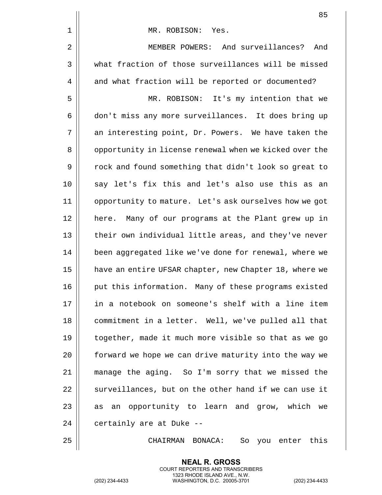|    | 85                                                     |
|----|--------------------------------------------------------|
| 1  | MR. ROBISON: Yes.                                      |
| 2  | MEMBER POWERS: And surveillances?<br>And               |
| 3  | what fraction of those surveillances will be missed    |
| 4  | and what fraction will be reported or documented?      |
| 5  | MR. ROBISON: It's my intention that we                 |
| 6  | don't miss any more surveillances. It does bring up    |
| 7  | an interesting point, Dr. Powers. We have taken the    |
| 8  | opportunity in license renewal when we kicked over the |
| 9  | rock and found something that didn't look so great to  |
| 10 | say let's fix this and let's also use this as an       |
| 11 | opportunity to mature. Let's ask ourselves how we got  |
| 12 | here. Many of our programs at the Plant grew up in     |
| 13 | their own individual little areas, and they've never   |
| 14 | been aggregated like we've done for renewal, where we  |
| 15 | have an entire UFSAR chapter, new Chapter 18, where we |
| 16 | put this information. Many of these programs existed   |
| 17 | in a notebook on someone's shelf with a line item      |
| 18 | commitment in a letter. Well, we've pulled all that    |
| 19 | together, made it much more visible so that as we go   |
| 20 | forward we hope we can drive maturity into the way we  |
| 21 | manage the aging. So I'm sorry that we missed the      |
| 22 | surveillances, but on the other hand if we can use it  |
| 23 | an opportunity to learn and grow, which we<br>as       |
| 24 | certainly are at Duke --                               |
| 25 | this<br>CHAIRMAN BONACA:<br>So you enter               |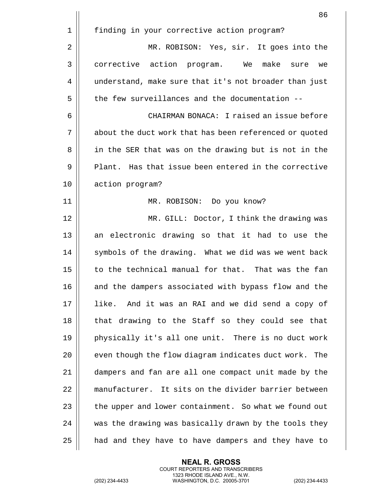|    | 86                                                       |
|----|----------------------------------------------------------|
| 1  | finding in your corrective action program?               |
| 2  | MR. ROBISON: Yes, sir. It goes into the                  |
| 3  | corrective action program. We make sure<br>we            |
| 4  | understand, make sure that it's not broader than just    |
| 5  | the few surveillances and the documentation --           |
| 6  | CHAIRMAN BONACA: I raised an issue before                |
| 7  | about the duct work that has been referenced or quoted   |
| 8  | in the SER that was on the drawing but is not in the     |
| 9  | Plant. Has that issue been entered in the corrective     |
| 10 | action program?                                          |
| 11 | MR. ROBISON: Do you know?                                |
| 12 | MR. GILL: Doctor, I think the drawing was                |
| 13 | an electronic drawing so that it had to use the          |
| 14 | symbols of the drawing. What we did was we went back     |
| 15 | to the technical manual for that. That was the fan       |
| 16 | and the dampers associated with bypass flow and the      |
| 17 | And it was an RAI and we did send a copy of<br>like.     |
| 18 | that drawing to the Staff so they could see that         |
| 19 | physically it's all one unit. There is no duct work      |
| 20 | even though the flow diagram indicates duct work.<br>The |
| 21 | dampers and fan are all one compact unit made by the     |
| 22 | manufacturer. It sits on the divider barrier between     |
| 23 | the upper and lower containment. So what we found out    |
| 24 | was the drawing was basically drawn by the tools they    |
| 25 | had and they have to have dampers and they have to       |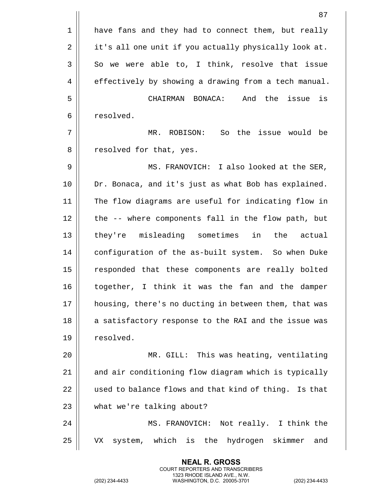|                | 87                                                    |
|----------------|-------------------------------------------------------|
| 1              | have fans and they had to connect them, but really    |
| $\overline{2}$ | it's all one unit if you actually physically look at. |
| 3              | So we were able to, I think, resolve that issue       |
| 4              | effectively by showing a drawing from a tech manual.  |
| 5              | And the<br>CHAIRMAN BONACA:<br>issue<br>is            |
| 6              | resolved.                                             |
| 7              | So the issue would be<br>MR. ROBISON:                 |
| 8              | resolved for that, yes.                               |
| 9              | MS. FRANOVICH: I also looked at the SER,              |
| 10             | Dr. Bonaca, and it's just as what Bob has explained.  |
| 11             | The flow diagrams are useful for indicating flow in   |
| 12             | the -- where components fall in the flow path, but    |
| 13             | they're misleading sometimes in<br>the<br>actual      |
| 14             | configuration of the as-built system. So when Duke    |
| 15             | responded that these components are really bolted     |
| 16             | together, I think it was the fan and the damper       |
| 17             | housing, there's no ducting in between them, that was |
| 18             | a satisfactory response to the RAI and the issue was  |
| 19             | resolved.                                             |
| 20             | MR. GILL: This was heating, ventilating               |
| 21             | and air conditioning flow diagram which is typically  |
| 22             | used to balance flows and that kind of thing. Is that |
| 23             | what we're talking about?                             |
| 24             | MS. FRANOVICH: Not really. I think the                |
| 25             | system, which is the hydrogen skimmer<br>VX<br>and    |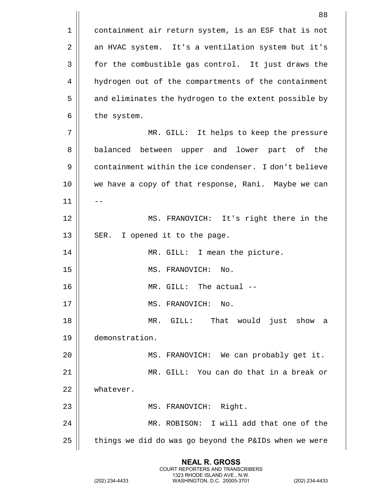|    | 88                                                    |
|----|-------------------------------------------------------|
| 1  | containment air return system, is an ESF that is not  |
| 2  | an HVAC system. It's a ventilation system but it's    |
| 3  | for the combustible gas control. It just draws the    |
| 4  | hydrogen out of the compartments of the containment   |
| 5  | and eliminates the hydrogen to the extent possible by |
| 6  | the system.                                           |
| 7  | MR. GILL: It helps to keep the pressure               |
| 8  | balanced between<br>upper and lower part of the       |
| 9  | containment within the ice condenser. I don't believe |
| 10 | we have a copy of that response, Rani. Maybe we can   |
| 11 |                                                       |
| 12 | MS. FRANOVICH: It's right there in the                |
| 13 | SER.<br>I opened it to the page.                      |
| 14 | MR. GILL: I mean the picture.                         |
| 15 | MS. FRANOVICH:<br>No.                                 |
| 16 | MR. GILL: The actual --                               |
| 17 | MS. FRANOVICH:<br>No.                                 |
| 18 | GILL: That would just show<br>MR.<br>a                |
| 19 | demonstration.                                        |
| 20 | MS. FRANOVICH: We can probably get it.                |
| 21 | MR. GILL: You can do that in a break or               |
| 22 | whatever.                                             |
| 23 | MS. FRANOVICH: Right.                                 |
| 24 | MR. ROBISON: I will add that one of the               |
| 25 | things we did do was go beyond the P&IDs when we were |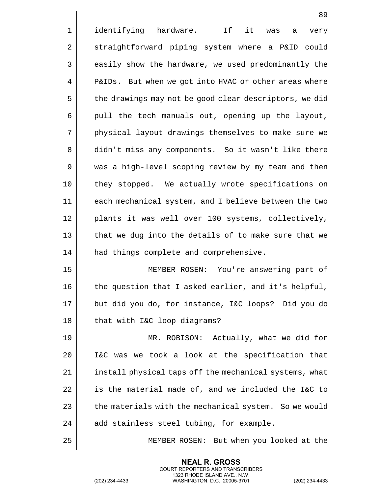|                | 89                                                     |
|----------------|--------------------------------------------------------|
| $\mathbf 1$    | it<br>identifying hardware. If<br>was<br>very<br>а     |
| $\overline{2}$ | straightforward piping system where a P&ID could       |
| 3              | easily show the hardware, we used predominantly the    |
| 4              | P&IDs. But when we got into HVAC or other areas where  |
| 5              | the drawings may not be good clear descriptors, we did |
| 6              | pull the tech manuals out, opening up the layout,      |
| 7              | physical layout drawings themselves to make sure we    |
| 8              | didn't miss any components. So it wasn't like there    |
| 9              | was a high-level scoping review by my team and then    |
| 10             | they stopped. We actually wrote specifications on      |
| 11             | each mechanical system, and I believe between the two  |
| 12             | plants it was well over 100 systems, collectively,     |
| 13             | that we dug into the details of to make sure that we   |
| 14             | had things complete and comprehensive.                 |
| 15             | MEMBER ROSEN: You're answering part of                 |
| 16             | the question that I asked earlier, and it's helpful,   |
| 17             | but did you do, for instance, I&C loops? Did you do    |
| 18             | that with I&C loop diagrams?                           |
| 19             | MR. ROBISON: Actually, what we did for                 |
| 20             | I&C was we took a look at the specification that       |
| 21             | install physical taps off the mechanical systems, what |
| 22             | is the material made of, and we included the I&C to    |
| 23             | the materials with the mechanical system. So we would  |
| 24             | add stainless steel tubing, for example.               |
| 25             | MEMBER ROSEN: But when you looked at the               |

(202) 234-4433 WASHINGTON, D.C. 20005-3701 (202) 234-4433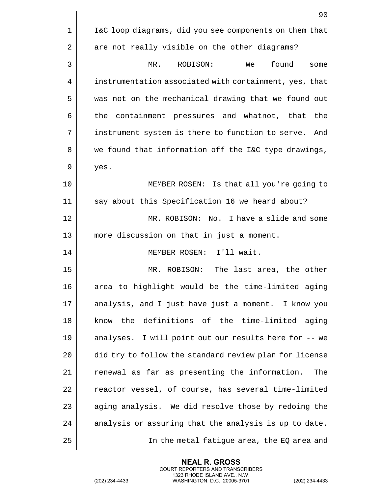|    | 90                                                      |
|----|---------------------------------------------------------|
| 1  | I&C loop diagrams, did you see components on them that  |
| 2  | are not really visible on the other diagrams?           |
| 3  | found<br>ROBISON:<br>We<br>MR.<br>some                  |
| 4  | instrumentation associated with containment, yes, that  |
| 5  | was not on the mechanical drawing that we found out     |
| 6  | containment pressures and whatnot, that<br>the<br>the   |
| 7  | instrument system is there to function to serve.<br>And |
| 8  | we found that information off the I&C type drawings,    |
| 9  | yes.                                                    |
| 10 | MEMBER ROSEN: Is that all you're going to               |
| 11 | say about this Specification 16 we heard about?         |
| 12 | MR. ROBISON: No. I have a slide and some                |
| 13 | more discussion on that in just a moment.               |
| 14 | MEMBER ROSEN: I'll wait.                                |
| 15 | The last area, the other<br>MR. ROBISON:                |
| 16 | area to highlight would be the time-limited aging       |
| 17 | analysis, and I just have just a moment. I know you     |
| 18 | know the definitions of the time-limited aging          |
| 19 | analyses. I will point out our results here for -- we   |
| 20 | did try to follow the standard review plan for license  |
| 21 | renewal as far as presenting the information.<br>The    |
| 22 | reactor vessel, of course, has several time-limited     |
| 23 | aging analysis. We did resolve those by redoing the     |
| 24 | analysis or assuring that the analysis is up to date.   |
| 25 | In the metal fatigue area, the EQ area and              |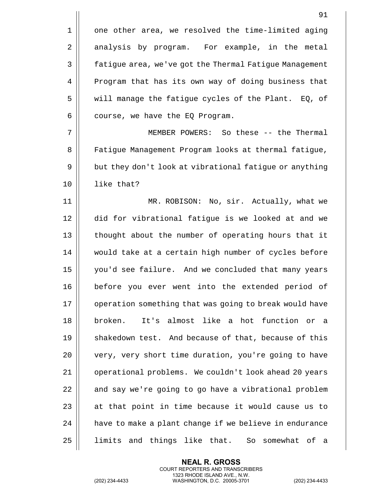|    | 91                                                        |
|----|-----------------------------------------------------------|
| 1  | one other area, we resolved the time-limited aging        |
| 2  | analysis by program. For example, in the metal            |
| 3  | fatigue area, we've got the Thermal Fatigue Management    |
| 4  | Program that has its own way of doing business that       |
| 5  | will manage the fatigue cycles of the Plant. EQ, of       |
| 6  | course, we have the EQ Program.                           |
| 7  | MEMBER POWERS: So these -- the Thermal                    |
| 8  | Fatigue Management Program looks at thermal fatigue,      |
| 9  | but they don't look at vibrational fatigue or anything    |
| 10 | like that?                                                |
| 11 | MR. ROBISON: No, sir. Actually, what we                   |
| 12 | did for vibrational fatigue is we looked at and we        |
| 13 | thought about the number of operating hours that it       |
| 14 | would take at a certain high number of cycles before      |
| 15 | you'd see failure. And we concluded that many years       |
| 16 | before you ever went into the extended period of          |
| 17 | operation something that was going to break would have    |
| 18 | It's almost<br>like a hot<br>function<br>broken.<br>or a  |
| 19 | shakedown test. And because of that, because of this      |
| 20 | very, very short time duration, you're going to have      |
| 21 | operational problems. We couldn't look ahead 20 years     |
| 22 | and say we're going to go have a vibrational problem      |
| 23 | at that point in time because it would cause us to        |
| 24 | have to make a plant change if we believe in endurance    |
| 25 | limits<br>and things like that. So<br>somewhat<br>of<br>a |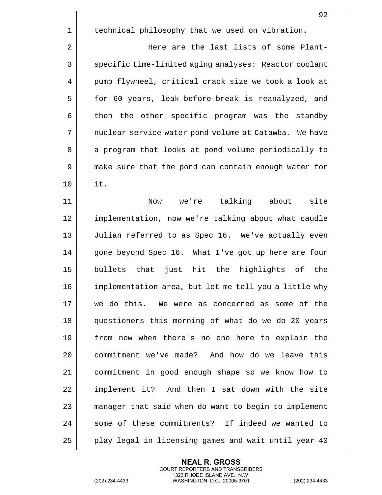1 | technical philosophy that we used on vibration. 2 Here are the last lists of some Plant-3 | specific time-limited aging analyses: Reactor coolant 4 | pump flywheel, critical crack size we took a look at 5 || for 60 years, leak-before-break is reanalyzed, and  $6 \parallel$  then the other specific program was the standby 7 | | nuclear service water pond volume at Catawba. We have 8 | a program that looks at pond volume periodically to 9 | make sure that the pond can contain enough water for 10 it. 11 Now we're talking about site 12 | implementation, now we're talking about what caudle 13 || Julian referred to as Spec 16. We've actually even 14 | gone beyond Spec 16. What I've got up here are four 15 bullets that just hit the highlights of the 16 implementation area, but let me tell you a little why 17 we do this. We were as concerned as some of the 18 questioners this morning of what do we do 20 years 19 from now when there's no one here to explain the 20 commitment we've made? And how do we leave this

21 commitment in good enough shape so we know how to 22 || implement it? And then I sat down with the site 23 | manager that said when do want to begin to implement 24 || some of these commitments? If indeed we wanted to 25 || play legal in licensing games and wait until year 40

> **NEAL R. GROSS** COURT REPORTERS AND TRANSCRIBERS 1323 RHODE ISLAND AVE., N.W.

(202) 234-4433 WASHINGTON, D.C. 20005-3701 (202) 234-4433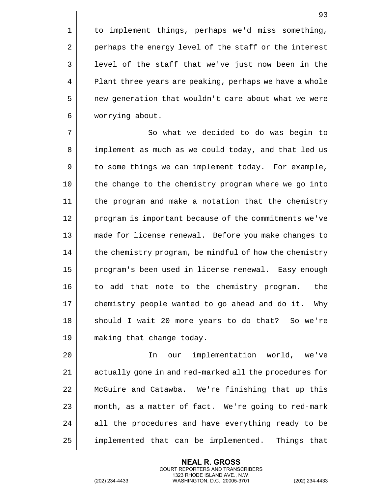1 | to implement things, perhaps we'd miss something, 2 | perhaps the energy level of the staff or the interest 3 || level of the staff that we've just now been in the 4 | Plant three years are peaking, perhaps we have a whole 5 | new generation that wouldn't care about what we were 6 worrying about.

7 || So what we decided to do was begin to 8 | implement as much as we could today, and that led us 9 | to some things we can implement today. For example, 10 || the change to the chemistry program where we go into 11 the program and make a notation that the chemistry 12 || program is important because of the commitments we've 13 made for license renewal. Before you make changes to 14 | the chemistry program, be mindful of how the chemistry 15 || program's been used in license renewal. Easy enough 16 || to add that note to the chemistry program. the 17 | chemistry people wanted to go ahead and do it. Why 18 || should I wait 20 more years to do that? So we're 19 making that change today.

20 In our implementation world, we've 21 | actually gone in and red-marked all the procedures for 22 McGuire and Catawba. We're finishing that up this 23 || month, as a matter of fact. We're going to red-mark  $24$  || all the procedures and have everything ready to be 25 | implemented that can be implemented. Things that

> **NEAL R. GROSS** COURT REPORTERS AND TRANSCRIBERS 1323 RHODE ISLAND AVE., N.W.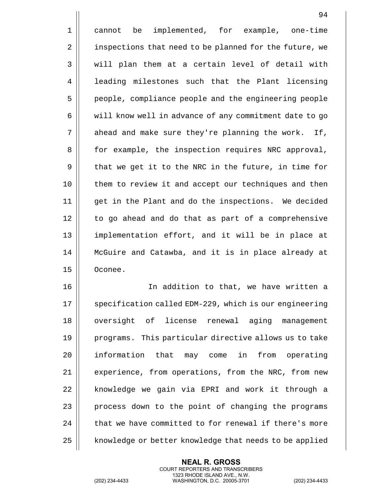1 || cannot be implemented, for example, one-time 2 | inspections that need to be planned for the future, we  $3 \parallel$  will plan them at a certain level of detail with 4 || leading milestones such that the Plant licensing 5 people, compliance people and the engineering people  $6 \parallel$  will know well in advance of any commitment date to go 7 || ahead and make sure they're planning the work. If, 8 | for example, the inspection requires NRC approval,  $9 \parallel$  that we get it to the NRC in the future, in time for 10 || them to review it and accept our techniques and then 11 get in the Plant and do the inspections. We decided 12 || to go ahead and do that as part of a comprehensive 13 || implementation effort, and it will be in place at 14 McGuire and Catawba, and it is in place already at 15 Oconee. 16 In addition to that, we have written a

17 || specification called EDM-229, which is our engineering 18 || oversight of license renewal aging management 19 || programs. This particular directive allows us to take 20 || information that may come in from operating 21 | experience, from operations, from the NRC, from new  $22$  || knowledge we gain via EPRI and work it through a 23 | process down to the point of changing the programs 24  $\parallel$  that we have committed to for renewal if there's more 25 | knowledge or better knowledge that needs to be applied

> **NEAL R. GROSS** COURT REPORTERS AND TRANSCRIBERS 1323 RHODE ISLAND AVE., N.W.

(202) 234-4433 WASHINGTON, D.C. 20005-3701 (202) 234-4433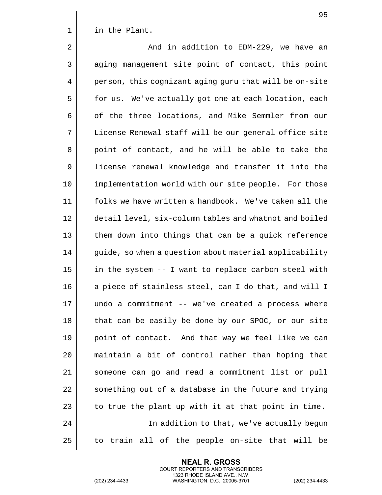1 | in the Plant.

2 And in addition to EDM-229, we have an 3 || aging management site point of contact, this point 4 | person, this cognizant aging guru that will be on-site 5 | for us. We've actually got one at each location, each 6 | of the three locations, and Mike Semmler from our 7 License Renewal staff will be our general office site 8 || point of contact, and he will be able to take the 9 license renewal knowledge and transfer it into the 10 || implementation world with our site people. For those 11 folks we have written a handbook. We've taken all the 12 detail level, six-column tables and whatnot and boiled 13 || them down into things that can be a quick reference 14 | guide, so when a question about material applicability  $15$  | in the system  $-1$  want to replace carbon steel with  $16$  || a piece of stainless steel, can I do that, and will I 17 undo a commitment -- we've created a process where 18 || that can be easily be done by our SPOC, or our site 19 || point of contact. And that way we feel like we can 20 maintain a bit of control rather than hoping that 21 || someone can go and read a commitment list or pull  $22$   $\parallel$  something out of a database in the future and trying 23  $\parallel$  to true the plant up with it at that point in time. 24 In addition to that, we've actually begun  $25$  || to train all of the people on-site that will be

> **NEAL R. GROSS** COURT REPORTERS AND TRANSCRIBERS 1323 RHODE ISLAND AVE., N.W.

(202) 234-4433 WASHINGTON, D.C. 20005-3701 (202) 234-4433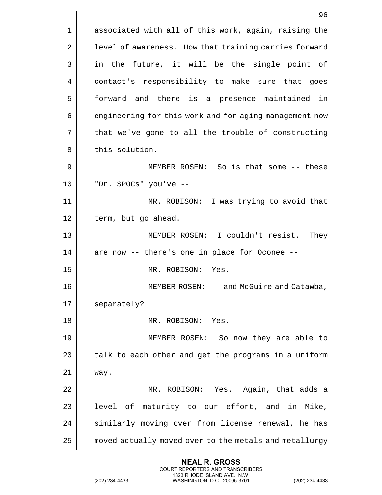1 | associated with all of this work, again, raising the 2 | level of awareness. How that training carries forward  $3 \parallel$  in the future, it will be the single point of 4 | contact's responsibility to make sure that goes 5 forward and there is a presence maintained in 6 | engineering for this work and for aging management now 7 || that we've gone to all the trouble of constructing 8 || this solution. 9 MEMBER ROSEN: So is that some -- these 10 "Dr. SPOCs" you've -- 11 MR. ROBISON: I was trying to avoid that 12 | term, but go ahead. 13 MEMBER ROSEN: I couldn't resist. They  $14$  || are now -- there's one in place for Oconee --15 MR. ROBISON: Yes. 16 || MEMBER ROSEN: -- and McGuire and Catawba, 17 | separately? 18 MR. ROBISON: Yes. 19 MEMBER ROSEN: So now they are able to  $20$  | talk to each other and get the programs in a uniform  $21$  Way. 22 MR. ROBISON: Yes. Again, that adds a  $23$  || level of maturity to our effort, and in Mike, 24 || similarly moving over from license renewal, he has 25 | moved actually moved over to the metals and metallurgy

> **NEAL R. GROSS** COURT REPORTERS AND TRANSCRIBERS 1323 RHODE ISLAND AVE., N.W.

(202) 234-4433 WASHINGTON, D.C. 20005-3701 (202) 234-4433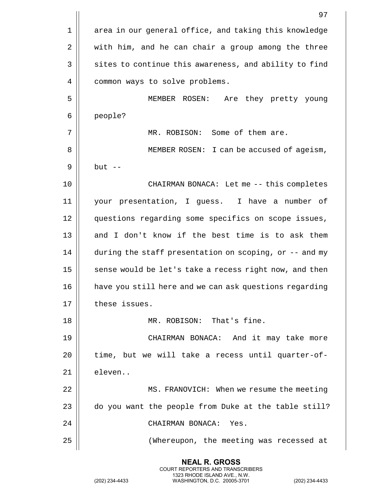|             | 97                                                     |
|-------------|--------------------------------------------------------|
| $\mathbf 1$ | area in our general office, and taking this knowledge  |
| 2           | with him, and he can chair a group among the three     |
| 3           | sites to continue this awareness, and ability to find  |
| 4           | common ways to solve problems.                         |
| 5           | MEMBER ROSEN:<br>Are they pretty young                 |
| 6           | people?                                                |
| 7           | MR. ROBISON: Some of them are.                         |
| 8           | MEMBER ROSEN: I can be accused of ageism,              |
| 9           | but $--$                                               |
| 10          | CHAIRMAN BONACA: Let me -- this completes              |
| 11          | your presentation, I guess. I have a number of         |
| 12          | questions regarding some specifics on scope issues,    |
| 13          | and I don't know if the best time is to ask them       |
| 14          | during the staff presentation on scoping, or -- and my |
| 15          | sense would be let's take a recess right now, and then |
| 16          | have you still here and we can ask questions regarding |
| 17          | these issues.                                          |
| 18          | MR. ROBISON: That's fine.                              |
| 19          | CHAIRMAN BONACA: And it may take more                  |
| 20          | time, but we will take a recess until quarter-of-      |
| 21          | eleven                                                 |
| 22          | MS. FRANOVICH: When we resume the meeting              |
| 23          | do you want the people from Duke at the table still?   |
| 24          | CHAIRMAN BONACA: Yes.                                  |
| 25          | (Whereupon, the meeting was recessed at                |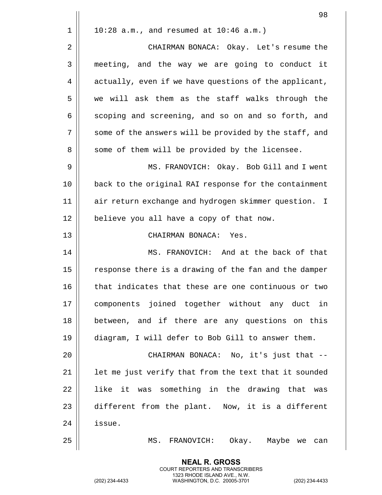|    | 98                                                     |
|----|--------------------------------------------------------|
| 1  | $10:28$ a.m., and resumed at $10:46$ a.m.)             |
| 2  | CHAIRMAN BONACA: Okay. Let's resume the                |
| 3  | meeting, and the way we are going to conduct it        |
| 4  | actually, even if we have questions of the applicant,  |
| 5  | we will ask them as the staff walks through the        |
| 6  | scoping and screening, and so on and so forth, and     |
| 7  | some of the answers will be provided by the staff, and |
| 8  | some of them will be provided by the licensee.         |
| 9  | MS. FRANOVICH: Okay. Bob Gill and I went               |
| 10 | back to the original RAI response for the containment  |
| 11 | air return exchange and hydrogen skimmer question. I   |
| 12 | believe you all have a copy of that now.               |
| 13 | CHAIRMAN BONACA: Yes.                                  |
| 14 | MS. FRANOVICH: And at the back of that                 |
| 15 | response there is a drawing of the fan and the damper  |
| 16 | that indicates that these are one continuous or two    |
| 17 | components joined together without any duct in         |
| 18 | between, and if there are any questions on this        |
| 19 | diagram, I will defer to Bob Gill to answer them.      |
| 20 | CHAIRMAN BONACA: No, it's just that --                 |
| 21 | let me just verify that from the text that it sounded  |
| 22 | like it was something in the drawing that was          |
| 23 | different from the plant. Now, it is a different       |
| 24 | issue.                                                 |
| 25 | MS.<br>FRANOVICH:<br>Okay. Maybe we<br>can             |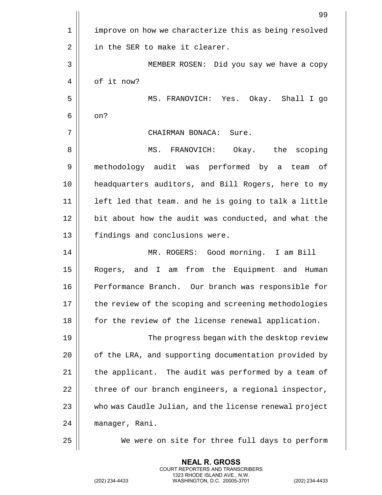|                | 99                                                     |
|----------------|--------------------------------------------------------|
| 1              | improve on how we characterize this as being resolved  |
| $\overline{2}$ | in the SER to make it clearer.                         |
| 3              | MEMBER ROSEN: Did you say we have a copy               |
| 4              | of it now?                                             |
| 5              | MS. FRANOVICH: Yes. Okay. Shall I go                   |
| 6              | on?                                                    |
| 7              | CHAIRMAN BONACA: Sure.                                 |
| 8              | MS. FRANOVICH: Okay. the scoping                       |
| 9              | methodology audit was performed by a team of           |
| 10             | headquarters auditors, and Bill Rogers, here to my     |
| 11             | left led that team. and he is going to talk a little   |
| 12             | bit about how the audit was conducted, and what the    |
| 13             | findings and conclusions were.                         |
| 14             | MR. ROGERS: Good morning. I am Bill                    |
| 15             | Rogers, and I am from the Equipment and Human          |
| 16             | Performance Branch. Our branch was responsible for     |
| 17             | the review of the scoping and screening methodologies  |
| 18             | for the review of the license renewal application.     |
| 19             | The progress began with the desktop review             |
| 20             | of the LRA, and supporting documentation provided by   |
| 21             | the applicant. The audit was performed by a team of    |
| 22             | three of our branch engineers, a regional inspector,   |
| 23             | who was Caudle Julian, and the license renewal project |
| 24             | manager, Rani.                                         |
| 25             | We were on site for three full days to perform         |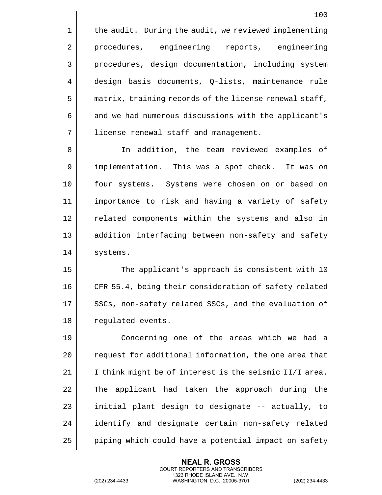$1$  | the audit. During the audit, we reviewed implementing 2 || procedures, engineering reports, engineering 3 || procedures, design documentation, including system 4 design basis documents, Q-lists, maintenance rule 5 | matrix, training records of the license renewal staff, 6 | and we had numerous discussions with the applicant's 7 license renewal staff and management.

8 In addition, the team reviewed examples of 9 || implementation. This was a spot check. It was on 10 four systems. Systems were chosen on or based on 11 importance to risk and having a variety of safety 12 || related components within the systems and also in 13 || addition interfacing between non-safety and safety 14 | systems.

15 || The applicant's approach is consistent with 10 16 CFR 55.4, being their consideration of safety related 17 || SSCs, non-safety related SSCs, and the evaluation of 18 | regulated events.

19 Concerning one of the areas which we had a 20 | request for additional information, the one area that 21  $\parallel$  I think might be of interest is the seismic II/I area. 22 || The applicant had taken the approach during the  $23$  || initial plant design to designate  $-$  actually, to 24 || identify and designate certain non-safety related  $25$  | piping which could have a potential impact on safety

> **NEAL R. GROSS** COURT REPORTERS AND TRANSCRIBERS 1323 RHODE ISLAND AVE., N.W.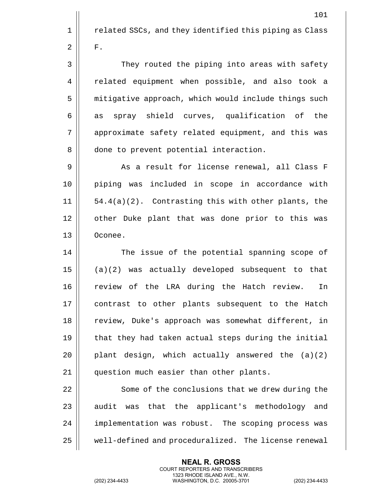101 1 | related SSCs, and they identified this piping as Class  $2 \parallel$  F. 3 || They routed the piping into areas with safety 4 | related equipment when possible, and also took a 5 | mitigative approach, which would include things such  $6 \parallel$  as spray shield curves, qualification of the 7 || approximate safety related equipment, and this was 8 | done to prevent potential interaction. 9 || As a result for license renewal, all Class F 10 piping was included in scope in accordance with 11 54.4(a)(2). Contrasting this with other plants, the 12 || other Duke plant that was done prior to this was 13 Oconee. 14 || The issue of the potential spanning scope of  $15$  || (a)(2) was actually developed subsequent to that 16 || review of the LRA during the Hatch review. In 17 || contrast to other plants subsequent to the Hatch 18 || review, Duke's approach was somewhat different, in  $19$   $\parallel$  that they had taken actual steps during the initial 20  $\vert$  plant design, which actually answered the  $(a)(2)$ 21 | question much easier than other plants. 22 | Some of the conclusions that we drew during the  $23$  || audit was that the applicant's methodology and

24 | implementation was robust. The scoping process was 25 well-defined and proceduralized. The license renewal

> **NEAL R. GROSS** COURT REPORTERS AND TRANSCRIBERS 1323 RHODE ISLAND AVE., N.W.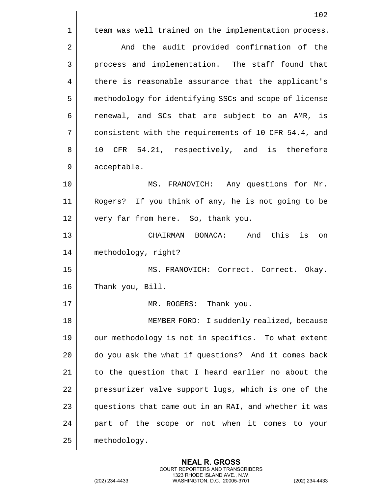|             | 102                                                          |
|-------------|--------------------------------------------------------------|
| $\mathbf 1$ | team was well trained on the implementation process.         |
| 2           | And the audit provided confirmation of the                   |
| 3           | process and implementation. The staff found that             |
| 4           | there is reasonable assurance that the applicant's           |
| 5           | methodology for identifying SSCs and scope of license        |
| 6           | renewal, and SCs that are subject to an AMR, is              |
| 7           | consistent with the requirements of 10 CFR 54.4, and         |
| 8           | CFR 54.21, respectively, and is therefore<br>10 <sub>o</sub> |
| 9           | acceptable.                                                  |
| 10          | MS. FRANOVICH: Any questions for Mr.                         |
| 11          | Rogers? If you think of any, he is not going to be           |
| 12          | very far from here. So, thank you.                           |
| 13          | And this<br>is<br>CHAIRMAN BONACA:<br>on                     |
| 14          | methodology, right?                                          |
| 15          | MS. FRANOVICH: Correct. Correct. Okay.                       |
| 16          | Thank you, Bill.                                             |
| 17          | MR. ROGERS: Thank you.                                       |
| 18          | MEMBER FORD: I suddenly realized, because                    |
| 19          | our methodology is not in specifics. To what extent          |
| 20          | do you ask the what if questions? And it comes back          |
| 21          | to the question that I heard earlier no about the            |
| 22          | pressurizer valve support lugs, which is one of the          |
| 23          | questions that came out in an RAI, and whether it was        |
| 24          | part of the scope or not when it comes to your               |
| 25          | methodology.                                                 |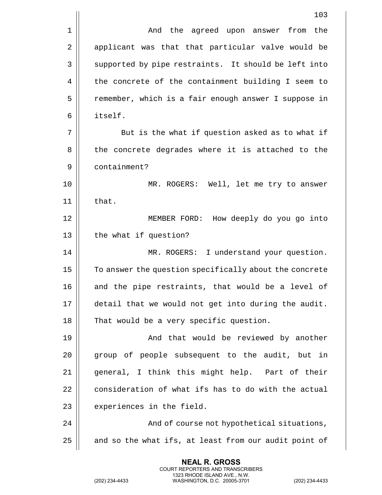|    | 103                                                    |
|----|--------------------------------------------------------|
| 1  | And the agreed upon answer from the                    |
| 2  | applicant was that that particular valve would be      |
| 3  | supported by pipe restraints. It should be left into   |
| 4  | the concrete of the containment building I seem to     |
| 5  | remember, which is a fair enough answer I suppose in   |
| 6  | itself.                                                |
| 7  | But is the what if question asked as to what if        |
| 8  | the concrete degrades where it is attached to the      |
| 9  | containment?                                           |
| 10 | MR. ROGERS: Well, let me try to answer                 |
| 11 | that.                                                  |
| 12 | MEMBER FORD: How deeply do you go into                 |
| 13 | the what if question?                                  |
| 14 | MR. ROGERS: I understand your question.                |
| 15 | To answer the question specifically about the concrete |
| 16 | and the pipe restraints, that would be a level of      |
| 17 | detail that we would not get into during the audit.    |
| 18 | That would be a very specific question.                |
| 19 | And that would be reviewed by another                  |
| 20 | group of people subsequent to the audit, but in        |
| 21 | general, I think this might help. Part of their        |
| 22 | consideration of what ifs has to do with the actual    |
| 23 | experiences in the field.                              |
| 24 | And of course not hypothetical situations,             |
| 25 | and so the what ifs, at least from our audit point of  |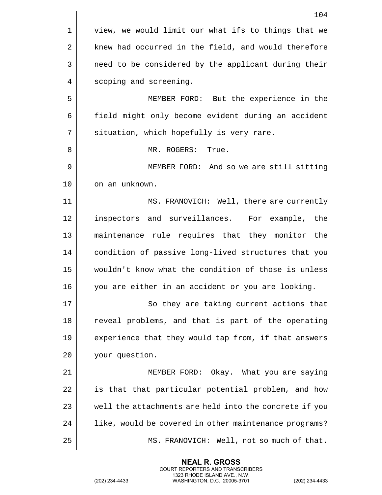|    | 104                                                    |
|----|--------------------------------------------------------|
| 1  | view, we would limit our what ifs to things that we    |
| 2  | knew had occurred in the field, and would therefore    |
| 3  | need to be considered by the applicant during their    |
| 4  | scoping and screening.                                 |
| 5  | MEMBER FORD: But the experience in the                 |
| 6  | field might only become evident during an accident     |
| 7  | situation, which hopefully is very rare.               |
| 8  | MR. ROGERS:<br>True.                                   |
| 9  | MEMBER FORD: And so we are still sitting               |
| 10 | on an unknown.                                         |
| 11 | MS. FRANOVICH: Well, there are currently               |
| 12 | inspectors and surveillances. For example, the         |
| 13 | maintenance rule requires that they monitor<br>the     |
| 14 | condition of passive long-lived structures that you    |
| 15 | wouldn't know what the condition of those is unless    |
| 16 | you are either in an accident or you are looking.      |
| 17 | So they are taking current actions that                |
| 18 | reveal problems, and that is part of the operating     |
| 19 | experience that they would tap from, if that answers   |
| 20 | your question.                                         |
| 21 | MEMBER FORD: Okay. What you are saying                 |
| 22 | is that that particular potential problem, and how     |
| 23 | well the attachments are held into the concrete if you |
| 24 | like, would be covered in other maintenance programs?  |
| 25 | MS. FRANOVICH: Well, not so much of that.              |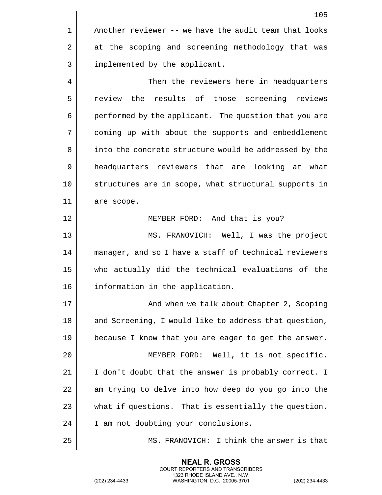105 1 | Another reviewer -- we have the audit team that looks 2 at the scoping and screening methodology that was 3 || implemented by the applicant. 4 | Then the reviewers here in headquarters 5 | review the results of those screening reviews 6 | performed by the applicant. The question that you are 7 coming up with about the supports and embeddlement 8 | into the concrete structure would be addressed by the 9 headquarters reviewers that are looking at what 10 structures are in scope, what structural supports in 11 are scope. 12 MEMBER FORD: And that is you? 13 MS. FRANOVICH: Well, I was the project 14 || manager, and so I have a staff of technical reviewers 15 who actually did the technical evaluations of the 16 || information in the application. 17 || And when we talk about Chapter 2, Scoping 18 || and Screening, I would like to address that question, 19 || because I know that you are eager to get the answer. 20 MEMBER FORD: Well, it is not specific. 21  $\parallel$  I don't doubt that the answer is probably correct. I  $22$   $\parallel$  am trying to delve into how deep do you go into the 23 what if questions. That is essentially the question. 24 | I am not doubting your conclusions. 25 MS. FRANOVICH: I think the answer is that

> **NEAL R. GROSS** COURT REPORTERS AND TRANSCRIBERS 1323 RHODE ISLAND AVE., N.W.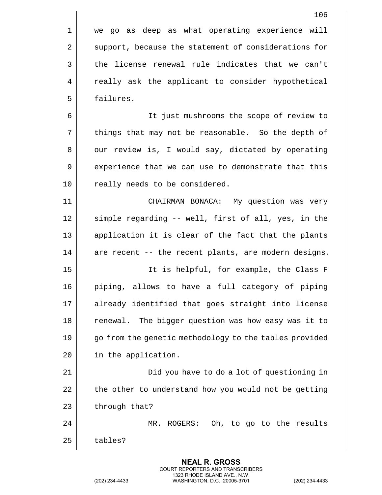|    | 106                                                    |
|----|--------------------------------------------------------|
| 1  | we go as deep as what operating experience will        |
| 2  | support, because the statement of considerations for   |
| 3  | the license renewal rule indicates that we can't       |
| 4  | really ask the applicant to consider hypothetical      |
| 5  | failures.                                              |
| 6  | It just mushrooms the scope of review to               |
| 7  | things that may not be reasonable. So the depth of     |
| 8  | our review is, I would say, dictated by operating      |
| 9  | experience that we can use to demonstrate that this    |
| 10 | really needs to be considered.                         |
| 11 | CHAIRMAN BONACA: My question was very                  |
| 12 | simple regarding -- well, first of all, yes, in the    |
| 13 | application it is clear of the fact that the plants    |
| 14 | are recent -- the recent plants, are modern designs.   |
| 15 | It is helpful, for example, the Class F                |
| 16 | piping, allows to have a full category of piping       |
| 17 | already identified that goes straight into license     |
| 18 | The bigger question was how easy was it to<br>renewal. |
| 19 | go from the genetic methodology to the tables provided |
| 20 | in the application.                                    |
| 21 | Did you have to do a lot of questioning in             |
| 22 | the other to understand how you would not be getting   |
| 23 | through that?                                          |
| 24 | Oh, to go to the results<br>MR.<br>$ROGERS$ :          |
| 25 | tables?                                                |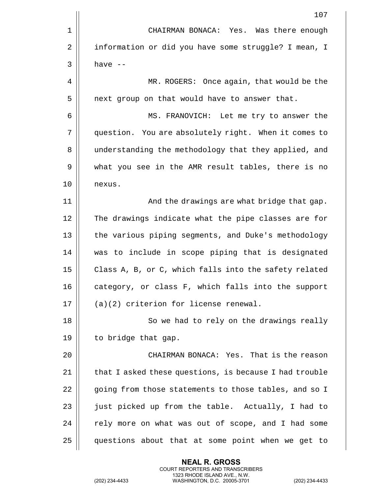|    | 107                                                    |
|----|--------------------------------------------------------|
| 1  | CHAIRMAN BONACA: Yes. Was there enough                 |
| 2  | information or did you have some struggle? I mean, I   |
| 3  | have $--$                                              |
| 4  | MR. ROGERS: Once again, that would be the              |
| 5  | next group on that would have to answer that.          |
| 6  | MS. FRANOVICH: Let me try to answer the                |
| 7  | question. You are absolutely right. When it comes to   |
| 8  | understanding the methodology that they applied, and   |
| 9  | what you see in the AMR result tables, there is no     |
| 10 | nexus.                                                 |
| 11 | And the drawings are what bridge that gap.             |
| 12 | The drawings indicate what the pipe classes are for    |
| 13 | the various piping segments, and Duke's methodology    |
| 14 | was to include in scope piping that is designated      |
| 15 | Class A, B, or C, which falls into the safety related  |
| 16 | category, or class F, which falls into the support     |
| 17 | $(a)(2)$ criterion for license renewal.                |
| 18 | So we had to rely on the drawings really               |
| 19 | to bridge that gap.                                    |
| 20 | CHAIRMAN BONACA: Yes. That is the reason               |
| 21 | that I asked these questions, is because I had trouble |
| 22 | going from those statements to those tables, and so I  |
| 23 | just picked up from the table. Actually, I had to      |
| 24 | rely more on what was out of scope, and I had some     |
| 25 | questions about that at some point when we get to      |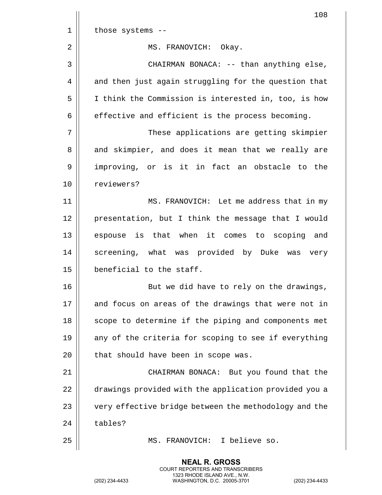|    | 108                                                   |
|----|-------------------------------------------------------|
| 1  | those systems --                                      |
| 2  | MS. FRANOVICH: Okay.                                  |
| 3  | CHAIRMAN BONACA: -- than anything else,               |
| 4  | and then just again struggling for the question that  |
| 5  | I think the Commission is interested in, too, is how  |
| 6  | effective and efficient is the process becoming.      |
| 7  | These applications are getting skimpier               |
| 8  | and skimpier, and does it mean that we really are     |
| 9  | improving, or is it in fact an obstacle to the        |
| 10 | reviewers?                                            |
| 11 | MS. FRANOVICH: Let me address that in my              |
| 12 | presentation, but I think the message that I would    |
| 13 | espouse is that when it comes to scoping and          |
| 14 | screening, what was provided by Duke was very         |
| 15 | beneficial to the staff.                              |
| 16 | But we did have to rely on the drawings,              |
| 17 | and focus on areas of the drawings that were not in   |
| 18 | scope to determine if the piping and components met   |
| 19 | any of the criteria for scoping to see if everything  |
| 20 | that should have been in scope was.                   |
| 21 | CHAIRMAN BONACA: But you found that the               |
| 22 | drawings provided with the application provided you a |
| 23 | very effective bridge between the methodology and the |
| 24 | tables?                                               |
| 25 | I believe so.<br>MS. FRANOVICH:                       |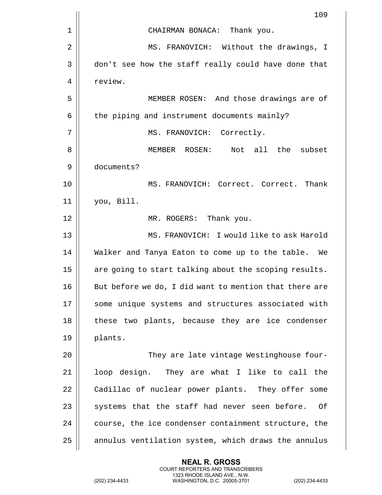|    | 109                                                    |
|----|--------------------------------------------------------|
| 1  | CHAIRMAN BONACA: Thank you.                            |
| 2  | MS. FRANOVICH: Without the drawings, I                 |
| 3  | don't see how the staff really could have done that    |
| 4  | review.                                                |
| 5  | MEMBER ROSEN: And those drawings are of                |
| 6  | the piping and instrument documents mainly?            |
| 7  | MS. FRANOVICH: Correctly.                              |
| 8  | Not all<br>MEMBER ROSEN:<br>the<br>subset              |
| 9  | documents?                                             |
| 10 | MS. FRANOVICH: Correct. Correct. Thank                 |
| 11 | you, Bill.                                             |
| 12 | MR. ROGERS: Thank you.                                 |
| 13 | MS. FRANOVICH: I would like to ask Harold              |
| 14 | Walker and Tanya Eaton to come up to the table. We     |
| 15 | are going to start talking about the scoping results.  |
| 16 | But before we do, I did want to mention that there are |
| 17 | some unique systems and structures associated with     |
| 18 | these two plants, because they are ice condenser       |
| 19 | plants.                                                |
| 20 | They are late vintage Westinghouse four-               |
| 21 | loop design. They are what I like to call the          |
| 22 | Cadillac of nuclear power plants. They offer some      |
| 23 | systems that the staff had never seen before.<br>- Of  |
| 24 | course, the ice condenser containment structure, the   |
| 25 | annulus ventilation system, which draws the annulus    |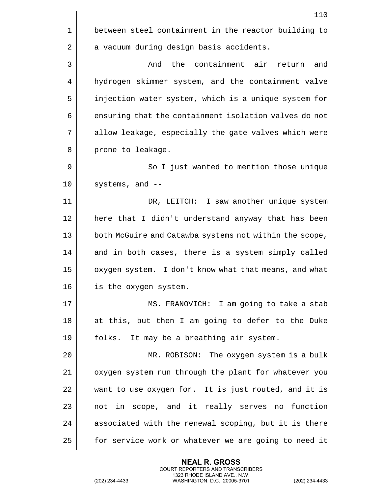|    | 110                                                    |
|----|--------------------------------------------------------|
| 1  | between steel containment in the reactor building to   |
| 2  | a vacuum during design basis accidents.                |
| 3  | And the containment air<br>and<br>return               |
| 4  | hydrogen skimmer system, and the containment valve     |
| 5  | injection water system, which is a unique system for   |
| 6  | ensuring that the containment isolation valves do not  |
| 7  | allow leakage, especially the gate valves which were   |
| 8  | prone to leakage.                                      |
| 9  | So I just wanted to mention those unique               |
| 10 | systems, and --                                        |
| 11 | DR, LEITCH: I saw another unique system                |
| 12 | here that I didn't understand anyway that has been     |
| 13 | both McGuire and Catawba systems not within the scope, |
| 14 | and in both cases, there is a system simply called     |
| 15 | oxygen system. I don't know what that means, and what  |
| 16 | is the oxygen system.                                  |
| 17 | MS. FRANOVICH: I am going to take a stab               |
| 18 | at this, but then I am going to defer to the Duke      |
| 19 | folks. It may be a breathing air system.               |
| 20 | MR. ROBISON: The oxygen system is a bulk               |
| 21 | oxygen system run through the plant for whatever you   |
| 22 | want to use oxygen for. It is just routed, and it is   |
| 23 | not in scope, and it really serves no function         |
| 24 | associated with the renewal scoping, but it is there   |
| 25 | for service work or whatever we are going to need it   |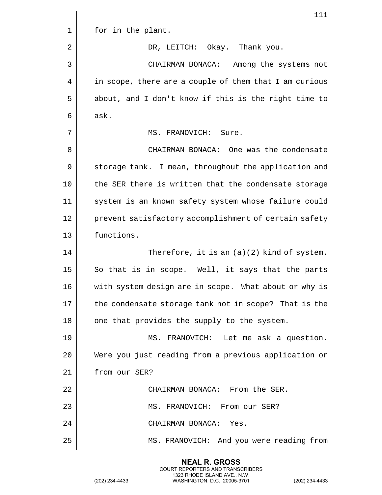|    | 111                                                    |
|----|--------------------------------------------------------|
| 1  | for in the plant.                                      |
| 2  | DR, LEITCH: Okay. Thank you.                           |
| 3  | CHAIRMAN BONACA:<br>Among the systems not              |
| 4  | in scope, there are a couple of them that I am curious |
| 5  | about, and I don't know if this is the right time to   |
| 6  | ask.                                                   |
| 7  | MS. FRANOVICH: Sure.                                   |
| 8  | CHAIRMAN BONACA: One was the condensate                |
| 9  | storage tank. I mean, throughout the application and   |
| 10 | the SER there is written that the condensate storage   |
| 11 | system is an known safety system whose failure could   |
| 12 | prevent satisfactory accomplishment of certain safety  |
| 13 | functions.                                             |
| 14 | Therefore, it is an $(a)(2)$ kind of system.           |
| 15 | So that is in scope. Well, it says that the parts      |
| 16 | with system design are in scope. What about or why is  |
| 17 | the condensate storage tank not in scope? That is the  |
| 18 | one that provides the supply to the system.            |
| 19 | MS. FRANOVICH: Let me ask a question.                  |
| 20 | Were you just reading from a previous application or   |
| 21 | from our SER?                                          |
| 22 | CHAIRMAN BONACA: From the SER.                         |
| 23 | MS. FRANOVICH: From our SER?                           |
| 24 | CHAIRMAN BONACA: Yes.                                  |
| 25 | MS. FRANOVICH: And you were reading from               |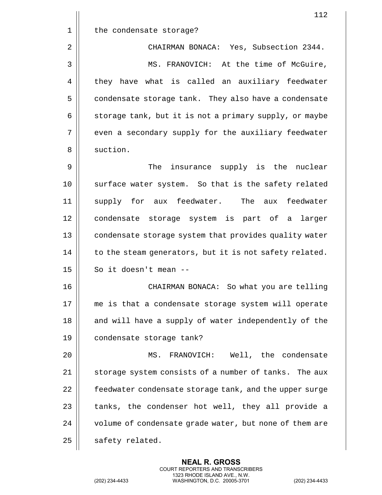|    | 112                                                    |
|----|--------------------------------------------------------|
| 1  | the condensate storage?                                |
| 2  | CHAIRMAN BONACA: Yes, Subsection 2344.                 |
| 3  | MS. FRANOVICH: At the time of McGuire,                 |
| 4  | they have what is called an auxiliary feedwater        |
| 5  | condensate storage tank. They also have a condensate   |
| 6  | storage tank, but it is not a primary supply, or maybe |
| 7  | even a secondary supply for the auxiliary feedwater    |
| 8  | suction.                                               |
| 9  | insurance supply is the nuclear<br>The                 |
| 10 | surface water system. So that is the safety related    |
| 11 | supply for aux feedwater.<br>The aux feedwater         |
| 12 | condensate storage system is part of a larger          |
| 13 | condensate storage system that provides quality water  |
| 14 | to the steam generators, but it is not safety related. |
| 15 | So it doesn't mean --                                  |
| 16 | CHAIRMAN BONACA: So what you are telling               |
| 17 | me is that a condensate storage system will operate    |
| 18 | and will have a supply of water independently of the   |
| 19 | condensate storage tank?                               |
| 20 | MS. FRANOVICH: Well, the condensate                    |
| 21 | storage system consists of a number of tanks. The aux  |
| 22 | feedwater condensate storage tank, and the upper surge |
| 23 | tanks, the condenser hot well, they all provide a      |
| 24 | volume of condensate grade water, but none of them are |
| 25 | safety related.                                        |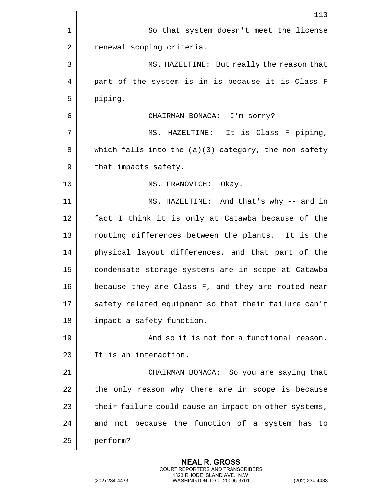|    | 113                                                    |
|----|--------------------------------------------------------|
| 1  | So that system doesn't meet the license                |
| 2  | renewal scoping criteria.                              |
| 3  | MS. HAZELTINE: But really the reason that              |
| 4  | part of the system is in is because it is Class F      |
| 5  | piping.                                                |
| 6  | CHAIRMAN BONACA: I'm sorry?                            |
| 7  | MS. HAZELTINE: It is Class F piping,                   |
| 8  | which falls into the $(a)(3)$ category, the non-safety |
| 9  | that impacts safety.                                   |
| 10 | MS. FRANOVICH: Okay.                                   |
| 11 | MS. HAZELTINE: And that's why -- and in                |
| 12 | fact I think it is only at Catawba because of the      |
| 13 | routing differences between the plants. It is the      |
| 14 | physical layout differences, and that part of the      |
| 15 | condensate storage systems are in scope at Catawba     |
| 16 | because they are Class F, and they are routed near     |
| 17 | safety related equipment so that their failure can't   |
| 18 | impact a safety function.                              |
| 19 | And so it is not for a functional reason.              |
| 20 | It is an interaction.                                  |
| 21 | CHAIRMAN BONACA: So you are saying that                |
| 22 | the only reason why there are in scope is because      |
| 23 | their failure could cause an impact on other systems,  |
| 24 | and not because the function of a system has to        |
| 25 | perform?                                               |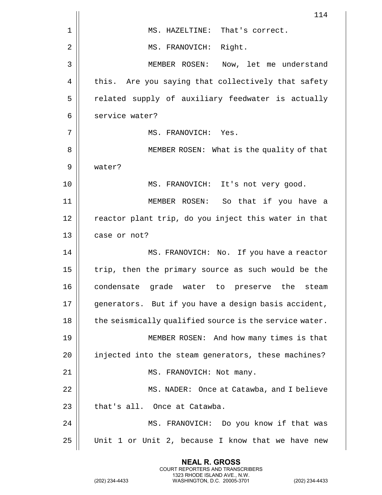|    | 114                                                    |
|----|--------------------------------------------------------|
| 1  | MS. HAZELTINE: That's correct.                         |
| 2  | MS. FRANOVICH: Right.                                  |
| 3  | Now, let me understand<br>MEMBER ROSEN:                |
| 4  | this. Are you saying that collectively that safety     |
| 5  | related supply of auxiliary feedwater is actually      |
| 6  | service water?                                         |
| 7  | MS. FRANOVICH: Yes.                                    |
| 8  | MEMBER ROSEN: What is the quality of that              |
| 9  | water?                                                 |
| 10 | MS. FRANOVICH: It's not very good.                     |
| 11 | MEMBER ROSEN: So that if you have a                    |
| 12 | reactor plant trip, do you inject this water in that   |
| 13 | case or not?                                           |
| 14 | MS. FRANOVICH: No. If you have a reactor               |
| 15 | trip, then the primary source as such would be the     |
| 16 | condensate grade water to preserve the<br>steam        |
| 17 | generators. But if you have a design basis accident,   |
| 18 | the seismically qualified source is the service water. |
| 19 | MEMBER ROSEN: And how many times is that               |
| 20 | injected into the steam generators, these machines?    |
| 21 | MS. FRANOVICH: Not many.                               |
| 22 | MS. NADER: Once at Catawba, and I believe              |
| 23 | that's all. Once at Catawba.                           |
| 24 | MS. FRANOVICH: Do you know if that was                 |
| 25 | Unit 1 or Unit 2, because I know that we have new      |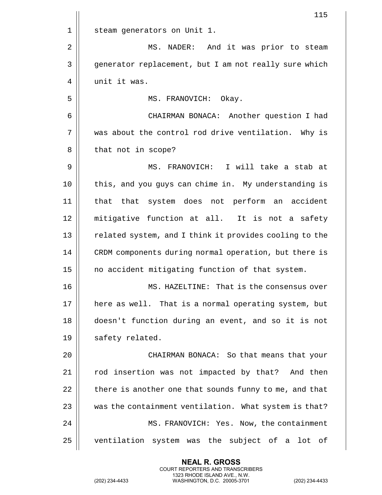|                | 115                                                    |
|----------------|--------------------------------------------------------|
| 1              | steam generators on Unit 1.                            |
| $\overline{2}$ | NADER: And it was prior to steam<br>MS.                |
| 3              | generator replacement, but I am not really sure which  |
| 4              | unit it was.                                           |
| 5              | MS. FRANOVICH: Okay.                                   |
| 6              | CHAIRMAN BONACA: Another question I had                |
| 7              | was about the control rod drive ventilation. Why is    |
| 8              | that not in scope?                                     |
| 9              | MS. FRANOVICH: I will take a stab at                   |
| 10             | this, and you guys can chime in. My understanding is   |
| 11             | that that system does not perform an accident          |
| 12             | mitigative function at all. It is not a safety         |
| 13             | related system, and I think it provides cooling to the |
| 14             | CRDM components during normal operation, but there is  |
| 15             | no accident mitigating function of that system.        |
| 16             | That is the consensus over<br>MS. HAZELTINE:           |
| 17             | here as well. That is a normal operating system, but   |
| 18             | doesn't function during an event, and so it is not     |
| 19             | safety related.                                        |
| 20             | CHAIRMAN BONACA: So that means that your               |
| 21             | rod insertion was not impacted by that? And then       |
| 22             | there is another one that sounds funny to me, and that |
| 23             | was the containment ventilation. What system is that?  |
| 24             | MS. FRANOVICH: Yes. Now, the containment               |
| 25             | ventilation system was the subject of a lot of         |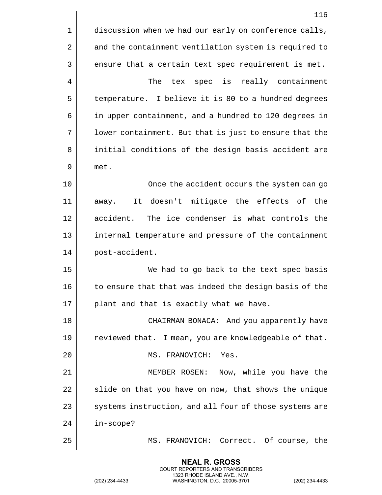|                | 116                                                    |
|----------------|--------------------------------------------------------|
| 1              | discussion when we had our early on conference calls,  |
| $\overline{2}$ | and the containment ventilation system is required to  |
| 3              | ensure that a certain text spec requirement is met.    |
| 4              | The<br>tex spec is<br>really containment               |
| 5              | temperature. I believe it is 80 to a hundred degrees   |
| 6              | in upper containment, and a hundred to 120 degrees in  |
| 7              | lower containment. But that is just to ensure that the |
| 8              | initial conditions of the design basis accident are    |
| 9              | met.                                                   |
| 10             | Once the accident occurs the system can go             |
| 11             | It doesn't mitigate the effects of the<br>away.        |
| 12             | accident. The ice condenser is what controls the       |
| 13             | internal temperature and pressure of the containment   |
| 14             | post-accident.                                         |
| 15             | We had to go back to the text spec basis               |
| 16             | to ensure that that was indeed the design basis of the |
| 17             | plant and that is exactly what we have.                |
| 18             | CHAIRMAN BONACA: And you apparently have               |
| 19             | reviewed that. I mean, you are knowledgeable of that.  |
| 20             | MS. FRANOVICH:<br>Yes.                                 |
| 21             | Now, while you have the<br>MEMBER ROSEN:               |
| 22             | slide on that you have on now, that shows the unique   |
| 23             | systems instruction, and all four of those systems are |
| 24             | in-scope?                                              |
| 25             | MS. FRANOVICH:<br>Correct. Of course, the              |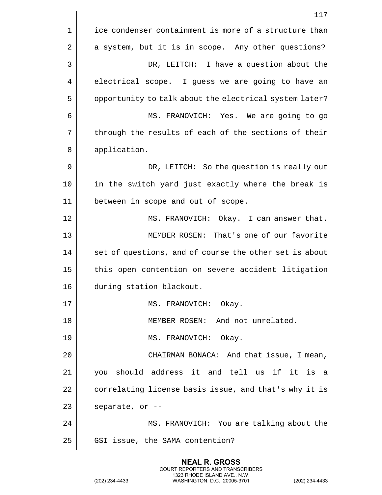117 1 | ice condenser containment is more of a structure than  $2 \parallel$  a system, but it is in scope. Any other questions? 3 DR, LEITCH: I have a question about the 4 electrical scope. I guess we are going to have an 5 | opportunity to talk about the electrical system later? 6 MS. FRANOVICH: Yes. We are going to go 7 || through the results of each of the sections of their 8 || application. 9 DR, LEITCH: So the question is really out 10 in the switch yard just exactly where the break is 11 between in scope and out of scope. 12 MS. FRANOVICH: Okay. I can answer that. 13 MEMBER ROSEN: That's one of our favorite  $14$   $\parallel$  set of questions, and of course the other set is about 15 || this open contention on severe accident litigation 16 during station blackout. 17 || MS. FRANOVICH: Okay. 18 || MEMBER ROSEN: And not unrelated. 19 || MS. FRANOVICH: Okay. 20 || CHAIRMAN BONACA: And that issue, I mean, 21 you should address it and tell us if it is a 22 | correlating license basis issue, and that's why it is  $23$  | separate, or  $-$ 24 MS. FRANOVICH: You are talking about the 25 | GSI issue, the SAMA contention?

> **NEAL R. GROSS** COURT REPORTERS AND TRANSCRIBERS 1323 RHODE ISLAND AVE., N.W.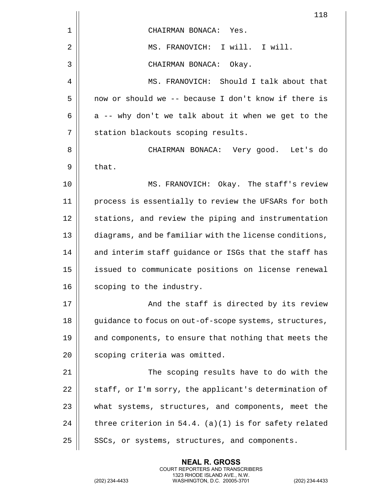|    | 118                                                     |
|----|---------------------------------------------------------|
| 1  | CHAIRMAN BONACA: Yes.                                   |
| 2  | MS. FRANOVICH: I will. I will.                          |
| 3  | CHAIRMAN BONACA: Okay.                                  |
| 4  | MS. FRANOVICH: Should I talk about that                 |
| 5  | now or should we -- because I don't know if there is    |
| 6  | a -- why don't we talk about it when we get to the      |
| 7  | station blackouts scoping results.                      |
| 8  | CHAIRMAN BONACA: Very good. Let's do                    |
| 9  | that.                                                   |
| 10 | MS. FRANOVICH: Okay. The staff's review                 |
| 11 | process is essentially to review the UFSARs for both    |
| 12 | stations, and review the piping and instrumentation     |
| 13 | diagrams, and be familiar with the license conditions,  |
| 14 | and interim staff guidance or ISGs that the staff has   |
| 15 | issued to communicate positions on license renewal      |
| 16 | scoping to the industry.                                |
| 17 | And the staff is directed by its review                 |
| 18 | guidance to focus on out-of-scope systems, structures,  |
| 19 | and components, to ensure that nothing that meets the   |
| 20 | scoping criteria was omitted.                           |
| 21 | The scoping results have to do with the                 |
| 22 | staff, or I'm sorry, the applicant's determination of   |
| 23 | what systems, structures, and components, meet the      |
| 24 | three criterion in $54.4.$ (a)(1) is for safety related |
| 25 | SSCs, or systems, structures, and components.           |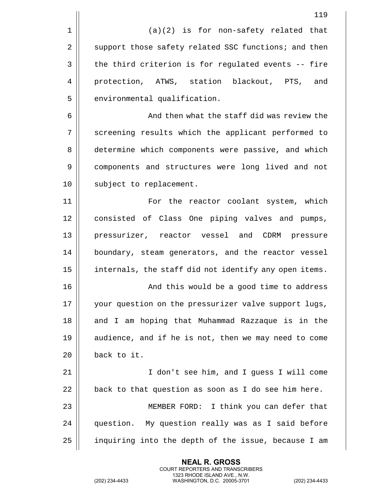|                | 119                                                   |
|----------------|-------------------------------------------------------|
| $\mathbf 1$    | $(a)(2)$ is for non-safety related that               |
| 2              | support those safety related SSC functions; and then  |
| 3              | the third criterion is for regulated events -- fire   |
| $\overline{4}$ | protection, ATWS, station blackout, PTS, and          |
| 5              | environmental qualification.                          |
| 6              | And then what the staff did was review the            |
| 7              | screening results which the applicant performed to    |
| 8              | determine which components were passive, and which    |
| 9              | components and structures were long lived and not     |
| 10             | subject to replacement.                               |
| 11             | For the reactor coolant system, which                 |
| 12             | consisted of Class One piping valves and pumps,       |
| 13             | pressurizer, reactor vessel and CDRM pressure         |
| 14             | boundary, steam generators, and the reactor vessel    |
| 15             | internals, the staff did not identify any open items. |
| 16             | And this would be a good time to address              |
| 17             | your question on the pressurizer valve support lugs,  |
| 18             | and I am hoping that Muhammad Razzaque is in the      |
| 19             | audience, and if he is not, then we may need to come  |
| 20             | back to it.                                           |
| 21             | I don't see him, and I guess I will come              |
| 22             | back to that question as soon as I do see him here.   |
| 23             | MEMBER FORD: I think you can defer that               |
| 24             | question. My question really was as I said before     |
| 25             | inquiring into the depth of the issue, because I am   |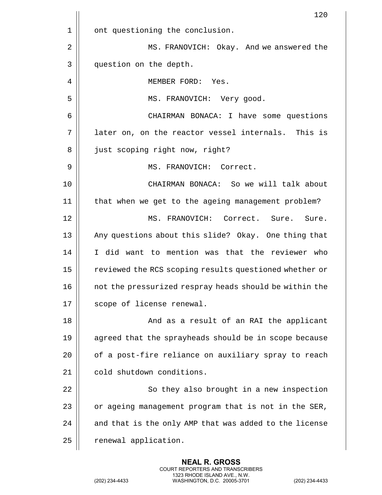|    | 120                                                    |
|----|--------------------------------------------------------|
| 1  | ont questioning the conclusion.                        |
| 2  | MS. FRANOVICH: Okay. And we answered the               |
| 3  | question on the depth.                                 |
| 4  | MEMBER FORD:<br>Yes.                                   |
| 5  | MS. FRANOVICH: Very good.                              |
| 6  | CHAIRMAN BONACA: I have some questions                 |
| 7  | later on, on the reactor vessel internals. This is     |
| 8  | just scoping right now, right?                         |
| 9  | MS. FRANOVICH: Correct.                                |
| 10 | CHAIRMAN BONACA: So we will talk about                 |
| 11 | that when we get to the ageing management problem?     |
| 12 | MS. FRANOVICH: Correct. Sure.<br>Sure.                 |
| 13 | Any questions about this slide? Okay. One thing that   |
| 14 | I did want to mention was that the reviewer who        |
| 15 | reviewed the RCS scoping results questioned whether or |
| 16 | not the pressurized respray heads should be within the |
| 17 | scope of license renewal.                              |
| 18 | And as a result of an RAI the applicant                |
| 19 | agreed that the sprayheads should be in scope because  |
| 20 | of a post-fire reliance on auxiliary spray to reach    |
| 21 | cold shutdown conditions.                              |
| 22 | So they also brought in a new inspection               |
| 23 | or ageing management program that is not in the SER,   |
| 24 | and that is the only AMP that was added to the license |
| 25 | renewal application.                                   |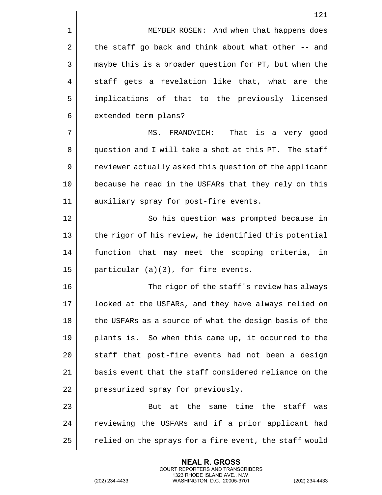1 | MEMBER ROSEN: And when that happens does  $2 \parallel$  the staff go back and think about what other -- and 3 || maybe this is a broader question for PT, but when the  $4 \parallel$  staff gets a revelation like that, what are the 5 || implications of that to the previously licensed  $6 \parallel$  extended term plans?

7 || MS. FRANOVICH: That is a very good 8 question and I will take a shot at this PT. The staff 9 | reviewer actually asked this question of the applicant 10 || because he read in the USFARs that they rely on this 11 || auxiliary spray for post-fire events.

12 || So his question was prompted because in 13 || the rigor of his review, he identified this potential 14 function that may meet the scoping criteria, in 15 | particular  $(a)(3)$ , for fire events.

16 || The rigor of the staff's review has always 17 || looked at the USFARs, and they have always relied on 18 || the USFARs as a source of what the design basis of the 19 || plants is. So when this came up, it occurred to the  $20$  || staff that post-fire events had not been a design 21  $\parallel$  basis event that the staff considered reliance on the 22 || pressurized spray for previously.

 $23$   $\parallel$  23  $\parallel$  23  $\parallel$  23  $\parallel$  24  $\parallel$  25  $\parallel$  25  $\parallel$  25  $\parallel$  25  $\parallel$  25  $\parallel$  25  $\parallel$  25  $\parallel$  25  $\parallel$  25  $\parallel$  25  $\parallel$  25  $\parallel$  25  $\parallel$  25  $\parallel$  25  $\parallel$  25  $\parallel$  25  $\parallel$  25  $\parallel$  25  $\parallel$  25  $\parallel$  25  $\parallel$  25  $\parallel$  25  $\parallel$  25 24 | reviewing the USFARs and if a prior applicant had 25  $\parallel$  relied on the sprays for a fire event, the staff would

> **NEAL R. GROSS** COURT REPORTERS AND TRANSCRIBERS 1323 RHODE ISLAND AVE., N.W.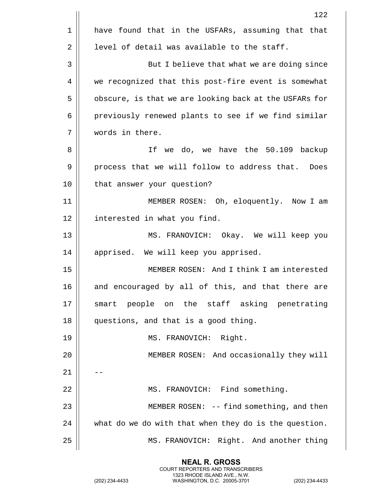|    | 122                                                    |
|----|--------------------------------------------------------|
| 1  | have found that in the USFARs, assuming that that      |
| 2  | level of detail was available to the staff.            |
| 3  | But I believe that what we are doing since             |
| 4  | we recognized that this post-fire event is somewhat    |
| 5  | obscure, is that we are looking back at the USFARs for |
| 6  | previously renewed plants to see if we find similar    |
| 7  | words in there.                                        |
| 8  | If we do, we have the 50.109 backup                    |
| 9  | process that we will follow to address that. Does      |
| 10 | that answer your question?                             |
| 11 | MEMBER ROSEN: Oh, eloquently. Now I am                 |
| 12 | interested in what you find.                           |
| 13 | MS. FRANOVICH: Okay. We will keep you                  |
| 14 | apprised. We will keep you apprised.                   |
| 15 | MEMBER ROSEN: And I think I am interested              |
| 16 | and encouraged by all of this, and that there are      |
| 17 | smart people on the staff asking penetrating           |
| 18 | questions, and that is a good thing.                   |
| 19 | MS. FRANOVICH: Right.                                  |
| 20 | MEMBER ROSEN: And occasionally they will               |
| 21 |                                                        |
| 22 | MS. FRANOVICH: Find something.                         |
| 23 | MEMBER ROSEN: -- find something, and then              |
| 24 | what do we do with that when they do is the question.  |
| 25 | MS. FRANOVICH: Right. And another thing                |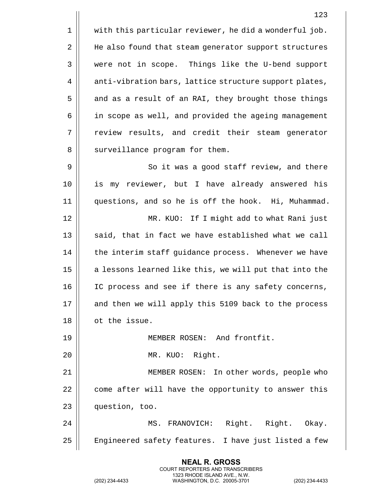1 | with this particular reviewer, he did a wonderful job. 2 | He also found that steam generator support structures 3 | were not in scope. Things like the U-bend support 4 | anti-vibration bars, lattice structure support plates, 5 | and as a result of an RAI, they brought those things 6 | in scope as well, and provided the ageing management 7 The review results, and credit their steam generator 8 || surveillance program for them. 9 || So it was a good staff review, and there 10 is my reviewer, but I have already answered his 11 questions, and so he is off the hook. Hi, Muhammad. 12 MR. KUO: If I might add to what Rani just  $13$   $\parallel$  said, that in fact we have established what we call 14 | the interim staff guidance process. Whenever we have 15 || a lessons learned like this, we will put that into the 16 IC process and see if there is any safety concerns, 17 || and then we will apply this 5109 back to the process 18 ot the issue. 19 MEMBER ROSEN: And frontfit. 20 MR. KUO: Right. 21 MEMBER ROSEN: In other words, people who 22 | come after will have the opportunity to answer this 23 question, too. 24 MS. FRANOVICH: Right. Right. Okay. 25 | Engineered safety features. I have just listed a few

> **NEAL R. GROSS** COURT REPORTERS AND TRANSCRIBERS 1323 RHODE ISLAND AVE., N.W.

(202) 234-4433 WASHINGTON, D.C. 20005-3701 (202) 234-4433

123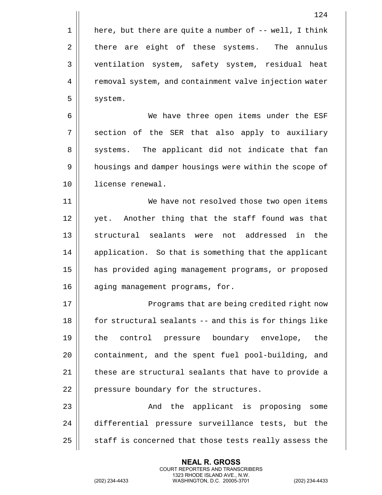1 | here, but there are quite a number of  $-$ - well, I think 2 there are eight of these systems. The annulus 3 ventilation system, safety system, residual heat 4 | removal system, and containment valve injection water 5 | system.

6 We have three open items under the ESF  $7 \parallel$  section of the SER that also apply to auxiliary 8 || systems. The applicant did not indicate that fan 9 | housings and damper housings were within the scope of 10 license renewal.

11 || We have not resolved those two open items 12 || yet. Another thing that the staff found was that 13 || structural sealants were not addressed in the 14 | application. So that is something that the applicant 15 has provided aging management programs, or proposed 16 || aging management programs, for.

17 || Programs that are being credited right now 18 for structural sealants -- and this is for things like 19 the control pressure boundary envelope, the 20 | containment, and the spent fuel pool-building, and 21  $\parallel$  these are structural sealants that have to provide a 22 | pressure boundary for the structures.

23 And the applicant is proposing some 24 differential pressure surveillance tests, but the  $25$   $\parallel$  staff is concerned that those tests really assess the

> **NEAL R. GROSS** COURT REPORTERS AND TRANSCRIBERS 1323 RHODE ISLAND AVE., N.W.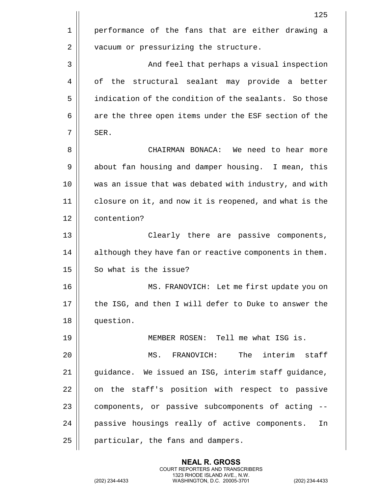|    | 125                                                    |
|----|--------------------------------------------------------|
| 1  | performance of the fans that are either drawing a      |
| 2  | vacuum or pressurizing the structure.                  |
| 3  | And feel that perhaps a visual inspection              |
| 4  | of<br>the structural sealant may provide a better      |
| 5  | indication of the condition of the sealants. So those  |
| 6  | are the three open items under the ESF section of the  |
| 7  | SER.                                                   |
| 8  | CHAIRMAN BONACA: We need to hear more                  |
| 9  | about fan housing and damper housing. I mean, this     |
| 10 | was an issue that was debated with industry, and with  |
| 11 | closure on it, and now it is reopened, and what is the |
| 12 | contention?                                            |
| 13 | Clearly there are passive components,                  |
| 14 | although they have fan or reactive components in them. |
| 15 | So what is the issue?                                  |
| 16 | MS. FRANOVICH: Let me first update you on              |
| 17 | the ISG, and then I will defer to Duke to answer the   |
| 18 | question.                                              |
| 19 | MEMBER ROSEN: Tell me what ISG is.                     |
| 20 | The interim<br>staff<br>FRANOVICH:<br>MS.              |
| 21 | guidance. We issued an ISG, interim staff guidance,    |
| 22 | on the staff's position with respect to passive        |
| 23 | components, or passive subcomponents of acting         |
| 24 | passive housings really of active components.<br>In    |
| 25 | particular, the fans and dampers.                      |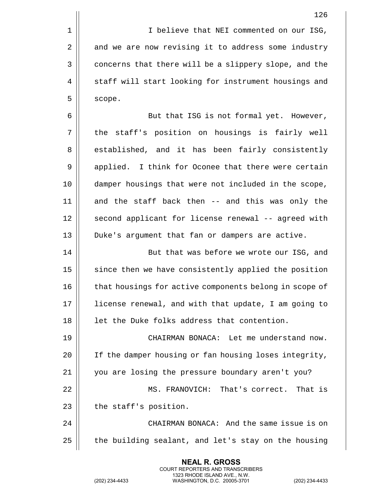1 | I believe that NEI commented on our ISG, 2 | and we are now revising it to address some industry 3 | concerns that there will be a slippery slope, and the 4 || staff will start looking for instrument housings and  $5 \parallel$  scope.

6 | But that ISG is not formal yet. However, 7 || the staff's position on housings is fairly well 8 || established, and it has been fairly consistently 9 || applied. I think for Oconee that there were certain 10 damper housings that were not included in the scope, 11 and the staff back then -- and this was only the 12 || second applicant for license renewal -- agreed with 13 || Duke's argument that fan or dampers are active.

14 || But that was before we wrote our ISG, and 15 | since then we have consistently applied the position 16 || that housings for active components belong in scope of 17 || license renewal, and with that update, I am going to  $18$  || let the Duke folks address that contention.

 CHAIRMAN BONACA: Let me understand now. 20 | If the damper housing or fan housing loses integrity, you are losing the pressure boundary aren't you? MS. FRANOVICH: That's correct. That is | the staff's position. CHAIRMAN BONACA: And the same issue is on | the building sealant, and let's stay on the housing

> **NEAL R. GROSS** COURT REPORTERS AND TRANSCRIBERS 1323 RHODE ISLAND AVE., N.W.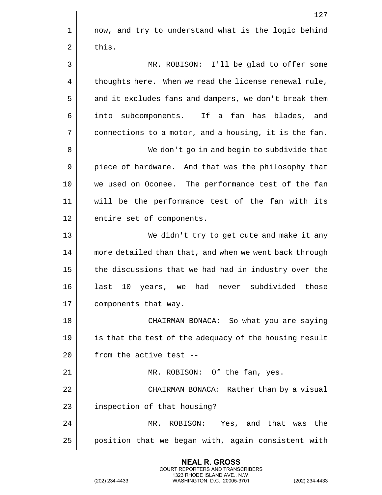|    | 127                                                    |
|----|--------------------------------------------------------|
| 1  | now, and try to understand what is the logic behind    |
| 2  | this.                                                  |
| 3  | MR. ROBISON: I'll be glad to offer some                |
| 4  | thoughts here. When we read the license renewal rule,  |
| 5  | and it excludes fans and dampers, we don't break them  |
| 6  | subcomponents. If a fan has blades, and<br>into        |
| 7  | connections to a motor, and a housing, it is the fan.  |
| 8  | We don't go in and begin to subdivide that             |
| 9  | piece of hardware. And that was the philosophy that    |
| 10 | we used on Oconee. The performance test of the fan     |
| 11 | will be the performance test of the fan with its       |
| 12 | entire set of components.                              |
| 13 | We didn't try to get cute and make it any              |
| 14 | more detailed than that, and when we went back through |
| 15 | the discussions that we had had in industry over the   |
| 16 | had never<br>subdivided those<br>last 10 years, we     |
| 17 | components that way.                                   |
| 18 | CHAIRMAN BONACA: So what you are saying                |
| 19 | is that the test of the adequacy of the housing result |
| 20 | from the active test --                                |
| 21 | MR. ROBISON: Of the fan, yes.                          |
| 22 | CHAIRMAN BONACA: Rather than by a visual               |
| 23 | inspection of that housing?                            |
| 24 | ROBISON: Yes, and that was the<br>MR.                  |
| 25 | position that we began with, again consistent with     |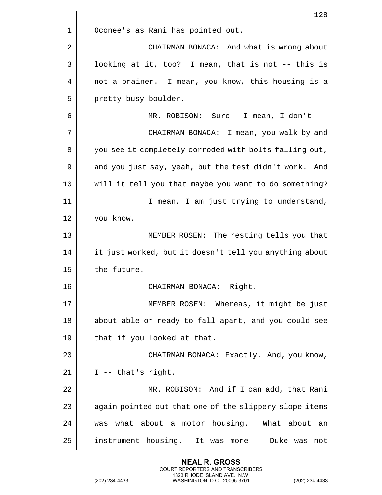|    | 128                                                    |
|----|--------------------------------------------------------|
| 1  | Oconee's as Rani has pointed out.                      |
| 2  | CHAIRMAN BONACA: And what is wrong about               |
| 3  | looking at it, too? I mean, that is not -- this is     |
| 4  | not a brainer. I mean, you know, this housing is a     |
| 5  | pretty busy boulder.                                   |
| 6  | MR. ROBISON: Sure. I mean, I don't --                  |
| 7  | CHAIRMAN BONACA: I mean, you walk by and               |
| 8  | you see it completely corroded with bolts falling out, |
| 9  | and you just say, yeah, but the test didn't work. And  |
| 10 | will it tell you that maybe you want to do something?  |
| 11 | I mean, I am just trying to understand,                |
| 12 | you know.                                              |
| 13 | MEMBER ROSEN: The resting tells you that               |
| 14 | it just worked, but it doesn't tell you anything about |
| 15 | the future.                                            |
| 16 | Right<br>CHAIRMAN BONACA:                              |
| 17 | MEMBER ROSEN: Whereas, it might be just                |
| 18 | about able or ready to fall apart, and you could see   |
| 19 | that if you looked at that.                            |
| 20 | CHAIRMAN BONACA: Exactly. And, you know,               |
| 21 | $I$ -- that's right.                                   |
| 22 | MR. ROBISON: And if I can add, that Rani               |
| 23 | again pointed out that one of the slippery slope items |
| 24 | was what about a motor housing. What about<br>an       |
| 25 | instrument housing. It was more -- Duke was<br>not     |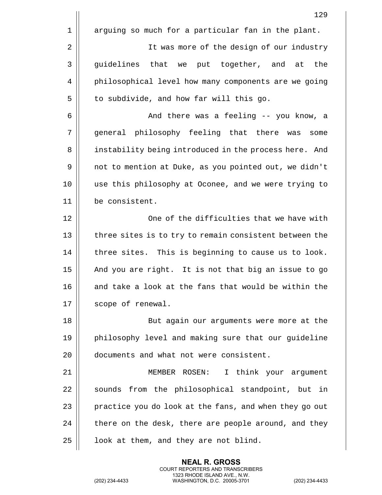|    | 129                                                    |
|----|--------------------------------------------------------|
| 1  | arguing so much for a particular fan in the plant.     |
| 2  | It was more of the design of our industry              |
| 3  | guidelines that we put together, and at<br>the         |
| 4  | philosophical level how many components are we going   |
| 5  | to subdivide, and how far will this go.                |
| 6  | And there was a feeling -- you know, a                 |
| 7  | general philosophy feeling that there<br>was<br>some   |
| 8  | instability being introduced in the process here. And  |
| 9  | not to mention at Duke, as you pointed out, we didn't  |
| 10 | use this philosophy at Oconee, and we were trying to   |
| 11 | be consistent.                                         |
| 12 | One of the difficulties that we have with              |
| 13 | three sites is to try to remain consistent between the |
| 14 | three sites. This is beginning to cause us to look.    |
| 15 | And you are right. It is not that big an issue to go   |
| 16 | and take a look at the fans that would be within the   |
| 17 | scope of renewal.                                      |
| 18 | But again our arguments were more at the               |
| 19 | philosophy level and making sure that our guideline    |
| 20 | documents and what not were consistent.                |
| 21 | MEMBER ROSEN:<br>I think your argument                 |
| 22 | sounds from the philosophical standpoint, but in       |
| 23 | practice you do look at the fans, and when they go out |
| 24 | there on the desk, there are people around, and they   |
| 25 | look at them, and they are not blind.                  |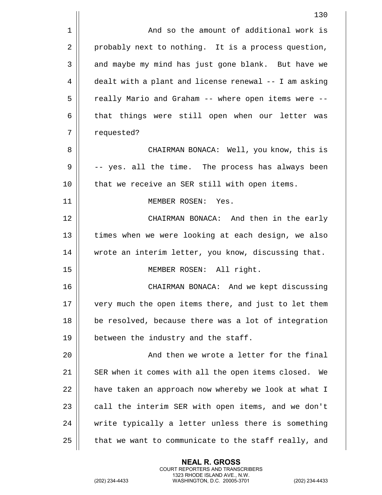|                | 130                                                   |
|----------------|-------------------------------------------------------|
| $\mathbf 1$    | And so the amount of additional work is               |
| $\overline{2}$ | probably next to nothing. It is a process question,   |
| 3              | and maybe my mind has just gone blank. But have we    |
| 4              | dealt with a plant and license renewal -- I am asking |
| 5              | really Mario and Graham -- where open items were --   |
| 6              | that things were still open when our letter was       |
| 7              | requested?                                            |
| 8              | CHAIRMAN BONACA: Well, you know, this is              |
| 9              | -- yes. all the time. The process has always been     |
| 10             | that we receive an SER still with open items.         |
| 11             | MEMBER ROSEN: Yes.                                    |
| 12             | CHAIRMAN BONACA: And then in the early                |
| 13             | times when we were looking at each design, we also    |
| 14             | wrote an interim letter, you know, discussing that.   |
| 15             | MEMBER ROSEN: All right.                              |
| 16             | CHAIRMAN BONACA: And we kept discussing               |
| 17             | very much the open items there, and just to let them  |
| 18             | be resolved, because there was a lot of integration   |
| 19             | between the industry and the staff.                   |
| 20             | And then we wrote a letter for the final              |
| 21             | SER when it comes with all the open items closed. We  |
| 22             | have taken an approach now whereby we look at what I  |
| 23             | call the interim SER with open items, and we don't    |
| 24             | write typically a letter unless there is something    |
| 25             | that we want to communicate to the staff really, and  |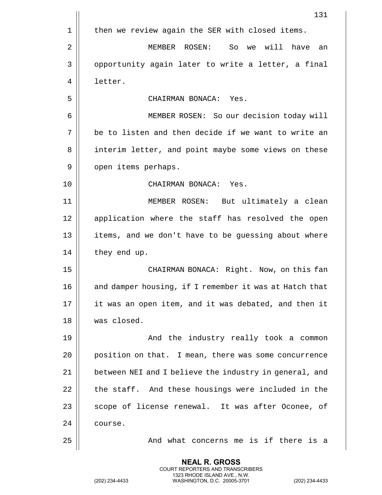|                | 131                                                    |
|----------------|--------------------------------------------------------|
| 1              | then we review again the SER with closed items.        |
| $\overline{2}$ | we will<br>MEMBER ROSEN:<br>So<br>have<br>an           |
| 3              | opportunity again later to write a letter, a final     |
| 4              | letter.                                                |
| 5              | CHAIRMAN BONACA: Yes.                                  |
| 6              | MEMBER ROSEN: So our decision today will               |
| 7              | be to listen and then decide if we want to write an    |
| 8              | interim letter, and point maybe some views on these    |
| 9              | open items perhaps.                                    |
| 10             | CHAIRMAN BONACA: Yes.                                  |
| 11             | MEMBER ROSEN:<br>But ultimately a clean                |
| 12             | application where the staff has resolved the open      |
| 13             | items, and we don't have to be guessing about where    |
| 14             | they end up.                                           |
| 15             | CHAIRMAN BONACA: Right. Now, on this fan               |
| 16             | and damper housing, if I remember it was at Hatch that |
| 17             | it was an open item, and it was debated, and then it   |
| 18             | was closed.                                            |
| 19             | And the industry really took a common                  |
| 20             | position on that. I mean, there was some concurrence   |
| 21             | between NEI and I believe the industry in general, and |
| 22             | the staff. And these housings were included in the     |
| 23             | scope of license renewal. It was after Oconee, of      |
| 24             | course.                                                |
| 25             | And what concerns me is if there is a                  |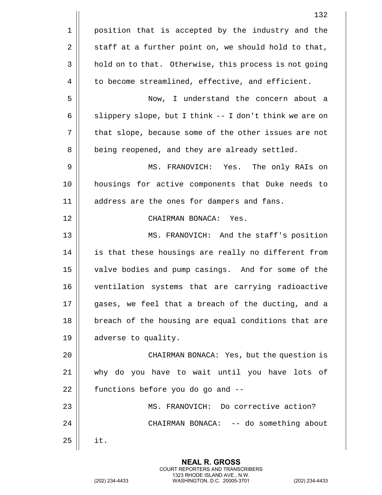|    | 132                                                    |
|----|--------------------------------------------------------|
| 1  | position that is accepted by the industry and the      |
| 2  | staff at a further point on, we should hold to that,   |
| 3  | hold on to that. Otherwise, this process is not going  |
| 4  | to become streamlined, effective, and efficient.       |
| 5  | Now, I understand the concern about a                  |
| 6  | slippery slope, but I think -- I don't think we are on |
| 7  | that slope, because some of the other issues are not   |
| 8  | being reopened, and they are already settled.          |
| 9  | MS. FRANOVICH: Yes. The only RAIs on                   |
| 10 | housings for active components that Duke needs to      |
| 11 | address are the ones for dampers and fans.             |
| 12 | CHAIRMAN BONACA: Yes.                                  |
| 13 | MS. FRANOVICH: And the staff's position                |
| 14 | is that these housings are really no different from    |
| 15 | valve bodies and pump casings. And for some of the     |
| 16 | ventilation systems that are carrying radioactive      |
| 17 | gases, we feel that a breach of the ducting, and a     |
| 18 | breach of the housing are equal conditions that are    |
| 19 | adverse to quality.                                    |
| 20 | CHAIRMAN BONACA: Yes, but the question is              |
| 21 | why do you have to wait until you have lots of         |
| 22 | functions before you do go and --                      |
| 23 | MS. FRANOVICH: Do corrective action?                   |
| 24 | CHAIRMAN BONACA: -- do something about                 |
| 25 | it.                                                    |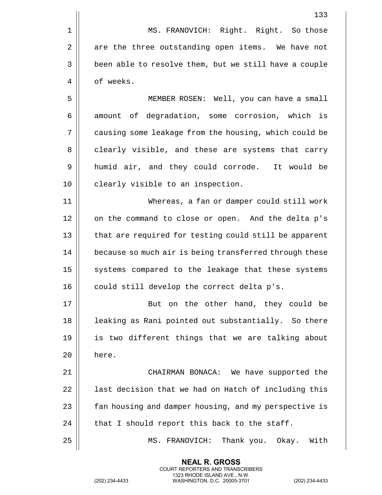1 || MS. FRANOVICH: Right. Right. So those  $2 \parallel$  are the three outstanding open items. We have not 3 | been able to resolve them, but we still have a couple 4 | of weeks.

5 MEMBER ROSEN: Well, you can have a small 6 amount of degradation, some corrosion, which is 7 || causing some leakage from the housing, which could be 8 clearly visible, and these are systems that carry 9 humid air, and they could corrode. It would be 10 || clearly visible to an inspection.

11 Whereas, a fan or damper could still work 12 || on the command to close or open. And the delta p's 13 || that are required for testing could still be apparent 14 | because so much air is being transferred through these 15 || systems compared to the leakage that these systems  $16 \parallel$  could still develop the correct delta p's.

17 || But on the other hand, they could be 18 || leaking as Rani pointed out substantially. So there 19 || is two different things that we are talking about 20 here.

 CHAIRMAN BONACA: We have supported the | last decision that we had on Hatch of including this 23 | fan housing and damper housing, and my perspective is  $\parallel$  that I should report this back to the staff.

25 MS. FRANOVICH: Thank you. Okay. With

**NEAL R. GROSS** COURT REPORTERS AND TRANSCRIBERS 1323 RHODE ISLAND AVE., N.W.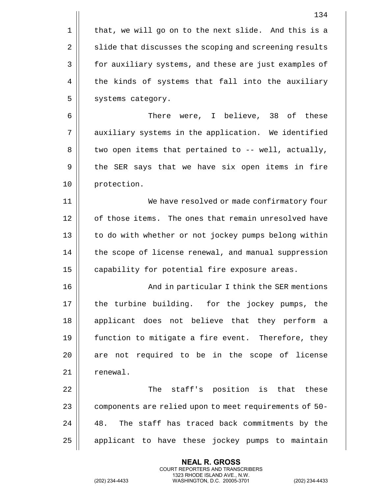|    | 134                                                    |
|----|--------------------------------------------------------|
| 1  | that, we will go on to the next slide. And this is a   |
| 2  | slide that discusses the scoping and screening results |
| 3  | for auxiliary systems, and these are just examples of  |
| 4  | the kinds of systems that fall into the auxiliary      |
| 5  | systems category.                                      |
| 6  | There were, I believe, 38 of these                     |
| 7  | auxiliary systems in the application. We identified    |
| 8  | two open items that pertained to -- well, actually,    |
| 9  | the SER says that we have six open items in fire       |
| 10 | protection.                                            |
| 11 | We have resolved or made confirmatory four             |
| 12 | of those items. The ones that remain unresolved have   |
| 13 | to do with whether or not jockey pumps belong within   |
| 14 | the scope of license renewal, and manual suppression   |
| 15 | capability for potential fire exposure areas.          |
| 16 | And in particular I think the SER mentions             |
| 17 | the turbine building. for the jockey pumps, the        |
| 18 | applicant does not believe that they perform a         |
| 19 | function to mitigate a fire event. Therefore, they     |
| 20 | are not required to be in the scope of license         |
| 21 | renewal.                                               |
| 22 | The staff's position is that these                     |
| 23 | components are relied upon to meet requirements of 50- |
| 24 | The staff has traced back commitments by the<br>48.    |
| 25 | applicant to have these jockey pumps to maintain       |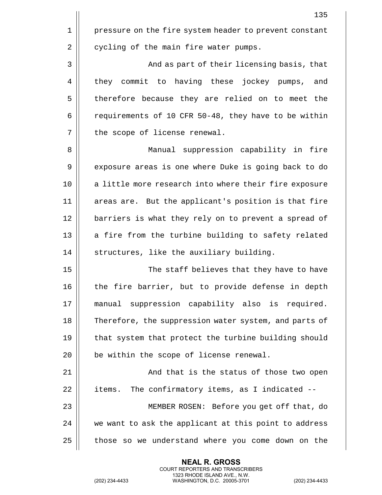135 1 | pressure on the fire system header to prevent constant  $2 \parallel$  cycling of the main fire water pumps. 3 And as part of their licensing basis, that 4 || they commit to having these jockey pumps, and 5 | therefore because they are relied on to meet the 6  $\vert$  requirements of 10 CFR 50-48, they have to be within 7 || the scope of license renewal. 8 || Manual suppression capability in fire 9 | exposure areas is one where Duke is going back to do 10 || a little more research into where their fire exposure 11 || areas are. But the applicant's position is that fire 12 || barriers is what they rely on to prevent a spread of  $13$  || a fire from the turbine building to safety related 14 | structures, like the auxiliary building. 15 || The staff believes that they have to have 16 || the fire barrier, but to provide defense in depth 17 manual suppression capability also is required. 18 Therefore, the suppression water system, and parts of 19  $\parallel$  that system that protect the turbine building should  $20$  | be within the scope of license renewal. 21 || And that is the status of those two open  $22$  | items. The confirmatory items, as I indicated  $-$ 23 MEMBER ROSEN: Before you get off that, do 24 || we want to ask the applicant at this point to address 25 | those so we understand where you come down on the

> **NEAL R. GROSS** COURT REPORTERS AND TRANSCRIBERS 1323 RHODE ISLAND AVE., N.W.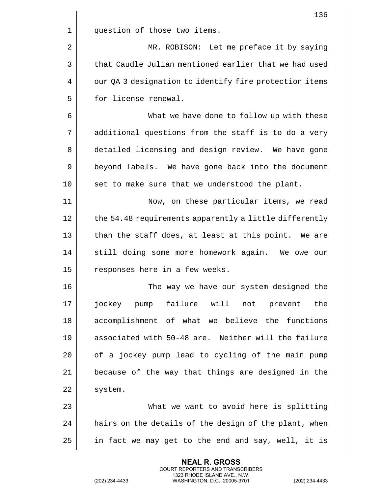|    | 136                                                    |
|----|--------------------------------------------------------|
| 1  | question of those two items.                           |
| 2  | MR. ROBISON: Let me preface it by saying               |
| 3  | that Caudle Julian mentioned earlier that we had used  |
| 4  | our QA 3 designation to identify fire protection items |
| 5  | for license renewal.                                   |
| 6  | What we have done to follow up with these              |
| 7  | additional questions from the staff is to do a very    |
| 8  | detailed licensing and design review. We have gone     |
| 9  | beyond labels. We have gone back into the document     |
| 10 | set to make sure that we understood the plant.         |
| 11 | Now, on these particular items, we read                |
| 12 | the 54.48 requirements apparently a little differently |
| 13 | than the staff does, at least at this point. We are    |
| 14 | still doing some more homework again. We owe our       |
| 15 | responses here in a few weeks.                         |
| 16 | The way we have our system designed the                |
| 17 | jockey pump failure will not prevent<br>the            |
| 18 | accomplishment of what we believe the functions        |
| 19 | associated with 50-48 are. Neither will the failure    |
| 20 | of a jockey pump lead to cycling of the main pump      |
| 21 | because of the way that things are designed in the     |
| 22 | system.                                                |
| 23 | What we want to avoid here is splitting                |
| 24 | hairs on the details of the design of the plant, when  |
| 25 | in fact we may get to the end and say, well, it is     |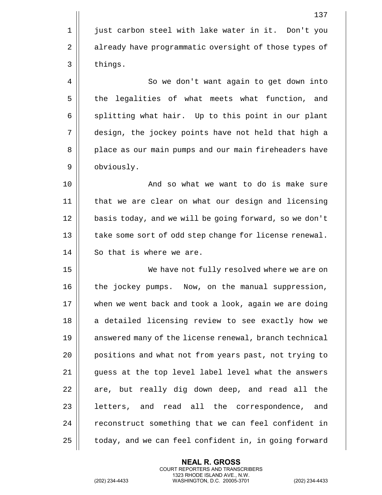1 || just carbon steel with lake water in it. Don't you 2 | already have programmatic oversight of those types of  $3 \parallel$  things. 4 | So we don't want again to get down into 5 || the legalities of what meets what function, and  $6 \parallel$  splitting what hair. Up to this point in our plant 7 design, the jockey points have not held that high a 8 || place as our main pumps and our main fireheaders have 9 | obviously. 10 || The Movington Communist And so what we want to do is make sure 11 that we are clear on what our design and licensing 12 || basis today, and we will be going forward, so we don't 13 || take some sort of odd step change for license renewal. 14 || So that is where we are. 15 We have not fully resolved where we are on 16 || the jockey pumps. Now, on the manual suppression, 17 when we went back and took a look, again we are doing 18 || a detailed licensing review to see exactly how we 19 || answered many of the license renewal, branch technical 20 || positions and what not from years past, not trying to 21 || guess at the top level label level what the answers  $22$  | are, but really dig down deep, and read all the  $23$   $\parallel$  letters, and read all the correspondence, and 24 | reconstruct something that we can feel confident in 25 | today, and we can feel confident in, in going forward

> **NEAL R. GROSS** COURT REPORTERS AND TRANSCRIBERS 1323 RHODE ISLAND AVE., N.W.

(202) 234-4433 WASHINGTON, D.C. 20005-3701 (202) 234-4433

137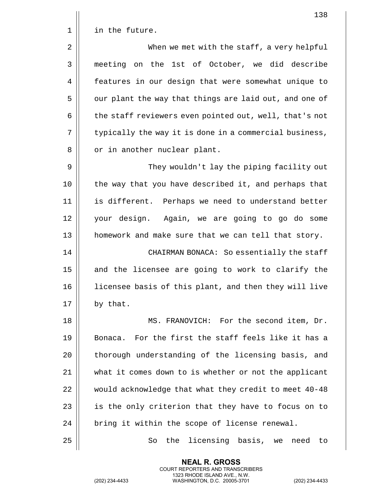|             | 138                                                    |
|-------------|--------------------------------------------------------|
| $\mathbf 1$ | in the future.                                         |
| 2           | When we met with the staff, a very helpful             |
| 3           | meeting on the 1st of October, we did describe         |
| 4           | features in our design that were somewhat unique to    |
| 5           | our plant the way that things are laid out, and one of |
| 6           | the staff reviewers even pointed out, well, that's not |
| 7           | typically the way it is done in a commercial business, |
| 8           | or in another nuclear plant.                           |
| 9           | They wouldn't lay the piping facility out              |
| 10          | the way that you have described it, and perhaps that   |
| 11          | is different. Perhaps we need to understand better     |
| 12          | your design. Again, we are going to go do some         |
| 13          | homework and make sure that we can tell that story.    |
| 14          | CHAIRMAN BONACA: So essentially the staff              |
| 15          | and the licensee are going to work to clarify the      |
| 16          | licensee basis of this plant, and then they will live  |
| 17          | by that.                                               |
| 18          | MS. FRANOVICH: For the second item, Dr.                |
| 19          | For the first the staff feels like it has a<br>Bonaca. |
| 20          | thorough understanding of the licensing basis, and     |
| 21          | what it comes down to is whether or not the applicant  |
| 22          | would acknowledge that what they credit to meet 40-48  |
| 23          | is the only criterion that they have to focus on to    |
| 24          | bring it within the scope of license renewal.          |
|             |                                                        |

So the licensing basis, we need to

**NEAL R. GROSS** COURT REPORTERS AND TRANSCRIBERS 1323 RHODE ISLAND AVE., N.W.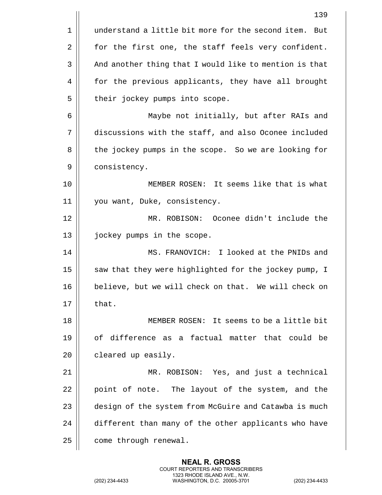|    | 139                                                      |
|----|----------------------------------------------------------|
| 1  | understand a little bit more for the second item.<br>But |
| 2  | for the first one, the staff feels very confident.       |
| 3  | And another thing that I would like to mention is that   |
| 4  | for the previous applicants, they have all brought       |
| 5  | their jockey pumps into scope.                           |
| 6  | Maybe not initially, but after RAIs and                  |
| 7  | discussions with the staff, and also Oconee included     |
| 8  | the jockey pumps in the scope. So we are looking for     |
| 9  | consistency.                                             |
| 10 | MEMBER ROSEN: It seems like that is what                 |
| 11 | you want, Duke, consistency.                             |
| 12 | MR. ROBISON: Oconee didn't include the                   |
| 13 | jockey pumps in the scope.                               |
| 14 | MS. FRANOVICH: I looked at the PNIDs and                 |
| 15 | saw that they were highlighted for the jockey pump, I    |
| 16 | believe, but we will check on that. We will check on     |
| 17 | that.                                                    |
| 18 | MEMBER ROSEN: It seems to be a little bit                |
| 19 | of difference as a factual matter that could be          |
| 20 | cleared up easily.                                       |
| 21 | MR. ROBISON: Yes, and just a technical                   |
| 22 | point of note. The layout of the system, and the         |
| 23 | design of the system from McGuire and Catawba is much    |
| 24 | different than many of the other applicants who have     |
| 25 | come through renewal.                                    |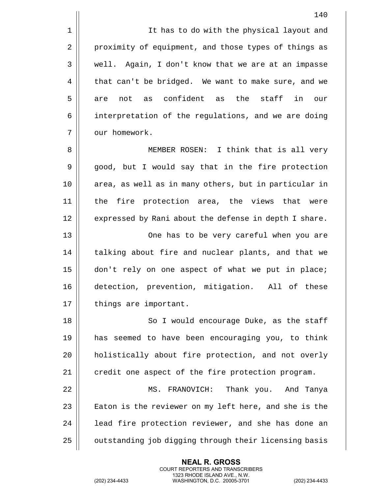1 || It has to do with the physical layout and 2 | proximity of equipment, and those types of things as 3 | well. Again, I don't know that we are at an impasse  $4 \parallel$  that can't be bridged. We want to make sure, and we  $5 \parallel$  are not as confident as the staff in our 6 | interpretation of the regulations, and we are doing 7 | our homework.

8 || MEMBER ROSEN: I think that is all very 9 || good, but I would say that in the fire protection 10 || area, as well as in many others, but in particular in 11 the fire protection area, the views that were 12 | expressed by Rani about the defense in depth I share. 13 One has to be very careful when you are

14 || talking about fire and nuclear plants, and that we 15 don't rely on one aspect of what we put in place; 16 detection, prevention, mitigation. All of these 17 | things are important.

18 || So I would encourage Duke, as the staff 19 has seemed to have been encouraging you, to think 20 || holistically about fire protection, and not overly  $21$   $\parallel$  credit one aspect of the fire protection program.

 MS. FRANOVICH: Thank you. And Tanya  $\parallel$  Eaton is the reviewer on my left here, and she is the || 1ead fire protection reviewer, and she has done an 25 | outstanding job digging through their licensing basis

> **NEAL R. GROSS** COURT REPORTERS AND TRANSCRIBERS 1323 RHODE ISLAND AVE., N.W.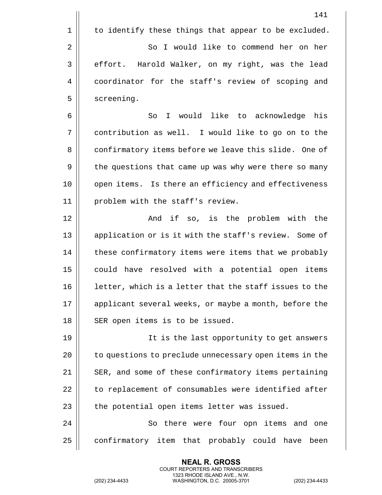|    | 141                                                    |
|----|--------------------------------------------------------|
| 1  | to identify these things that appear to be excluded.   |
| 2  | So I would like to commend her on her                  |
| 3  | effort. Harold Walker, on my right, was the lead       |
| 4  | coordinator for the staff's review of scoping and      |
| 5  | screening.                                             |
| 6  | I would like to acknowledge<br>So<br>his               |
| 7  | contribution as well. I would like to go on to the     |
| 8  | confirmatory items before we leave this slide. One of  |
| 9  | the questions that came up was why were there so many  |
| 10 | open items. Is there an efficiency and effectiveness   |
| 11 | problem with the staff's review.                       |
| 12 | And if so, is the problem with the                     |
| 13 | application or is it with the staff's review. Some of  |
| 14 | these confirmatory items were items that we probably   |
| 15 | could have resolved with a potential open items        |
| 16 | letter, which is a letter that the staff issues to the |
| 17 | applicant several weeks, or maybe a month, before the  |
| 18 | SER open items is to be issued.                        |
| 19 | It is the last opportunity to get answers              |
| 20 | to questions to preclude unnecessary open items in the |
| 21 | SER, and some of these confirmatory items pertaining   |
| 22 | to replacement of consumables were identified after    |
| 23 | the potential open items letter was issued.            |
| 24 | So there were four opn items and one                   |
| 25 | confirmatory item that probably could have<br>been     |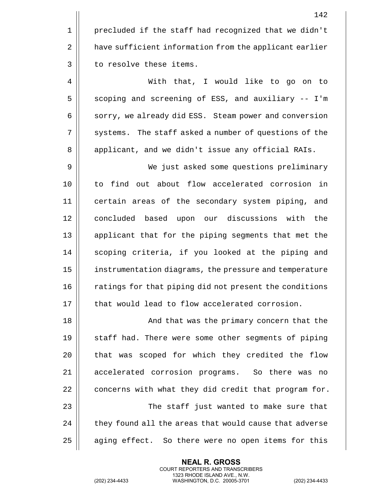|             | 142                                                    |
|-------------|--------------------------------------------------------|
| $\mathbf 1$ | precluded if the staff had recognized that we didn't   |
| $\sqrt{2}$  | have sufficient information from the applicant earlier |
| 3           | to resolve these items.                                |
| 4           | With that, I would like to go on to                    |
| 5           | scoping and screening of ESS, and auxiliary -- I'm     |
| 6           | sorry, we already did ESS. Steam power and conversion  |
| 7           | systems. The staff asked a number of questions of the  |
| 8           | applicant, and we didn't issue any official RAIs.      |
| 9           | We just asked some questions preliminary               |
| 10          | to find out about flow accelerated corrosion in        |
| 11          | certain areas of the secondary system piping, and      |
| 12          | concluded based upon our discussions with<br>the       |
| 13          | applicant that for the piping segments that met the    |
| 14          | scoping criteria, if you looked at the piping and      |
| 15          | instrumentation diagrams, the pressure and temperature |
| 16          | ratings for that piping did not present the conditions |
| 17          | that would lead to flow accelerated corrosion.         |
| 18          | And that was the primary concern that the              |
| 19          | staff had. There were some other segments of piping    |
| 20          | that was scoped for which they credited the flow       |
| 21          | accelerated corrosion programs. So there was no        |
| 22          | concerns with what they did credit that program for.   |
| 23          | The staff just wanted to make sure that                |
| 24          | they found all the areas that would cause that adverse |
| 25          | aging effect. So there were no open items for this     |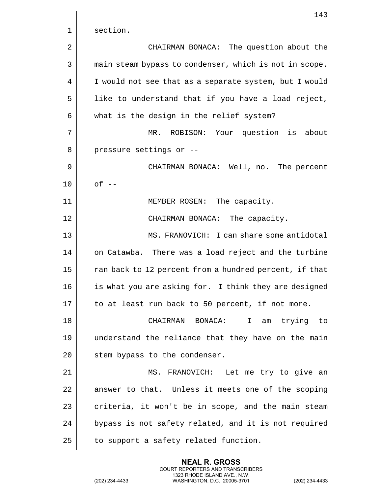|    | 143                                                    |
|----|--------------------------------------------------------|
| 1  | section.                                               |
| 2  | CHAIRMAN BONACA: The question about the                |
| 3  | main steam bypass to condenser, which is not in scope. |
| 4  | I would not see that as a separate system, but I would |
| 5  | like to understand that if you have a load reject,     |
| 6  | what is the design in the relief system?               |
| 7  | ROBISON: Your question is about<br>MR.                 |
| 8  | pressure settings or --                                |
| 9  | CHAIRMAN BONACA: Well, no. The percent                 |
| 10 | $of --$                                                |
| 11 | MEMBER ROSEN: The capacity.                            |
| 12 | CHAIRMAN BONACA: The capacity.                         |
| 13 | MS. FRANOVICH: I can share some antidotal              |
| 14 | on Catawba. There was a load reject and the turbine    |
| 15 | ran back to 12 percent from a hundred percent, if that |
| 16 | is what you are asking for. I think they are designed  |
| 17 | to at least run back to 50 percent, if not more.       |
| 18 | CHAIRMAN BONACA:<br>trying to<br>I.<br>am              |
| 19 | understand the reliance that they have on the main     |
| 20 | stem bypass to the condenser.                          |
| 21 | MS. FRANOVICH: Let me try to give an                   |
| 22 | answer to that. Unless it meets one of the scoping     |
| 23 | criteria, it won't be in scope, and the main steam     |
| 24 | bypass is not safety related, and it is not required   |
| 25 | to support a safety related function.                  |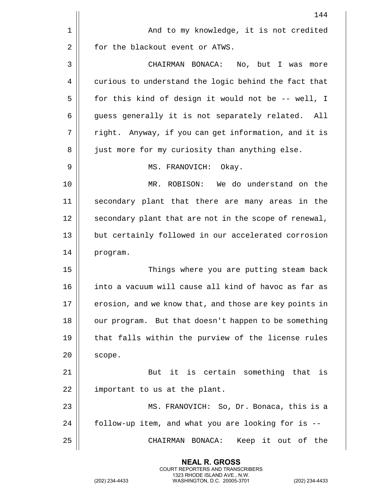|    | 144                                                    |
|----|--------------------------------------------------------|
| 1  | And to my knowledge, it is not credited                |
| 2  | for the blackout event or ATWS.                        |
| 3  | CHAIRMAN BONACA: No, but I was more                    |
| 4  | curious to understand the logic behind the fact that   |
| 5  | for this kind of design it would not be -- well, I     |
| 6  | guess generally it is not separately related. All      |
| 7  | right. Anyway, if you can get information, and it is   |
| 8  | just more for my curiosity than anything else.         |
| 9  | MS. FRANOVICH: Okay.                                   |
| 10 | MR. ROBISON: We do understand on the                   |
| 11 | secondary plant that there are many areas in the       |
| 12 | secondary plant that are not in the scope of renewal,  |
| 13 | but certainly followed in our accelerated corrosion    |
| 14 | program.                                               |
| 15 | Things where you are putting steam back                |
| 16 | into a vacuum will cause all kind of havoc as far as   |
| 17 | erosion, and we know that, and those are key points in |
| 18 | our program. But that doesn't happen to be something   |
| 19 | that falls within the purview of the license rules     |
| 20 | scope.                                                 |
| 21 | But it is certain something that is                    |
| 22 | important to us at the plant.                          |
| 23 | MS. FRANOVICH: So, Dr. Bonaca, this is a               |
| 24 | follow-up item, and what you are looking for is --     |
| 25 | CHAIRMAN BONACA:<br>Keep it out of the                 |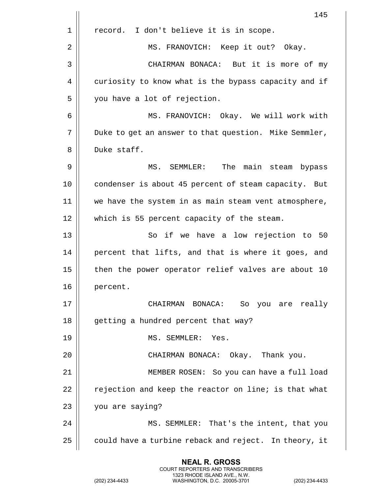|    | 145                                                   |
|----|-------------------------------------------------------|
| 1  | I don't believe it is in scope.<br>record.            |
| 2  | MS. FRANOVICH: Keep it out? Okay.                     |
| 3  | CHAIRMAN BONACA: But it is more of my                 |
| 4  | curiosity to know what is the bypass capacity and if  |
| 5  | you have a lot of rejection.                          |
| 6  | MS. FRANOVICH: Okay. We will work with                |
| 7  | Duke to get an answer to that question. Mike Semmler, |
| 8  | Duke staff.                                           |
| 9  | The main steam bypass<br>MS. SEMMLER:                 |
| 10 | condenser is about 45 percent of steam capacity. But  |
| 11 | we have the system in as main steam vent atmosphere,  |
| 12 | which is 55 percent capacity of the steam.            |
| 13 | So if we have a low rejection to 50                   |
| 14 | percent that lifts, and that is where it goes, and    |
| 15 | then the power operator relief valves are about 10    |
| 16 | percent.                                              |
| 17 | CHAIRMAN BONACA: So you are really                    |
| 18 | getting a hundred percent that way?                   |
| 19 | MS. SEMMLER: Yes.                                     |
| 20 | CHAIRMAN BONACA: Okay. Thank you.                     |
| 21 | MEMBER ROSEN: So you can have a full load             |
| 22 | rejection and keep the reactor on line; is that what  |
| 23 | you are saying?                                       |
| 24 | MS. SEMMLER: That's the intent, that you              |
| 25 | could have a turbine reback and reject. In theory, it |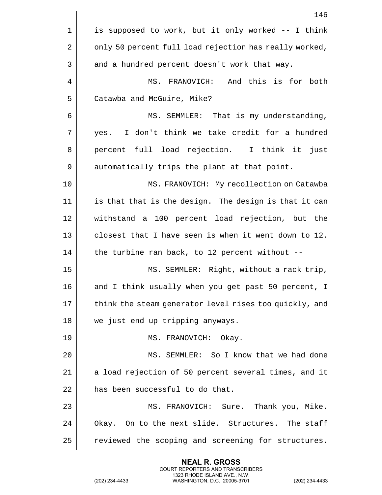|    | 146                                                    |
|----|--------------------------------------------------------|
| 1  | is supposed to work, but it only worked -- I think     |
| 2  | only 50 percent full load rejection has really worked, |
| 3  | and a hundred percent doesn't work that way.           |
| 4  | And this is for both<br>MS. FRANOVICH:                 |
| 5  | Catawba and McGuire, Mike?                             |
| 6  | MS. SEMMLER: That is my understanding,                 |
| 7  | I don't think we take credit for a hundred<br>yes.     |
| 8  | percent full load rejection. I think it<br>just        |
| 9  | automatically trips the plant at that point.           |
| 10 | MS. FRANOVICH: My recollection on Catawba              |
| 11 | is that that is the design. The design is that it can  |
| 12 | withstand a 100 percent load rejection, but the        |
| 13 | closest that I have seen is when it went down to 12.   |
| 14 | the turbine ran back, to 12 percent without --         |
| 15 | MS. SEMMLER: Right, without a rack trip,               |
| 16 | and I think usually when you get past 50 percent, I    |
| 17 | think the steam generator level rises too quickly, and |
| 18 | we just end up tripping anyways.                       |
| 19 | MS. FRANOVICH: Okay.                                   |
| 20 | MS. SEMMLER: So I know that we had done                |
| 21 | a load rejection of 50 percent several times, and it   |
| 22 | has been successful to do that.                        |
| 23 | MS. FRANOVICH: Sure. Thank you, Mike.                  |
| 24 | Okay. On to the next slide. Structures. The staff      |
| 25 | reviewed the scoping and screening for structures.     |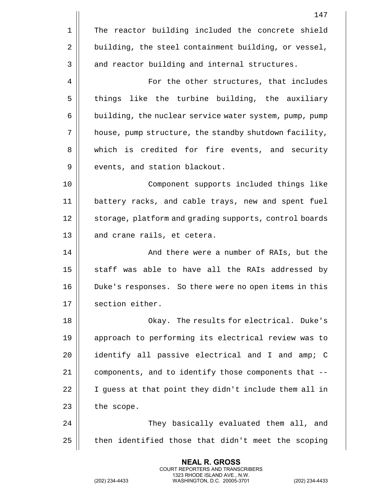|    | 147                                                    |
|----|--------------------------------------------------------|
| 1  | The reactor building included the concrete shield      |
| 2  | building, the steel containment building, or vessel,   |
| 3  | and reactor building and internal structures.          |
| 4  | For the other structures, that includes                |
| 5  | things like the turbine building, the auxiliary        |
| 6  | building, the nuclear service water system, pump, pump |
| 7  | house, pump structure, the standby shutdown facility,  |
| 8  | which is credited for fire events, and security        |
| 9  | events, and station blackout.                          |
| 10 | Component supports included things like                |
| 11 | battery racks, and cable trays, new and spent fuel     |
| 12 | storage, platform and grading supports, control boards |
| 13 | and crane rails, et cetera.                            |
| 14 | And there were a number of RAIs, but the               |
| 15 | staff was able to have all the RAIs addressed by       |
| 16 | Duke's responses. So there were no open items in this  |
| 17 | section either.                                        |
| 18 | Okay. The results for electrical. Duke's               |
| 19 | approach to performing its electrical review was to    |
| 20 | identify all passive electrical and I and amp; C       |
| 21 | components, and to identify those components that --   |
| 22 | I guess at that point they didn't include them all in  |
| 23 | the scope.                                             |
| 24 | They basically evaluated them all, and                 |
| 25 | then identified those that didn't meet the scoping     |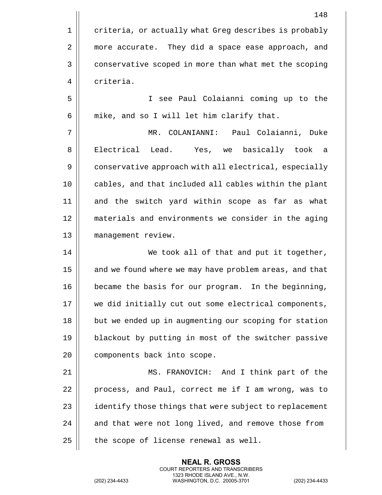1 | criteria, or actually what Greg describes is probably 2 | more accurate. They did a space ease approach, and 3 | conservative scoped in more than what met the scoping 4 criteria.

5 I see Paul Colaianni coming up to the  $6$  | mike, and so I will let him clarify that.

7 MR. COLANIANNI: Paul Colaianni, Duke 8 || Electrical Lead. Yes, we basically took a 9 | conservative approach with all electrical, especially 10 cables, and that included all cables within the plant 11 and the switch yard within scope as far as what 12 materials and environments we consider in the aging 13 management review.

14 || We took all of that and put it together, 15 || and we found where we may have problem areas, and that 16 | became the basis for our program. In the beginning, 17 || we did initially cut out some electrical components, 18 || but we ended up in augmenting our scoping for station 19 blackout by putting in most of the switcher passive 20 | components back into scope.

21 MS. FRANOVICH: And I think part of the 22 | process, and Paul, correct me if I am wrong, was to 23 | identify those things that were subject to replacement  $24$   $\parallel$  and that were not long lived, and remove those from  $25$  | the scope of license renewal as well.

> **NEAL R. GROSS** COURT REPORTERS AND TRANSCRIBERS 1323 RHODE ISLAND AVE., N.W.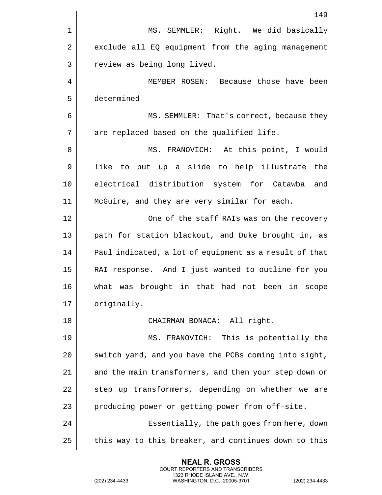|             | 149                                                    |
|-------------|--------------------------------------------------------|
| $\mathbf 1$ | MS. SEMMLER: Right. We did basically                   |
| 2           | exclude all EQ equipment from the aging management     |
| 3           | review as being long lived.                            |
| 4           | MEMBER ROSEN: Because those have been                  |
| 5           | determined --                                          |
| 6           | MS. SEMMLER: That's correct, because they              |
| 7           | are replaced based on the qualified life.              |
| 8           | MS. FRANOVICH: At this point, I would                  |
| 9           | like to put up a slide to help illustrate the          |
| 10          | electrical distribution system for Catawba<br>and      |
| 11          | McGuire, and they are very similar for each.           |
| 12          | One of the staff RAIs was on the recovery              |
| 13          | path for station blackout, and Duke brought in, as     |
| 14          | Paul indicated, a lot of equipment as a result of that |
| 15          | RAI response. And I just wanted to outline for you     |
| 16          | what was brought in that had not been in scope         |
| 17          | originally.                                            |
| 18          | CHAIRMAN BONACA: All right.                            |
| 19          | MS. FRANOVICH: This is potentially the                 |
| 20          | switch yard, and you have the PCBs coming into sight,  |
| 21          | and the main transformers, and then your step down or  |
| 22          | step up transformers, depending on whether we are      |
| 23          | producing power or getting power from off-site.        |
| 24          | Essentially, the path goes from here, down             |
| 25          | this way to this breaker, and continues down to this   |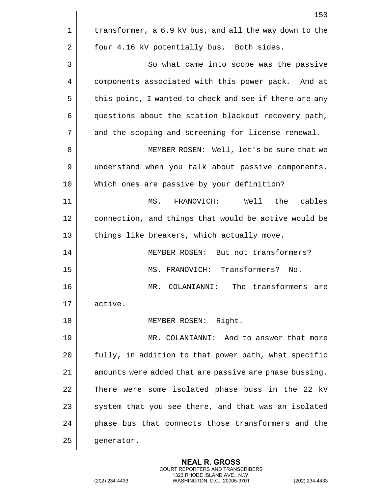|    | 150                                                    |
|----|--------------------------------------------------------|
| 1  | transformer, a 6.9 kV bus, and all the way down to the |
| 2  | four 4.16 kV potentially bus. Both sides.              |
| 3  | So what came into scope was the passive                |
| 4  | components associated with this power pack. And at     |
| 5  | this point, I wanted to check and see if there are any |
| 6  | questions about the station blackout recovery path,    |
| 7  | and the scoping and screening for license renewal.     |
| 8  | MEMBER ROSEN: Well, let's be sure that we              |
| 9  | understand when you talk about passive components.     |
| 10 | Which ones are passive by your definition?             |
| 11 | MS. FRANOVICH:<br>Well the<br>cables                   |
| 12 | connection, and things that would be active would be   |
| 13 | things like breakers, which actually move.             |
| 14 | MEMBER ROSEN: But not transformers?                    |
| 15 | MS. FRANOVICH: Transformers? No.                       |
| 16 | The transformers<br>COLANIANNI:<br>MR.<br>are          |
| 17 | active.                                                |
| 18 | MEMBER ROSEN: Right.                                   |
| 19 | MR. COLANIANNI: And to answer that more                |
| 20 | fully, in addition to that power path, what specific   |
| 21 | amounts were added that are passive are phase bussing. |
| 22 | There were some isolated phase buss in the 22 kV       |
| 23 | system that you see there, and that was an isolated    |
| 24 | phase bus that connects those transformers and the     |
| 25 | generator.                                             |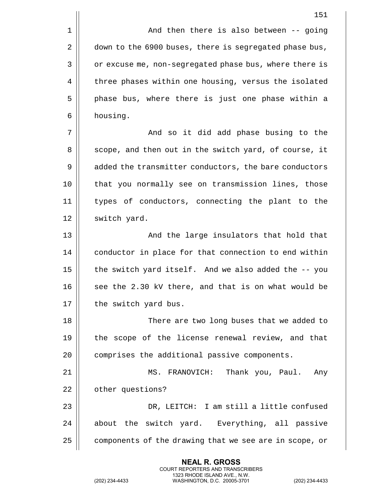1 || And then there is also between -- going 2 down to the 6900 buses, there is segregated phase bus, 3 | or excuse me, non-segregated phase bus, where there is 4 | three phases within one housing, versus the isolated 5 || phase bus, where there is just one phase within a 6 housing.

7 And so it did add phase busing to the 8 || scope, and then out in the switch yard, of course, it 9 | added the transmitter conductors, the bare conductors 10 || that you normally see on transmission lines, those 11 types of conductors, connecting the plant to the 12 | switch yard.

13 || And the large insulators that hold that 14 | conductor in place for that connection to end within 15  $\parallel$  the switch yard itself. And we also added the  $-$ - you 16  $\parallel$  see the 2.30 kV there, and that is on what would be 17 | the switch yard bus.

18 There are two long buses that we added to 19 || the scope of the license renewal review, and that 20 | comprises the additional passive components.

21 || MS. FRANOVICH: Thank you, Paul. Any 22 | other questions? 23 DR, LEITCH: I am still a little confused  $24$  || about the switch yard. Everything, all passive

25  $\parallel$  components of the drawing that we see are in scope, or

**NEAL R. GROSS** COURT REPORTERS AND TRANSCRIBERS 1323 RHODE ISLAND AVE., N.W.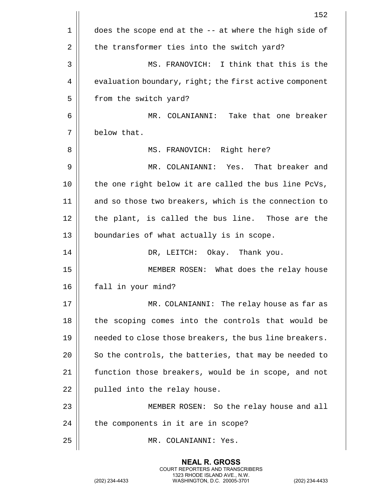|    | 152                                                    |
|----|--------------------------------------------------------|
| 1  | does the scope end at the -- at where the high side of |
| 2  | the transformer ties into the switch yard?             |
| 3  | MS. FRANOVICH: I think that this is the                |
| 4  | evaluation boundary, right; the first active component |
| 5  | from the switch yard?                                  |
| 6  | MR. COLANIANNI: Take that one breaker                  |
| 7  | below that.                                            |
| 8  | MS. FRANOVICH: Right here?                             |
| 9  | MR. COLANIANNI: Yes. That breaker and                  |
| 10 | the one right below it are called the bus line PcVs,   |
| 11 | and so those two breakers, which is the connection to  |
| 12 | the plant, is called the bus line. Those are the       |
| 13 | boundaries of what actually is in scope.               |
| 14 | DR, LEITCH: Okay. Thank you.                           |
| 15 | MEMBER ROSEN: What does the relay house                |
| 16 | fall in your mind?                                     |
| 17 | MR. COLANIANNI: The relay house as far as              |
| 18 | the scoping comes into the controls that would be      |
| 19 | needed to close those breakers, the bus line breakers. |
| 20 | So the controls, the batteries, that may be needed to  |
| 21 | function those breakers, would be in scope, and not    |
| 22 | pulled into the relay house.                           |
| 23 | MEMBER ROSEN: So the relay house and all               |
| 24 | the components in it are in scope?                     |
| 25 | MR. COLANIANNI: Yes.                                   |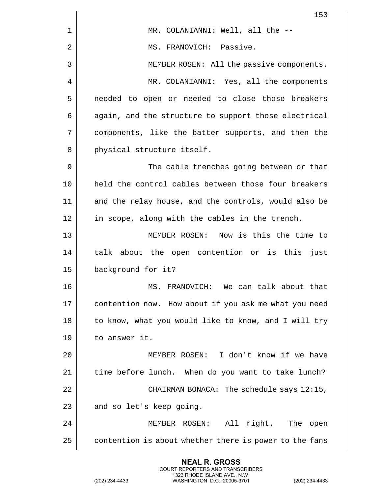|    | 153                                                    |
|----|--------------------------------------------------------|
| 1  | MR. COLANIANNI: Well, all the --                       |
| 2  | MS. FRANOVICH: Passive.                                |
| 3  | MEMBER ROSEN: All the passive components.              |
| 4  | MR. COLANIANNI: Yes, all the components                |
| 5  | needed to open or needed to close those breakers       |
| 6  | again, and the structure to support those electrical   |
| 7  | components, like the batter supports, and then the     |
| 8  | physical structure itself.                             |
| 9  | The cable trenches going between or that               |
| 10 | held the control cables between those four breakers    |
| 11 | and the relay house, and the controls, would also be   |
| 12 | in scope, along with the cables in the trench.         |
| 13 | MEMBER ROSEN: Now is this the time to                  |
| 14 | talk about the open contention or is this just         |
| 15 | background for it?                                     |
| 16 | We can talk about that<br>MS. FRANOVICH:               |
| 17 | contention now. How about if you ask me what you need  |
| 18 | to know, what you would like to know, and I will try   |
| 19 | to answer it.                                          |
| 20 | MEMBER ROSEN: I don't know if we have                  |
| 21 | time before lunch. When do you want to take lunch?     |
| 22 | CHAIRMAN BONACA: The schedule says 12:15,              |
| 23 | and so let's keep going.                               |
| 24 | All right. The open<br>MEMBER ROSEN:                   |
| 25 | contention is about whether there is power to the fans |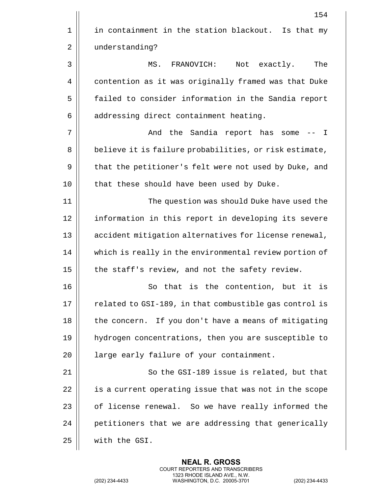|    | 154                                                    |
|----|--------------------------------------------------------|
| 1  | in containment in the station blackout. Is that my     |
| 2  | understanding?                                         |
| 3  | MS. FRANOVICH:<br>Not exactly.<br>The                  |
| 4  | contention as it was originally framed was that Duke   |
| 5  | failed to consider information in the Sandia report    |
| 6  | addressing direct containment heating.                 |
| 7  | And the Sandia report has some<br>$\mathbf{I}$         |
| 8  | believe it is failure probabilities, or risk estimate, |
| 9  | that the petitioner's felt were not used by Duke, and  |
| 10 | that these should have been used by Duke.              |
| 11 | The question was should Duke have used the             |
| 12 | information in this report in developing its severe    |
| 13 | accident mitigation alternatives for license renewal,  |
| 14 | which is really in the environmental review portion of |
| 15 | the staff's review, and not the safety review.         |
| 16 | So that is the contention, but it is                   |
| 17 | related to GSI-189, in that combustible gas control is |
| 18 | the concern. If you don't have a means of mitigating   |
| 19 | hydrogen concentrations, then you are susceptible to   |
| 20 | large early failure of your containment.               |
| 21 | So the GSI-189 issue is related, but that              |
| 22 | is a current operating issue that was not in the scope |
| 23 | of license renewal. So we have really informed the     |
| 24 | petitioners that we are addressing that generically    |
| 25 | with the GSI.                                          |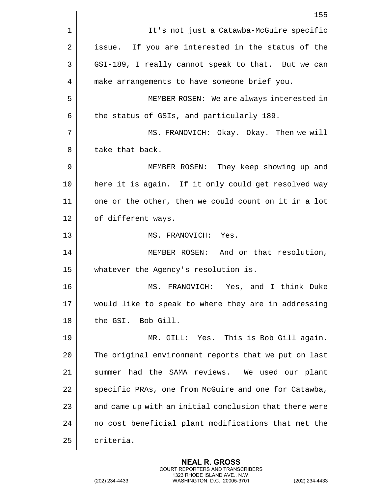|    | 155                                                    |
|----|--------------------------------------------------------|
| 1  | It's not just a Catawba-McGuire specific               |
| 2  | issue. If you are interested in the status of the      |
| 3  | GSI-189, I really cannot speak to that. But we can     |
| 4  | make arrangements to have someone brief you.           |
| 5  | MEMBER ROSEN: We are always interested in              |
| 6  | the status of GSIs, and particularly 189.              |
| 7  | MS. FRANOVICH: Okay. Okay. Then we will                |
| 8  | take that back.                                        |
| 9  | MEMBER ROSEN: They keep showing up and                 |
| 10 | here it is again. If it only could get resolved way    |
| 11 | one or the other, then we could count on it in a lot   |
| 12 | of different ways.                                     |
| 13 | MS. FRANOVICH: Yes.                                    |
| 14 | MEMBER ROSEN: And on that resolution,                  |
| 15 | whatever the Agency's resolution is.                   |
| 16 | MS. FRANOVICH: Yes, and I think Duke                   |
| 17 | would like to speak to where they are in addressing    |
| 18 | the GSI. Bob Gill.                                     |
| 19 | MR. GILL: Yes. This is Bob Gill again.                 |
| 20 | The original environment reports that we put on last   |
| 21 | summer had the SAMA reviews. We used our plant         |
| 22 | specific PRAs, one from McGuire and one for Catawba,   |
| 23 | and came up with an initial conclusion that there were |
| 24 | no cost beneficial plant modifications that met the    |
| 25 | criteria.                                              |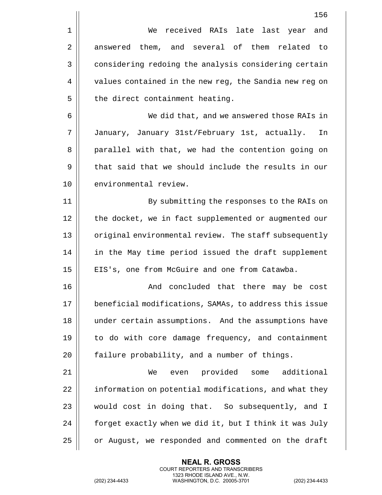|    | 156                                                    |
|----|--------------------------------------------------------|
| 1  | received RAIs late last year<br>We<br>and              |
| 2  | answered them, and several of them related to          |
| 3  | considering redoing the analysis considering certain   |
| 4  | values contained in the new reg, the Sandia new reg on |
| 5  | the direct containment heating.                        |
| 6  | We did that, and we answered those RAIs in             |
| 7  | January, January 31st/February 1st, actually.<br>In    |
| 8  | parallel with that, we had the contention going on     |
| 9  | that said that we should include the results in our    |
| 10 | environmental review.                                  |
| 11 | By submitting the responses to the RAIs on             |
| 12 | the docket, we in fact supplemented or augmented our   |
| 13 | original environmental review. The staff subsequently  |
| 14 | in the May time period issued the draft supplement     |
| 15 | EIS's, one from McGuire and one from Catawba.          |
| 16 | And concluded that there may be cost                   |
| 17 | beneficial modifications, SAMAs, to address this issue |
| 18 | under certain assumptions. And the assumptions have    |
| 19 | to do with core damage frequency, and containment      |
| 20 | failure probability, and a number of things.           |
| 21 | provided some additional<br>We<br>even                 |
| 22 | information on potential modifications, and what they  |
| 23 | would cost in doing that. So subsequently, and I       |
| 24 | forget exactly when we did it, but I think it was July |
| 25 | or August, we responded and commented on the draft     |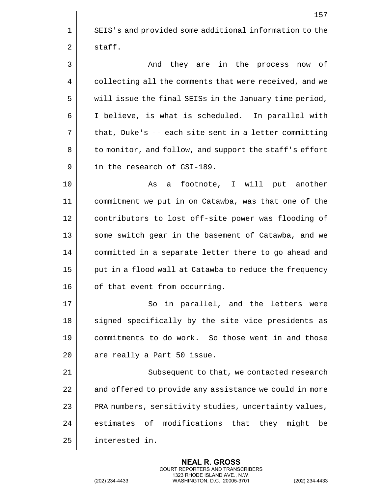|    | 157                                                    |
|----|--------------------------------------------------------|
| 1  | SEIS's and provided some additional information to the |
| 2  | staff.                                                 |
| 3  | And they are in the process now of                     |
| 4  | collecting all the comments that were received, and we |
| 5  | will issue the final SEISs in the January time period, |
| 6  | I believe, is what is scheduled. In parallel with      |
| 7  | that, Duke's -- each site sent in a letter committing  |
| 8  | to monitor, and follow, and support the staff's effort |
| 9  | in the research of GSI-189.                            |
| 10 | footnote, I will put another<br>As<br>a                |
| 11 | commitment we put in on Catawba, was that one of the   |
| 12 | contributors to lost off-site power was flooding of    |
| 13 | some switch gear in the basement of Catawba, and we    |
| 14 | committed in a separate letter there to go ahead and   |
| 15 | put in a flood wall at Catawba to reduce the frequency |
| 16 | of that event from occurring.                          |
| 17 | So in parallel, and the letters were                   |
| 18 | signed specifically by the site vice presidents as     |
| 19 | commitments to do work. So those went in and those     |
| 20 | are really a Part 50 issue.                            |
| 21 | Subsequent to that, we contacted research              |
| 22 | and offered to provide any assistance we could in more |
| 23 | PRA numbers, sensitivity studies, uncertainty values,  |
| 24 | estimates of modifications that they might<br>be       |
| 25 | interested in.                                         |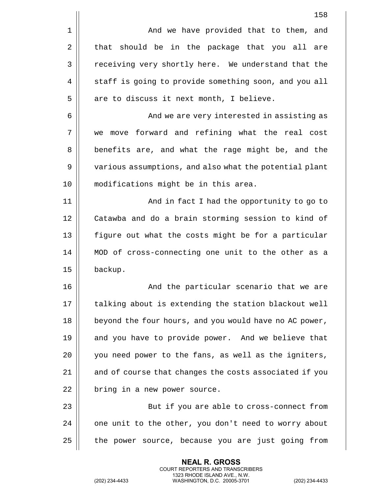|                | 158                                                    |
|----------------|--------------------------------------------------------|
| $\mathbf 1$    | And we have provided that to them, and                 |
| $\overline{2}$ | that should be in the package that you all<br>are      |
| 3              | receiving very shortly here. We understand that the    |
| 4              | staff is going to provide something soon, and you all  |
| 5              | are to discuss it next month, I believe.               |
| 6              | And we are very interested in assisting as             |
| 7              | move forward and refining what the real cost<br>we     |
| 8              | benefits are, and what the rage might be, and the      |
| 9              | various assumptions, and also what the potential plant |
| 10             | modifications might be in this area.                   |
| 11             | And in fact I had the opportunity to go to             |
| 12             | Catawba and do a brain storming session to kind of     |
| 13             | figure out what the costs might be for a particular    |
| 14             | MOD of cross-connecting one unit to the other as a     |
| 15             | backup.                                                |
| 16             | And the particular scenario that we are                |
| 17             | talking about is extending the station blackout well   |
| 18             | beyond the four hours, and you would have no AC power, |
| 19             | and you have to provide power. And we believe that     |
| 20             | you need power to the fans, as well as the igniters,   |
| 21             | and of course that changes the costs associated if you |
| 22             | bring in a new power source.                           |
| 23             | But if you are able to cross-connect from              |
| 24             | one unit to the other, you don't need to worry about   |
| 25             | the power source, because you are just going from      |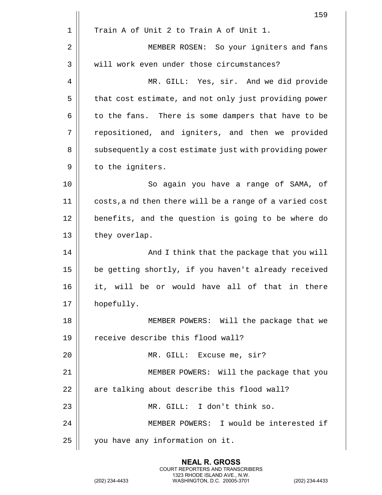|    | 159                                                     |
|----|---------------------------------------------------------|
| 1  | Train A of Unit 2 to Train A of Unit 1.                 |
| 2  | MEMBER ROSEN: So your igniters and fans                 |
| 3  | will work even under those circumstances?               |
| 4  | MR. GILL: Yes, sir. And we did provide                  |
| 5  | that cost estimate, and not only just providing power   |
| 6  | to the fans. There is some dampers that have to be      |
| 7  | repositioned, and igniters, and then we provided        |
| 8  | subsequently a cost estimate just with providing power  |
| 9  | to the igniters.                                        |
| 10 | So again you have a range of SAMA, of                   |
| 11 | costs, a nd then there will be a range of a varied cost |
| 12 | benefits, and the question is going to be where do      |
| 13 | they overlap.                                           |
| 14 | And I think that the package that you will              |
| 15 | be getting shortly, if you haven't already received     |
| 16 | it, will be or would have all of that in there          |
| 17 | hopefully.                                              |
| 18 | MEMBER POWERS: Will the package that we                 |
| 19 | receive describe this flood wall?                       |
| 20 | MR. GILL: Excuse me, sir?                               |
| 21 | MEMBER POWERS: Will the package that you                |
| 22 | are talking about describe this flood wall?             |
| 23 | MR. GILL: I don't think so.                             |
| 24 | MEMBER POWERS: I would be interested if                 |
| 25 | you have any information on it.                         |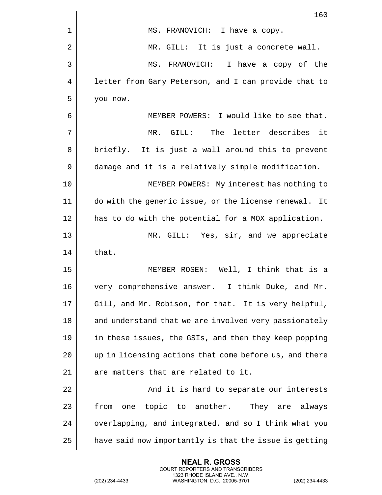|    | 160                                                    |
|----|--------------------------------------------------------|
| 1  | MS. FRANOVICH: I have a copy.                          |
| 2  | MR. GILL: It is just a concrete wall.                  |
| 3  | MS. FRANOVICH: I have a copy of the                    |
| 4  | letter from Gary Peterson, and I can provide that to   |
| 5  | you now.                                               |
| 6  | MEMBER POWERS: I would like to see that.               |
| 7  | MR. GILL: The letter describes<br>it                   |
| 8  | briefly. It is just a wall around this to prevent      |
| 9  | damage and it is a relatively simple modification.     |
| 10 | MEMBER POWERS: My interest has nothing to              |
| 11 | do with the generic issue, or the license renewal. It  |
| 12 | has to do with the potential for a MOX application.    |
| 13 | MR. GILL: Yes, sir, and we appreciate                  |
| 14 | that.                                                  |
| 15 | MEMBER ROSEN: Well, I think that is a                  |
| 16 | very comprehensive answer. I think Duke, and Mr.       |
| 17 | Gill, and Mr. Robison, for that. It is very helpful,   |
| 18 | and understand that we are involved very passionately  |
| 19 | in these issues, the GSIs, and then they keep popping  |
| 20 | up in licensing actions that come before us, and there |
| 21 | are matters that are related to it.                    |
| 22 | And it is hard to separate our interests               |
| 23 | one topic to another.<br>They are always<br>from       |
| 24 | overlapping, and integrated, and so I think what you   |
| 25 | have said now importantly is that the issue is getting |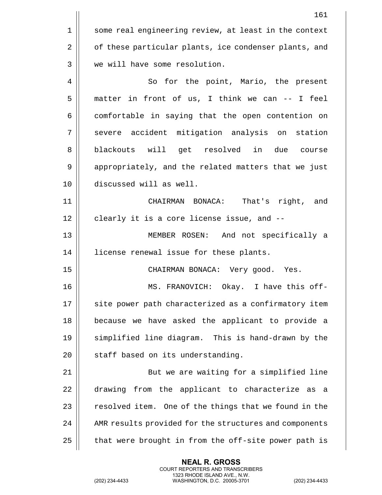|    | 161                                                    |
|----|--------------------------------------------------------|
| 1  | some real engineering review, at least in the context  |
| 2  | of these particular plants, ice condenser plants, and  |
| 3  | we will have some resolution.                          |
| 4  | So for the point, Mario, the present                   |
| 5  | matter in front of us, I think we can -- I feel        |
| 6  | comfortable in saying that the open contention on      |
| 7  | severe accident mitigation analysis on station         |
| 8  | blackouts will get resolved in due course              |
| 9  | appropriately, and the related matters that we just    |
| 10 | discussed will as well.                                |
| 11 | That's right, and<br>CHAIRMAN BONACA:                  |
| 12 | clearly it is a core license issue, and --             |
| 13 | MEMBER ROSEN: And not specifically a                   |
| 14 | license renewal issue for these plants.                |
| 15 | CHAIRMAN BONACA: Very good. Yes.                       |
| 16 | MS. FRANOVICH: Okay. I have this off-                  |
| 17 | site power path characterized as a confirmatory item   |
| 18 | because we have asked the applicant to provide a       |
| 19 | simplified line diagram. This is hand-drawn by the     |
| 20 | staff based on its understanding.                      |
| 21 | But we are waiting for a simplified line               |
| 22 | drawing from the applicant to characterize as a        |
| 23 | resolved item. One of the things that we found in the  |
| 24 | AMR results provided for the structures and components |
| 25 | that were brought in from the off-site power path is   |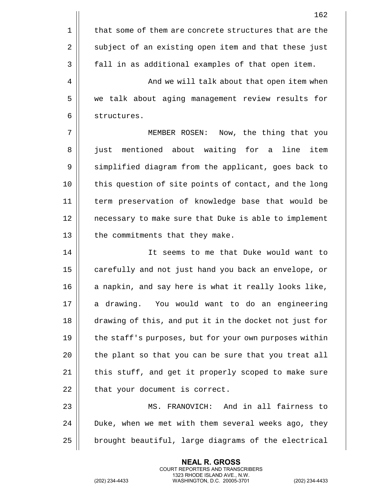|    | 162                                                    |
|----|--------------------------------------------------------|
| 1  | that some of them are concrete structures that are the |
| 2  | subject of an existing open item and that these just   |
| 3  | fall in as additional examples of that open item.      |
| 4  | And we will talk about that open item when             |
| 5  | we talk about aging management review results for      |
| 6  | structures.                                            |
| 7  | MEMBER ROSEN: Now, the thing that you                  |
| 8  | just mentioned about waiting for a<br>line<br>item     |
| 9  | simplified diagram from the applicant, goes back to    |
| 10 | this question of site points of contact, and the long  |
| 11 | term preservation of knowledge base that would be      |
| 12 | necessary to make sure that Duke is able to implement  |
| 13 | the commitments that they make.                        |
| 14 | It seems to me that Duke would want to                 |
| 15 | carefully and not just hand you back an envelope, or   |
| 16 | a napkin, and say here is what it really looks like,   |
| 17 | a drawing. You would want to do an engineering         |
| 18 | drawing of this, and put it in the docket not just for |
| 19 | the staff's purposes, but for your own purposes within |
| 20 | the plant so that you can be sure that you treat all   |
| 21 | this stuff, and get it properly scoped to make sure    |
| 22 | that your document is correct.                         |
| 23 | MS. FRANOVICH: And in all fairness to                  |
| 24 | Duke, when we met with them several weeks ago, they    |
| 25 | brought beautiful, large diagrams of the electrical    |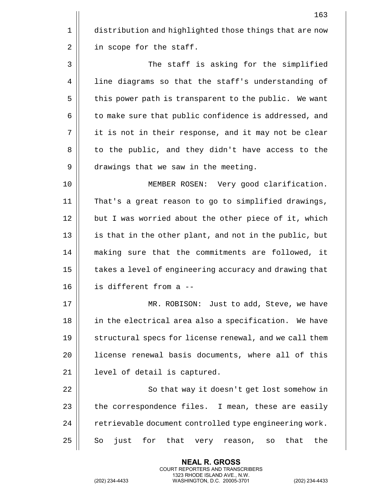1 distribution and highlighted those things that are now 2 | in scope for the staff.

3 The staff is asking for the simplified 4 | line diagrams so that the staff's understanding of 5 | this power path is transparent to the public. We want 6 | to make sure that public confidence is addressed, and 7 || it is not in their response, and it may not be clear 8 || to the public, and they didn't have access to the 9 | drawings that we saw in the meeting.

10 MEMBER ROSEN: Very good clarification. 11 That's a great reason to go to simplified drawings, 12 || but I was worried about the other piece of it, which 13 || is that in the other plant, and not in the public, but 14 making sure that the commitments are followed, it 15 | takes a level of engineering accuracy and drawing that 16 is different from a --

17 || MR. ROBISON: Just to add, Steve, we have 18 || in the electrical area also a specification. We have 19 || structural specs for license renewal, and we call them 20 || license renewal basis documents, where all of this 21 | level of detail is captured.

22 || So that way it doesn't get lost somehow in 23  $\parallel$  the correspondence files. I mean, these are easily 24 || retrievable document controlled type engineering work.  $25$  So just for that very reason, so that the

> **NEAL R. GROSS** COURT REPORTERS AND TRANSCRIBERS 1323 RHODE ISLAND AVE., N.W.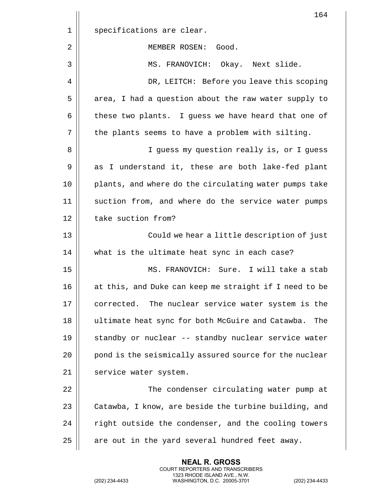|    | 164                                                     |
|----|---------------------------------------------------------|
| 1  | specifications are clear.                               |
| 2  | MEMBER ROSEN:<br>Good.                                  |
| 3  | MS. FRANOVICH: Okay. Next slide.                        |
| 4  | DR, LEITCH: Before you leave this scoping               |
| 5  | area, I had a question about the raw water supply to    |
| 6  | these two plants. I guess we have heard that one of     |
| 7  | the plants seems to have a problem with silting.        |
| 8  | I guess my question really is, or I guess               |
| 9  | as I understand it, these are both lake-fed plant       |
| 10 | plants, and where do the circulating water pumps take   |
| 11 | suction from, and where do the service water pumps      |
| 12 | take suction from?                                      |
| 13 | Could we hear a little description of just              |
| 14 | what is the ultimate heat sync in each case?            |
| 15 | MS. FRANOVICH: Sure. I will take a stab                 |
| 16 | at this, and Duke can keep me straight if I need to be  |
| 17 | corrected. The nuclear service water system is the      |
| 18 | ultimate heat sync for both McGuire and Catawba.<br>The |
| 19 | standby or nuclear -- standby nuclear service water     |
| 20 | pond is the seismically assured source for the nuclear  |
| 21 | service water system.                                   |
| 22 | The condenser circulating water pump at                 |
| 23 | Catawba, I know, are beside the turbine building, and   |
| 24 | right outside the condenser, and the cooling towers     |
| 25 | are out in the yard several hundred feet away.          |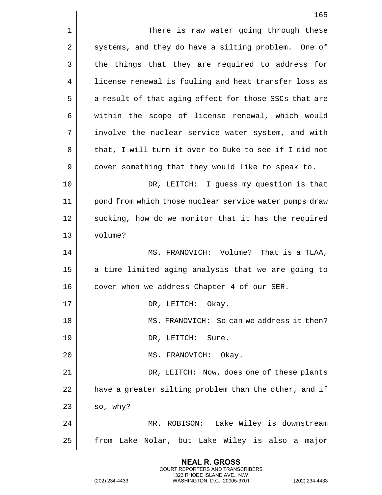|    | 165                                                    |
|----|--------------------------------------------------------|
| 1  | There is raw water going through these                 |
| 2  | systems, and they do have a silting problem. One of    |
| 3  | the things that they are required to address for       |
| 4  | license renewal is fouling and heat transfer loss as   |
| 5  | a result of that aging effect for those SSCs that are  |
| 6  | within the scope of license renewal, which would       |
| 7  | involve the nuclear service water system, and with     |
| 8  | that, I will turn it over to Duke to see if I did not  |
| 9  | cover something that they would like to speak to.      |
| 10 | DR, LEITCH: I guess my question is that                |
| 11 | pond from which those nuclear service water pumps draw |
| 12 | sucking, how do we monitor that it has the required    |
| 13 | volume?                                                |
| 14 | MS. FRANOVICH: Volume? That is a TLAA,                 |
| 15 | a time limited aging analysis that we are going to     |
| 16 | cover when we address Chapter 4 of our SER.            |
| 17 | DR, LEITCH: Okay.                                      |
| 18 | MS. FRANOVICH: So can we address it then?              |
| 19 | DR, LEITCH: Sure.                                      |
| 20 | MS. FRANOVICH: Okay.                                   |
| 21 | DR, LEITCH: Now, does one of these plants              |
| 22 | have a greater silting problem than the other, and if  |
| 23 | so, why?                                               |
| 24 | MR. ROBISON: Lake Wiley is downstream                  |
| 25 | from Lake Nolan, but Lake Wiley is also a major        |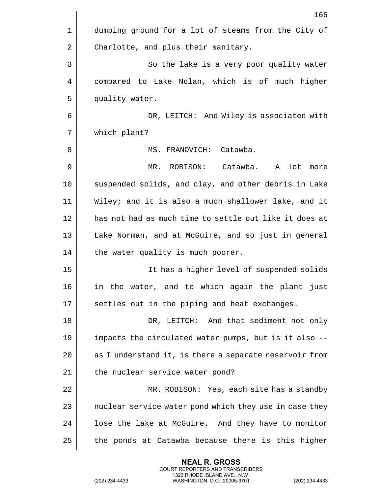|    | 166                                                        |
|----|------------------------------------------------------------|
| 1  | dumping ground for a lot of steams from the City of        |
| 2  | Charlotte, and plus their sanitary.                        |
| 3  | So the lake is a very poor quality water                   |
| 4  | compared to Lake Nolan, which is of much higher            |
| 5  | quality water.                                             |
| 6  | DR, LEITCH: And Wiley is associated with                   |
| 7  | which plant?                                               |
| 8  | MS. FRANOVICH: Catawba.                                    |
| 9  | ROBISON: Catawba.<br>lot<br>$MR$ .<br>$\mathbf{A}$<br>more |
| 10 | suspended solids, and clay, and other debris in Lake       |
| 11 | Wiley; and it is also a much shallower lake, and it        |
| 12 | has not had as much time to settle out like it does at     |
| 13 | Lake Norman, and at McGuire, and so just in general        |
| 14 | the water quality is much poorer.                          |
| 15 | It has a higher level of suspended solids                  |
| 16 | in the water, and to which again the plant just            |
| 17 | settles out in the piping and heat exchanges.              |
| 18 | DR, LEITCH: And that sediment not only                     |
| 19 | impacts the circulated water pumps, but is it also --      |
| 20 | as I understand it, is there a separate reservoir from     |
| 21 | the nuclear service water pond?                            |
| 22 | MR. ROBISON: Yes, each site has a standby                  |
| 23 | nuclear service water pond which they use in case they     |
| 24 | lose the lake at McGuire. And they have to monitor         |
| 25 | the ponds at Catawba because there is this higher          |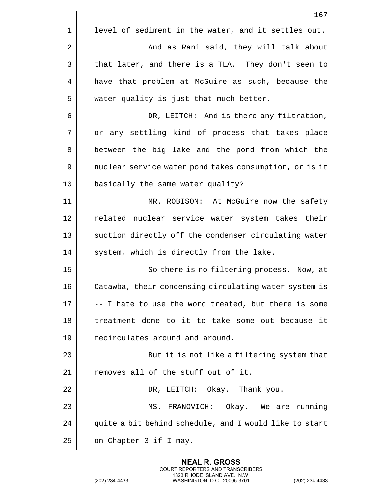|             | 167                                                    |
|-------------|--------------------------------------------------------|
| $\mathbf 1$ | level of sediment in the water, and it settles out.    |
| 2           | And as Rani said, they will talk about                 |
| 3           | that later, and there is a TLA. They don't seen to     |
| 4           | have that problem at McGuire as such, because the      |
| 5           | water quality is just that much better.                |
| 6           | DR, LEITCH: And is there any filtration,               |
| 7           | or any settling kind of process that takes place       |
| 8           | between the big lake and the pond from which the       |
| 9           | nuclear service water pond takes consumption, or is it |
| 10          | basically the same water quality?                      |
| 11          | MR. ROBISON: At McGuire now the safety                 |
| 12          | related nuclear service water system takes their       |
| 13          | suction directly off the condenser circulating water   |
| 14          | system, which is directly from the lake.               |
| 15          | So there is no filtering process. Now, at              |
| 16          | Catawba, their condensing circulating water system is  |
| 17          | -- I hate to use the word treated, but there is some   |
| 18          | treatment done to it to take some out because it       |
| 19          | recirculates around and around.                        |
| 20          | But it is not like a filtering system that             |
| 21          | removes all of the stuff out of it.                    |
| 22          | DR, LEITCH: Okay. Thank you.                           |
| 23          | MS. FRANOVICH: Okay. We are running                    |
| 24          | quite a bit behind schedule, and I would like to start |
| 25          | on Chapter 3 if I may.                                 |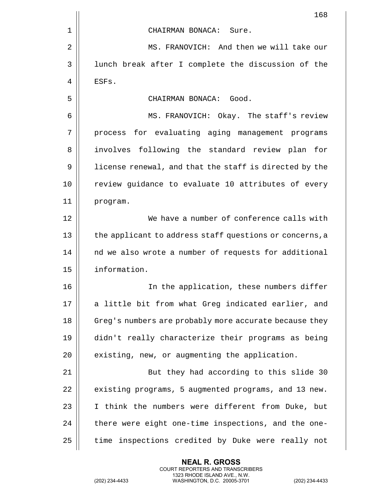|    | 168                                                     |
|----|---------------------------------------------------------|
| 1  | CHAIRMAN BONACA: Sure.                                  |
| 2  | MS. FRANOVICH: And then we will take our                |
| 3  | lunch break after I complete the discussion of the      |
| 4  | ESFs.                                                   |
| 5  | CHAIRMAN BONACA: Good.                                  |
| 6  | MS. FRANOVICH: Okay. The staff's review                 |
| 7  | process for evaluating aging management programs        |
| 8  | involves following the standard review plan<br>for      |
| 9  | license renewal, and that the staff is directed by the  |
| 10 | review guidance to evaluate 10 attributes of every      |
| 11 | program.                                                |
| 12 | We have a number of conference calls with               |
| 13 | the applicant to address staff questions or concerns, a |
| 14 | nd we also wrote a number of requests for additional    |
| 15 | information.                                            |
| 16 | In the application, these numbers differ                |
| 17 | a little bit from what Greg indicated earlier, and      |
| 18 | Greg's numbers are probably more accurate because they  |
| 19 | didn't really characterize their programs as being      |
| 20 | existing, new, or augmenting the application.           |
| 21 | But they had according to this slide 30                 |
| 22 | existing programs, 5 augmented programs, and 13 new.    |
| 23 | I think the numbers were different from Duke, but       |
| 24 | there were eight one-time inspections, and the one-     |
| 25 | time inspections credited by Duke were really not       |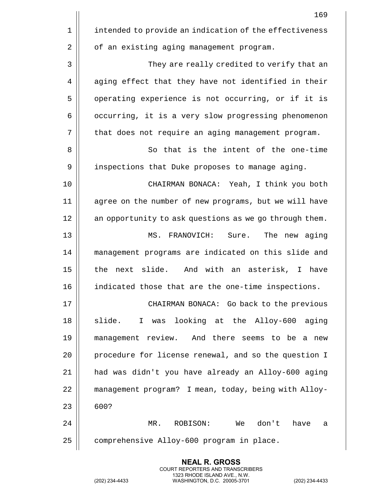|    | 169                                                          |
|----|--------------------------------------------------------------|
| 1  | intended to provide an indication of the effectiveness       |
| 2  | of an existing aging management program.                     |
| 3  | They are really credited to verify that an                   |
| 4  | aging effect that they have not identified in their          |
| 5  | operating experience is not occurring, or if it is           |
| 6  | occurring, it is a very slow progressing phenomenon          |
| 7  | that does not require an aging management program.           |
| 8  | So that is the intent of the one-time                        |
| 9  | inspections that Duke proposes to manage aging.              |
| 10 | CHAIRMAN BONACA: Yeah, I think you both                      |
| 11 | agree on the number of new programs, but we will have        |
| 12 | an opportunity to ask questions as we go through them.       |
| 13 | The new aging<br>MS.<br>FRANOVICH:<br>Sure.                  |
| 14 | management programs are indicated on this slide and          |
| 15 | the next slide. And with an asterisk, I have                 |
| 16 | indicated those that are the one-time inspections.           |
| 17 | CHAIRMAN BONACA: Go back to the previous                     |
| 18 | was looking at the Alloy-600 aging<br>slide.<br>$\mathbf{I}$ |
| 19 | management review. And there seems to be a new               |
| 20 | procedure for license renewal, and so the question I         |
| 21 | had was didn't you have already an Alloy-600 aging           |
| 22 | management program? I mean, today, being with Alloy-         |
| 23 | 600?                                                         |
| 24 | don't<br>MR.<br>ROBISON:<br>We<br>have<br>а                  |
| 25 | comprehensive Alloy-600 program in place.                    |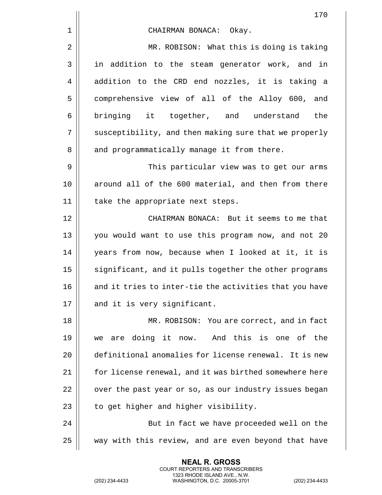|    | 170                                                    |
|----|--------------------------------------------------------|
| 1  | CHAIRMAN BONACA: Okay.                                 |
| 2  | MR. ROBISON: What this is doing is taking              |
| 3  | in addition to the steam generator work, and in        |
| 4  | addition to the CRD end nozzles, it is taking a        |
| 5  | comprehensive view of all of the Alloy 600, and        |
| 6  | bringing it together, and understand<br>the            |
| 7  | susceptibility, and then making sure that we properly  |
| 8  | and programmatically manage it from there.             |
| 9  | This particular view was to get our arms               |
| 10 | around all of the 600 material, and then from there    |
| 11 | take the appropriate next steps.                       |
| 12 | CHAIRMAN BONACA: But it seems to me that               |
| 13 | you would want to use this program now, and not 20     |
| 14 | years from now, because when I looked at it, it is     |
| 15 | significant, and it pulls together the other programs  |
| 16 | and it tries to inter-tie the activities that you have |
| 17 | and it is very significant.                            |
| 18 | MR. ROBISON: You are correct, and in fact              |
| 19 | are doing it now. And this is one of the<br>we         |
| 20 | definitional anomalies for license renewal. It is new  |
| 21 | for license renewal, and it was birthed somewhere here |
| 22 | over the past year or so, as our industry issues began |
| 23 | to get higher and higher visibility.                   |
| 24 | But in fact we have proceeded well on the              |
| 25 | way with this review, and are even beyond that have    |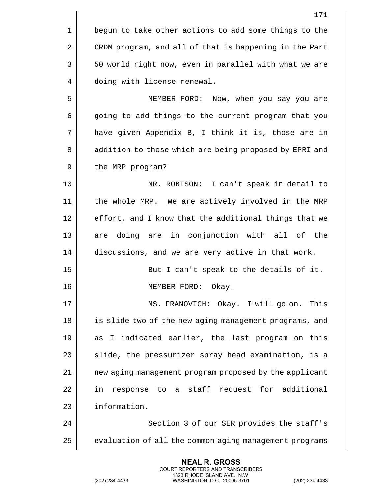|    | 171                                                    |
|----|--------------------------------------------------------|
| 1  | begun to take other actions to add some things to the  |
| 2  | CRDM program, and all of that is happening in the Part |
| 3  | 50 world right now, even in parallel with what we are  |
| 4  | doing with license renewal.                            |
| 5  | MEMBER FORD: Now, when you say you are                 |
| 6  | going to add things to the current program that you    |
| 7  | have given Appendix B, I think it is, those are in     |
| 8  | addition to those which are being proposed by EPRI and |
| 9  | the MRP program?                                       |
| 10 | MR. ROBISON: I can't speak in detail to                |
| 11 | the whole MRP. We are actively involved in the MRP     |
| 12 | effort, and I know that the additional things that we  |
| 13 | doing are in conjunction with all of the<br>are        |
| 14 | discussions, and we are very active in that work.      |
| 15 | But I can't speak to the details of it.                |
| 16 | MEMBER FORD:<br>Okay.                                  |
| 17 | MS. FRANOVICH: Okay. I will go on. This                |
| 18 | is slide two of the new aging management programs, and |
| 19 | as I indicated earlier, the last program on this       |
| 20 | slide, the pressurizer spray head examination, is a    |
| 21 | new aging management program proposed by the applicant |
| 22 | in response to a staff request for additional          |
| 23 | information.                                           |
| 24 | Section 3 of our SER provides the staff's              |
| 25 | evaluation of all the common aging management programs |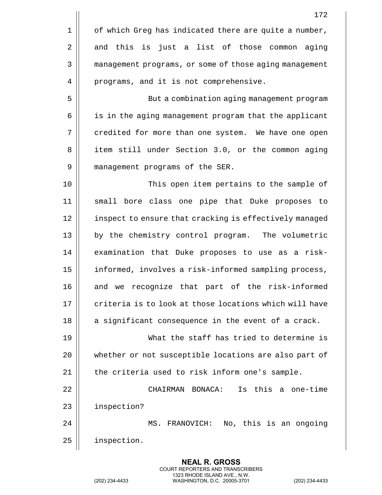|    | 172                                                    |
|----|--------------------------------------------------------|
| 1  | of which Greg has indicated there are quite a number,  |
| 2  | and this is just a list of those common aging          |
| 3  | management programs, or some of those aging management |
| 4  | programs, and it is not comprehensive.                 |
| 5  | But a combination aging management program             |
| 6  | is in the aging management program that the applicant  |
| 7  | credited for more than one system. We have one open    |
| 8  | item still under Section 3.0, or the common aging      |
| 9  | management programs of the SER.                        |
| 10 | This open item pertains to the sample of               |
| 11 | small bore class one pipe that Duke proposes to        |
| 12 | inspect to ensure that cracking is effectively managed |
| 13 | by the chemistry control program. The volumetric       |
| 14 | examination that Duke proposes to use as a risk-       |
| 15 | informed, involves a risk-informed sampling process,   |
| 16 | and we recognize that part of the risk-informed        |
| 17 | criteria is to look at those locations which will have |
| 18 | a significant consequence in the event of a crack.     |
| 19 | What the staff has tried to determine is               |
| 20 | whether or not susceptible locations are also part of  |
| 21 | the criteria used to risk inform one's sample.         |
| 22 | Is this a one-time<br>CHAIRMAN BONACA:                 |
| 23 | inspection?                                            |
| 24 | MS. FRANOVICH: No, this is an ongoing                  |
| 25 | inspection.                                            |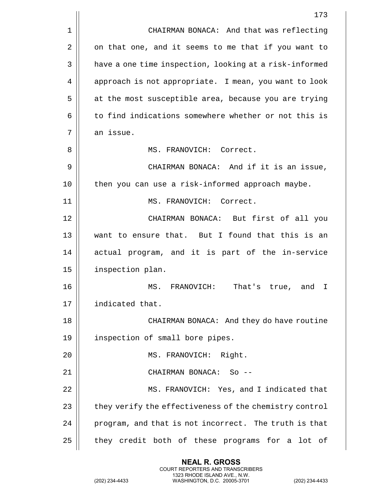|    | 173                                                    |
|----|--------------------------------------------------------|
| 1  | CHAIRMAN BONACA: And that was reflecting               |
| 2  | on that one, and it seems to me that if you want to    |
| 3  | have a one time inspection, looking at a risk-informed |
| 4  | approach is not appropriate. I mean, you want to look  |
| 5  | at the most susceptible area, because you are trying   |
| 6  | to find indications somewhere whether or not this is   |
| 7  | an issue.                                              |
| 8  | MS. FRANOVICH: Correct.                                |
| 9  | CHAIRMAN BONACA: And if it is an issue,                |
| 10 | then you can use a risk-informed approach maybe.       |
| 11 | MS. FRANOVICH: Correct.                                |
| 12 | CHAIRMAN BONACA: But first of all you                  |
| 13 | want to ensure that. But I found that this is an       |
| 14 | actual program, and it is part of the in-service       |
| 15 | inspection plan.                                       |
| 16 | MS.<br>That's true, and I<br>FRANOVICH:                |
| 17 | indicated that.                                        |
| 18 | CHAIRMAN BONACA: And they do have routine              |
| 19 | inspection of small bore pipes.                        |
| 20 | MS. FRANOVICH: Right.                                  |
| 21 | CHAIRMAN BONACA: So --                                 |
| 22 | MS. FRANOVICH: Yes, and I indicated that               |
| 23 | they verify the effectiveness of the chemistry control |
| 24 | program, and that is not incorrect. The truth is that  |
| 25 | they credit both of these programs for a<br>lot of     |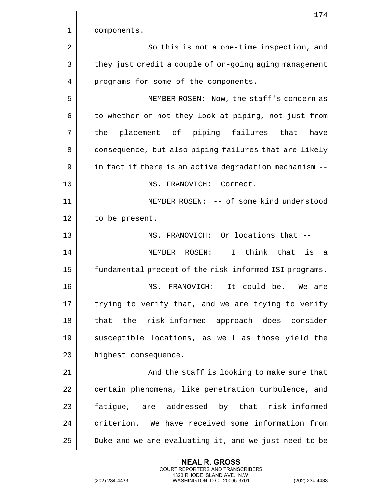|    | 174                                                    |
|----|--------------------------------------------------------|
| 1  | components.                                            |
| 2  | So this is not a one-time inspection, and              |
| 3  | they just credit a couple of on-going aging management |
| 4  | programs for some of the components.                   |
| 5  | MEMBER ROSEN: Now, the staff's concern as              |
| 6  | to whether or not they look at piping, not just from   |
| 7  | placement of piping failures that<br>have<br>the       |
| 8  | consequence, but also piping failures that are likely  |
| 9  | in fact if there is an active degradation mechanism -- |
| 10 | MS. FRANOVICH: Correct.                                |
| 11 | MEMBER ROSEN: -- of some kind understood               |
| 12 | to be present.                                         |
| 13 | MS. FRANOVICH: Or locations that --                    |
| 14 | I think that<br>MEMBER ROSEN:<br>is<br>- a             |
| 15 | fundamental precept of the risk-informed ISI programs. |
| 16 | It could be.<br>MS.<br>FRANOVICH:<br>We are            |
| 17 | trying to verify that, and we are trying to verify     |
| 18 | that the risk-informed approach does consider          |
| 19 | susceptible locations, as well as those yield the      |
| 20 | highest consequence.                                   |
| 21 | And the staff is looking to make sure that             |
| 22 | certain phenomena, like penetration turbulence, and    |
| 23 | fatigue, are addressed by that risk-informed           |
| 24 | criterion. We have received some information from      |
| 25 | Duke and we are evaluating it, and we just need to be  |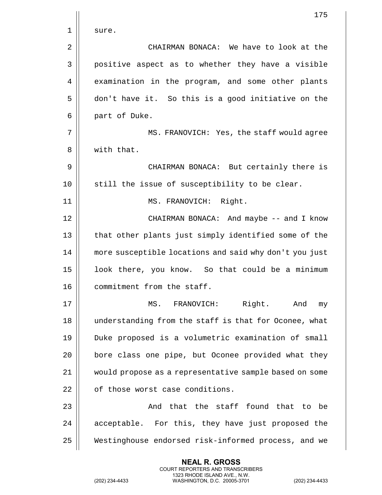|    | 175                                                    |
|----|--------------------------------------------------------|
| 1  | sure.                                                  |
| 2  | CHAIRMAN BONACA: We have to look at the                |
| 3  | positive aspect as to whether they have a visible      |
| 4  | examination in the program, and some other plants      |
| 5  | don't have it. So this is a good initiative on the     |
| 6  | part of Duke.                                          |
| 7  | MS. FRANOVICH: Yes, the staff would agree              |
| 8  | with that.                                             |
| 9  | CHAIRMAN BONACA: But certainly there is                |
| 10 | still the issue of susceptibility to be clear.         |
| 11 | MS. FRANOVICH: Right.                                  |
| 12 | CHAIRMAN BONACA: And maybe -- and I know               |
| 13 | that other plants just simply identified some of the   |
| 14 | more susceptible locations and said why don't you just |
| 15 | look there, you know. So that could be a minimum       |
| 16 | commitment from the staff.                             |
| 17 | MS. FRANOVICH: Right. And<br>my                        |
| 18 | understanding from the staff is that for Oconee, what  |
| 19 | Duke proposed is a volumetric examination of small     |
| 20 | bore class one pipe, but Oconee provided what they     |
| 21 | would propose as a representative sample based on some |
| 22 | of those worst case conditions.                        |
| 23 | And that the staff found that to be                    |
| 24 | acceptable. For this, they have just proposed the      |
| 25 | Westinghouse endorsed risk-informed process, and we    |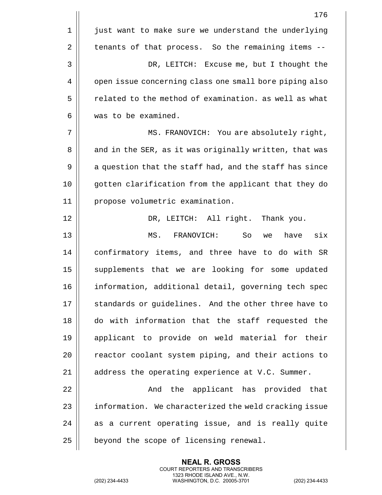|    | 176                                                    |
|----|--------------------------------------------------------|
| 1  | just want to make sure we understand the underlying    |
| 2  | tenants of that process. So the remaining items --     |
| 3  | DR, LEITCH: Excuse me, but I thought the               |
| 4  | open issue concerning class one small bore piping also |
| 5  | related to the method of examination. as well as what  |
| 6  | was to be examined.                                    |
| 7  | MS. FRANOVICH: You are absolutely right,               |
| 8  | and in the SER, as it was originally written, that was |
| 9  | a question that the staff had, and the staff has since |
| 10 | gotten clarification from the applicant that they do   |
| 11 | propose volumetric examination.                        |
| 12 | DR, LEITCH: All right. Thank you.                      |
| 13 | FRANOVICH:<br>So<br>six<br>MS.<br>have<br>we           |
| 14 | confirmatory items, and three have to do with SR       |
| 15 | supplements that we are looking for some updated       |
| 16 | information, additional detail, governing tech spec    |
| 17 | standards or guidelines. And the other three have to   |
| 18 | do with information that the staff requested the       |
| 19 | applicant to provide on weld material for their        |
| 20 | reactor coolant system piping, and their actions to    |
| 21 | address the operating experience at V.C. Summer.       |
| 22 | And the applicant has provided that                    |
| 23 | information. We characterized the weld cracking issue  |
| 24 | as a current operating issue, and is really quite      |
| 25 | beyond the scope of licensing renewal.                 |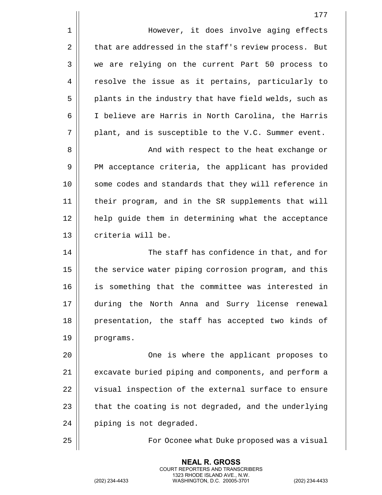1 | However, it does involve aging effects  $2 \parallel$  that are addressed in the staff's review process. But 3 || we are relying on the current Part 50 process to 4 | resolve the issue as it pertains, particularly to 5 | plants in the industry that have field welds, such as 6 I believe are Harris in North Carolina, the Harris  $7 \parallel$  plant, and is susceptible to the V.C. Summer event.

8 || And with respect to the heat exchange or 9 || PM acceptance criteria, the applicant has provided 10 || some codes and standards that they will reference in 11 their program, and in the SR supplements that will 12 help guide them in determining what the acceptance 13 | criteria will be.

14 The staff has confidence in that, and for 15 | the service water piping corrosion program, and this 16 is something that the committee was interested in 17 during the North Anna and Surry license renewal 18 presentation, the staff has accepted two kinds of 19 | programs.

20 One is where the applicant proposes to 21 | excavate buried piping and components, and perform a 22 | visual inspection of the external surface to ensure 23  $\parallel$  that the coating is not degraded, and the underlying 24 | piping is not degraded.

> **NEAL R. GROSS** COURT REPORTERS AND TRANSCRIBERS 1323 RHODE ISLAND AVE., N.W.

25 || For Oconee what Duke proposed was a visual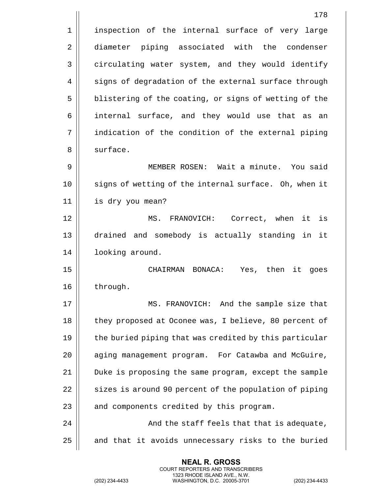|                | 178                                                    |
|----------------|--------------------------------------------------------|
| 1              | inspection of the internal surface of very large       |
| $\overline{2}$ | diameter piping associated with the condenser          |
| 3              | circulating water system, and they would identify      |
| 4              | signs of degradation of the external surface through   |
| 5              | blistering of the coating, or signs of wetting of the  |
| 6              | internal surface, and they would use that as<br>an     |
| 7              | indication of the condition of the external piping     |
| 8              | surface.                                               |
| 9              | MEMBER ROSEN: Wait a minute. You said                  |
| 10             | signs of wetting of the internal surface. Oh, when it  |
| 11             | is dry you mean?                                       |
| 12             | MS. FRANOVICH: Correct, when it<br>is                  |
| 13             | drained and somebody is actually standing in it        |
| 14             | looking around.                                        |
| 15             | Yes, then<br>CHAIRMAN<br>BONACA:<br>it<br>goes         |
| 16             | through.                                               |
| 17             | MS. FRANOVICH: And the sample size that                |
| 18             | they proposed at Oconee was, I believe, 80 percent of  |
| 19             | the buried piping that was credited by this particular |
| 20             | aging management program. For Catawba and McGuire,     |
| 21             | Duke is proposing the same program, except the sample  |
| 22             | sizes is around 90 percent of the population of piping |
| 23             | and components credited by this program.               |
| 24             | And the staff feels that that is adequate,             |
| 25             | and that it avoids unnecessary risks to the buried     |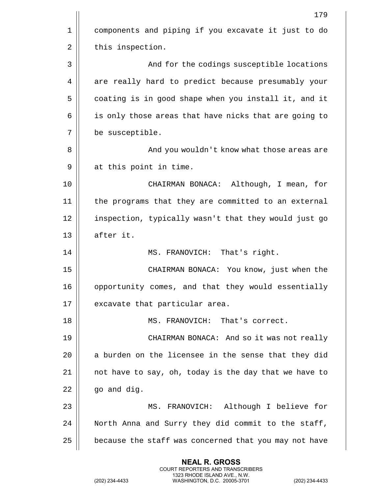|    | 179                                                   |
|----|-------------------------------------------------------|
| 1  | components and piping if you excavate it just to do   |
| 2  | this inspection.                                      |
| 3  | And for the codings susceptible locations             |
| 4  | are really hard to predict because presumably your    |
| 5  | coating is in good shape when you install it, and it  |
| 6  | is only those areas that have nicks that are going to |
| 7  | be susceptible.                                       |
| 8  | And you wouldn't know what those areas are            |
| 9  | at this point in time.                                |
| 10 | CHAIRMAN BONACA: Although, I mean, for                |
| 11 | the programs that they are committed to an external   |
| 12 | inspection, typically wasn't that they would just go  |
| 13 | after it.                                             |
| 14 | MS. FRANOVICH:<br>That's right.                       |
| 15 | CHAIRMAN BONACA: You know, just when the              |
| 16 | opportunity comes, and that they would essentially    |
| 17 | excavate that particular area.                        |
| 18 | MS. FRANOVICH:<br>That's correct.                     |
| 19 | CHAIRMAN BONACA: And so it was not really             |
| 20 | a burden on the licensee in the sense that they did   |
| 21 | not have to say, oh, today is the day that we have to |
| 22 | go and dig.                                           |
| 23 | MS. FRANOVICH: Although I believe for                 |
| 24 | North Anna and Surry they did commit to the staff,    |
| 25 | because the staff was concerned that you may not have |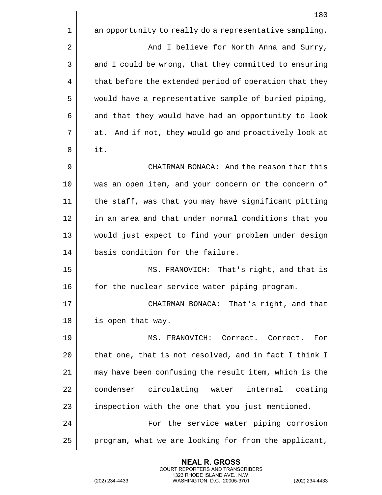|    | 180                                                    |
|----|--------------------------------------------------------|
| 1  | an opportunity to really do a representative sampling. |
| 2  | And I believe for North Anna and Surry,                |
| 3  | and I could be wrong, that they committed to ensuring  |
| 4  | that before the extended period of operation that they |
| 5  | would have a representative sample of buried piping,   |
| 6  | and that they would have had an opportunity to look    |
| 7  | at. And if not, they would go and proactively look at  |
| 8  | it.                                                    |
| 9  | CHAIRMAN BONACA: And the reason that this              |
| 10 | was an open item, and your concern or the concern of   |
| 11 | the staff, was that you may have significant pitting   |
| 12 | in an area and that under normal conditions that you   |
| 13 | would just expect to find your problem under design    |
| 14 | basis condition for the failure.                       |
| 15 | MS. FRANOVICH: That's right, and that is               |
| 16 | for the nuclear service water piping program.          |
| 17 | CHAIRMAN BONACA: That's right, and that                |
| 18 | is open that way.                                      |
| 19 | MS. FRANOVICH: Correct. Correct.<br>For                |
| 20 | that one, that is not resolved, and in fact I think I  |
| 21 | may have been confusing the result item, which is the  |
| 22 | condenser circulating water internal<br>coating        |
| 23 | inspection with the one that you just mentioned.       |
| 24 | For the service water piping corrosion                 |
| 25 | program, what we are looking for from the applicant,   |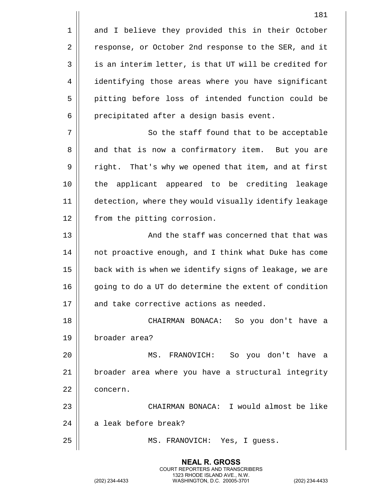|    | 181                                                    |
|----|--------------------------------------------------------|
| 1  | and I believe they provided this in their October      |
| 2  | response, or October 2nd response to the SER, and it   |
| 3  | is an interim letter, is that UT will be credited for  |
| 4  | identifying those areas where you have significant     |
| 5  | pitting before loss of intended function could be      |
| 6  | precipitated after a design basis event.               |
| 7  | So the staff found that to be acceptable               |
| 8  | and that is now a confirmatory item. But you are       |
| 9  | right. That's why we opened that item, and at first    |
| 10 | applicant appeared to be crediting leakage<br>the      |
| 11 | detection, where they would visually identify leakage  |
| 12 | from the pitting corrosion.                            |
| 13 | And the staff was concerned that that was              |
| 14 | not proactive enough, and I think what Duke has come   |
| 15 | back with is when we identify signs of leakage, we are |
| 16 | going to do a UT do determine the extent of condition  |
| 17 | and take corrective actions as needed.                 |
| 18 | CHAIRMAN BONACA: So you don't have a                   |
| 19 | broader area?                                          |
| 20 | MS. FRANOVICH: So you don't have a                     |
| 21 | broader area where you have a structural integrity     |
| 22 | concern.                                               |
| 23 | CHAIRMAN BONACA: I would almost be like                |
| 24 | a leak before break?                                   |
| 25 | MS. FRANOVICH: Yes, I guess.                           |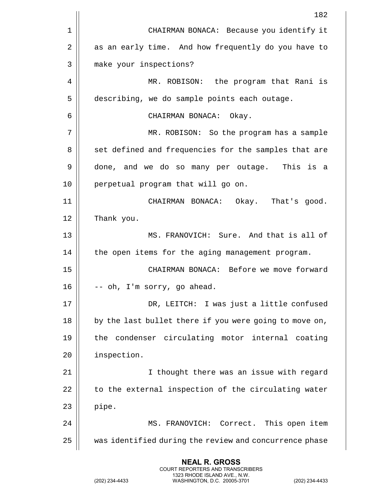|    | 182                                                    |
|----|--------------------------------------------------------|
| 1  | CHAIRMAN BONACA: Because you identify it               |
| 2  | as an early time. And how frequently do you have to    |
| 3  | make your inspections?                                 |
| 4  | MR. ROBISON: the program that Rani is                  |
| 5  | describing, we do sample points each outage.           |
| 6  | CHAIRMAN BONACA: Okay.                                 |
| 7  | MR. ROBISON: So the program has a sample               |
| 8  | set defined and frequencies for the samples that are   |
| 9  | done, and we do so many per outage. This is a          |
| 10 | perpetual program that will go on.                     |
| 11 | CHAIRMAN BONACA: Okay. That's good.                    |
| 12 | Thank you.                                             |
| 13 | MS. FRANOVICH: Sure. And that is all of                |
| 14 | the open items for the aging management program.       |
| 15 | CHAIRMAN BONACA: Before we move forward                |
| 16 | -- oh, I'm sorry, go ahead.                            |
| 17 | DR, LEITCH: I was just a little confused               |
| 18 | by the last bullet there if you were going to move on, |
| 19 | condenser circulating motor internal coating<br>the    |
| 20 | inspection.                                            |
| 21 | I thought there was an issue with regard               |
| 22 | to the external inspection of the circulating water    |
| 23 | pipe.                                                  |
| 24 | MS. FRANOVICH: Correct. This open item                 |
| 25 | was identified during the review and concurrence phase |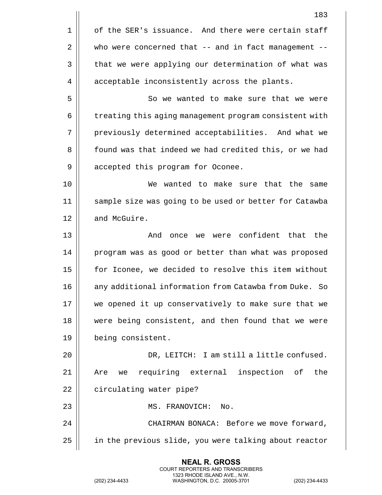|    | 183                                                      |
|----|----------------------------------------------------------|
| 1  | of the SER's issuance. And there were certain staff      |
| 2  | who were concerned that $--$ and in fact management $--$ |
| 3  | that we were applying our determination of what was      |
| 4  | acceptable inconsistently across the plants.             |
| 5  | So we wanted to make sure that we were                   |
| 6  | treating this aging management program consistent with   |
| 7  | previously determined acceptabilities. And what we       |
| 8  | found was that indeed we had credited this, or we had    |
| 9  | accepted this program for Oconee.                        |
| 10 | We wanted to make sure that the same                     |
| 11 | sample size was going to be used or better for Catawba   |
| 12 | and McGuire.                                             |
| 13 | were confident that the<br>And<br>once<br>we             |
| 14 | program was as good or better than what was proposed     |
| 15 | for Iconee, we decided to resolve this item without      |
| 16 | any additional information from Catawba from Duke. So    |
| 17 | we opened it up conservatively to make sure that we      |
| 18 | were being consistent, and then found that we were       |
| 19 | being consistent.                                        |
| 20 | DR, LEITCH: I am still a little confused.                |
| 21 | we requiring external inspection of the<br>Are           |
| 22 | circulating water pipe?                                  |
| 23 | MS. FRANOVICH:<br>No.                                    |
| 24 | CHAIRMAN BONACA: Before we move forward,                 |
| 25 | in the previous slide, you were talking about reactor    |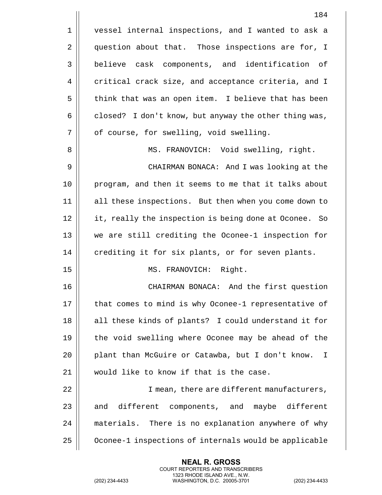|    | 184                                                   |
|----|-------------------------------------------------------|
| 1  | vessel internal inspections, and I wanted to ask a    |
| 2  | question about that. Those inspections are for, I     |
| 3  | believe cask components, and identification of        |
| 4  | critical crack size, and acceptance criteria, and I   |
| 5  | think that was an open item. I believe that has been  |
| 6  | closed? I don't know, but anyway the other thing was, |
| 7  | of course, for swelling, void swelling.               |
| 8  | MS. FRANOVICH: Void swelling, right.                  |
| 9  | CHAIRMAN BONACA: And I was looking at the             |
| 10 | program, and then it seems to me that it talks about  |
| 11 | all these inspections. But then when you come down to |
| 12 | it, really the inspection is being done at Oconee. So |
| 13 | we are still crediting the Oconee-1 inspection for    |
| 14 | crediting it for six plants, or for seven plants.     |
| 15 | MS. FRANOVICH: Right.                                 |
| 16 | CHAIRMAN BONACA: And the first question               |
| 17 | that comes to mind is why Oconee-1 representative of  |
| 18 | all these kinds of plants? I could understand it for  |
| 19 | the void swelling where Oconee may be ahead of the    |
| 20 | plant than McGuire or Catawba, but I don't know.<br>T |
| 21 | would like to know if that is the case.               |
| 22 | I mean, there are different manufacturers,            |
| 23 | different components, and maybe different<br>and      |
| 24 | materials. There is no explanation anywhere of why    |
| 25 | Oconee-1 inspections of internals would be applicable |

(202) 234-4433 WASHINGTON, D.C. 20005-3701 (202) 234-4433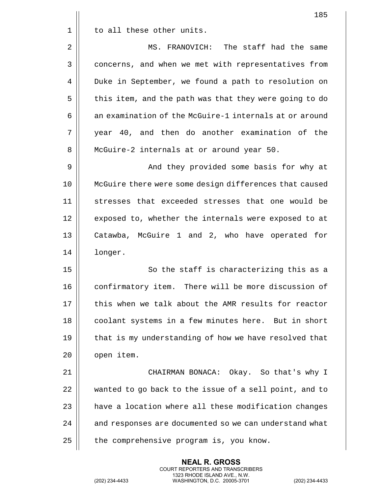|    | 185                                                    |
|----|--------------------------------------------------------|
| 1  | to all these other units.                              |
| 2  | MS. FRANOVICH: The staff had the same                  |
| 3  | concerns, and when we met with representatives from    |
| 4  | Duke in September, we found a path to resolution on    |
| 5  | this item, and the path was that they were going to do |
| 6  | an examination of the McGuire-1 internals at or around |
| 7  | year 40, and then do another examination of the        |
| 8  | McGuire-2 internals at or around year 50.              |
| 9  | And they provided some basis for why at                |
| 10 | McGuire there were some design differences that caused |
| 11 | stresses that exceeded stresses that one would be      |
| 12 | exposed to, whether the internals were exposed to at   |
| 13 | Catawba, McGuire 1 and 2, who have operated for        |
| 14 | longer.                                                |
| 15 | So the staff is characterizing this as a               |
| 16 | confirmatory item. There will be more discussion of    |
| 17 | this when we talk about the AMR results for reactor    |
| 18 | coolant systems in a few minutes here. But in short    |
| 19 | that is my understanding of how we have resolved that  |
| 20 | open item.                                             |
| 21 | CHAIRMAN BONACA: Okay. So that's why I                 |
| 22 | wanted to go back to the issue of a sell point, and to |
| 23 | have a location where all these modification changes   |
| 24 | and responses are documented so we can understand what |
| 25 | the comprehensive program is, you know.                |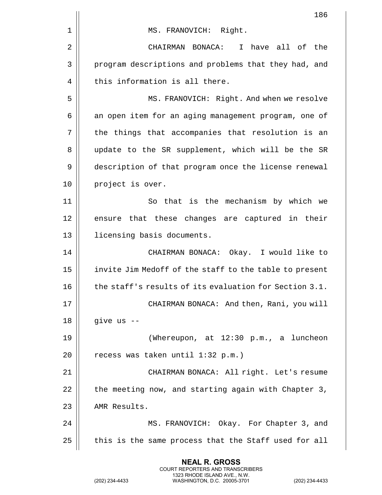|    | 186                                                    |
|----|--------------------------------------------------------|
| 1  | MS. FRANOVICH: Right.                                  |
| 2  | I have all of<br>CHAIRMAN BONACA:<br>the               |
| 3  | program descriptions and problems that they had, and   |
| 4  | this information is all there.                         |
| 5  | MS. FRANOVICH: Right. And when we resolve              |
| 6  | an open item for an aging management program, one of   |
| 7  | the things that accompanies that resolution is an      |
| 8  | update to the SR supplement, which will be the SR      |
| 9  | description of that program once the license renewal   |
| 10 | project is over.                                       |
| 11 | So that is the mechanism by which we                   |
| 12 | ensure that these changes are captured in their        |
| 13 | licensing basis documents.                             |
| 14 | CHAIRMAN BONACA: Okay. I would like to                 |
| 15 | invite Jim Medoff of the staff to the table to present |
| 16 | the staff's results of its evaluation for Section 3.1. |
| 17 | CHAIRMAN BONACA: And then, Rani, you will              |
| 18 | give us --                                             |
| 19 | (Whereupon, at 12:30 p.m., a luncheon                  |
| 20 | recess was taken until 1:32 p.m.)                      |
| 21 | CHAIRMAN BONACA: All right. Let's resume               |
| 22 | the meeting now, and starting again with Chapter 3,    |
| 23 | AMR Results.                                           |
| 24 | MS. FRANOVICH: Okay. For Chapter 3, and                |
| 25 | this is the same process that the Staff used for all   |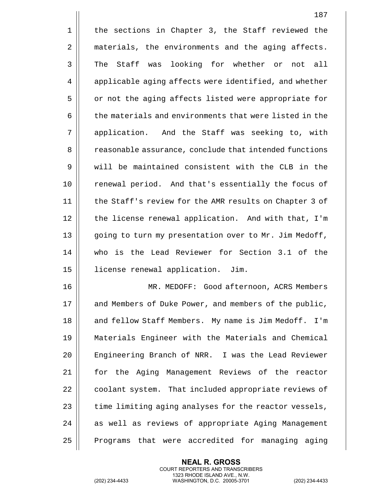|             | 187                                                    |
|-------------|--------------------------------------------------------|
| $\mathbf 1$ | the sections in Chapter 3, the Staff reviewed the      |
| 2           | materials, the environments and the aging affects.     |
| 3           | The Staff was looking for whether or<br>not all        |
| 4           | applicable aging affects were identified, and whether  |
| 5           | or not the aging affects listed were appropriate for   |
| 6           | the materials and environments that were listed in the |
| 7           | application. And the Staff was seeking to, with        |
| 8           | reasonable assurance, conclude that intended functions |
| 9           | will be maintained consistent with the CLB in the      |
| 10          | renewal period. And that's essentially the focus of    |
| 11          | the Staff's review for the AMR results on Chapter 3 of |
| 12          | the license renewal application. And with that, I'm    |
| 13          | going to turn my presentation over to Mr. Jim Medoff,  |
| 14          | who is the Lead Reviewer for Section 3.1 of the        |
| 15          | license renewal application. Jim.                      |
| 16          | MR. MEDOFF: Good afternoon, ACRS Members               |
| 17          | and Members of Duke Power, and members of the public,  |
| 18          | and fellow Staff Members. My name is Jim Medoff. I'm   |
| 19          | Materials Engineer with the Materials and Chemical     |
| 20          | Engineering Branch of NRR. I was the Lead Reviewer     |
| 21          | for the Aging Management Reviews of the reactor        |
| 22          | coolant system. That included appropriate reviews of   |
| 23          | time limiting aging analyses for the reactor vessels,  |
| 24          | as well as reviews of appropriate Aging Management     |
| 25          | Programs that were accredited for managing aging       |

(202) 234-4433 WASHINGTON, D.C. 20005-3701 (202) 234-4433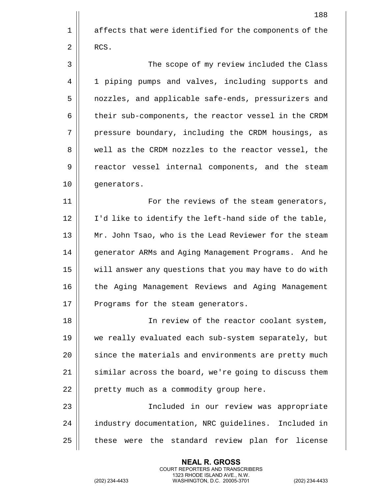|    | 188                                                    |
|----|--------------------------------------------------------|
| 1  | affects that were identified for the components of the |
| 2  | RCS.                                                   |
| 3  | The scope of my review included the Class              |
| 4  | 1 piping pumps and valves, including supports and      |
| 5  | nozzles, and applicable safe-ends, pressurizers and    |
| 6  | their sub-components, the reactor vessel in the CRDM   |
| 7  | pressure boundary, including the CRDM housings, as     |
| 8  | well as the CRDM nozzles to the reactor vessel, the    |
| 9  | reactor vessel internal components, and the steam      |
| 10 | generators.                                            |
| 11 | For the reviews of the steam generators,               |
| 12 | I'd like to identify the left-hand side of the table,  |
| 13 | Mr. John Tsao, who is the Lead Reviewer for the steam  |
| 14 | generator ARMs and Aging Management Programs. And he   |
| 15 | will answer any questions that you may have to do with |
| 16 | the Aging Management Reviews and Aging Management      |
| 17 | Programs for the steam generators.                     |
| 18 | In review of the reactor coolant system,               |
| 19 | we really evaluated each sub-system separately, but    |
| 20 | since the materials and environments are pretty much   |
| 21 | similar across the board, we're going to discuss them  |
| 22 | pretty much as a commodity group here.                 |
| 23 | Included in our review was appropriate                 |
| 24 | industry documentation, NRC guidelines. Included in    |
| 25 | were the standard review plan for license<br>these     |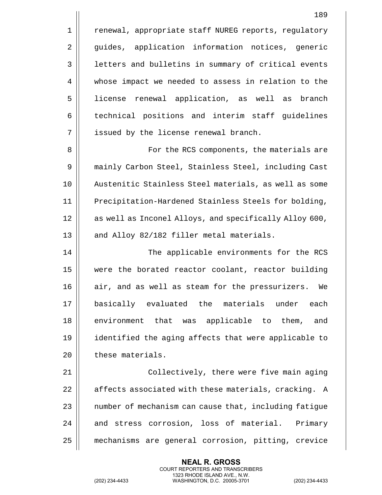1 | renewal, appropriate staff NUREG reports, regulatory 2 || guides, application information notices, generic 3 | letters and bulletins in summary of critical events 4 whose impact we needed to assess in relation to the 5 license renewal application, as well as branch 6 | technical positions and interim staff guidelines 7 || issued by the license renewal branch. 8 || For the RCS components, the materials are 9 | mainly Carbon Steel, Stainless Steel, including Cast 10 Austenitic Stainless Steel materials, as well as some 11 || Precipitation-Hardened Stainless Steels for bolding, 12 || as well as Inconel Alloys, and specifically Alloy 600, 13 || and Alloy 82/182 filler metal materials. 14 || The applicable environments for the RCS 15 were the borated reactor coolant, reactor building 16 || air, and as well as steam for the pressurizers. We 17 basically evaluated the materials under each 18 || environment that was applicable to them, and 19 identified the aging affects that were applicable to 20 | these materials. 21 || Collectively, there were five main aging 22  $\parallel$  affects associated with these materials, cracking. A  $23$   $\parallel$  number of mechanism can cause that, including fatigue 24 || and stress corrosion, loss of material. Primary

> **NEAL R. GROSS** COURT REPORTERS AND TRANSCRIBERS 1323 RHODE ISLAND AVE., N.W.

25 mechanisms are general corrosion, pitting, crevice

189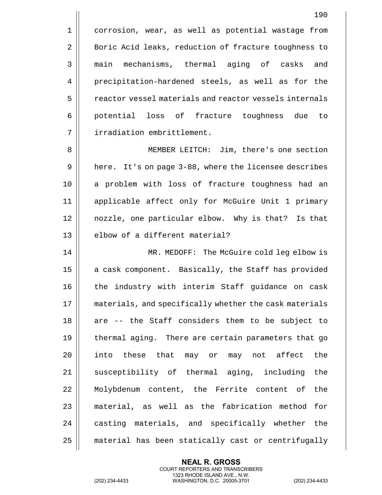1 | corrosion, wear, as well as potential wastage from 2 | Boric Acid leaks, reduction of fracture toughness to 3 || main mechanisms, thermal aging of casks and 4 | precipitation-hardened steels, as well as for the  $5 \parallel$  reactor vessel materials and reactor vessels internals 6 potential loss of fracture toughness due to

8 MEMBER LEITCH: Jim, there's one section 9 | here. It's on page 3-88, where the licensee describes 10 || a problem with loss of fracture toughness had an 11 applicable affect only for McGuire Unit 1 primary 12 nozzle, one particular elbow. Why is that? Is that 13 || elbow of a different material?

7 | irradiation embrittlement.

14 MR. MEDOFF: The McGuire cold leg elbow is 15 || a cask component. Basically, the Staff has provided 16 || the industry with interim Staff quidance on cask 17 || materials, and specifically whether the cask materials  $18$  are  $-$  the Staff considers them to be subject to 19 || thermal aging. There are certain parameters that go  $20$  || into these that may or may not affect the  $21$  susceptibility of thermal aging, including the 22 Molybdenum content, the Ferrite content of the 23 || material, as well as the fabrication method for 24 || casting materials, and specifically whether the 25 material has been statically cast or centrifugally

> **NEAL R. GROSS** COURT REPORTERS AND TRANSCRIBERS 1323 RHODE ISLAND AVE., N.W.

(202) 234-4433 WASHINGTON, D.C. 20005-3701 (202) 234-4433

190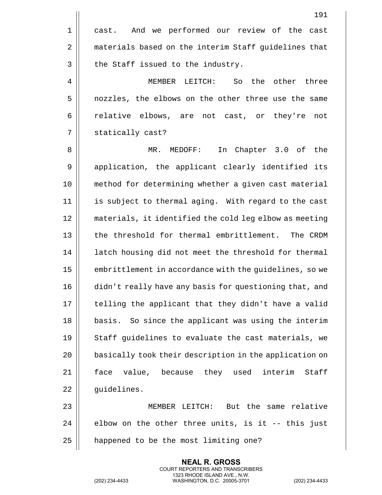|       | 191                                                    |
|-------|--------------------------------------------------------|
| $1\,$ | cast. And we performed our review of the cast          |
| 2     | materials based on the interim Staff guidelines that   |
| 3     | the Staff issued to the industry.                      |
| 4     | LEITCH:<br>So<br>the<br>other three<br>MEMBER          |
| 5     | nozzles, the elbows on the other three use the same    |
| 6     | relative elbows, are not cast, or they're<br>not       |
| 7     | statically cast?                                       |
| 8     | In Chapter 3.0 of the<br>MR.<br>MEDOFF:                |
| 9     | application, the applicant clearly identified its      |
| 10    | method for determining whether a given cast material   |
| 11    | is subject to thermal aging. With regard to the cast   |
| 12    | materials, it identified the cold leg elbow as meeting |
| 13    | the threshold for thermal embrittlement. The CRDM      |
| 14    | latch housing did not meet the threshold for thermal   |
| 15    | embrittlement in accordance with the guidelines, so we |
| 16    | didn't really have any basis for questioning that, and |
| 17    | telling the applicant that they didn't have a valid    |
| 18    | basis. So since the applicant was using the interim    |
| 19    | Staff guidelines to evaluate the cast materials, we    |
| 20    | basically took their description in the application on |
| 21    | value, because they used interim<br>face<br>Staff      |
| 22    | guidelines.                                            |
| 23    | MEMBER LEITCH: But the same relative                   |
| 24    | elbow on the other three units, is it -- this just     |
| 25    | happened to be the most limiting one?                  |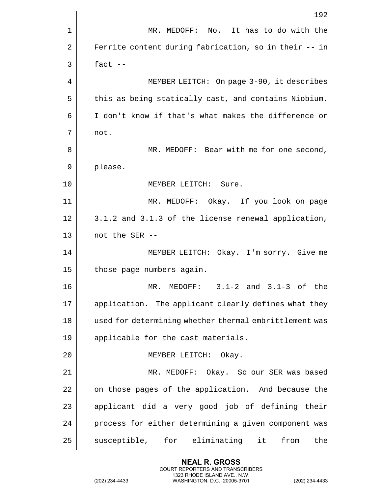|    | 192                                                    |
|----|--------------------------------------------------------|
| 1  | No. It has to do with the<br>MR. MEDOFF:               |
| 2  | Ferrite content during fabrication, so in their -- in  |
| 3  | fact $--$                                              |
| 4  | MEMBER LEITCH: On page 3-90, it describes              |
| 5  | this as being statically cast, and contains Niobium.   |
| 6  | I don't know if that's what makes the difference or    |
| 7  | not.                                                   |
| 8  | MR. MEDOFF: Bear with me for one second,               |
| 9  | please.                                                |
| 10 | MEMBER LEITCH: Sure.                                   |
| 11 | MR. MEDOFF: Okay. If you look on page                  |
| 12 | 3.1.2 and 3.1.3 of the license renewal application,    |
| 13 | not the SER --                                         |
| 14 | MEMBER LEITCH: Okay. I'm sorry. Give me                |
| 15 | those page numbers again.                              |
| 16 | $3.1 - 2$ and $3.1 - 3$ of the<br>MR.<br>MEDOFF:       |
| 17 | application. The applicant clearly defines what they   |
| 18 | used for determining whether thermal embrittlement was |
| 19 | applicable for the cast materials.                     |
| 20 | MEMBER LEITCH: Okay.                                   |
| 21 | MR. MEDOFF: Okay. So our SER was based                 |
| 22 | on those pages of the application. And because the     |
| 23 | applicant did a very good job of defining their        |
| 24 | process for either determining a given component was   |
| 25 | susceptible, for eliminating it<br>the<br>from         |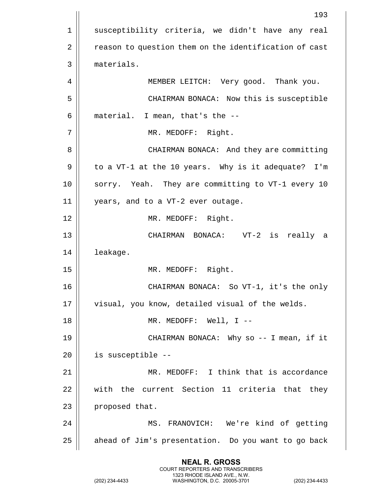1 || susceptibility criteria, we didn't have any real 2 | reason to question them on the identification of cast 3 materials. 4 || MEMBER LEITCH: Very good. Thank you. 5 CHAIRMAN BONACA: Now this is susceptible  $6 \parallel$  material. I mean, that's the  $-$ -7 || MR. MEDOFF: Right. 8 | CHAIRMAN BONACA: And they are committing 9 || to a VT-1 at the 10 years. Why is it adequate? I'm 10 || sorry. Yeah. They are committing to VT-1 every 10 11 years, and to a VT-2 ever outage. 12 || MR. MEDOFF: Right. 13 CHAIRMAN BONACA: VT-2 is really a 14 | leakage. 15 || MR. MEDOFF: Right. 16 CHAIRMAN BONACA: So VT-1, it's the only 17 || visual, you know, detailed visual of the welds. 18 MR. MEDOFF: Well, I -- 19 CHAIRMAN BONACA: Why so -- I mean, if it  $20$  || is susceptible  $-$ -21 MR. MEDOFF: I think that is accordance 22 with the current Section 11 criteria that they 23 **proposed** that. 24 MS. FRANOVICH: We're kind of getting  $25$  | ahead of Jim's presentation. Do you want to go back

> **NEAL R. GROSS** COURT REPORTERS AND TRANSCRIBERS 1323 RHODE ISLAND AVE., N.W.

(202) 234-4433 WASHINGTON, D.C. 20005-3701 (202) 234-4433

193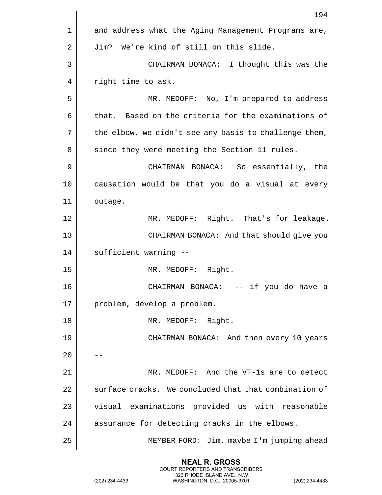|    | 194                                                   |
|----|-------------------------------------------------------|
| 1  | and address what the Aging Management Programs are,   |
| 2  | Jim? We're kind of still on this slide.               |
| 3  | CHAIRMAN BONACA: I thought this was the               |
| 4  | right time to ask.                                    |
| 5  | MR. MEDOFF: No, I'm prepared to address               |
| 6  | that. Based on the criteria for the examinations of   |
| 7  | the elbow, we didn't see any basis to challenge them, |
| 8  | since they were meeting the Section 11 rules.         |
| 9  | CHAIRMAN BONACA: So essentially, the                  |
| 10 | causation would be that you do a visual at every      |
| 11 | outage.                                               |
| 12 | MR. MEDOFF: Right. That's for leakage.                |
| 13 | CHAIRMAN BONACA: And that should give you             |
| 14 | sufficient warning --                                 |
| 15 | MR. MEDOFF: Right.                                    |
| 16 | CHAIRMAN BONACA: -- if you do have a                  |
| 17 | problem, develop a problem.                           |
| 18 | MR. MEDOFF: Right.                                    |
| 19 | CHAIRMAN BONACA: And then every 10 years              |
| 20 |                                                       |
| 21 | MR. MEDOFF: And the VT-1s are to detect               |
| 22 | surface cracks. We concluded that that combination of |
| 23 | visual examinations provided us with reasonable       |
| 24 | assurance for detecting cracks in the elbows.         |
| 25 | MEMBER FORD: Jim, maybe I'm jumping ahead             |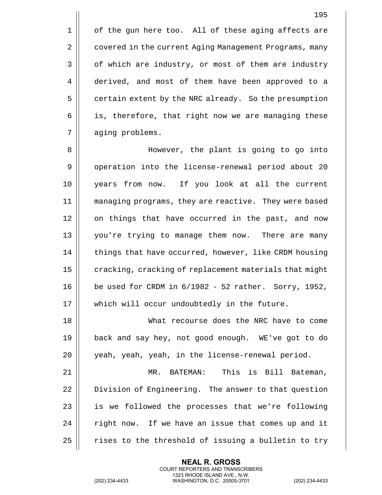1 | of the gun here too. All of these aging affects are 2 | covered in the current Aging Management Programs, many  $3 \parallel$  of which are industry, or most of them are industry 4 derived, and most of them have been approved to a 5 | certain extent by the NRC already. So the presumption  $6 \parallel$  is, therefore, that right now we are managing these 7 || aging problems.

8 However, the plant is going to go into 9 | operation into the license-renewal period about 20 10 years from now. If you look at all the current 11 managing programs, they are reactive. They were based 12 || on things that have occurred in the past, and now 13 you're trying to manage them now. There are many 14 | things that have occurred, however, like CRDM housing  $15$   $\parallel$  cracking, cracking of replacement materials that might 16  $\vert$  be used for CRDM in  $6/1982 - 52$  rather. Sorry, 1952, 17 || which will occur undoubtedly in the future.

18 What recourse does the NRC have to come 19 back and say hey, not good enough. WE've got to do 20 || yeah, yeah, yeah, in the license-renewal period.

 MR. BATEMAN: This is Bill Bateman, 22 | Division of Engineering. The answer to that question | is we followed the processes that we're following | right now. If we have an issue that comes up and it  $\parallel$  rises to the threshold of issuing a bulletin to try

> **NEAL R. GROSS** COURT REPORTERS AND TRANSCRIBERS 1323 RHODE ISLAND AVE., N.W.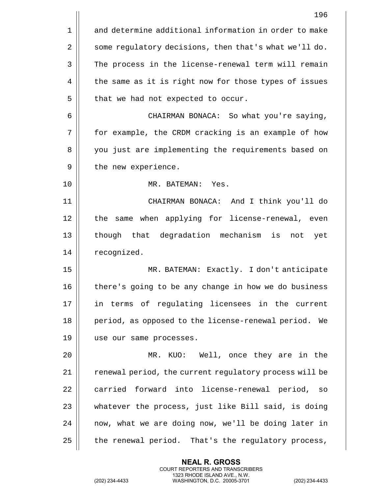|    | 196                                                     |
|----|---------------------------------------------------------|
| 1  | and determine additional information in order to make   |
| 2  | some regulatory decisions, then that's what we'll do.   |
| 3  | The process in the license-renewal term will remain     |
| 4  | the same as it is right now for those types of issues   |
| 5  | that we had not expected to occur.                      |
| 6  | CHAIRMAN BONACA: So what you're saying,                 |
| 7  | for example, the CRDM cracking is an example of how     |
| 8  | you just are implementing the requirements based on     |
| 9  | the new experience.                                     |
| 10 | MR. BATEMAN: Yes.                                       |
| 11 | CHAIRMAN BONACA: And I think you'll do                  |
| 12 | the same when applying for license-renewal, even        |
| 13 | though that degradation mechanism is<br>not<br>yet      |
| 14 | recognized.                                             |
| 15 | MR. BATEMAN: Exactly. I don't anticipate                |
| 16 | there's going to be any change in how we do business    |
| 17 | in terms of regulating licensees in the current         |
| 18 | period, as opposed to the license-renewal period.<br>We |
| 19 | use our same processes.                                 |
| 20 | MR. KUO: Well, once they are in the                     |
| 21 | renewal period, the current regulatory process will be  |
| 22 | carried forward into license-renewal period,<br>SO      |
| 23 | whatever the process, just like Bill said, is doing     |
| 24 | now, what we are doing now, we'll be doing later in     |
| 25 | the renewal period. That's the regulatory process,      |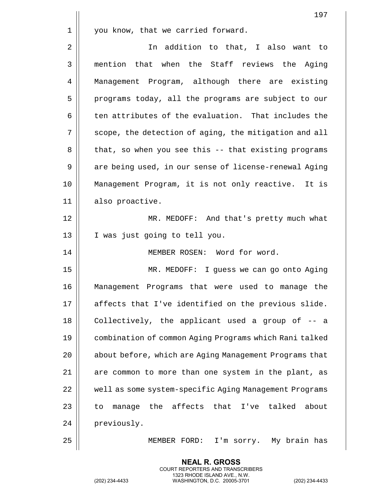|    | 197                                                         |
|----|-------------------------------------------------------------|
| 1  | you know, that we carried forward.                          |
| 2  | In addition to that, I also want to                         |
| 3  | mention that when the Staff reviews the Aging               |
| 4  | Management Program, although there are existing             |
| 5  | programs today, all the programs are subject to our         |
| 6  | ten attributes of the evaluation. That includes the         |
| 7  | scope, the detection of aging, the mitigation and all       |
| 8  | that, so when you see this -- that existing programs        |
| 9  | are being used, in our sense of license-renewal Aging       |
| 10 | Management Program, it is not only reactive. It is          |
| 11 | also proactive.                                             |
| 12 | MR. MEDOFF: And that's pretty much what                     |
| 13 | I was just going to tell you.                               |
| 14 | MEMBER ROSEN: Word for word.                                |
| 15 | MR. MEDOFF: I guess we can go onto Aging                    |
| 16 | Management Programs that were used to manage the            |
| 17 | affects that I've identified on the previous slide.         |
| 18 | Collectively, the applicant used a group of -- a            |
| 19 | combination of common Aging Programs which Rani talked      |
| 20 | about before, which are Aging Management Programs that      |
| 21 | are common to more than one system in the plant, as         |
| 22 | well as some system-specific Aging Management Programs      |
| 23 | the affects that<br>talked<br>I've<br>about<br>manage<br>to |
| 24 | previously.                                                 |
| 25 | MEMBER FORD:<br>I'm sorry. My brain has                     |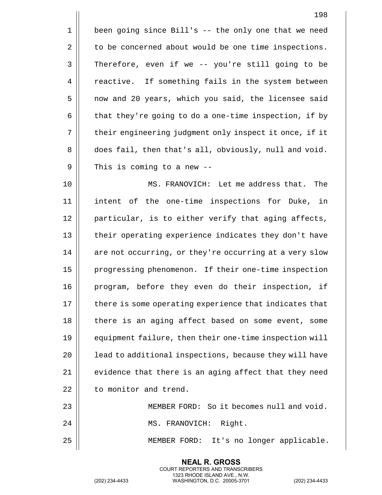1 | been going since Bill's -- the only one that we need  $2 \parallel$  to be concerned about would be one time inspections. 3 || Therefore, even if we -- you're still going to be 4 | reactive. If something fails in the system between 5 || now and 20 years, which you said, the licensee said 6  $\parallel$  that they're going to do a one-time inspection, if by 7 || their engineering judgment only inspect it once, if it 8 does fail, then that's all, obviously, null and void.  $9 \parallel$  This is coming to a new --

10 || MS. FRANOVICH: Let me address that. The 11 intent of the one-time inspections for Duke, in 12 || particular, is to either verify that aging affects, 13 || their operating experience indicates they don't have  $14$   $\parallel$  are not occurring, or they're occurring at a very slow 15 | progressing phenomenon. If their one-time inspection 16 || program, before they even do their inspection, if 17 || there is some operating experience that indicates that 18 || there is an aging affect based on some event, some 19 | equipment failure, then their one-time inspection will 20 || lead to additional inspections, because they will have 21  $\parallel$  evidence that there is an aging affect that they need 22 | to monitor and trend.

23 MEMBER FORD: So it becomes null and void. 24 MS. FRANOVICH: Right. 25 MEMBER FORD: It's no longer applicable.

> **NEAL R. GROSS** COURT REPORTERS AND TRANSCRIBERS 1323 RHODE ISLAND AVE., N.W.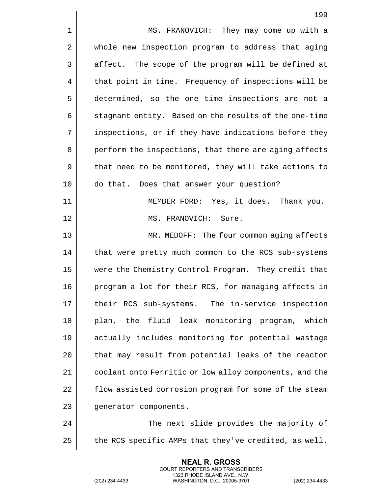|    | 199                                                    |
|----|--------------------------------------------------------|
| 1  | MS. FRANOVICH: They may come up with a                 |
| 2  | whole new inspection program to address that aging     |
| 3  | affect. The scope of the program will be defined at    |
| 4  | that point in time. Frequency of inspections will be   |
| 5  | determined, so the one time inspections are not a      |
| 6  | stagnant entity. Based on the results of the one-time  |
| 7  | inspections, or if they have indications before they   |
| 8  | perform the inspections, that there are aging affects  |
| 9  | that need to be monitored, they will take actions to   |
| 10 | do that. Does that answer your question?               |
| 11 | MEMBER FORD: Yes, it does. Thank you.                  |
| 12 | MS. FRANOVICH: Sure.                                   |
| 13 | MR. MEDOFF: The four common aging affects              |
| 14 | that were pretty much common to the RCS sub-systems    |
| 15 | were the Chemistry Control Program. They credit that   |
| 16 | program a lot for their RCS, for managing affects in   |
| 17 | their RCS sub-systems. The in-service inspection       |
| 18 | the fluid leak monitoring program, which<br>plan,      |
| 19 | actually includes monitoring for potential wastage     |
| 20 | that may result from potential leaks of the reactor    |
| 21 | coolant onto Ferritic or low alloy components, and the |
| 22 | flow assisted corrosion program for some of the steam  |
| 23 | generator components.                                  |
| 24 | The next slide provides the majority of                |
| 25 | the RCS specific AMPs that they've credited, as well.  |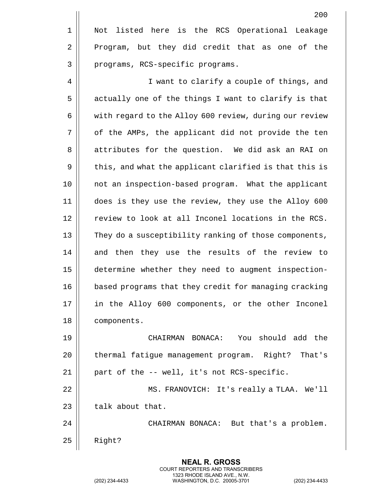200 1 || Not listed here is the RCS Operational Leakage 2 Program, but they did credit that as one of the 3 || programs, RCS-specific programs. 4 || I want to clarify a couple of things, and 5 | actually one of the things I want to clarify is that 6 | with regard to the Alloy 600 review, during our review 7 || of the AMPs, the applicant did not provide the ten 8 || attributes for the question. We did ask an RAI on  $9 \parallel$  this, and what the applicant clarified is that this is 10 not an inspection-based program. What the applicant 11 does is they use the review, they use the Alloy 600 12 || review to look at all Inconel locations in the RCS. 13 || They do a susceptibility ranking of those components, 14 and then they use the results of the review to 15 determine whether they need to augment inspection-16 | based programs that they credit for managing cracking 17 || in the Alloy 600 components, or the other Inconel 18 | components.

 CHAIRMAN BONACA: You should add the 20 | thermal fatigue management program. Right? That's  $\parallel$  part of the -- well, it's not RCS-specific. MS. FRANOVICH: It's really a TLAA. We'll | talk about that. CHAIRMAN BONACA: But that's a problem.  $25$  | Right?

> **NEAL R. GROSS** COURT REPORTERS AND TRANSCRIBERS 1323 RHODE ISLAND AVE., N.W.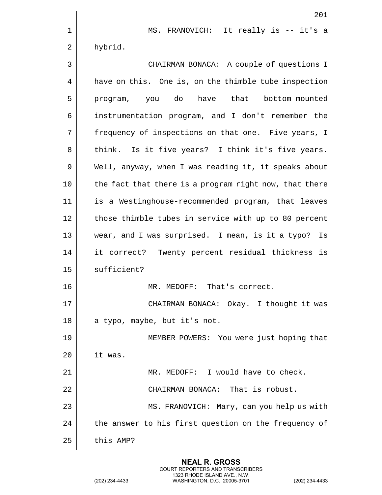|    | 201                                                    |
|----|--------------------------------------------------------|
| 1  | MS. FRANOVICH: It really is -- it's a                  |
| 2  | hybrid.                                                |
| 3  | CHAIRMAN BONACA: A couple of questions I               |
| 4  | have on this. One is, on the thimble tube inspection   |
| 5  | have that<br>do<br>bottom-mounted<br>program, you      |
| 6  | instrumentation program, and I don't remember the      |
| 7  | frequency of inspections on that one. Five years, I    |
| 8  | think. Is it five years? I think it's five years.      |
| 9  | Well, anyway, when I was reading it, it speaks about   |
| 10 | the fact that there is a program right now, that there |
| 11 | is a Westinghouse-recommended program, that leaves     |
| 12 | those thimble tubes in service with up to 80 percent   |
| 13 | wear, and I was surprised. I mean, is it a typo?<br>Is |
| 14 | Twenty percent residual thickness is<br>it correct?    |
| 15 | sufficient?                                            |
| 16 | MR. MEDOFF:<br>That's correct.                         |
| 17 | CHAIRMAN BONACA: Okay. I thought it was                |
| 18 | a typo, maybe, but it's not.                           |
| 19 | MEMBER POWERS: You were just hoping that               |
| 20 | it was.                                                |
| 21 | MR. MEDOFF: I would have to check.                     |
| 22 | CHAIRMAN BONACA: That is robust.                       |
| 23 | MS. FRANOVICH: Mary, can you help us with              |
| 24 | the answer to his first question on the frequency of   |
| 25 | this AMP?                                              |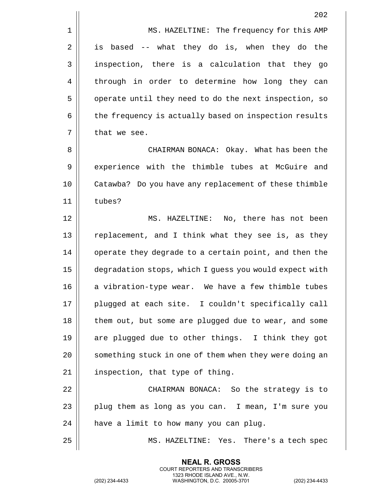1 | MS. HAZELTINE: The frequency for this AMP  $2 \parallel$  is based -- what they do is, when they do the 3 inspection, there is a calculation that they go 4 || through in order to determine how long they can 5 | | operate until they need to do the next inspection, so 6 | the frequency is actually based on inspection results  $7$  | that we see.

8 CHAIRMAN BONACA: Okay. What has been the 9 || experience with the thimble tubes at McGuire and 10 Catawba? Do you have any replacement of these thimble 11 tubes?

12 MS. HAZELTINE: No, there has not been 13 || replacement, and I think what they see is, as they 14 | operate they degrade to a certain point, and then the 15 degradation stops, which I guess you would expect with 16 || a vibration-type wear. We have a few thimble tubes 17 plugged at each site. I couldn't specifically call 18 || them out, but some are plugged due to wear, and some 19 are plugged due to other things. I think they got 20 || something stuck in one of them when they were doing an  $21$  | inspection, that type of thing.

22 | CHAIRMAN BONACA: So the strategy is to 23  $\vert$  plug them as long as you can. I mean, I'm sure you  $24$  | have a limit to how many you can plug.

> **NEAL R. GROSS** COURT REPORTERS AND TRANSCRIBERS 1323 RHODE ISLAND AVE., N.W.

25 MS. HAZELTINE: Yes. There's a tech spec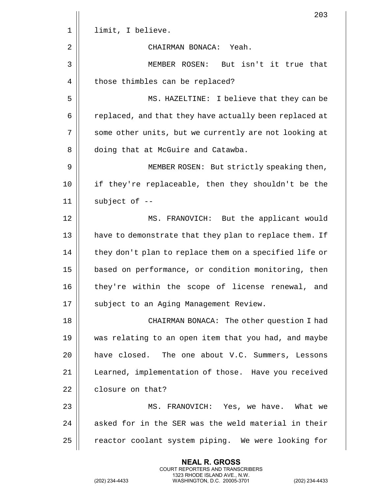|    | 203                                                    |
|----|--------------------------------------------------------|
| 1  | limit, I believe.                                      |
| 2  | CHAIRMAN BONACA: Yeah.                                 |
| 3  | MEMBER ROSEN:<br>But isn't it true that                |
| 4  | those thimbles can be replaced?                        |
| 5  | MS. HAZELTINE: I believe that they can be              |
| 6  | replaced, and that they have actually been replaced at |
| 7  | some other units, but we currently are not looking at  |
| 8  | doing that at McGuire and Catawba.                     |
| 9  | MEMBER ROSEN: But strictly speaking then,              |
| 10 | if they're replaceable, then they shouldn't be the     |
| 11 | subject of --                                          |
| 12 | MS. FRANOVICH: But the applicant would                 |
| 13 | have to demonstrate that they plan to replace them. If |
| 14 | they don't plan to replace them on a specified life or |
| 15 | based on performance, or condition monitoring, then    |
| 16 | they're within the scope of license renewal, and       |
| 17 | subject to an Aging Management Review.                 |
| 18 | CHAIRMAN BONACA: The other question I had              |
| 19 | was relating to an open item that you had, and maybe   |
| 20 | have closed. The one about V.C. Summers, Lessons       |
| 21 | Learned, implementation of those. Have you received    |
| 22 | closure on that?                                       |
| 23 | MS. FRANOVICH: Yes, we have. What we                   |
| 24 | asked for in the SER was the weld material in their    |
| 25 | reactor coolant system piping. We were looking for     |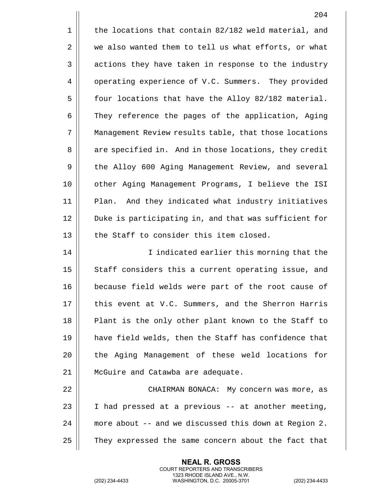$1 \parallel$  the locations that contain 82/182 weld material, and  $2 \parallel$  we also wanted them to tell us what efforts, or what 3 | actions they have taken in response to the industry 4 | operating experience of V.C. Summers. They provided  $5 \parallel$  four locations that have the Alloy 82/182 material. 6 They reference the pages of the application, Aging 7 Management Review results table, that those locations 8 | are specified in. And in those locations, they credit 9 | the Alloy 600 Aging Management Review, and several 10 other Aging Management Programs, I believe the ISI 11 Plan. And they indicated what industry initiatives 12 || Duke is participating in, and that was sufficient for 13 || the Staff to consider this item closed. 14 || I indicated earlier this morning that the 15 || Staff considers this a current operating issue, and 16 because field welds were part of the root cause of 17 || this event at V.C. Summers, and the Sherron Harris 18 || Plant is the only other plant known to the Staff to 19 have field welds, then the Staff has confidence that 20 || the Aging Management of these weld locations for 21 | McGuire and Catawba are adequate. 22 | CHAIRMAN BONACA: My concern was more, as 23  $\parallel$  I had pressed at a previous -- at another meeting, 24 more about -- and we discussed this down at Region 2. 25 | They expressed the same concern about the fact that

> **NEAL R. GROSS** COURT REPORTERS AND TRANSCRIBERS 1323 RHODE ISLAND AVE., N.W.

(202) 234-4433 WASHINGTON, D.C. 20005-3701 (202) 234-4433

204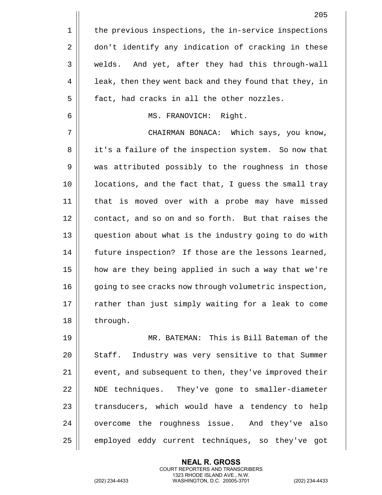|    | 205                                                    |
|----|--------------------------------------------------------|
| 1  | the previous inspections, the in-service inspections   |
| 2  | don't identify any indication of cracking in these     |
| 3  | And yet, after they had this through-wall<br>welds.    |
| 4  | leak, then they went back and they found that they, in |
| 5  | fact, had cracks in all the other nozzles.             |
| 6  | MS. FRANOVICH: Right.                                  |
| 7  | CHAIRMAN BONACA: Which says, you know,                 |
| 8  | it's a failure of the inspection system. So now that   |
| 9  | was attributed possibly to the roughness in those      |
| 10 | locations, and the fact that, I guess the small tray   |
| 11 | that is moved over with a probe may have missed        |
| 12 | contact, and so on and so forth. But that raises the   |
| 13 | question about what is the industry going to do with   |
| 14 | future inspection? If those are the lessons learned,   |
| 15 | how are they being applied in such a way that we're    |
| 16 | going to see cracks now through volumetric inspection, |
| 17 | rather than just simply waiting for a leak to come     |
| 18 | through.                                               |
| 19 | MR. BATEMAN: This is Bill Bateman of the               |
| 20 | Staff. Industry was very sensitive to that Summer      |
| 21 | event, and subsequent to then, they've improved their  |
| 22 | NDE techniques. They've gone to smaller-diameter       |
| 23 | transducers, which would have a tendency to help       |
| 24 | overcome the roughness issue. And they've also         |
| 25 | employed eddy current techniques, so they've got       |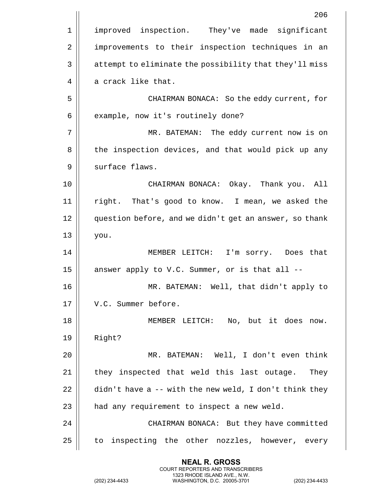|    | 206                                                              |
|----|------------------------------------------------------------------|
| 1  | improved inspection. They've made significant                    |
| 2  | improvements to their inspection techniques in an                |
| 3  | attempt to eliminate the possibility that they'll miss           |
| 4  | a crack like that.                                               |
| 5  | CHAIRMAN BONACA: So the eddy current, for                        |
| 6  | example, now it's routinely done?                                |
| 7  | MR. BATEMAN: The eddy current now is on                          |
| 8  | the inspection devices, and that would pick up any               |
| 9  | surface flaws.                                                   |
| 10 | CHAIRMAN BONACA: Okay. Thank you. All                            |
| 11 | right. That's good to know. I mean, we asked the                 |
| 12 | question before, and we didn't get an answer, so thank           |
| 13 | you.                                                             |
| 14 | MEMBER LEITCH: I'm sorry. Does that                              |
| 15 | answer apply to V.C. Summer, or is that all --                   |
| 16 | MR. BATEMAN: Well, that didn't apply to                          |
| 17 | V.C. Summer before.                                              |
| 18 | MEMBER LEITCH: No, but it does now.                              |
| 19 | Right?                                                           |
| 20 | MR. BATEMAN: Well, I don't even think                            |
| 21 | they inspected that weld this last outage. They                  |
| 22 | $\text{d}$ idn't have a -- with the new weld, I don't think they |
| 23 | had any requirement to inspect a new weld.                       |
| 24 | CHAIRMAN BONACA: But they have committed                         |
| 25 | to inspecting the other nozzles, however, every                  |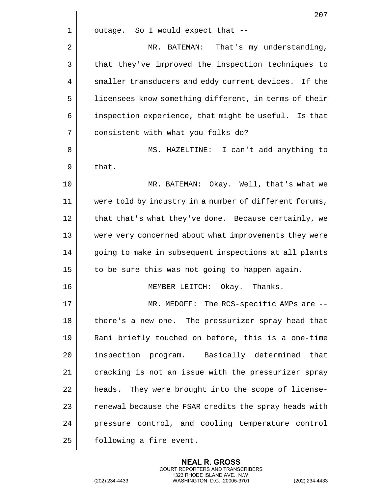|    | 207                                                    |
|----|--------------------------------------------------------|
| 1  | outage. So I would expect that --                      |
| 2  | MR. BATEMAN:<br>That's my understanding,               |
| 3  | that they've improved the inspection techniques to     |
| 4  | smaller transducers and eddy current devices. If the   |
| 5  | licensees know something different, in terms of their  |
| 6  | inspection experience, that might be useful. Is that   |
| 7  | consistent with what you folks do?                     |
| 8  | MS. HAZELTINE: I can't add anything to                 |
| 9  | that.                                                  |
| 10 | MR. BATEMAN: Okay. Well, that's what we                |
| 11 | were told by industry in a number of different forums, |
| 12 | that that's what they've done. Because certainly, we   |
| 13 | were very concerned about what improvements they were  |
| 14 | going to make in subsequent inspections at all plants  |
| 15 | to be sure this was not going to happen again.         |
| 16 | MEMBER LEITCH:<br>Okay.<br>Thanks.                     |
| 17 | MR. MEDOFF: The RCS-specific AMPs are $-$ -            |
| 18 | there's a new one. The pressurizer spray head that     |
| 19 | Rani briefly touched on before, this is a one-time     |
| 20 | inspection program. Basically determined that          |
| 21 | cracking is not an issue with the pressurizer spray    |
| 22 | heads. They were brought into the scope of license-    |
| 23 | renewal because the FSAR credits the spray heads with  |
| 24 | pressure control, and cooling temperature control      |
| 25 | following a fire event.                                |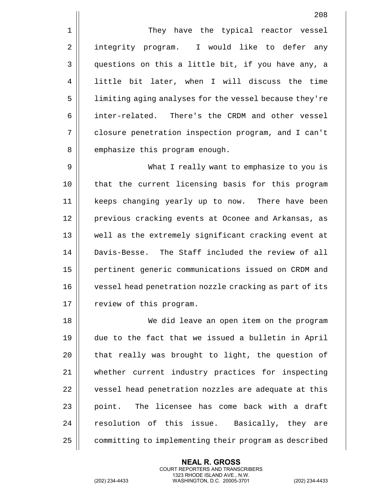1 || They have the typical reactor vessel 2 || integrity program. I would like to defer any 3 questions on this a little bit, if you have any, a 4 || little bit later, when I will discuss the time 5 | limiting aging analyses for the vessel because they're 6 inter-related. There's the CRDM and other vessel 7 closure penetration inspection program, and I can't 8 || emphasize this program enough.

 What I really want to emphasize to you is 10 || that the current licensing basis for this program keeps changing yearly up to now. There have been 12 || previous cracking events at Oconee and Arkansas, as well as the extremely significant cracking event at Davis-Besse. The Staff included the review of all pertinent generic communications issued on CRDM and vessel head penetration nozzle cracking as part of its 17 | review of this program.

 We did leave an open item on the program due to the fact that we issued a bulletin in April || that really was brought to light, the question of whether current industry practices for inspecting 22 | vessel head penetration nozzles are adequate at this || point. The licensee has come back with a draft 24 || resolution of this issue. Basically, they are 25 | committing to implementing their program as described

> **NEAL R. GROSS** COURT REPORTERS AND TRANSCRIBERS 1323 RHODE ISLAND AVE., N.W.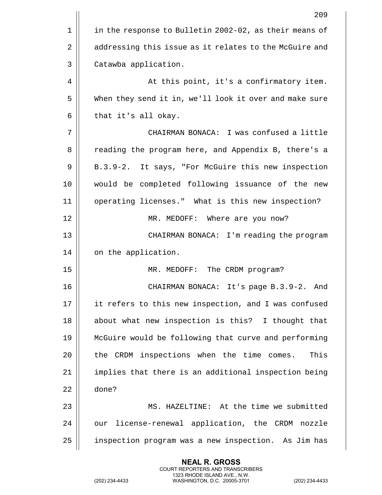|    | 209                                                    |
|----|--------------------------------------------------------|
| 1  | in the response to Bulletin 2002-02, as their means of |
| 2  | addressing this issue as it relates to the McGuire and |
| 3  | Catawba application.                                   |
| 4  | At this point, it's a confirmatory item.               |
| 5  | When they send it in, we'll look it over and make sure |
| 6  | that it's all okay.                                    |
| 7  | CHAIRMAN BONACA: I was confused a little               |
| 8  | reading the program here, and Appendix B, there's a    |
| 9  | B.3.9-2. It says, "For McGuire this new inspection     |
| 10 | would be completed following issuance of the new       |
| 11 | operating licenses." What is this new inspection?      |
| 12 | MR. MEDOFF: Where are you now?                         |
| 13 | CHAIRMAN BONACA: I'm reading the program               |
| 14 | on the application.                                    |
| 15 | MR. MEDOFF: The CRDM program?                          |
| 16 | It's page $B.3.9-2.$<br>CHAIRMAN BONACA:<br>And        |
| 17 | it refers to this new inspection, and I was confused   |
| 18 | about what new inspection is this? I thought that      |
| 19 | McGuire would be following that curve and performing   |
| 20 | the CRDM inspections when the time comes.<br>This      |
| 21 | implies that there is an additional inspection being   |
| 22 | done?                                                  |
| 23 | MS. HAZELTINE: At the time we submitted                |
| 24 | our license-renewal application, the CRDM nozzle       |
| 25 | inspection program was a new inspection. As Jim has    |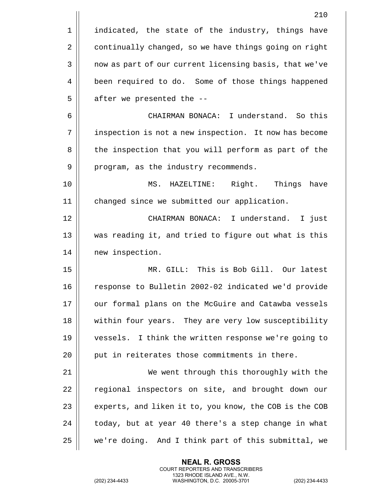|    | 210                                                    |
|----|--------------------------------------------------------|
| 1  | indicated, the state of the industry, things have      |
| 2  | continually changed, so we have things going on right  |
| 3  | now as part of our current licensing basis, that we've |
| 4  | been required to do. Some of those things happened     |
| 5  | after we presented the --                              |
| 6  | CHAIRMAN BONACA: I understand. So this                 |
| 7  | inspection is not a new inspection. It now has become  |
| 8  | the inspection that you will perform as part of the    |
| 9  | program, as the industry recommends.                   |
| 10 | MS. HAZELTINE: Right. Things<br>have                   |
| 11 | changed since we submitted our application.            |
| 12 | CHAIRMAN BONACA: I understand.<br>I just               |
| 13 | was reading it, and tried to figure out what is this   |
| 14 | new inspection.                                        |
| 15 | MR. GILL: This is Bob Gill. Our latest                 |
| 16 | response to Bulletin 2002-02 indicated we'd provide    |
| 17 | our formal plans on the McGuire and Catawba vessels    |
| 18 | within four years. They are very low susceptibility    |
| 19 | vessels. I think the written response we're going to   |
| 20 | put in reiterates those commitments in there.          |
| 21 | We went through this thoroughly with the               |
| 22 | regional inspectors on site, and brought down our      |
| 23 | experts, and liken it to, you know, the COB is the COB |
| 24 | today, but at year 40 there's a step change in what    |
| 25 | we're doing. And I think part of this submittal, we    |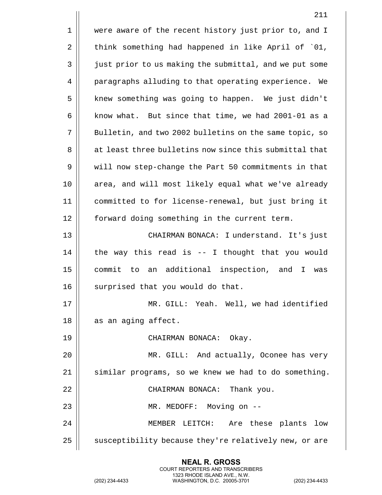1 || were aware of the recent history just prior to, and I  $2 \parallel$  think something had happened in like April of  $01$ , 3 | just prior to us making the submittal, and we put some 4 | paragraphs alluding to that operating experience. We 5 | knew something was going to happen. We just didn't  $6 \parallel$  know what. But since that time, we had 2001-01 as a 7 || Bulletin, and two 2002 bulletins on the same topic, so 8 || at least three bulletins now since this submittal that 9 | will now step-change the Part 50 commitments in that 10 || area, and will most likely equal what we've already 11 committed to for license-renewal, but just bring it 12 || forward doing something in the current term. 13 CHAIRMAN BONACA: I understand. It's just  $14$  | the way this read is -- I thought that you would 15 commit to an additional inspection, and I was 16 || surprised that you would do that. 17 MR. GILL: Yeah. Well, we had identified  $18$  || as an aging affect. 19 CHAIRMAN BONACA: Okay. 20 MR. GILL: And actually, Oconee has very 21 | similar programs, so we knew we had to do something. 22 || CHAIRMAN BONACA: Thank you. 23 MR. MEDOFF: Moving on -- 24 MEMBER LEITCH: Are these plants low 25 | susceptibility because they're relatively new, or are

> **NEAL R. GROSS** COURT REPORTERS AND TRANSCRIBERS 1323 RHODE ISLAND AVE., N.W.

(202) 234-4433 WASHINGTON, D.C. 20005-3701 (202) 234-4433

211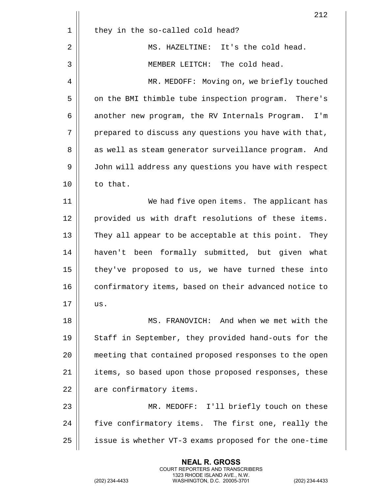|    | 212                                                     |
|----|---------------------------------------------------------|
| 1  | they in the so-called cold head?                        |
| 2  | It's the cold head.<br>MS. HAZELTINE:                   |
| 3  | The cold head.<br>MEMBER LEITCH:                        |
| 4  | MR. MEDOFF: Moving on, we briefly touched               |
| 5  | on the BMI thimble tube inspection program. There's     |
| 6  | another new program, the RV Internals Program.<br>I'm   |
| 7  | prepared to discuss any questions you have with that,   |
| 8  | as well as steam generator surveillance program.<br>And |
| 9  | John will address any questions you have with respect   |
| 10 | to that.                                                |
| 11 | We had five open items. The applicant has               |
| 12 | provided us with draft resolutions of these items.      |
| 13 | They all appear to be acceptable at this point. They    |
| 14 | haven't been formally submitted, but given what         |
| 15 | they've proposed to us, we have turned these into       |
| 16 | confirmatory items, based on their advanced notice to   |
| 17 | us.                                                     |
| 18 | MS. FRANOVICH: And when we met with the                 |
| 19 | Staff in September, they provided hand-outs for the     |
| 20 | meeting that contained proposed responses to the open   |
| 21 | items, so based upon those proposed responses, these    |
| 22 | are confirmatory items.                                 |
| 23 | MR. MEDOFF: I'll briefly touch on these                 |
| 24 | five confirmatory items. The first one, really the      |
| 25 | issue is whether VT-3 exams proposed for the one-time   |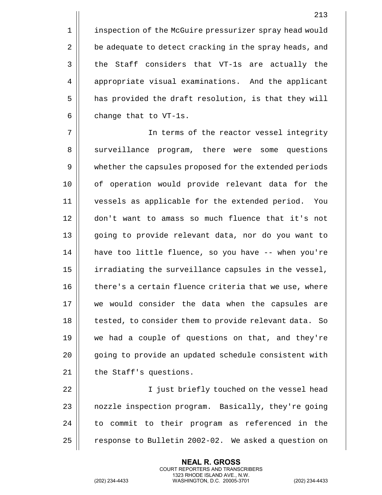1 | inspection of the McGuire pressurizer spray head would 2 | be adequate to detect cracking in the spray heads, and  $3 \parallel$  the Staff considers that VT-1s are actually the 4 | appropriate visual examinations. And the applicant 5 | has provided the draft resolution, is that they will 6  $\parallel$  change that to VT-1s.

7 In terms of the reactor vessel integrity 8 Surveillance program, there were some questions 9 | whether the capsules proposed for the extended periods 10 || of operation would provide relevant data for the 11 vessels as applicable for the extended period. You 12 don't want to amass so much fluence that it's not 13 || going to provide relevant data, nor do you want to 14 have too little fluence, so you have -- when you're 15 | irradiating the surveillance capsules in the vessel, 16  $\parallel$  there's a certain fluence criteria that we use, where 17 we would consider the data when the capsules are 18 || tested, to consider them to provide relevant data. So 19 || we had a couple of questions on that, and they're 20 || qoing to provide an updated schedule consistent with  $21$  | the Staff's questions.

22 || I just briefly touched on the vessel head 23 | nozzle inspection program. Basically, they're going 24 || to commit to their program as referenced in the 25 | response to Bulletin 2002-02. We asked a question on

> **NEAL R. GROSS** COURT REPORTERS AND TRANSCRIBERS 1323 RHODE ISLAND AVE., N.W.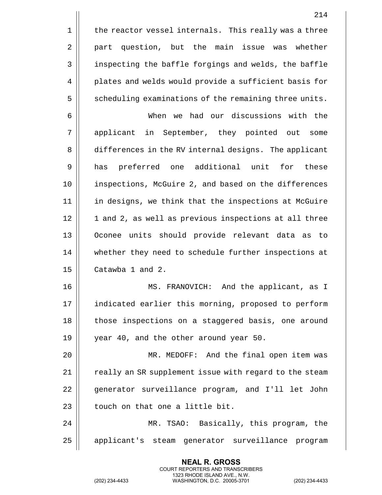$1$  | the reactor vessel internals. This really was a three 2 | part question, but the main issue was whether 3 | inspecting the baffle forgings and welds, the baffle 4 | plates and welds would provide a sufficient basis for 5 S Scheduling examinations of the remaining three units.

6 When we had our discussions with the 7 applicant in September, they pointed out some 8 differences in the RV internal designs. The applicant 9 has preferred one additional unit for these 10 || inspections, McGuire 2, and based on the differences 11 in designs, we think that the inspections at McGuire 12 || 1 and 2, as well as previous inspections at all three 13 Oconee units should provide relevant data as to 14 | whether they need to schedule further inspections at 15 **Catawba** 1 and 2.

16 MS. FRANOVICH: And the applicant, as I 17 || indicated earlier this morning, proposed to perform 18 || those inspections on a staggered basis, one around 19 || vear 40, and the other around year 50.

20 MR. MEDOFF: And the final open item was 21 || really an SR supplement issue with regard to the steam 22 || qenerator surveillance program, and I'll let John  $23$  || touch on that one a little bit.

24 MR. TSAO: Basically, this program, the 25 || applicant's steam generator surveillance program

> **NEAL R. GROSS** COURT REPORTERS AND TRANSCRIBERS 1323 RHODE ISLAND AVE., N.W.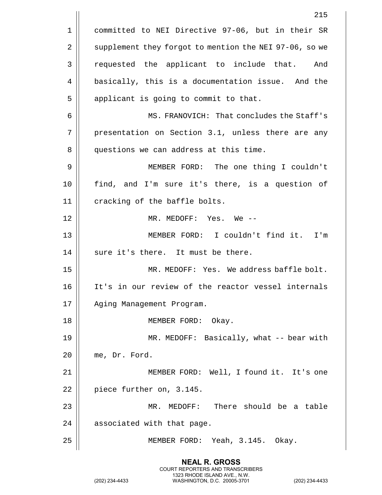215 1 || committed to NEI Directive 97-06, but in their SR 2 | supplement they forgot to mention the NEI 97-06, so we 3 || requested the applicant to include that. And 4 | basically, this is a documentation issue. And the  $5$  || applicant is going to commit to that. 6 MS. FRANOVICH: That concludes the Staff's 7 || presentation on Section 3.1, unless there are any 8 || questions we can address at this time. 9 MEMBER FORD: The one thing I couldn't 10 find, and I'm sure it's there, is a question of 11 || cracking of the baffle bolts. 12 || MR. MEDOFF: Yes. We --13 MEMBER FORD: I couldn't find it. I'm  $14$  | sure it's there. It must be there. 15 MR. MEDOFF: Yes. We address baffle bolt. 16 It's in our review of the reactor vessel internals 17 | Aging Management Program. 18 || MEMBER FORD: Okay. 19 || MR. MEDOFF: Basically, what -- bear with 20 || me, Dr. Ford. 21 MEMBER FORD: Well, I found it. It's one  $22$  | piece further on, 3.145. 23 MR. MEDOFF: There should be a table 24 || associated with that page. 25 MEMBER FORD: Yeah, 3.145. Okay.

> **NEAL R. GROSS** COURT REPORTERS AND TRANSCRIBERS 1323 RHODE ISLAND AVE., N.W.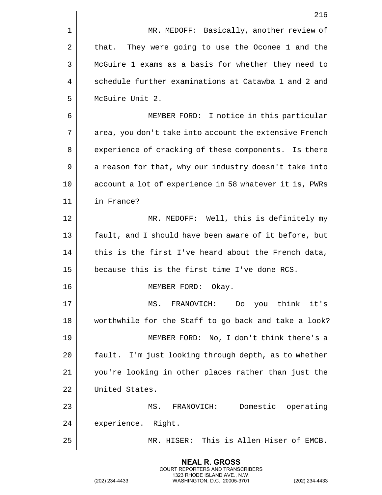|    | 216                                                    |
|----|--------------------------------------------------------|
| 1  | MR. MEDOFF: Basically, another review of               |
| 2  | They were going to use the Oconee 1 and the<br>that.   |
| 3  | McGuire 1 exams as a basis for whether they need to    |
| 4  | schedule further examinations at Catawba 1 and 2 and   |
| 5  | McGuire Unit 2.                                        |
| 6  | MEMBER FORD: I notice in this particular               |
| 7  | area, you don't take into account the extensive French |
| 8  | experience of cracking of these components. Is there   |
| 9  | a reason for that, why our industry doesn't take into  |
| 10 | account a lot of experience in 58 whatever it is, PWRs |
| 11 | in France?                                             |
| 12 | MR. MEDOFF: Well, this is definitely my                |
| 13 | fault, and I should have been aware of it before, but  |
| 14 | this is the first I've heard about the French data,    |
| 15 | because this is the first time I've done RCS.          |
| 16 | Okay.<br>MEMBER FORD:                                  |
| 17 | MS. FRANOVICH: Do you think it's                       |
| 18 | worthwhile for the Staff to go back and take a look?   |
| 19 | MEMBER FORD: No, I don't think there's a               |
| 20 | fault. I'm just looking through depth, as to whether   |
| 21 | you're looking in other places rather than just the    |
| 22 | United States.                                         |
| 23 | Domestic operating<br>MS. FRANOVICH:                   |
| 24 | experience. Right.                                     |
| 25 | MR. HISER: This is Allen Hiser of EMCB.                |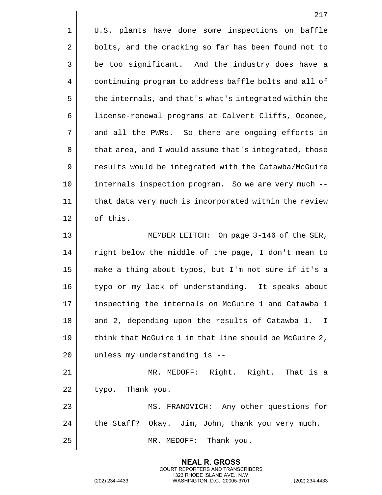|             | 217                                                    |
|-------------|--------------------------------------------------------|
| $\mathbf 1$ | U.S. plants have done some inspections on baffle       |
| 2           | bolts, and the cracking so far has been found not to   |
| 3           | be too significant. And the industry does have a       |
| 4           | continuing program to address baffle bolts and all of  |
| 5           | the internals, and that's what's integrated within the |
| 6           | license-renewal programs at Calvert Cliffs, Oconee,    |
| 7           | and all the PWRs. So there are ongoing efforts in      |
| 8           | that area, and I would assume that's integrated, those |
| 9           | results would be integrated with the Catawba/McGuire   |
| 10          | internals inspection program. So we are very much --   |
| 11          | that data very much is incorporated within the review  |
| 12          | of this.                                               |
| 13          | MEMBER LEITCH: On page 3-146 of the SER,               |
| 14          | right below the middle of the page, I don't mean to    |
| 15          | make a thing about typos, but I'm not sure if it's a   |
| 16          | typo or my lack of understanding. It speaks about      |
| 17          | inspecting the internals on McGuire 1 and Catawba 1    |
| 18          | and 2, depending upon the results of Catawba 1. I      |
| 19          | think that McGuire 1 in that line should be McGuire 2, |
| 20          | unless my understanding is --                          |
| 21          | MR. MEDOFF: Right. Right. That is a                    |
| 22          | typo. Thank you.                                       |
| 23          | MS. FRANOVICH: Any other questions for                 |
| 24          | the Staff? Okay. Jim, John, thank you very much.       |
| 25          | MR. MEDOFF: Thank you.                                 |

(202) 234-4433 WASHINGTON, D.C. 20005-3701 (202) 234-4433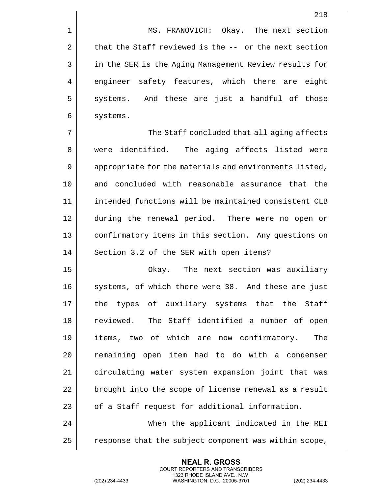1 | MS. FRANOVICH: Okay. The next section 2  $\parallel$  that the Staff reviewed is the -- or the next section 3 | in the SER is the Aging Management Review results for 4 engineer safety features, which there are eight 5 || systems. And these are just a handful of those 6 | systems.

7 The Staff concluded that all aging affects 8 || were identified. The aging affects listed were 9 | appropriate for the materials and environments listed, 10 and concluded with reasonable assurance that the 11 intended functions will be maintained consistent CLB 12 during the renewal period. There were no open or 13 | confirmatory items in this section. Any questions on 14 | Section 3.2 of the SER with open items?

15 Okay. The next section was auxiliary 16 || systems, of which there were 38. And these are just 17 || the types of auxiliary systems that the Staff 18 || reviewed. The Staff identified a number of open 19 items, two of which are now confirmatory. The 20 || remaining open item had to do with a condenser 21 | circulating water system expansion joint that was  $22$  | brought into the scope of license renewal as a result  $23$  |  $\sigma$  of a Staff request for additional information. 24 When the applicant indicated in the REI

25  $\parallel$  response that the subject component was within scope,

**NEAL R. GROSS** COURT REPORTERS AND TRANSCRIBERS 1323 RHODE ISLAND AVE., N.W.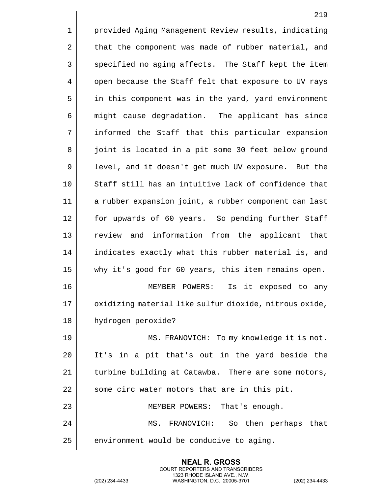1 | provided Aging Management Review results, indicating 2 | that the component was made of rubber material, and 3 || specified no aging affects. The Staff kept the item 4 | open because the Staff felt that exposure to UV rays 5 in this component was in the yard, yard environment 6 | might cause degradation. The applicant has since 7 informed the Staff that this particular expansion 8 || joint is located in a pit some 30 feet below ground 9 | level, and it doesn't get much UV exposure. But the 10 || Staff still has an intuitive lack of confidence that 11 a rubber expansion joint, a rubber component can last 12 for upwards of 60 years. So pending further Staff 13 || review and information from the applicant that 14 | indicates exactly what this rubber material is, and 15 why it's good for 60 years, this item remains open. 16 MEMBER POWERS: Is it exposed to any 17 || oxidizing material like sulfur dioxide, nitrous oxide, 18 hydrogen peroxide? 19 MS. FRANOVICH: To my knowledge it is not. 20 It's in a pit that's out in the yard beside the  $21$   $\parallel$  turbine building at Catawba. There are some motors,  $22$  || some circ water motors that are in this pit. 23 MEMBER POWERS: That's enough. 24 MS. FRANOVICH: So then perhaps that  $25$  | environment would be conducive to aging.

> **NEAL R. GROSS** COURT REPORTERS AND TRANSCRIBERS 1323 RHODE ISLAND AVE., N.W.

(202) 234-4433 WASHINGTON, D.C. 20005-3701 (202) 234-4433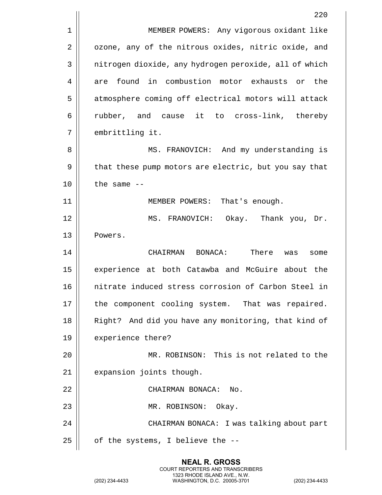|    | 220                                                   |
|----|-------------------------------------------------------|
| 1  | MEMBER POWERS: Any vigorous oxidant like              |
| 2  | ozone, any of the nitrous oxides, nitric oxide, and   |
| 3  | nitrogen dioxide, any hydrogen peroxide, all of which |
| 4  | found in combustion motor exhausts or<br>the<br>are   |
| 5  | atmosphere coming off electrical motors will attack   |
| 6  | rubber, and cause it to cross-link, thereby           |
| 7  | embrittling it.                                       |
| 8  | MS. FRANOVICH: And my understanding is                |
| 9  | that these pump motors are electric, but you say that |
| 10 | the same $-$                                          |
| 11 | MEMBER POWERS: That's enough.                         |
| 12 | MS. FRANOVICH: Okay. Thank you, Dr.                   |
| 13 | Powers.                                               |
| 14 | CHAIRMAN BONACA:<br>There<br>was<br>some              |
| 15 | experience at both Catawba and McGuire about the      |
| 16 | nitrate induced stress corrosion of Carbon Steel in   |
| 17 | the component cooling system. That was repaired.      |
| 18 | Right? And did you have any monitoring, that kind of  |
| 19 | experience there?                                     |
| 20 | MR. ROBINSON: This is not related to the              |
| 21 | expansion joints though.                              |
| 22 | CHAIRMAN BONACA: No.                                  |
| 23 | MR. ROBINSON: Okay.                                   |
| 24 | CHAIRMAN BONACA: I was talking about part             |
| 25 | of the systems, I believe the --                      |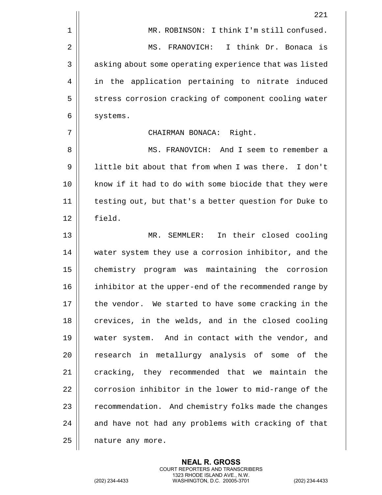|    | 221                                                    |
|----|--------------------------------------------------------|
| 1  | MR. ROBINSON: I think I'm still confused.              |
| 2  | I think Dr. Bonaca is<br>MS. FRANOVICH:                |
| 3  | asking about some operating experience that was listed |
| 4  | in the application pertaining to nitrate induced       |
| 5  | stress corrosion cracking of component cooling water   |
| 6  | systems.                                               |
| 7  | CHAIRMAN BONACA: Right.                                |
| 8  | MS. FRANOVICH: And I seem to remember a                |
| 9  | little bit about that from when I was there. I don't   |
| 10 | know if it had to do with some biocide that they were  |
| 11 | testing out, but that's a better question for Duke to  |
| 12 | field.                                                 |
| 13 | MR. SEMMLER: In their closed cooling                   |
| 14 | water system they use a corrosion inhibitor, and the   |
| 15 | chemistry program was maintaining the corrosion        |
| 16 | inhibitor at the upper-end of the recommended range by |
| 17 | the vendor. We started to have some cracking in the    |
| 18 | crevices, in the welds, and in the closed cooling      |
| 19 | water system. And in contact with the vendor, and      |
| 20 | research in metallurgy analysis of some of the         |
| 21 | cracking, they recommended that we maintain the        |
| 22 | corrosion inhibitor in the lower to mid-range of the   |
| 23 | recommendation. And chemistry folks made the changes   |
| 24 | and have not had any problems with cracking of that    |
| 25 | nature any more.                                       |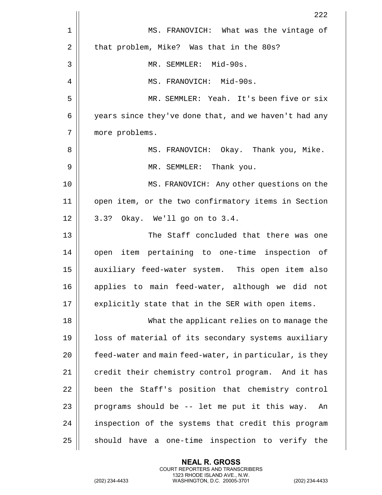|    | 222                                                    |
|----|--------------------------------------------------------|
| 1  | MS. FRANOVICH: What was the vintage of                 |
| 2  | that problem, Mike? Was that in the 80s?               |
| 3  | MR. SEMMLER: Mid-90s.                                  |
| 4  | MS. FRANOVICH: Mid-90s.                                |
| 5  | MR. SEMMLER: Yeah. It's been five or six               |
| 6  | years since they've done that, and we haven't had any  |
| 7  | more problems.                                         |
| 8  | MS. FRANOVICH: Okay. Thank you, Mike.                  |
| 9  | MR. SEMMLER: Thank you.                                |
| 10 | MS. FRANOVICH: Any other questions on the              |
| 11 | open item, or the two confirmatory items in Section    |
| 12 | 3.3? Okay. We'll go on to 3.4.                         |
| 13 | The Staff concluded that there was one                 |
| 14 | open item pertaining to one-time inspection of         |
| 15 | auxiliary feed-water system. This open item also       |
| 16 | applies to main feed-water, although we did not        |
| 17 | explicitly state that in the SER with open items.      |
| 18 | What the applicant relies on to manage the             |
| 19 | loss of material of its secondary systems auxiliary    |
| 20 | feed-water and main feed-water, in particular, is they |
| 21 | credit their chemistry control program. And it has     |
| 22 | been the Staff's position that chemistry control       |
| 23 | programs should be -- let me put it this way.<br>An    |
| 24 | inspection of the systems that credit this program     |
| 25 | should have a one-time inspection to verify the        |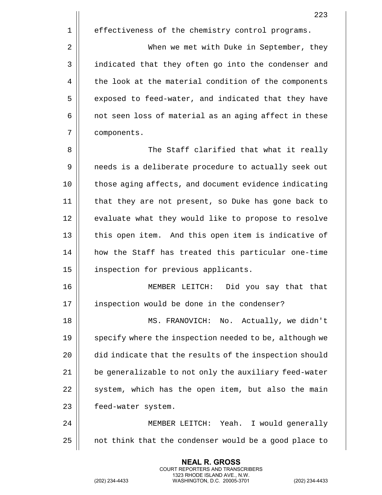223

1 | effectiveness of the chemistry control programs.

2 | When we met with Duke in September, they 3 || indicated that they often go into the condenser and 4 | the look at the material condition of the components 5 | exposed to feed-water, and indicated that they have  $6 \parallel$  not seen loss of material as an aging affect in these 7 components.

8 The Staff clarified that what it really 9 || needs is a deliberate procedure to actually seek out 10 || those aging affects, and document evidence indicating 11 that they are not present, so Duke has gone back to 12 || evaluate what they would like to propose to resolve 13 || this open item. And this open item is indicative of 14 how the Staff has treated this particular one-time 15 | inspection for previous applicants.

16 MEMBER LEITCH: Did you say that that 17 || inspection would be done in the condenser?

18 MS. FRANOVICH: No. Actually, we didn't 19 || specify where the inspection needed to be, although we 20 did indicate that the results of the inspection should 21 | be generalizable to not only the auxiliary feed-water  $22$   $\parallel$  system, which has the open item, but also the main 23 | feed-water system.

24 MEMBER LEITCH: Yeah. I would generally  $25$  | not think that the condenser would be a good place to

> **NEAL R. GROSS** COURT REPORTERS AND TRANSCRIBERS 1323 RHODE ISLAND AVE., N.W.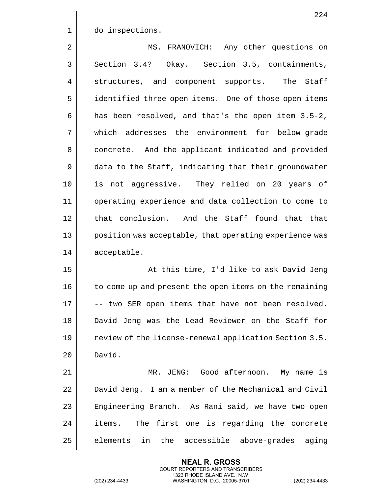|             | 224                                                    |
|-------------|--------------------------------------------------------|
| $\mathbf 1$ | do inspections.                                        |
| 2           | MS. FRANOVICH: Any other questions on                  |
| 3           | Section 3.4? Okay. Section 3.5, containments,          |
| 4           | The<br>Staff<br>structures, and component supports.    |
| 5           | identified three open items. One of those open items   |
| 6           | has been resolved, and that's the open item 3.5-2,     |
| 7           | which addresses the environment for below-grade        |
| 8           | concrete. And the applicant indicated and provided     |
| 9           | data to the Staff, indicating that their groundwater   |
| 10          | is not aggressive. They relied on 20 years of          |
| 11          | operating experience and data collection to come to    |
| 12          | that conclusion. And the Staff found that that         |
| 13          | position was acceptable, that operating experience was |
| 14          | acceptable.                                            |
| 15          | At this time, I'd like to ask David Jeng               |
| 16          | to come up and present the open items on the remaining |
| 17          | -- two SER open items that have not been resolved.     |
| 18          | David Jeng was the Lead Reviewer on the Staff for      |
| 19          | review of the license-renewal application Section 3.5. |
| 20          | David.                                                 |
| 21          | MR. JENG: Good afternoon. My name is                   |
| 22          | David Jeng. I am a member of the Mechanical and Civil  |
| 23          | Engineering Branch. As Rani said, we have two open     |
| 24          | The first one is regarding the concrete<br>items.      |
| 25          | the accessible above-grades<br>elements<br>in<br>aging |

(202) 234-4433 WASHINGTON, D.C. 20005-3701 (202) 234-4433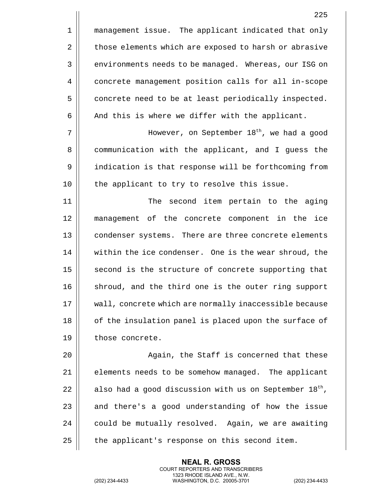1 | management issue. The applicant indicated that only 2 | those elements which are exposed to harsh or abrasive 3 | environments needs to be managed. Whereas, our ISG on 4 | concrete management position calls for all in-scope 5 | concrete need to be at least periodically inspected.  $6 \parallel$  And this is where we differ with the applicant.

However, on September 18th 7 , we had a good 8 | communication with the applicant, and I guess the 9 || indication is that response will be forthcoming from 10 || the applicant to try to resolve this issue.

11 || The second item pertain to the aging 12 management of the concrete component in the ice 13 || condenser systems. There are three concrete elements 14 | within the ice condenser. One is the wear shroud, the 15 || second is the structure of concrete supporting that 16 || shroud, and the third one is the outer ring support 17 wall, concrete which are normally inaccessible because 18 || of the insulation panel is placed upon the surface of 19 | those concrete.

20 || Again, the Staff is concerned that these  $\parallel$  elements needs to be somehow managed. The applicant 22 || also had a good discussion with us on September  $18<sup>th</sup>$ , || and there's a good understanding of how the issue | could be mutually resolved. Again, we are awaiting | the applicant's response on this second item.

> **NEAL R. GROSS** COURT REPORTERS AND TRANSCRIBERS 1323 RHODE ISLAND AVE., N.W.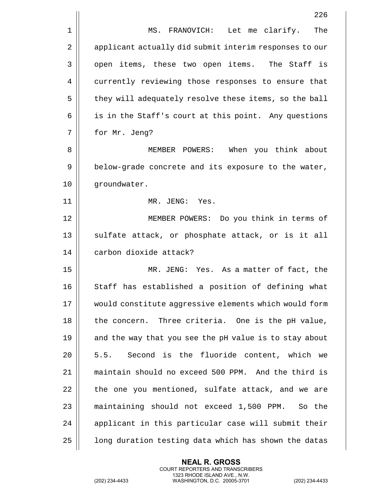|                | 226                                                    |
|----------------|--------------------------------------------------------|
| $\mathbf{1}$   | MS. FRANOVICH: Let me clarify. The                     |
| $\overline{2}$ | applicant actually did submit interim responses to our |
| $\mathbf{3}$   | open items, these two open items. The Staff is         |
| $\overline{4}$ | currently reviewing those responses to ensure that     |
| 5              | they will adequately resolve these items, so the ball  |
| 6              | is in the Staff's court at this point. Any questions   |
| 7              | for Mr. Jeng?                                          |
| 8              | MEMBER POWERS: When you think about                    |
| 9              | below-grade concrete and its exposure to the water,    |
| 10             | groundwater.                                           |
| 11             | MR. JENG: Yes.                                         |
| 12             | MEMBER POWERS: Do you think in terms of                |
| 13             | sulfate attack, or phosphate attack, or is it all      |

14 || carbon dioxide attack?

 MR. JENG: Yes. As a matter of fact, the 16 || Staff has established a position of defining what would constitute aggressive elements which would form || the concern. Three criteria. One is the pH value, 19 || and the way that you see the pH value is to stay about 20 || 5.5. Second is the fluoride content, which we maintain should no exceed 500 PPM. And the third is | the one you mentioned, sulfate attack, and we are 23 || maintaining should not exceed 1,500 PPM. So the | applicant in this particular case will submit their |  $\Box$  long duration testing data which has shown the datas

> **NEAL R. GROSS** COURT REPORTERS AND TRANSCRIBERS 1323 RHODE ISLAND AVE., N.W.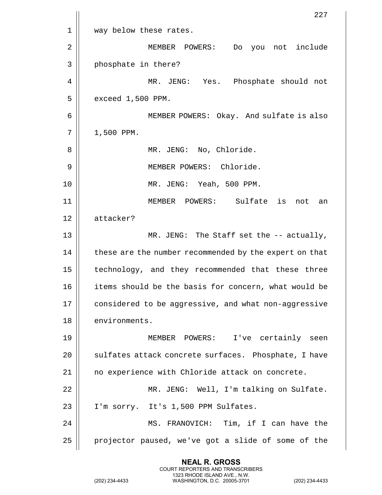|             | 227                                                    |
|-------------|--------------------------------------------------------|
| $\mathbf 1$ | way below these rates.                                 |
| 2           | you not include<br>MEMBER POWERS:<br>Do                |
| 3           | phosphate in there?                                    |
| 4           | MR. JENG: Yes. Phosphate should not                    |
| 5           | exceed 1,500 PPM.                                      |
| 6           | MEMBER POWERS: Okay. And sulfate is also               |
| 7           | 1,500 PPM.                                             |
| 8           | MR. JENG: No, Chloride.                                |
| 9           | MEMBER POWERS: Chloride.                               |
| 10          | MR. JENG: Yeah, 500 PPM.                               |
| 11          | MEMBER POWERS: Sulfate is<br>not<br>an                 |
| 12          | attacker?                                              |
| 13          | MR. JENG: The Staff set the -- actually,               |
| 14          | these are the number recommended by the expert on that |
| 15          | technology, and they recommended that these three      |
| 16          | items should be the basis for concern, what would be   |
| 17          | considered to be aggressive, and what non-aggressive   |
| 18          | environments.                                          |
| 19          | MEMBER POWERS: I've certainly seen                     |
| 20          | sulfates attack concrete surfaces. Phosphate, I have   |
| 21          | no experience with Chloride attack on concrete.        |
| 22          | MR. JENG: Well, I'm talking on Sulfate.                |
| 23          | I'm sorry. It's 1,500 PPM Sulfates.                    |
| 24          | MS. FRANOVICH: Tim, if I can have the                  |
| 25          | projector paused, we've got a slide of some of the     |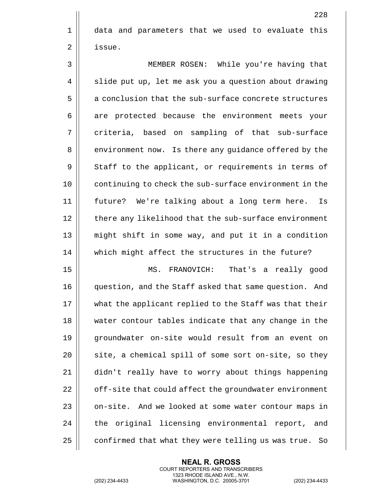1 aata and parameters that we used to evaluate this 2 | issue.

3 MEMBER ROSEN: While you're having that 4 | slide put up, let me ask you a question about drawing  $5 \parallel$  a conclusion that the sub-surface concrete structures 6 are protected because the environment meets your 7 || criteria, based on sampling of that sub-surface 8 | environment now. Is there any guidance offered by the  $9 \parallel$  Staff to the applicant, or requirements in terms of 10 || continuing to check the sub-surface environment in the 11 future? We're talking about a long term here. Is 12 | there any likelihood that the sub-surface environment 13 might shift in some way, and put it in a condition 14 || which might affect the structures in the future?

 MS. FRANOVICH: That's a really good question, and the Staff asked that same question. And what the applicant replied to the Staff was that their water contour tables indicate that any change in the 19 || groundwater on-site would result from an event on || site, a chemical spill of some sort on-site, so they didn't really have to worry about things happening  $\parallel$  off-site that could affect the groundwater environment 23 | on-site. And we looked at some water contour maps in  $\parallel$  the original licensing environmental report, and | confirmed that what they were telling us was true. So

> **NEAL R. GROSS** COURT REPORTERS AND TRANSCRIBERS 1323 RHODE ISLAND AVE., N.W.

(202) 234-4433 WASHINGTON, D.C. 20005-3701 (202) 234-4433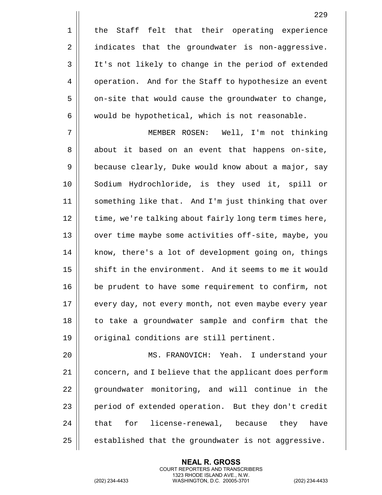1 || the Staff felt that their operating experience 2 || indicates that the groundwater is non-aggressive. 3 || It's not likely to change in the period of extended 4 | operation. And for the Staff to hypothesize an event  $5 \parallel$  on-site that would cause the groundwater to change,

 $6 \parallel$  would be hypothetical, which is not reasonable.

7 MEMBER ROSEN: Well, I'm not thinking 8 || about it based on an event that happens on-site, 9 | because clearly, Duke would know about a major, say 10 || Sodium Hydrochloride, is they used it, spill or 11 something like that. And I'm just thinking that over 12 | time, we're talking about fairly long term times here, 13 || over time maybe some activities off-site, maybe, you 14 || know, there's a lot of development going on, things 15 || shift in the environment. And it seems to me it would 16 be prudent to have some requirement to confirm, not 17 || every day, not every month, not even maybe every year 18 || to take a groundwater sample and confirm that the 19 || original conditions are still pertinent.

20 MS. FRANOVICH: Yeah. I understand your 21 || concern, and I believe that the applicant does perform 22 || groundwater monitoring, and will continue in the 23 | period of extended operation. But they don't credit 24 || that for license-renewal, because they have  $25$  | established that the groundwater is not aggressive.

> **NEAL R. GROSS** COURT REPORTERS AND TRANSCRIBERS 1323 RHODE ISLAND AVE., N.W.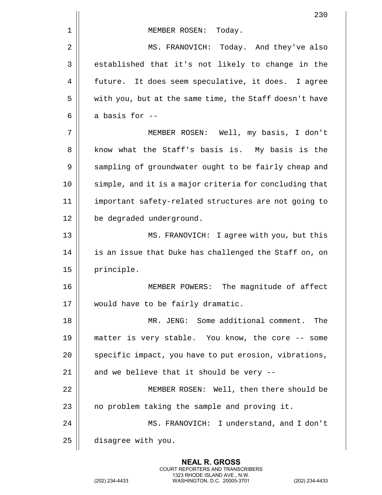|    | 230                                                    |
|----|--------------------------------------------------------|
| 1  | MEMBER ROSEN: Today.                                   |
| 2  | MS. FRANOVICH:<br>Today. And they've also              |
| 3  | established that it's not likely to change in the      |
| 4  | future. It does seem speculative, it does. I agree     |
| 5  | with you, but at the same time, the Staff doesn't have |
| 6  | a basis for --                                         |
| 7  | MEMBER ROSEN: Well, my basis, I don't                  |
| 8  | know what the Staff's basis is. My basis is the        |
| 9  | sampling of groundwater ought to be fairly cheap and   |
| 10 | simple, and it is a major criteria for concluding that |
| 11 | important safety-related structures are not going to   |
| 12 | be degraded underground.                               |
| 13 | MS. FRANOVICH: I agree with you, but this              |
| 14 | is an issue that Duke has challenged the Staff on, on  |
| 15 | principle.                                             |
| 16 | The magnitude of affect<br>MEMBER POWERS:              |
| 17 | would have to be fairly dramatic.                      |
| 18 | MR. JENG: Some additional comment.<br>The              |
| 19 | matter is very stable. You know, the core -- some      |
| 20 | specific impact, you have to put erosion, vibrations,  |
| 21 | and we believe that it should be very --               |
| 22 | MEMBER ROSEN: Well, then there should be               |
| 23 | no problem taking the sample and proving it.           |
| 24 | MS. FRANOVICH: I understand, and I don't               |
| 25 | disagree with you.                                     |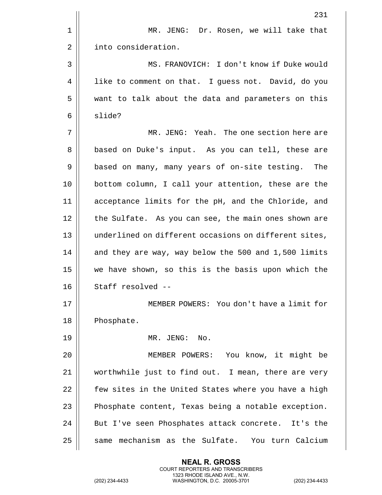|    | 231                                                   |
|----|-------------------------------------------------------|
| 1  | MR. JENG: Dr. Rosen, we will take that                |
| 2  | into consideration.                                   |
| 3  | MS. FRANOVICH: I don't know if Duke would             |
| 4  | like to comment on that. I guess not. David, do you   |
| 5  | want to talk about the data and parameters on this    |
| 6  | slide?                                                |
| 7  | MR. JENG: Yeah. The one section here are              |
| 8  | based on Duke's input. As you can tell, these are     |
| 9  | based on many, many years of on-site testing.<br>The  |
| 10 | bottom column, I call your attention, these are the   |
| 11 | acceptance limits for the pH, and the Chloride, and   |
| 12 | the Sulfate. As you can see, the main ones shown are  |
| 13 | underlined on different occasions on different sites, |
| 14 | and they are way, way below the 500 and 1,500 limits  |
| 15 | we have shown, so this is the basis upon which the    |
| 16 | Staff resolved --                                     |
| 17 | MEMBER POWERS: You don't have a limit for             |
| 18 | Phosphate.                                            |
| 19 | MR. JENG: No.                                         |
| 20 | MEMBER POWERS: You know, it might be                  |
| 21 | worthwhile just to find out. I mean, there are very   |
| 22 | few sites in the United States where you have a high  |
| 23 | Phosphate content, Texas being a notable exception.   |
| 24 | But I've seen Phosphates attack concrete. It's the    |
| 25 | same mechanism as the Sulfate. You turn Calcium       |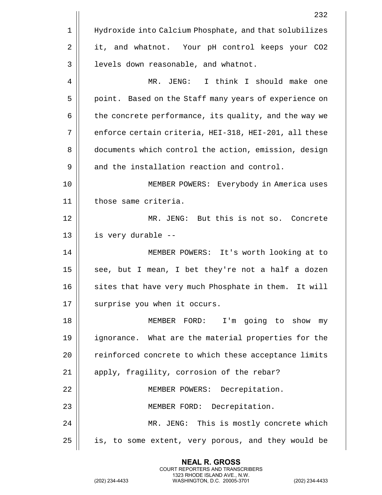|             | 232                                                    |
|-------------|--------------------------------------------------------|
| $\mathbf 1$ | Hydroxide into Calcium Phosphate, and that solubilizes |
| 2           | it, and whatnot. Your pH control keeps your CO2        |
| 3           | levels down reasonable, and whatnot.                   |
| 4           | I think I should make one<br>JENG:<br>MR.              |
| 5           | point. Based on the Staff many years of experience on  |
| 6           | the concrete performance, its quality, and the way we  |
| 7           | enforce certain criteria, HEI-318, HEI-201, all these  |
| 8           | documents which control the action, emission, design   |
| 9           | and the installation reaction and control.             |
| 10          | MEMBER POWERS: Everybody in America uses               |
| 11          | those same criteria.                                   |
| 12          | MR. JENG: But this is not so. Concrete                 |
| 13          | is very durable --                                     |
| 14          | MEMBER POWERS: It's worth looking at to                |
| 15          | see, but I mean, I bet they're not a half a dozen      |
| 16          | sites that have very much Phosphate in them. It will   |
| 17          | surprise you when it occurs.                           |
| 18          | MEMBER FORD: I'm going to show my                      |
| 19          | ignorance. What are the material properties for the    |
| 20          | reinforced concrete to which these acceptance limits   |
| 21          | apply, fragility, corrosion of the rebar?              |
| 22          | MEMBER POWERS: Decrepitation.                          |
| 23          | MEMBER FORD: Decrepitation.                            |
| 24          | MR. JENG: This is mostly concrete which                |
| 25          | is, to some extent, very porous, and they would be     |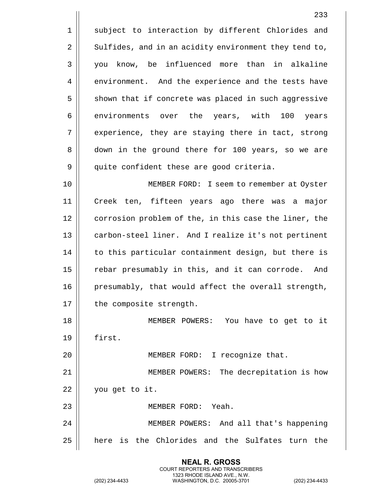1 || subject to interaction by different Chlorides and 2 | Sulfides, and in an acidity environment they tend to, 3 you know, be influenced more than in alkaline 4 environment. And the experience and the tests have  $5 \parallel$  shown that if concrete was placed in such aggressive 6 environments over the years, with 100 years 7 || experience, they are staying there in tact, strong 8 down in the ground there for 100 years, so we are 9 | quite confident these are good criteria. 10 MEMBER FORD: I seem to remember at Oyster 11 Creek ten, fifteen years ago there was a major 12 | corrosion problem of the, in this case the liner, the 13 || carbon-steel liner. And I realize it's not pertinent 14 || to this particular containment design, but there is 15 || rebar presumably in this, and it can corrode. And 16  $\parallel$  presumably, that would affect the overall strength,  $17$  | the composite strength. 18 MEMBER POWERS: You have to get to it 19 first. 20 || MEMBER FORD: I recognize that. 21 MEMBER POWERS: The decrepitation is how 22 | you get to it. 23 MEMBER FORD: Yeah. 24 MEMBER POWERS: And all that's happening 25 || here is the Chlorides and the Sulfates turn the

> **NEAL R. GROSS** COURT REPORTERS AND TRANSCRIBERS 1323 RHODE ISLAND AVE., N.W.

(202) 234-4433 WASHINGTON, D.C. 20005-3701 (202) 234-4433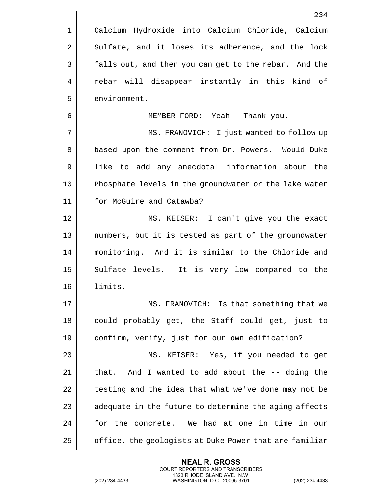|    | 234                                                    |
|----|--------------------------------------------------------|
| 1  | Calcium Hydroxide into Calcium Chloride, Calcium       |
| 2  | Sulfate, and it loses its adherence, and the lock      |
| 3  | falls out, and then you can get to the rebar. And the  |
| 4  | rebar will disappear instantly in this kind of         |
| 5  | environment.                                           |
| 6  | MEMBER FORD: Yeah. Thank you.                          |
| 7  | MS. FRANOVICH: I just wanted to follow up              |
| 8  | based upon the comment from Dr. Powers. Would Duke     |
| 9  | like to add any anecdotal information about the        |
| 10 | Phosphate levels in the groundwater or the lake water  |
| 11 | for McGuire and Catawba?                               |
| 12 | MS. KEISER: I can't give you the exact                 |
| 13 | numbers, but it is tested as part of the groundwater   |
| 14 | monitoring. And it is similar to the Chloride and      |
| 15 | Sulfate levels. It is very low compared to the         |
| 16 | limits.                                                |
| 17 | MS. FRANOVICH: Is that something that we               |
| 18 | could probably get, the Staff could get, just to       |
| 19 | confirm, verify, just for our own edification?         |
| 20 | MS. KEISER: Yes, if you needed to get                  |
| 21 | And I wanted to add about the -- doing the<br>that.    |
| 22 | testing and the idea that what we've done may not be   |
| 23 | adequate in the future to determine the aging affects  |
| 24 | for the concrete. We had at one in time in our         |
| 25 | office, the geologists at Duke Power that are familiar |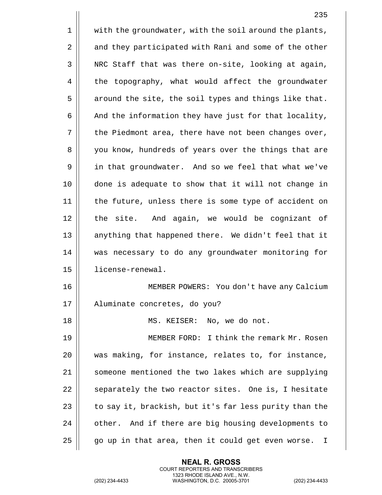1 | with the groundwater, with the soil around the plants, 2 | and they participated with Rani and some of the other  $3 \parallel$  NRC Staff that was there on-site, looking at again, 4 the topography, what would affect the groundwater  $5 \parallel$  around the site, the soil types and things like that.  $6 \parallel$  And the information they have just for that locality,  $7 \parallel$  the Piedmont area, there have not been changes over, 8 || you know, hundreds of years over the things that are 9 in that groundwater. And so we feel that what we've 10 done is adequate to show that it will not change in 11 || the future, unless there is some type of accident on 12 || the site. And again, we would be cognizant of 13 || anything that happened there. We didn't feel that it 14 was necessary to do any groundwater monitoring for 15 license-renewal. 16 || MEMBER POWERS: You don't have any Calcium 17 Aluminate concretes, do you? 18 || MS. KEISER: No, we do not. 19 MEMBER FORD: I think the remark Mr. Rosen 20 was making, for instance, relates to, for instance, 21 || someone mentioned the two lakes which are supplying  $22$   $\parallel$  separately the two reactor sites. One is, I hesitate 23  $\parallel$  to say it, brackish, but it's far less purity than the 24 | other. And if there are big housing developments to  $25$  |  $\sigma$  qo up in that area, then it could get even worse. I

> **NEAL R. GROSS** COURT REPORTERS AND TRANSCRIBERS 1323 RHODE ISLAND AVE., N.W.

(202) 234-4433 WASHINGTON, D.C. 20005-3701 (202) 234-4433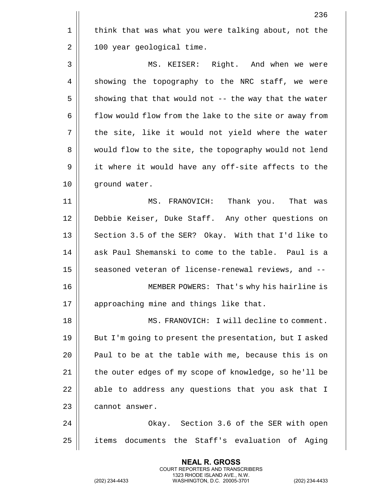1 | think that was what you were talking about, not the  $2 \parallel$  100 year geological time. 3 MS. KEISER: Right. And when we were  $4 \parallel$  showing the topography to the NRC staff, we were  $5 \parallel$  showing that that would not -- the way that the water 6 | flow would flow from the lake to the site or away from 7 || the site, like it would not yield where the water 8 || would flow to the site, the topography would not lend 9 || it where it would have any off-site affects to the 10 || ground water. 11 MS. FRANOVICH: Thank you. That was 12 Debbie Keiser, Duke Staff. Any other questions on 13  $\parallel$  Section 3.5 of the SER? Okay. With that I'd like to 14 || ask Paul Shemanski to come to the table. Paul is a 15 || seasoned veteran of license-renewal reviews, and --16 MEMBER POWERS: That's why his hairline is 17 || approaching mine and things like that. 18 MS. FRANOVICH: I will decline to comment. 19 || But I'm going to present the presentation, but I asked 20  $\parallel$  Paul to be at the table with me, because this is on 21 | the outer edges of my scope of knowledge, so he'll be  $22$  | able to address any questions that you ask that I 23 l cannot answer. 24 Okay. Section 3.6 of the SER with open 25 || items documents the Staff's evaluation of Aging

> **NEAL R. GROSS** COURT REPORTERS AND TRANSCRIBERS 1323 RHODE ISLAND AVE., N.W.

(202) 234-4433 WASHINGTON, D.C. 20005-3701 (202) 234-4433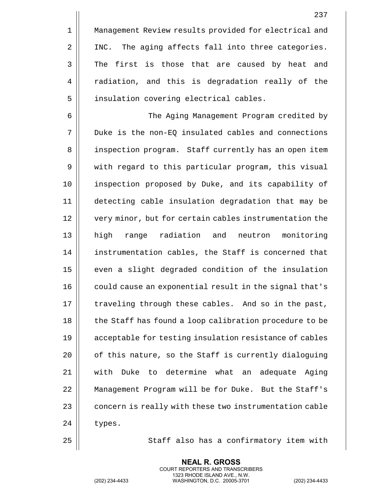1 | Management Review results provided for electrical and 2 || INC. The aging affects fall into three categories.  $3 \parallel$  The first is those that are caused by heat and 4 || radiation, and this is degradation really of the 5 | insulation covering electrical cables.

 The Aging Management Program credited by Duke is the non-EQ insulated cables and connections 8 || inspection program. Staff currently has an open item 9 || with regard to this particular program, this visual inspection proposed by Duke, and its capability of detecting cable insulation degradation that may be 12 || very minor, but for certain cables instrumentation the high range radiation and neutron monitoring 14 | instrumentation cables, the Staff is concerned that even a slight degraded condition of the insulation 16 || could cause an exponential result in the signal that's  $\parallel$  traveling through these cables. And so in the past, 18 || the Staff has found a loop calibration procedure to be acceptable for testing insulation resistance of cables  $\parallel$  of this nature, so the Staff is currently dialoguing with Duke to determine what an adequate Aging Management Program will be for Duke. But the Staff's  $\parallel$  concern is really with these two instrumentation cable  $24$  | types.

25 || Staff also has a confirmatory item with

**NEAL R. GROSS** COURT REPORTERS AND TRANSCRIBERS

1323 RHODE ISLAND AVE., N.W. (202) 234-4433 WASHINGTON, D.C. 20005-3701 (202) 234-4433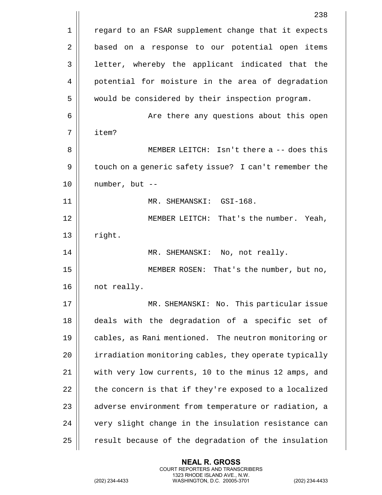|             | 238                                                   |
|-------------|-------------------------------------------------------|
| $\mathbf 1$ | regard to an FSAR supplement change that it expects   |
| 2           | based on a response to our potential open items       |
| 3           | letter, whereby the applicant indicated that the      |
| 4           | potential for moisture in the area of degradation     |
| 5           | would be considered by their inspection program.      |
| 6           | Are there any questions about this open               |
| 7           | item?                                                 |
| 8           | MEMBER LEITCH: Isn't there a -- does this             |
| 9           | touch on a generic safety issue? I can't remember the |
| 10          | number, but --                                        |
| 11          | MR. SHEMANSKI: GSI-168.                               |
| 12          | MEMBER LEITCH: That's the number. Yeah,               |
| 13          | right.                                                |
| 14          | MR. SHEMANSKI: No, not really.                        |
| 15          | MEMBER ROSEN: That's the number, but no,              |
| 16          | not really.                                           |
| 17          | MR. SHEMANSKI: No. This particular issue              |
| 18          | deals with the degradation of a specific set of       |
| 19          | cables, as Rani mentioned. The neutron monitoring or  |
| 20          | irradiation monitoring cables, they operate typically |
| 21          | with very low currents, 10 to the minus 12 amps, and  |
| 22          | the concern is that if they're exposed to a localized |
| 23          | adverse environment from temperature or radiation, a  |
| 24          | very slight change in the insulation resistance can   |
| 25          | result because of the degradation of the insulation   |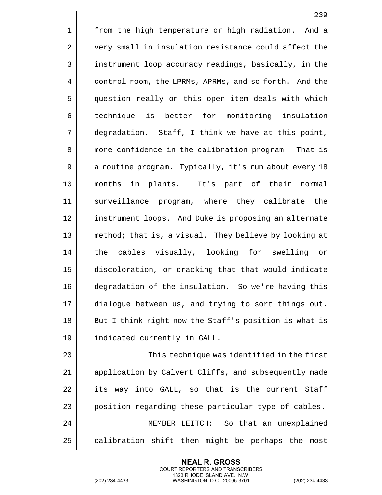1 || from the high temperature or high radiation. And a 2 | very small in insulation resistance could affect the 3 || instrument loop accuracy readings, basically, in the 4 control room, the LPRMs, APRMs, and so forth. And the 5 question really on this open item deals with which 6 technique is better for monitoring insulation 7 degradation. Staff, I think we have at this point, 8 | more confidence in the calibration program. That is 9 | a routine program. Typically, it's run about every 18 10 months in plants. It's part of their normal 11 surveillance program, where they calibrate the 12 instrument loops. And Duke is proposing an alternate 13 method; that is, a visual. They believe by looking at 14 || the cables visually, looking for swelling or 15 discoloration, or cracking that that would indicate 16 degradation of the insulation. So we're having this 17 dialogue between us, and trying to sort things out. 18 || But I think right now the Staff's position is what is 19 indicated currently in GALL. 20 This technique was identified in the first

21 | application by Calvert Cliffs, and subsequently made  $22$  | its way into GALL, so that is the current Staff 23 | position regarding these particular type of cables. 24 MEMBER LEITCH: So that an unexplained  $25$  calibration shift then might be perhaps the most

> **NEAL R. GROSS** COURT REPORTERS AND TRANSCRIBERS 1323 RHODE ISLAND AVE., N.W.

(202) 234-4433 WASHINGTON, D.C. 20005-3701 (202) 234-4433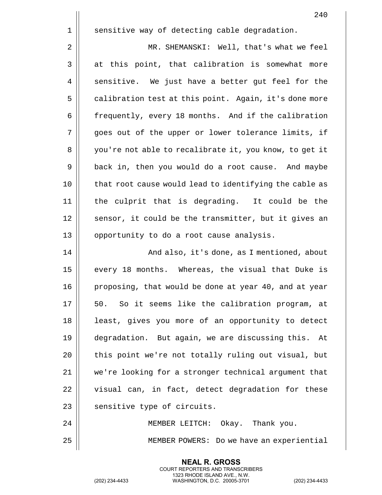1 || sensitive way of detecting cable degradation. 2 | MR. SHEMANSKI: Well, that's what we feel  $3 \parallel$  at this point, that calibration is somewhat more 4 || sensitive. We just have a better gut feel for the 5 | calibration test at this point. Again, it's done more 6 | frequently, every 18 months. And if the calibration 7 goes out of the upper or lower tolerance limits, if 8 | you're not able to recalibrate it, you know, to get it 9 | back in, then you would do a root cause. And maybe 10 || that root cause would lead to identifying the cable as 11 the culprit that is degrading. It could be the 12 || sensor, it could be the transmitter, but it gives an 13 || opportunity to do a root cause analysis. 14 | Russian and also, it's done, as I mentioned, about 15 || every 18 months. Whereas, the visual that Duke is 16 | proposing, that would be done at year 40, and at year  $17 \parallel 50$ . So it seems like the calibration program, at 18 || least, gives you more of an opportunity to detect 19 degradation. But again, we are discussing this. At 20 || this point we're not totally ruling out visual, but 21 we're looking for a stronger technical argument that  $22$   $\parallel$  visual can, in fact, detect degradation for these  $23$  | sensitive type of circuits. 24 MEMBER LEITCH: Okay. Thank you.

25 MEMBER POWERS: Do we have an experiential

**NEAL R. GROSS** COURT REPORTERS AND TRANSCRIBERS 1323 RHODE ISLAND AVE., N.W.

(202) 234-4433 WASHINGTON, D.C. 20005-3701 (202) 234-4433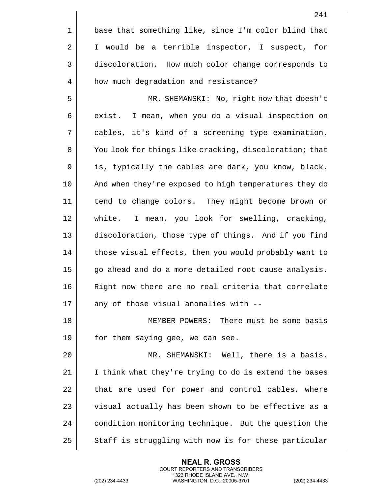|    | 241                                                    |
|----|--------------------------------------------------------|
| 1  | base that something like, since I'm color blind that   |
| 2  | I would be a terrible inspector, I suspect, for        |
| 3  | discoloration. How much color change corresponds to    |
| 4  | how much degradation and resistance?                   |
| 5  | MR. SHEMANSKI: No, right now that doesn't              |
| 6  | I mean, when you do a visual inspection on<br>exist.   |
| 7  | cables, it's kind of a screening type examination.     |
| 8  | You look for things like cracking, discoloration; that |
| 9  | is, typically the cables are dark, you know, black.    |
| 10 | And when they're exposed to high temperatures they do  |
| 11 | tend to change colors. They might become brown or      |
| 12 | white. I mean, you look for swelling, cracking,        |
| 13 | discoloration, those type of things. And if you find   |
| 14 | those visual effects, then you would probably want to  |
| 15 | go ahead and do a more detailed root cause analysis.   |
| 16 | Right now there are no real criteria that correlate    |
| 17 | any of those visual anomalies with --                  |
| 18 | MEMBER POWERS: There must be some basis                |
| 19 | for them saying gee, we can see.                       |
| 20 | MR. SHEMANSKI: Well, there is a basis.                 |
| 21 | I think what they're trying to do is extend the bases  |
| 22 | that are used for power and control cables, where      |
| 23 | visual actually has been shown to be effective as a    |
| 24 | condition monitoring technique. But the question the   |
| 25 | Staff is struggling with now is for these particular   |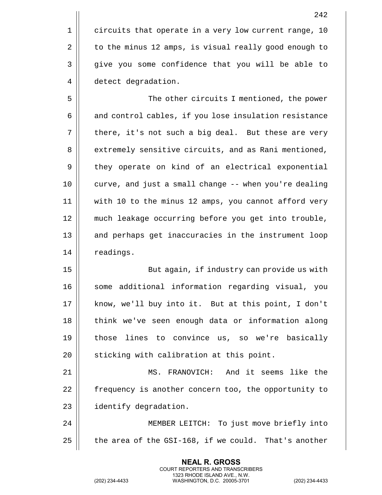1 | circuits that operate in a very low current range, 10 2 | to the minus 12 amps, is visual really good enough to 3 || give you some confidence that you will be able to 4 | detect degradation.

5 The other circuits I mentioned, the power 6 and control cables, if you lose insulation resistance  $7 \parallel$  there, it's not such a big deal. But these are very 8 | extremely sensitive circuits, and as Rani mentioned, 9 | they operate on kind of an electrical exponential 10 curve, and just a small change -- when you're dealing 11 with 10 to the minus 12 amps, you cannot afford very 12 much leakage occurring before you get into trouble, 13 || and perhaps get inaccuracies in the instrument loop 14 | readings.

15 || But again, if industry can provide us with 16 || some additional information regarding visual, you 17 || know, we'll buy into it. But at this point, I don't 18 || think we've seen enough data or information along 19 || those lines to convince us, so we're basically 20 || sticking with calibration at this point.

21 MS. FRANOVICH: And it seems like the 22 | frequency is another concern too, the opportunity to 23 | identify degradation.

24 MEMBER LEITCH: To just move briefly into 25  $\parallel$  the area of the GSI-168, if we could. That's another

> **NEAL R. GROSS** COURT REPORTERS AND TRANSCRIBERS 1323 RHODE ISLAND AVE., N.W.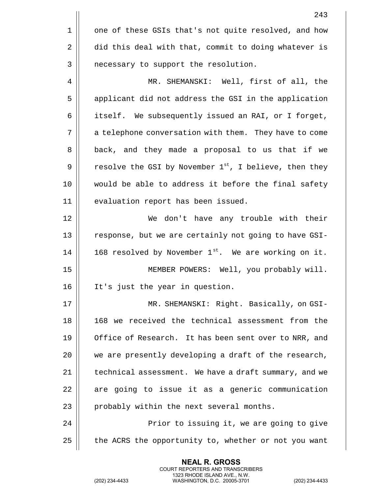|    | 243                                                       |
|----|-----------------------------------------------------------|
| 1  | one of these GSIs that's not quite resolved, and how      |
| 2  | did this deal with that, commit to doing whatever is      |
| 3  | necessary to support the resolution.                      |
| 4  | MR. SHEMANSKI: Well, first of all, the                    |
| 5  | applicant did not address the GSI in the application      |
| 6  | itself. We subsequently issued an RAI, or I forget,       |
| 7  | a telephone conversation with them. They have to come     |
| 8  | back, and they made a proposal to us that if we           |
| 9  | resolve the GSI by November $1st$ , I believe, then they  |
| 10 | would be able to address it before the final safety       |
| 11 | evaluation report has been issued.                        |
| 12 | We don't have any trouble with their                      |
| 13 | response, but we are certainly not going to have GSI-     |
| 14 | 168 resolved by November $1^{st}$ . We are working on it. |
| 15 | MEMBER POWERS: Well, you probably will.                   |
| 16 | It's just the year in question.                           |
| 17 | MR. SHEMANSKI: Right. Basically, on GSI-                  |
| 18 | 168 we received the technical assessment from the         |
| 19 | Office of Research. It has been sent over to NRR, and     |
| 20 | we are presently developing a draft of the research,      |
| 21 | technical assessment. We have a draft summary, and we     |
| 22 | are going to issue it as a generic communication          |
| 23 | probably within the next several months.                  |
| 24 | Prior to issuing it, we are going to give                 |
| 25 | the ACRS the opportunity to, whether or not you want      |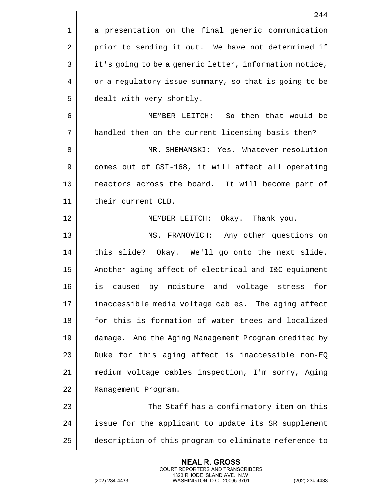|    | 244                                                    |
|----|--------------------------------------------------------|
| 1  | a presentation on the final generic communication      |
| 2  | prior to sending it out. We have not determined if     |
| 3  | it's going to be a generic letter, information notice, |
| 4  | or a regulatory issue summary, so that is going to be  |
| 5  | dealt with very shortly.                               |
| 6  | MEMBER LEITCH: So then that would be                   |
| 7  | handled then on the current licensing basis then?      |
| 8  | MR. SHEMANSKI: Yes. Whatever resolution                |
| 9  | comes out of GSI-168, it will affect all operating     |
| 10 | reactors across the board. It will become part of      |
| 11 | their current CLB.                                     |
| 12 | MEMBER LEITCH: Okay. Thank you.                        |
| 13 | MS. FRANOVICH: Any other questions on                  |
| 14 | this slide? Okay. We'll go onto the next slide.        |
| 15 | Another aging affect of electrical and I&C equipment   |
| 16 | caused by moisture and voltage<br>for<br>is<br>stress  |
| 17 | inaccessible media voltage cables. The aging affect    |
| 18 | for this is formation of water trees and localized     |
| 19 | damage. And the Aging Management Program credited by   |
| 20 | Duke for this aging affect is inaccessible non-EQ      |
| 21 | medium voltage cables inspection, I'm sorry, Aging     |
| 22 | Management Program.                                    |
| 23 | The Staff has a confirmatory item on this              |
| 24 | issue for the applicant to update its SR supplement    |
| 25 | description of this program to eliminate reference to  |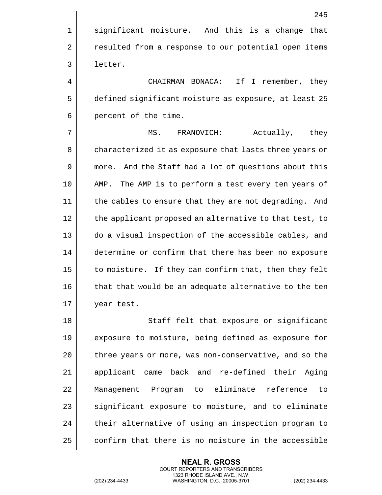|    | 245                                                     |
|----|---------------------------------------------------------|
| 1  | significant moisture. And this is a change that         |
| 2  | resulted from a response to our potential open items    |
| 3  | letter.                                                 |
| 4  | CHAIRMAN BONACA: If I remember, they                    |
| 5  | defined significant moisture as exposure, at least 25   |
| 6  | percent of the time.                                    |
| 7  | Actually, they<br>MS.<br>FRANOVICH:                     |
| 8  | characterized it as exposure that lasts three years or  |
| 9  | more. And the Staff had a lot of questions about this   |
| 10 | The AMP is to perform a test every ten years of<br>AMP. |
| 11 | the cables to ensure that they are not degrading. And   |
| 12 | the applicant proposed an alternative to that test, to  |
| 13 | do a visual inspection of the accessible cables, and    |
| 14 | determine or confirm that there has been no exposure    |
| 15 | to moisture. If they can confirm that, then they felt   |
| 16 | that that would be an adequate alternative to the ten   |
| 17 | year test.                                              |
| 18 | Staff felt that exposure or significant                 |
| 19 | exposure to moisture, being defined as exposure for     |
| 20 | three years or more, was non-conservative, and so the   |
| 21 | applicant came back and re-defined their<br>Aging       |
| 22 | Management Program to eliminate reference to            |
| 23 | significant exposure to moisture, and to eliminate      |

confirm that there is no moisture in the accessible

| their alternative of using an inspection program to

**NEAL R. GROSS** COURT REPORTERS AND TRANSCRIBERS 1323 RHODE ISLAND AVE., N.W.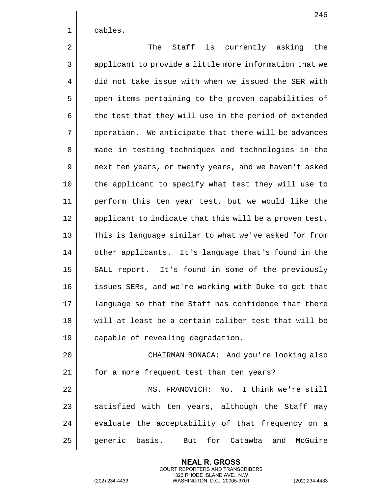1 | cables.

2 The Staff is currently asking the 3 || applicant to provide a little more information that we 4 did not take issue with when we issued the SER with 5 | open items pertaining to the proven capabilities of  $6 \parallel$  the test that they will use in the period of extended 7 | operation. We anticipate that there will be advances 8 || made in testing techniques and technologies in the 9 || next ten years, or twenty years, and we haven't asked 10 the applicant to specify what test they will use to 11 perform this ten year test, but we would like the 12 || applicant to indicate that this will be a proven test. 13 || This is language similar to what we've asked for from 14 | other applicants. It's language that's found in the 15 GALL report. It's found in some of the previously 16 || issues SERs, and we're working with Duke to get that 17 || language so that the Staff has confidence that there 18 will at least be a certain caliber test that will be 19 | capable of revealing degradation. 20 CHAIRMAN BONACA: And you're looking also 21 | for a more frequent test than ten years? 22 MS. FRANOVICH: No. I think we're still

 $23$   $\parallel$  satisfied with ten years, although the Staff may  $24$   $\parallel$  evaluate the acceptability of that frequency on a 25 || qeneric basis. But for Catawba and McGuire

> **NEAL R. GROSS** COURT REPORTERS AND TRANSCRIBERS 1323 RHODE ISLAND AVE., N.W.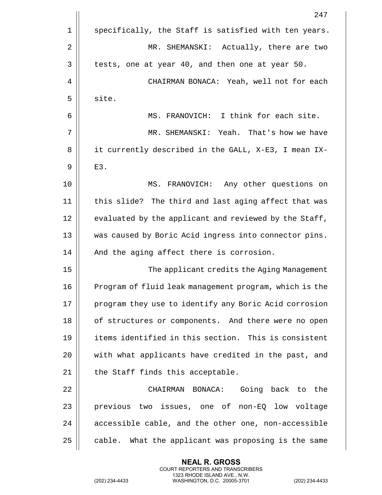|    | 247                                                    |
|----|--------------------------------------------------------|
| 1  | specifically, the Staff is satisfied with ten years.   |
| 2  | MR. SHEMANSKI: Actually, there are two                 |
| 3  | tests, one at year 40, and then one at year 50.        |
| 4  | CHAIRMAN BONACA: Yeah, well not for each               |
| 5  | site.                                                  |
| 6  | MS. FRANOVICH: I think for each site.                  |
| 7  | MR. SHEMANSKI: Yeah. That's how we have                |
| 8  | it currently described in the GALL, X-E3, I mean IX-   |
| 9  | $E3$ .                                                 |
| 10 | MS. FRANOVICH: Any other questions on                  |
| 11 | this slide? The third and last aging affect that was   |
| 12 | evaluated by the applicant and reviewed by the Staff,  |
| 13 | was caused by Boric Acid ingress into connector pins.  |
| 14 | And the aging affect there is corrosion.               |
| 15 | The applicant credits the Aging Management             |
| 16 | Program of fluid leak management program, which is the |
| 17 | program they use to identify any Boric Acid corrosion  |
| 18 | of structures or components. And there were no open    |
| 19 | items identified in this section. This is consistent   |
| 20 | with what applicants have credited in the past, and    |
| 21 | the Staff finds this acceptable.                       |
| 22 | CHAIRMAN BONACA: Going back to the                     |
| 23 | previous two issues, one of non-EQ low voltage         |
| 24 | accessible cable, and the other one, non-accessible    |
| 25 | cable. What the applicant was proposing is the same    |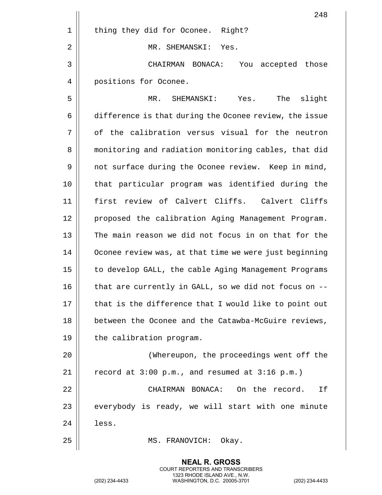|    | 248                                                    |
|----|--------------------------------------------------------|
| 1  | thing they did for Oconee. Right?                      |
| 2  | MR. SHEMANSKI: Yes.                                    |
| 3  | You accepted those<br>CHAIRMAN BONACA:                 |
| 4  | positions for Oconee.                                  |
| 5  | The<br>slight<br>Yes.<br>MR.<br>SHEMANSKI:             |
| 6  | difference is that during the Oconee review, the issue |
| 7  | of the calibration versus visual for the neutron       |
| 8  | monitoring and radiation monitoring cables, that did   |
| 9  | not surface during the Oconee review. Keep in mind,    |
| 10 | that particular program was identified during the      |
| 11 | first review of Calvert Cliffs. Calvert Cliffs         |
| 12 | proposed the calibration Aging Management Program.     |
| 13 | The main reason we did not focus in on that for the    |
| 14 | Oconee review was, at that time we were just beginning |
| 15 | to develop GALL, the cable Aging Management Programs   |
| 16 | that are currently in GALL, so we did not focus on --  |
| 17 | that is the difference that I would like to point out  |
| 18 | between the Oconee and the Catawba-McGuire reviews,    |
| 19 | the calibration program.                               |
| 20 | (Whereupon, the proceedings went off the               |
| 21 | record at 3:00 p.m., and resumed at 3:16 p.m.)         |
| 22 | CHAIRMAN BONACA: On the record.<br>Ιf                  |
| 23 | everybody is ready, we will start with one minute      |
| 24 | less.                                                  |
| 25 | MS. FRANOVICH:<br>Okay.                                |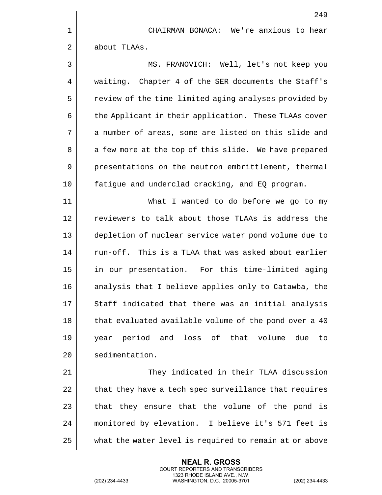249 1 CHAIRMAN BONACA: We're anxious to hear 2 | about TLAAs. 3 MS. FRANOVICH: Well, let's not keep you 4 | waiting. Chapter 4 of the SER documents the Staff's 5 | review of the time-limited aging analyses provided by 6 | the Applicant in their application. These TLAAs cover 7 || a number of areas, some are listed on this slide and 8 || a few more at the top of this slide. We have prepared 9 | presentations on the neutron embrittlement, thermal 10 fatigue and underclad cracking, and EQ program. 11 || What I wanted to do before we go to my 12 || reviewers to talk about those TLAAs is address the 13 depletion of nuclear service water pond volume due to 14  $\parallel$  run-off. This is a TLAA that was asked about earlier 15 in our presentation. For this time-limited aging 16 || analysis that I believe applies only to Catawba, the  $17$   $\parallel$  Staff indicated that there was an initial analysis 18 || that evaluated available volume of the pond over a 40 19 year period and loss of that volume due to 20 | sedimentation. 21 They indicated in their TLAA discussion  $22$  | that they have a tech spec surveillance that requires  $23$  || that they ensure that the volume of the pond is 24 monitored by elevation. I believe it's 571 feet is 25 what the water level is required to remain at or above

> **NEAL R. GROSS** COURT REPORTERS AND TRANSCRIBERS 1323 RHODE ISLAND AVE., N.W.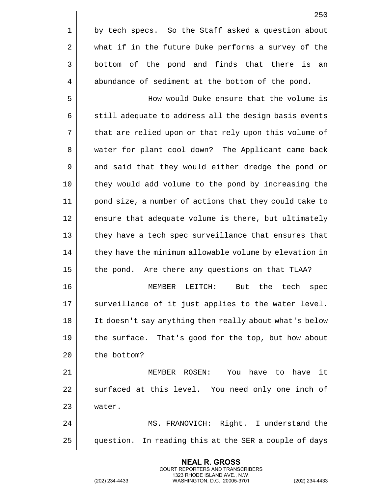5 How would Duke ensure that the volume is  $6 \parallel$  still adequate to address all the design basis events 7 | that are relied upon or that rely upon this volume of 8 || water for plant cool down? The Applicant came back 9 || and said that they would either dredge the pond or 10 they would add volume to the pond by increasing the 11 pond size, a number of actions that they could take to 12 || ensure that adequate volume is there, but ultimately 13 || they have a tech spec surveillance that ensures that 14 | they have the minimum allowable volume by elevation in 15 | the pond. Are there any questions on that TLAA?

16 MEMBER LEITCH: But the tech spec  $17$   $\parallel$  surveillance of it just applies to the water level. 18 It doesn't say anything then really about what's below 19 || the surface. That's good for the top, but how about 20 | the bottom?

21 MEMBER ROSEN: You have to have it 22 || surfaced at this level. You need only one inch of 23 water.

24 MS. FRANOVICH: Right. I understand the 25 | question. In reading this at the SER a couple of days

> **NEAL R. GROSS** COURT REPORTERS AND TRANSCRIBERS 1323 RHODE ISLAND AVE., N.W.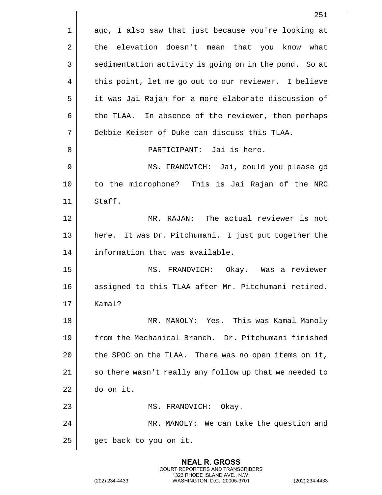|    | 251                                                     |
|----|---------------------------------------------------------|
| 1  | ago, I also saw that just because you're looking at     |
| 2  | elevation doesn't mean that you know<br>the<br>what     |
| 3  | sedimentation activity is going on in the pond. So at   |
| 4  | this point, let me go out to our reviewer. I believe    |
| 5  | it was Jai Rajan for a more elaborate discussion of     |
| 6  | the TLAA. In absence of the reviewer, then perhaps      |
| 7  | Debbie Keiser of Duke can discuss this TLAA.            |
| 8  | PARTICIPANT: Jai is here.                               |
| 9  | MS. FRANOVICH: Jai, could you please go                 |
| 10 | to the microphone? This is Jai Rajan of the NRC         |
| 11 | Staff.                                                  |
| 12 | MR. RAJAN: The actual reviewer is not                   |
| 13 | It was Dr. Pitchumani. I just put together the<br>here. |
| 14 | information that was available.                         |
| 15 | MS. FRANOVICH: Okay. Was a reviewer                     |
| 16 | assigned to this TLAA after Mr. Pitchumani retired.     |
| 17 | Kamal?                                                  |
| 18 | MR. MANOLY: Yes. This was Kamal Manoly                  |
| 19 | from the Mechanical Branch. Dr. Pitchumani finished     |
| 20 | the SPOC on the TLAA. There was no open items on it,    |
| 21 | so there wasn't really any follow up that we needed to  |
| 22 | do on it.                                               |
| 23 | MS. FRANOVICH:<br>Okay.                                 |
| 24 | MR. MANOLY: We can take the question and                |
| 25 | get back to you on it.                                  |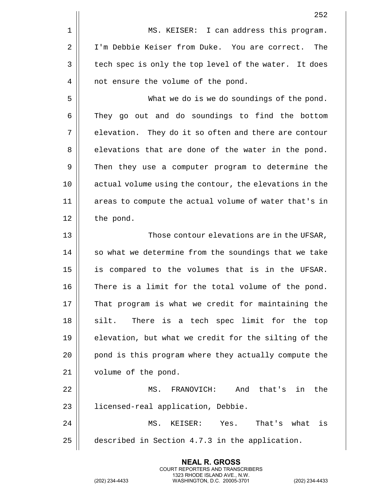|    | 252                                                    |
|----|--------------------------------------------------------|
| 1  | MS. KEISER: I can address this program.                |
| 2  | I'm Debbie Keiser from Duke. You are correct.<br>The   |
| 3  | tech spec is only the top level of the water. It does  |
| 4  | not ensure the volume of the pond.                     |
| 5  | What we do is we do soundings of the pond.             |
| 6  | They go out and do soundings to find the bottom        |
| 7  | elevation. They do it so often and there are contour   |
| 8  | elevations that are done of the water in the pond.     |
| 9  | Then they use a computer program to determine the      |
| 10 | actual volume using the contour, the elevations in the |
| 11 | areas to compute the actual volume of water that's in  |
| 12 | the pond.                                              |
| 13 | Those contour elevations are in the UFSAR,             |
| 14 | so what we determine from the soundings that we take   |
| 15 | is compared to the volumes that is in the UFSAR.       |
| 16 | There is a limit for the total volume of the pond.     |
| 17 | That program is what we credit for maintaining the     |
| 18 | There is a tech spec limit for the<br>silt.<br>top     |
| 19 | elevation, but what we credit for the silting of the   |
| 20 | pond is this program where they actually compute the   |
| 21 | volume of the pond.                                    |
| 22 | FRANOVICH:<br>And that's in<br>the<br>MS.              |
| 23 | licensed-real application, Debbie.                     |
| 24 | MS.<br>KEISER: Yes.<br>That's what<br>is               |
| 25 | described in Section 4.7.3 in the application.         |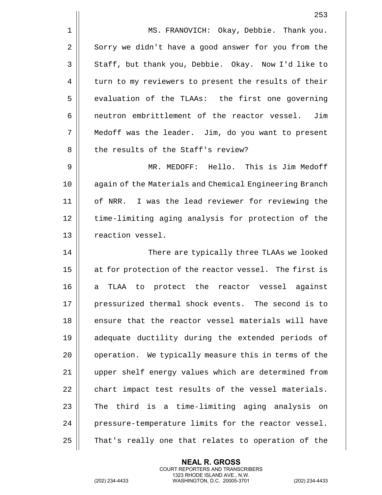1 | MS. FRANOVICH: Okay, Debbie. Thank you. 2 Sorry we didn't have a good answer for you from the 3 Staff, but thank you, Debbie. Okay. Now I'd like to 4 | turn to my reviewers to present the results of their  $5$  || evaluation of the TLAAs: the first one governing 6 | neutron embrittlement of the reactor vessel. Jim 7 Medoff was the leader. Jim, do you want to present 8 || the results of the Staff's review? 9 MR. MEDOFF: Hello. This is Jim Medoff 10 again of the Materials and Chemical Engineering Branch 11 of NRR. I was the lead reviewer for reviewing the 12 || time-limiting aging analysis for protection of the 13 | reaction vessel. 14 There are typically three TLAAs we looked 15 || at for protection of the reactor vessel. The first is 16 a TLAA to protect the reactor vessel against 17 || pressurized thermal shock events. The second is to 18 || ensure that the reactor vessel materials will have 19 adequate ductility during the extended periods of 20 | operation. We typically measure this in terms of the 21 upper shelf energy values which are determined from  $22$   $\parallel$  chart impact test results of the vessel materials.  $23$   $\parallel$  The third is a time-limiting aging analysis on 24 | pressure-temperature limits for the reactor vessel.

25 | That's really one that relates to operation of the

**NEAL R. GROSS**

1323 RHODE ISLAND AVE., N.W.

COURT REPORTERS AND TRANSCRIBERS

(202) 234-4433 WASHINGTON, D.C. 20005-3701 (202) 234-4433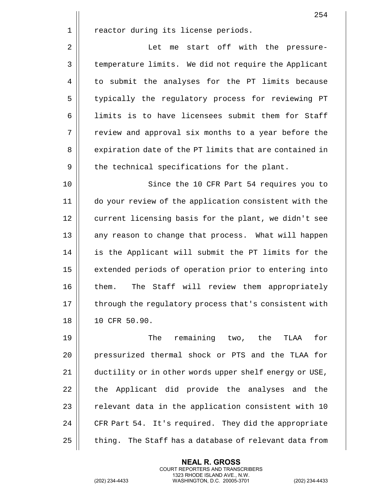|    | 254                                                    |
|----|--------------------------------------------------------|
| 1  | reactor during its license periods.                    |
| 2  | start off with the pressure-<br>Let<br>me              |
| 3  | temperature limits. We did not require the Applicant   |
| 4  | to submit the analyses for the PT limits because       |
| 5  | typically the regulatory process for reviewing PT      |
| 6  | limits is to have licensees submit them for Staff      |
| 7  | review and approval six months to a year before the    |
| 8  | expiration date of the PT limits that are contained in |
| 9  | the technical specifications for the plant.            |
| 10 | Since the 10 CFR Part 54 requires you to               |
| 11 | do your review of the application consistent with the  |
| 12 | current licensing basis for the plant, we didn't see   |
| 13 | any reason to change that process. What will happen    |
| 14 | is the Applicant will submit the PT limits for the     |
| 15 | extended periods of operation prior to entering into   |
| 16 | The Staff will review them appropriately<br>them.      |
| 17 | through the regulatory process that's consistent with  |
| 18 | 10 CFR 50.90.                                          |
| 19 | remaining two, the<br>for<br>The<br>TLAA               |
| 20 | pressurized thermal shock or PTS and the TLAA for      |
| 21 | ductility or in other words upper shelf energy or USE, |

21 | ductility or in other words upper shelf energy or USE,  $\parallel$  the Applicant did provide the analyses and the  $\parallel$  relevant data in the application consistent with 10  $\parallel$  CFR Part 54. It's required. They did the appropriate | thing. The Staff has a database of relevant data from

> **NEAL R. GROSS** COURT REPORTERS AND TRANSCRIBERS 1323 RHODE ISLAND AVE., N.W.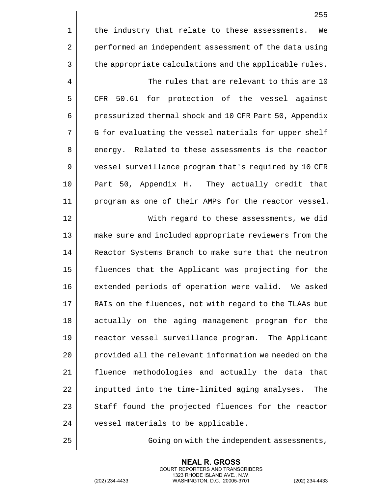|    | 255                                                    |
|----|--------------------------------------------------------|
| 1  | the industry that relate to these assessments.<br>We   |
| 2  | performed an independent assessment of the data using  |
| 3  | the appropriate calculations and the applicable rules. |
| 4  | The rules that are relevant to this are 10             |
| 5  | for protection of the vessel against<br>50.61<br>CFR   |
| 6  | pressurized thermal shock and 10 CFR Part 50, Appendix |
| 7  | G for evaluating the vessel materials for upper shelf  |
| 8  | energy. Related to these assessments is the reactor    |
| 9  | vessel surveillance program that's required by 10 CFR  |
| 10 | Part 50, Appendix H. They actually credit that         |
| 11 | program as one of their AMPs for the reactor vessel.   |
| 12 | With regard to these assessments, we did               |
| 13 | make sure and included appropriate reviewers from the  |
| 14 | Reactor Systems Branch to make sure that the neutron   |
| 15 | fluences that the Applicant was projecting for the     |
| 16 | extended periods of operation were valid. We asked     |
| 17 | RAIs on the fluences, not with regard to the TLAAs but |
| 18 | actually on the aging management program for the       |
| 19 | reactor vessel surveillance program. The Applicant     |
| 20 | provided all the relevant information we needed on the |
| 21 | fluence methodologies and actually the data that       |
| 22 | inputted into the time-limited aging analyses.<br>The  |
| 23 | Staff found the projected fluences for the reactor     |
| 24 | vessel materials to be applicable.                     |

25 | Going on with the independent assessments,

**NEAL R. GROSS** COURT REPORTERS AND TRANSCRIBERS 1323 RHODE ISLAND AVE., N.W.

(202) 234-4433 WASHINGTON, D.C. 20005-3701 (202) 234-4433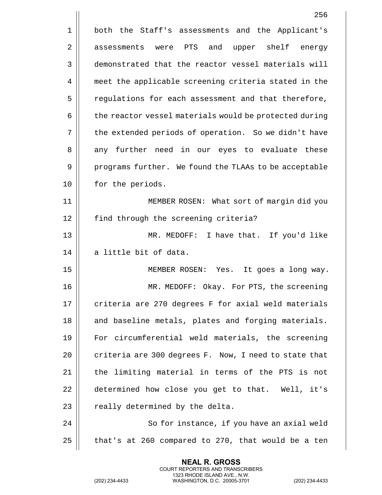|    | 256                                                    |
|----|--------------------------------------------------------|
| 1  | both the Staff's assessments and the Applicant's       |
| 2  | upper shelf energy<br>assessments were PTS and         |
| 3  | demonstrated that the reactor vessel materials will    |
| 4  | meet the applicable screening criteria stated in the   |
| 5  | regulations for each assessment and that therefore,    |
| 6  | the reactor vessel materials would be protected during |
| 7  | the extended periods of operation. So we didn't have   |
| 8  | any further need in our eyes to evaluate these         |
| 9  | programs further. We found the TLAAs to be acceptable  |
| 10 | for the periods.                                       |
| 11 | MEMBER ROSEN: What sort of margin did you              |
| 12 | find through the screening criteria?                   |
| 13 | MR. MEDOFF: I have that. If you'd like                 |
| 14 | a little bit of data.                                  |
| 15 | MEMBER ROSEN: Yes. It goes a long way.                 |
| 16 | MR. MEDOFF: Okay. For PTS, the screening               |
| 17 | criteria are 270 degrees F for axial weld materials    |
| 18 | and baseline metals, plates and forging materials.     |
| 19 | For circumferential weld materials, the screening      |
| 20 | criteria are 300 degrees F. Now, I need to state that  |
| 21 | the limiting material in terms of the PTS is not       |
| 22 | determined how close you get to that. Well, it's       |
| 23 | really determined by the delta.                        |
| 24 | So for instance, if you have an axial weld             |
| 25 | that's at 260 compared to 270, that would be a ten     |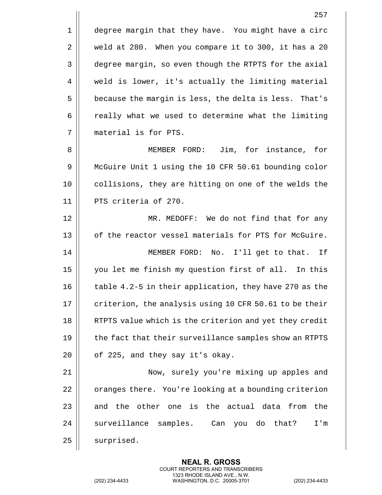1 | degree margin that they have. You might have a circ 2 | weld at 280. When you compare it to 300, it has a 20 3 | degree margin, so even though the RTPTS for the axial 4 | weld is lower, it's actually the limiting material 5 | because the margin is less, the delta is less. That's  $6 \parallel$  really what we used to determine what the limiting 7 material is for PTS.

8 MEMBER FORD: Jim, for instance, for 9 | McGuire Unit 1 using the 10 CFR 50.61 bounding color 10 collisions, they are hitting on one of the welds the 11 || PTS criteria of 270.

12 || MR. MEDOFF: We do not find that for any 13 || of the reactor vessel materials for PTS for McGuire.

14 || MEMBER FORD: No. I'll get to that. If 15 || you let me finish my question first of all. In this 16 | table 4.2-5 in their application, they have 270 as the 17  $\parallel$  criterion, the analysis using 10 CFR 50.61 to be their 18 || RTPTS value which is the criterion and yet they credit  $19$   $\parallel$  the fact that their surveillance samples show an RTPTS  $20$  | of 225, and they say it's okay.

21 Now, surely you're mixing up apples and  $22$  |  $\sigma$  oranges there. You're looking at a bounding criterion 23  $\parallel$  and the other one is the actual data from the 24 Surveillance samples. Can you do that? I'm 25 | surprised.

> **NEAL R. GROSS** COURT REPORTERS AND TRANSCRIBERS 1323 RHODE ISLAND AVE., N.W.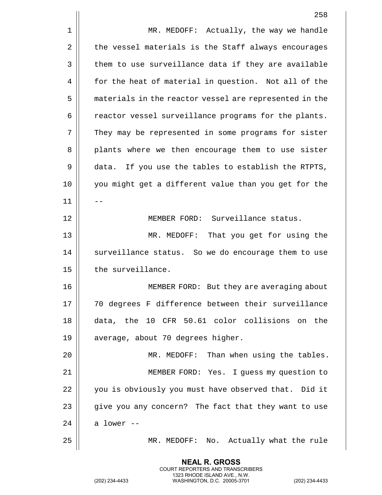|    | 258                                                    |
|----|--------------------------------------------------------|
| 1  | MR. MEDOFF: Actually, the way we handle                |
| 2  | the vessel materials is the Staff always encourages    |
| 3  | them to use surveillance data if they are available    |
| 4  | for the heat of material in question. Not all of the   |
| 5  | materials in the reactor vessel are represented in the |
| 6  | reactor vessel surveillance programs for the plants.   |
| 7  | They may be represented in some programs for sister    |
| 8  | plants where we then encourage them to use sister      |
| 9  | data. If you use the tables to establish the RTPTS,    |
| 10 | you might get a different value than you get for the   |
| 11 |                                                        |
| 12 | MEMBER FORD: Surveillance status.                      |
| 13 | That you get for using the<br>MR. MEDOFF:              |
| 14 | surveillance status. So we do encourage them to use    |
| 15 | the surveillance.                                      |
| 16 | MEMBER FORD: But they are averaging about              |
| 17 | 70 degrees F difference between their surveillance     |
| 18 | data, the 10 CFR 50.61 color collisions on the         |
| 19 | average, about 70 degrees higher.                      |
| 20 | MR. MEDOFF: Than when using the tables.                |
| 21 | MEMBER FORD: Yes. I guess my question to               |
| 22 | you is obviously you must have observed that. Did it   |
| 23 | give you any concern? The fact that they want to use   |
| 24 | a lower --                                             |
| 25 | No. Actually what the rule<br>MR. MEDOFF:              |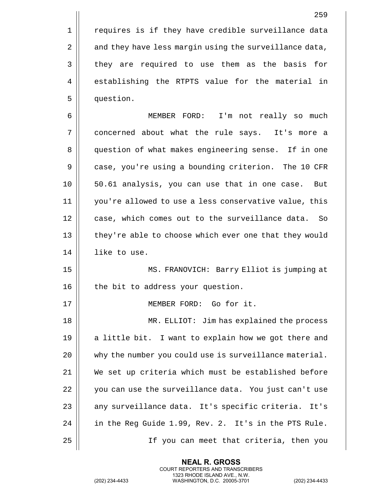1 || requires is if they have credible surveillance data 2 | and they have less margin using the surveillance data, 3 || they are required to use them as the basis for 4 || establishing the RTPTS value for the material in 5 question.

6 MEMBER FORD: I'm not really so much 7 concerned about what the rule says. It's more a 8 || question of what makes engineering sense. If in one 9 | case, you're using a bounding criterion. The 10 CFR 10 50.61 analysis, you can use that in one case. But 11 you're allowed to use a less conservative value, this 12 || case, which comes out to the surveillance data. So 13 || they're able to choose which ever one that they would 14 | like to use.

15 MS. FRANOVICH: Barry Elliot is jumping at 16 || the bit to address your question.

17 || **MEMBER FORD:** Go for it.

 MR. ELLIOT: Jim has explained the process  $\parallel$  a little bit. I want to explain how we got there and  $\parallel$  why the number you could use is surveillance material. We set up criteria which must be established before 22 || you can use the surveillance data. You just can't use 23 || any surveillance data. It's specific criteria. It's | in the Req Guide 1.99, Rev. 2. It's in the PTS Rule. If you can meet that criteria, then you

> **NEAL R. GROSS** COURT REPORTERS AND TRANSCRIBERS 1323 RHODE ISLAND AVE., N.W.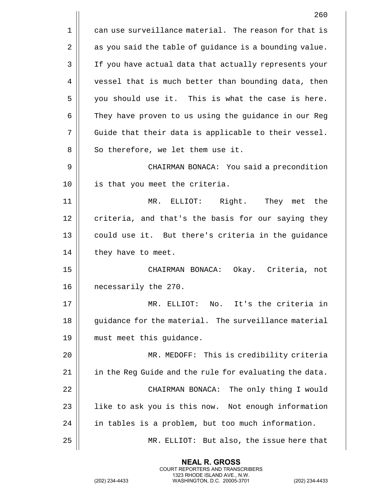1 || can use surveillance material. The reason for that is  $2 \parallel$  as you said the table of guidance is a bounding value. 3 | If you have actual data that actually represents your 4 | vessel that is much better than bounding data, then 5 || you should use it. This is what the case is here. 6 | They have proven to us using the guidance in our Reg 7 || Guide that their data is applicable to their vessel.  $8$  || So therefore, we let them use it. 9 CHAIRMAN BONACA: You said a precondition 10 is that you meet the criteria. 11 MR. ELLIOT: Right. They met the  $12$   $\parallel$  criteria, and that's the basis for our saying they 13 || could use it. But there's criteria in the guidance  $14$  || they have to meet. 15 CHAIRMAN BONACA: Okay. Criteria, not 16 || necessarily the 270. 17 MR. ELLIOT: No. It's the criteria in 18 || quidance for the material. The surveillance material 19 must meet this guidance. 20 MR. MEDOFF: This is credibility criteria 21  $\parallel$  in the Reg Guide and the rule for evaluating the data. 22 || CHAIRMAN BONACA: The only thing I would  $23$  || like to ask you is this now. Not enough information 24 | in tables is a problem, but too much information. 25 MR. ELLIOT: But also, the issue here that

> **NEAL R. GROSS** COURT REPORTERS AND TRANSCRIBERS 1323 RHODE ISLAND AVE., N.W.

(202) 234-4433 WASHINGTON, D.C. 20005-3701 (202) 234-4433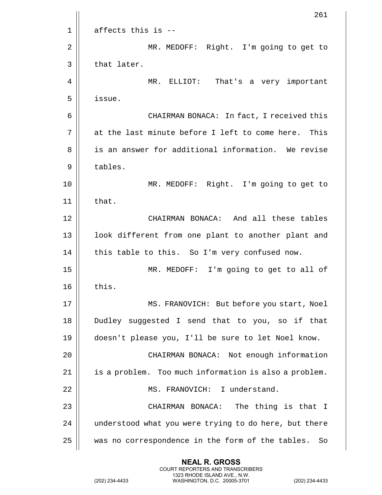|             | 261                                                    |
|-------------|--------------------------------------------------------|
| $\mathbf 1$ | affects this is --                                     |
| 2           | MR. MEDOFF: Right. I'm going to get to                 |
| 3           | that later.                                            |
| 4           | MR. ELLIOT: That's a very important                    |
| 5           | issue.                                                 |
| 6           | CHAIRMAN BONACA: In fact, I received this              |
| 7           | at the last minute before I left to come here. This    |
| 8           | is an answer for additional information. We revise     |
| 9           | tables.                                                |
| 10          | MR. MEDOFF: Right. I'm going to get to                 |
| 11          | that.                                                  |
| 12          | CHAIRMAN BONACA: And all these tables                  |
| 13          | look different from one plant to another plant and     |
| 14          | this table to this. So I'm very confused now.          |
| 15          | MR. MEDOFF: I'm going to get to all of                 |
| 16          | this.                                                  |
| 17          | MS. FRANOVICH: But before you start, Noel              |
| 18          | Dudley suggested I send that to you, so if that        |
| 19          | doesn't please you, I'll be sure to let Noel know.     |
| 20          | CHAIRMAN BONACA: Not enough information                |
| 21          | is a problem. Too much information is also a problem.  |
| 22          | MS. FRANOVICH: I understand.                           |
| 23          | CHAIRMAN BONACA: The thing is that I                   |
| 24          | understood what you were trying to do here, but there  |
| 25          | was no correspondence in the form of the tables.<br>So |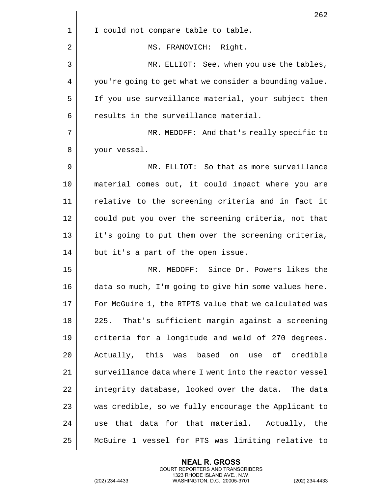|    | 262                                                    |
|----|--------------------------------------------------------|
| 1  | I could not compare table to table.                    |
| 2  | MS. FRANOVICH: Right.                                  |
| 3  | MR. ELLIOT: See, when you use the tables,              |
| 4  | you're going to get what we consider a bounding value. |
| 5  | If you use surveillance material, your subject then    |
| 6  | results in the surveillance material.                  |
| 7  | MR. MEDOFF: And that's really specific to              |
| 8  | your vessel.                                           |
| 9  | MR. ELLIOT: So that as more surveillance               |
| 10 | material comes out, it could impact where you are      |
| 11 | relative to the screening criteria and in fact it      |
| 12 | could put you over the screening criteria, not that    |
| 13 | it's going to put them over the screening criteria,    |
| 14 | but it's a part of the open issue.                     |
| 15 | MR. MEDOFF: Since Dr. Powers likes the                 |
| 16 | data so much, I'm going to give him some values here.  |
| 17 | For McGuire 1, the RTPTS value that we calculated was  |
| 18 | That's sufficient margin against a screening<br>225.   |
| 19 | criteria for a longitude and weld of 270 degrees.      |
| 20 | Actually, this was based on use of credible            |
| 21 | surveillance data where I went into the reactor vessel |
| 22 | integrity database, looked over the data. The data     |
| 23 | was credible, so we fully encourage the Applicant to   |
| 24 | use that data for that material. Actually, the         |
| 25 | McGuire 1 vessel for PTS was limiting relative to      |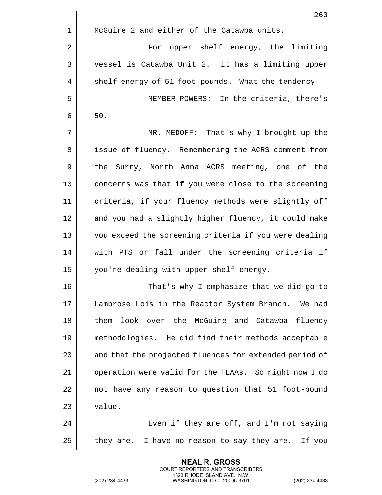|    | 263                                                    |
|----|--------------------------------------------------------|
| 1  | McGuire 2 and either of the Catawba units.             |
| 2  | For upper shelf energy, the limiting                   |
| 3  | vessel is Catawba Unit 2. It has a limiting upper      |
| 4  | shelf energy of 51 foot-pounds. What the tendency --   |
| 5  | MEMBER POWERS: In the criteria, there's                |
| 6  | $50.$                                                  |
| 7  | MR. MEDOFF: That's why I brought up the                |
| 8  | issue of fluency. Remembering the ACRS comment from    |
| 9  | the Surry, North Anna ACRS meeting, one of the         |
| 10 | concerns was that if you were close to the screening   |
| 11 | criteria, if your fluency methods were slightly off    |
| 12 | and you had a slightly higher fluency, it could make   |
| 13 | you exceed the screening criteria if you were dealing  |
| 14 | with PTS or fall under the screening criteria if       |
| 15 | you're dealing with upper shelf energy.                |
| 16 | That's why I emphasize that we did go to               |
| 17 | Lambrose Lois in the Reactor System Branch. We had     |
| 18 | them look over the McGuire and Catawba<br>fluency      |
| 19 | methodologies. He did find their methods acceptable    |
| 20 | and that the projected fluences for extended period of |
| 21 | operation were valid for the TLAAs. So right now I do  |
| 22 | not have any reason to question that 51 foot-pound     |
| 23 | value.                                                 |
| 24 | Even if they are off, and I'm not saying               |
| 25 | they are. I have no reason to say they are. If you     |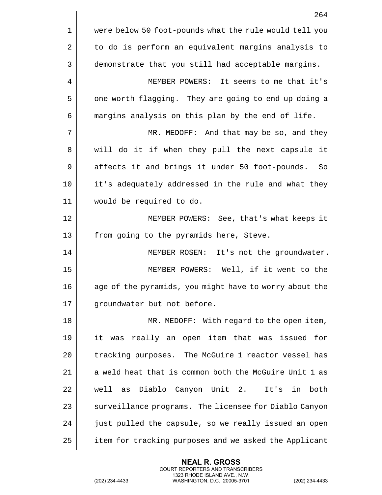|    | 264                                                    |
|----|--------------------------------------------------------|
| 1  | were below 50 foot-pounds what the rule would tell you |
| 2  | to do is perform an equivalent margins analysis to     |
| 3  | demonstrate that you still had acceptable margins.     |
| 4  | MEMBER POWERS: It seems to me that it's                |
| 5  | one worth flagging. They are going to end up doing a   |
| 6  | margins analysis on this plan by the end of life.      |
| 7  | MR. MEDOFF: And that may be so, and they               |
| 8  | will do it if when they pull the next capsule it       |
| 9  | affects it and brings it under 50 foot-pounds.<br>So   |
| 10 | it's adequately addressed in the rule and what they    |
| 11 | would be required to do.                               |
| 12 | MEMBER POWERS: See, that's what keeps it               |
| 13 | from going to the pyramids here, Steve.                |
| 14 | MEMBER ROSEN: It's not the groundwater.                |
| 15 | MEMBER POWERS: Well, if it went to the                 |
| 16 | age of the pyramids, you might have to worry about the |
| 17 | groundwater but not before.                            |
| 18 | MR. MEDOFF: With regard to the open item,              |
| 19 | it was really an open item that was issued for         |
| 20 | tracking purposes. The McGuire 1 reactor vessel has    |
| 21 | a weld heat that is common both the McGuire Unit 1 as  |
| 22 | well as Diablo Canyon Unit 2.<br>It's in both          |
| 23 | surveillance programs. The licensee for Diablo Canyon  |
| 24 | just pulled the capsule, so we really issued an open   |
| 25 | item for tracking purposes and we asked the Applicant  |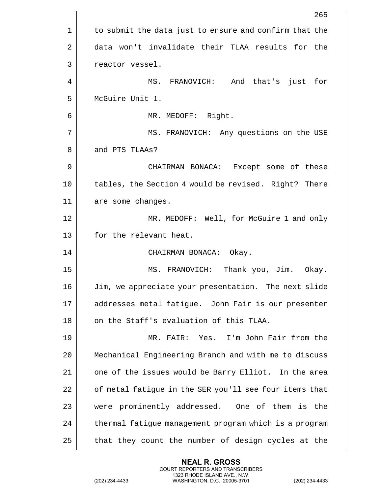|    | 265                                                    |
|----|--------------------------------------------------------|
| 1  | to submit the data just to ensure and confirm that the |
| 2  | data won't invalidate their TLAA results for the       |
| 3  | reactor vessel.                                        |
| 4  | MS. FRANOVICH: And that's just<br>for                  |
| 5  | McGuire Unit 1.                                        |
| 6  | MR. MEDOFF: Right.                                     |
| 7  | MS. FRANOVICH: Any questions on the USE                |
| 8  | and PTS TLAAs?                                         |
| 9  | CHAIRMAN BONACA: Except some of these                  |
| 10 | tables, the Section 4 would be revised. Right? There   |
| 11 | are some changes.                                      |
| 12 | MR. MEDOFF: Well, for McGuire 1 and only               |
| 13 | for the relevant heat.                                 |
| 14 | CHAIRMAN BONACA: Okay.                                 |
| 15 | MS. FRANOVICH: Thank you, Jim. Okay.                   |
| 16 | Jim, we appreciate your presentation. The next slide   |
| 17 | addresses metal fatigue. John Fair is our presenter    |
| 18 | on the Staff's evaluation of this TLAA.                |
| 19 | MR. FAIR: Yes. I'm John Fair from the                  |
| 20 |                                                        |
|    | Mechanical Engineering Branch and with me to discuss   |
| 21 | one of the issues would be Barry Elliot. In the area   |
| 22 | of metal fatigue in the SER you'll see four items that |
| 23 | were prominently addressed. One of them is the         |
| 24 | thermal fatigue management program which is a program  |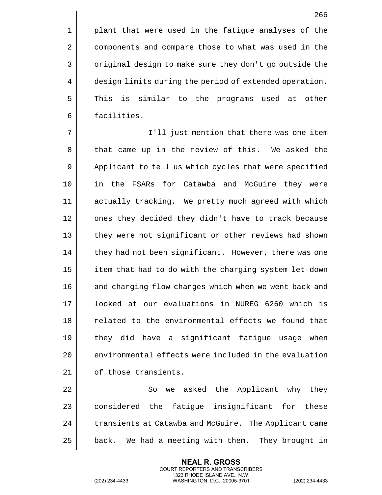1 || plant that were used in the fatigue analyses of the 2 | components and compare those to what was used in the 3 | original design to make sure they don't go outside the 4 | design limits during the period of extended operation. 5 This is similar to the programs used at other 6 facilities.

7 I'll just mention that there was one item 8 || that came up in the review of this. We asked the 9 | Applicant to tell us which cycles that were specified 10 in the FSARs for Catawba and McGuire they were 11 actually tracking. We pretty much agreed with which 12 || ones they decided they didn't have to track because 13 || they were not significant or other reviews had shown 14 | they had not been significant. However, there was one 15 | item that had to do with the charging system let-down 16 || and charging flow changes which when we went back and 17 looked at our evaluations in NUREG 6260 which is 18 || related to the environmental effects we found that 19 || they did have a significant fatigue usage when 20  $\parallel$  environmental effects were included in the evaluation 21 | of those transients.

22 || So we asked the Applicant why they  $23$   $\parallel$  considered the fatique insignificant for these 24 | transients at Catawba and McGuire. The Applicant came  $25$  | back. We had a meeting with them. They brought in

> **NEAL R. GROSS** COURT REPORTERS AND TRANSCRIBERS 1323 RHODE ISLAND AVE., N.W.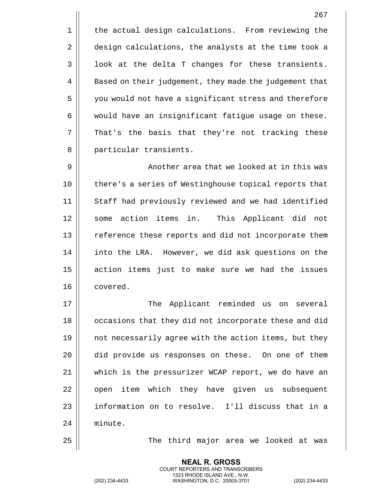1 | the actual design calculations. From reviewing the 2 design calculations, the analysts at the time took a  $3 \parallel$  look at the delta T changes for these transients. 4 | Based on their judgement, they made the judgement that 5 you would not have a significant stress and therefore  $6 \parallel$  would have an insignificant fatigue usage on these. 7 || That's the basis that they're not tracking these 8 || particular transients.

9 || Another area that we looked at in this was 10 || there's a series of Westinghouse topical reports that 11 || Staff had previously reviewed and we had identified 12 || some action items in. This Applicant did not 13 || reference these reports and did not incorporate them 14 || into the LRA. However, we did ask questions on the 15 || action items just to make sure we had the issues 16 covered.

17 The Applicant reminded us on several 18 || occasions that they did not incorporate these and did 19  $\parallel$  not necessarily agree with the action items, but they 20 did provide us responses on these. On one of them 21 which is the pressurizer WCAP report, we do have an 22 || open item which they have given us subsequent 23 let information on to resolve. I'll discuss that in a 24 minute.

25 The third major area we looked at was

**NEAL R. GROSS** COURT REPORTERS AND TRANSCRIBERS 1323 RHODE ISLAND AVE., N.W.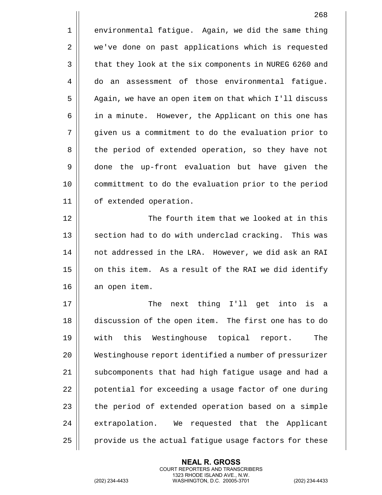|    | 268                                                    |
|----|--------------------------------------------------------|
| 1  | environmental fatigue. Again, we did the same thing    |
| 2  | we've done on past applications which is requested     |
| 3  | that they look at the six components in NUREG 6260 and |
| 4  | assessment of those environmental fatique.<br>do an    |
| 5  | Again, we have an open item on that which I'll discuss |
| 6  | in a minute. However, the Applicant on this one has    |
| 7  | given us a commitment to do the evaluation prior to    |
| 8  | the period of extended operation, so they have not     |
| 9  | done the up-front evaluation but have given the        |
| 10 | committment to do the evaluation prior to the period   |
| 11 | of extended operation.                                 |
| 12 | The fourth item that we looked at in this              |
| 13 | section had to do with underclad cracking. This was    |
| 14 | not addressed in the LRA. However, we did ask an RAI   |
| 15 | on this item. As a result of the RAI we did identify   |
| 16 | an open item.                                          |
| 17 | next thing I'll get into is a<br>The                   |
| 18 | discussion of the open item. The first one has to do   |
| 19 | with this Westinghouse topical report.<br>The          |
| 20 | Westinghouse report identified a number of pressurizer |
| 21 | subcomponents that had high fatigue usage and had a    |
| 22 | potential for exceeding a usage factor of one during   |
| 23 | the period of extended operation based on a simple     |
| 24 | extrapolation. We requested that the Applicant         |
| 25 | provide us the actual fatigue usage factors for these  |

(202) 234-4433 WASHINGTON, D.C. 20005-3701 (202) 234-4433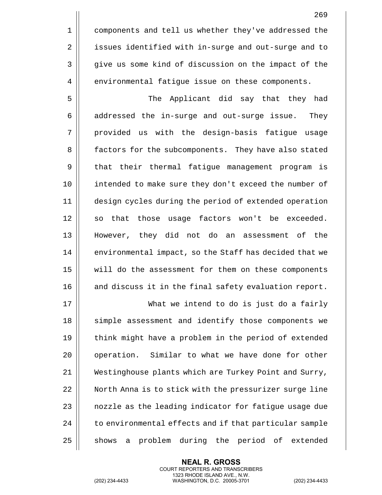5 The Applicant did say that they had  $6 \parallel$  addressed the in-surge and out-surge issue. They 7 || provided us with the design-basis fatigue usage 8 | factors for the subcomponents. They have also stated 9 | that their thermal fatigue management program is 10 || intended to make sure they don't exceed the number of 11 design cycles during the period of extended operation  $12$  || so that those usage factors won't be exceeded. 13 However, they did not do an assessment of the 14 | environmental impact, so the Staff has decided that we 15 will do the assessment for them on these components 16 || and discuss it in the final safety evaluation report.

17 What we intend to do is just do a fairly 18 || simple assessment and identify those components we 19 || think might have a problem in the period of extended 20 | operation. Similar to what we have done for other 21 Westinghouse plants which are Turkey Point and Surry, 22 || North Anna is to stick with the pressurizer surge line 23  $\parallel$  nozzle as the leading indicator for fatigue usage due  $24$   $\parallel$  to environmental effects and if that particular sample  $25$  || shows a problem during the period of extended

> **NEAL R. GROSS** COURT REPORTERS AND TRANSCRIBERS 1323 RHODE ISLAND AVE., N.W.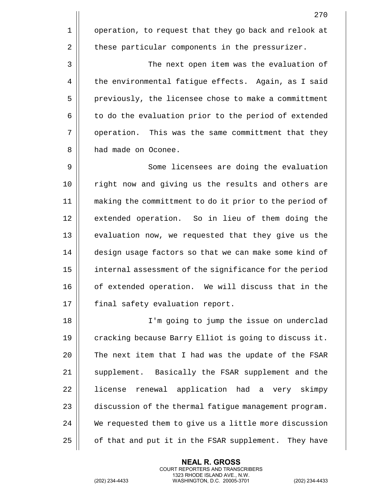270

3 | The next open item was the evaluation of  $4 \parallel$  the environmental fatigue effects. Again, as I said 5 | previously, the licensee chose to make a committment  $6 \parallel$  to do the evaluation prior to the period of extended 7 || operation. This was the same committment that they 8 **h** had made on Oconee.

2 | these particular components in the pressurizer.

9 || Some licensees are doing the evaluation 10 || right now and giving us the results and others are 11 making the committment to do it prior to the period of 12 || extended operation. So in lieu of them doing the 13 || evaluation now, we requested that they give us the 14 design usage factors so that we can make some kind of 15 internal assessment of the significance for the period 16 || of extended operation. We will discuss that in the 17 | final safety evaluation report.

 I'm going to jump the issue on underclad 19 cracking because Barry Elliot is going to discuss it.  $\parallel$  The next item that I had was the update of the FSAR 21 || supplement. Basically the FSAR supplement and the 22 || license renewal application had a very skimpy  $\parallel$  discussion of the thermal fatigue management program. We requested them to give us a little more discussion | of that and put it in the FSAR supplement. They have

> **NEAL R. GROSS** COURT REPORTERS AND TRANSCRIBERS 1323 RHODE ISLAND AVE., N.W.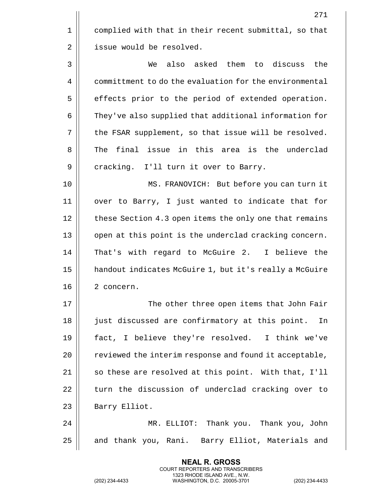1 | complied with that in their recent submittal, so that 2 | issue would be resolved.

3 We also asked them to discuss the 4 | committment to do the evaluation for the environmental 5 | effects prior to the period of extended operation. 6 | They've also supplied that additional information for  $7 \parallel$  the FSAR supplement, so that issue will be resolved. 8 The final issue in this area is the underclad 9 || cracking. I'll turn it over to Barry.

10 MS. FRANOVICH: But before you can turn it 11 over to Barry, I just wanted to indicate that for 12 | these Section 4.3 open items the only one that remains 13 || open at this point is the underclad cracking concern. 14 || That's with regard to McGuire 2. I believe the 15 handout indicates McGuire 1, but it's really a McGuire 16 || 2 concern.

17 The other three open items that John Fair 18 || just discussed are confirmatory at this point. In 19 fact, I believe they're resolved. I think we've 20 | reviewed the interim response and found it acceptable, 21  $\parallel$  so these are resolved at this point. With that, I'll 22 || turn the discussion of underclad cracking over to 23 | Barry Elliot.

24 MR. ELLIOT: Thank you. Thank you, John 25 || and thank you, Rani. Barry Elliot, Materials and

> **NEAL R. GROSS** COURT REPORTERS AND TRANSCRIBERS 1323 RHODE ISLAND AVE., N.W.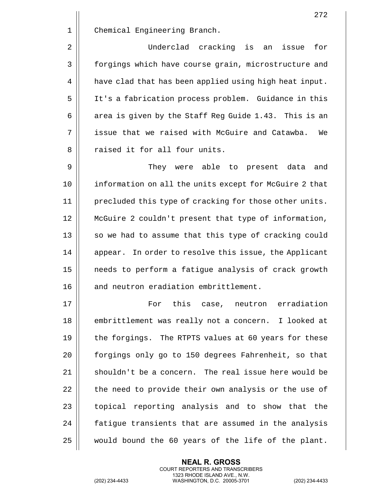|    | 272                                                    |
|----|--------------------------------------------------------|
| 1  | Chemical Engineering Branch.                           |
| 2  | Underclad cracking is<br>for<br>issue<br>an            |
| 3  | forgings which have course grain, microstructure and   |
| 4  | have clad that has been applied using high heat input. |
| 5  | It's a fabrication process problem. Guidance in this   |
| 6  | area is given by the Staff Reg Guide 1.43. This is an  |
| 7  | issue that we raised with McGuire and Catawba.<br>We   |
| 8  | raised it for all four units.                          |
| 9  | They were able to present data<br>and                  |
| 10 | information on all the units except for McGuire 2 that |
| 11 | precluded this type of cracking for those other units. |
| 12 | McGuire 2 couldn't present that type of information,   |
| 13 | so we had to assume that this type of cracking could   |
| 14 | appear. In order to resolve this issue, the Applicant  |
| 15 | needs to perform a fatigue analysis of crack growth    |
| 16 | and neutron eradiation embrittlement.                  |
| 17 | For this case, neutron erradiation                     |
| 18 | embrittlement was really not a concern. I looked at    |
| 19 | the forgings. The RTPTS values at 60 years for these   |
| 20 | forgings only go to 150 degrees Fahrenheit, so that    |
| 21 | shouldn't be a concern. The real issue here would be   |
| 22 | the need to provide their own analysis or the use of   |
| 23 | topical reporting analysis and to show that the        |

 $\parallel$  fatigue transients that are assumed in the analysis would bound the 60 years of the life of the plant.

> **NEAL R. GROSS** COURT REPORTERS AND TRANSCRIBERS 1323 RHODE ISLAND AVE., N.W.

(202) 234-4433 WASHINGTON, D.C. 20005-3701 (202) 234-4433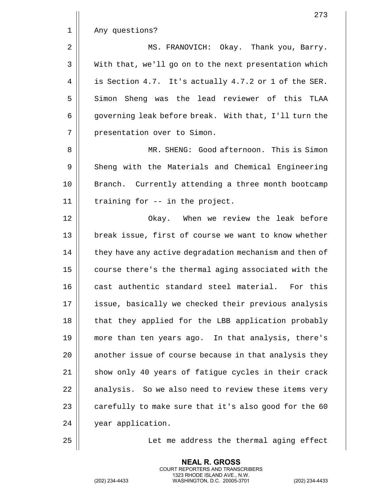|              | 273                                                    |
|--------------|--------------------------------------------------------|
| $\mathbf 1$  | Any questions?                                         |
| 2            | MS. FRANOVICH: Okay. Thank you, Barry.                 |
| $\mathsf{3}$ | With that, we'll go on to the next presentation which  |
| 4            | is Section 4.7. It's actually 4.7.2 or 1 of the SER.   |
| 5            | Simon Sheng was the lead reviewer of this TLAA         |
| 6            | governing leak before break. With that, I'll turn the  |
| 7            | presentation over to Simon.                            |
| 8            | MR. SHENG: Good afternoon. This is Simon               |
| 9            | Sheng with the Materials and Chemical Engineering      |
| 10           | Branch. Currently attending a three month bootcamp     |
| 11           | training for -- in the project.                        |
| 12           | Okay. When we review the leak before                   |
| 13           | break issue, first of course we want to know whether   |
| 14           | they have any active degradation mechanism and then of |
| 15           | course there's the thermal aging associated with the   |
| 16           | cast authentic standard steel material.<br>For this    |
| 17           | issue, basically we checked their previous analysis    |
| 18           | that they applied for the LBB application probably     |
| 19           | more than ten years ago. In that analysis, there's     |
| 20           | another issue of course because in that analysis they  |
| 21           | show only 40 years of fatigue cycles in their crack    |
| 22           | analysis. So we also need to review these items very   |
| 23           | carefully to make sure that it's also good for the 60  |
| 24           | year application.                                      |
| 25           | Let me address the thermal aging effect                |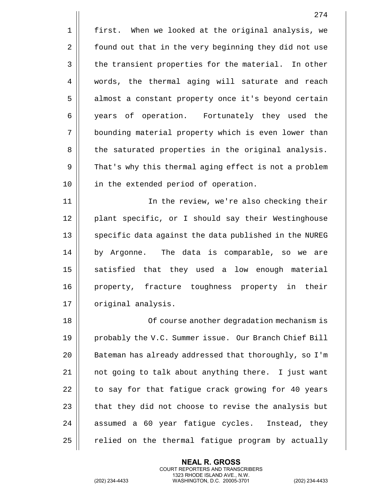|                | 274                                                   |
|----------------|-------------------------------------------------------|
| 1              | first. When we looked at the original analysis, we    |
| $\overline{2}$ | found out that in the very beginning they did not use |
| 3              | the transient properties for the material. In other   |
| 4              | words, the thermal aging will saturate and reach      |
| 5              | almost a constant property once it's beyond certain   |
| 6              | years of operation. Fortunately they used the         |
| 7              | bounding material property which is even lower than   |
| 8              | the saturated properties in the original analysis.    |
| 9              | That's why this thermal aging effect is not a problem |
| 10             | in the extended period of operation.                  |
| 11             | In the review, we're also checking their              |
| 12             | plant specific, or I should say their Westinghouse    |
| 13             | specific data against the data published in the NUREG |
| 14             | by Argonne. The data is comparable, so we are         |
| 15             | satisfied that they used a low enough material        |
| 16             | property, fracture toughness property in their        |
| 17             | original analysis.                                    |
| 18             | Of course another degradation mechanism is            |
| 19             | probably the V.C. Summer issue. Our Branch Chief Bill |
| 20             | Bateman has already addressed that thoroughly, so I'm |
| 21             | not going to talk about anything there. I just want   |
| 22             | to say for that fatigue crack growing for 40 years    |
| 23             | that they did not choose to revise the analysis but   |
| 24             | assumed a 60 year fatigue cycles. Instead, they       |
| 25             | relied on the thermal fatigue program by actually     |

(202) 234-4433 WASHINGTON, D.C. 20005-3701 (202) 234-4433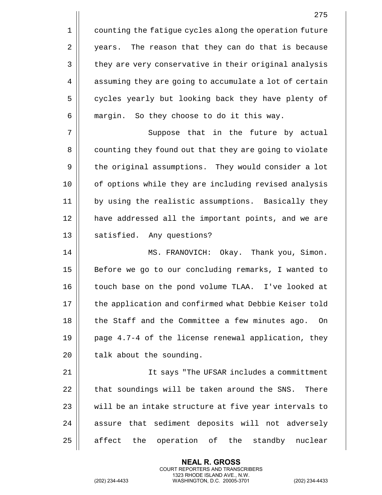1 | counting the fatigue cycles along the operation future 2 | years. The reason that they can do that is because 3 | they are very conservative in their original analysis 4 | assuming they are going to accumulate a lot of certain 5 cycles yearly but looking back they have plenty of  $6 \parallel$  margin. So they choose to do it this way.

7 || Suppose that in the future by actual 8 | counting they found out that they are going to violate 9 | the original assumptions. They would consider a lot 10 || of options while they are including revised analysis 11 by using the realistic assumptions. Basically they 12 have addressed all the important points, and we are 13 || satisfied. Any questions?

14 MS. FRANOVICH: Okay. Thank you, Simon. 15 || Before we go to our concluding remarks, I wanted to 16 || touch base on the pond volume TLAA. I've looked at 17 || the application and confirmed what Debbie Keiser told 18 || the Staff and the Committee a few minutes ago. On 19  $\parallel$  page 4.7-4 of the license renewal application, they  $20$  | talk about the sounding.

 It says "The UFSAR includes a committment  $\parallel$  that soundings will be taken around the SNS. There  $\parallel$  will be an intake structure at five year intervals to 24 || assure that sediment deposits will not adversely affect the operation of the standby nuclear

> **NEAL R. GROSS** COURT REPORTERS AND TRANSCRIBERS 1323 RHODE ISLAND AVE., N.W.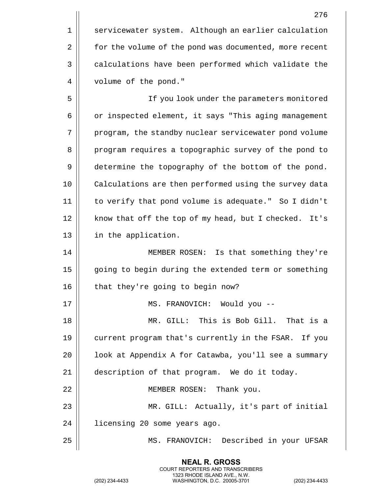1 | servicewater system. Although an earlier calculation 2 | for the volume of the pond was documented, more recent 3 | calculations have been performed which validate the 4 | volume of the pond."

5 If you look under the parameters monitored 6 | or inspected element, it says "This aging management 7 || program, the standby nuclear servicewater pond volume 8 || program requires a topographic survey of the pond to 9 | determine the topography of the bottom of the pond. 10 || Calculations are then performed using the survey data 11 to verify that pond volume is adequate." So I didn't 12 || know that off the top of my head, but I checked. It's 13 || in the application.

14 || MEMBER ROSEN: Is that something they're 15 | going to begin during the extended term or something 16 | that they're going to begin now?

17 || MS. FRANOVICH: Would you --

18 MR. GILL: This is Bob Gill. That is a 19 current program that's currently in the FSAR. If you 20 | look at Appendix A for Catawba, you'll see a summary 21 description of that program. We do it today. 22 || MEMBER ROSEN: Thank you.

23 MR. GILL: Actually, it's part of initial 24 licensing 20 some years ago.

25 MS. FRANOVICH: Described in your UFSAR

**NEAL R. GROSS** COURT REPORTERS AND TRANSCRIBERS 1323 RHODE ISLAND AVE., N.W.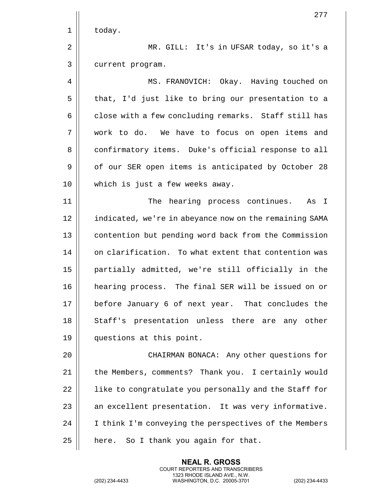|    | 277                                                    |
|----|--------------------------------------------------------|
| 1  | today.                                                 |
| 2  | MR. GILL: It's in UFSAR today, so it's a               |
| 3  | current program.                                       |
| 4  | MS. FRANOVICH: Okay. Having touched on                 |
| 5  | that, I'd just like to bring our presentation to a     |
| 6  | close with a few concluding remarks. Staff still has   |
| 7  | work to do. We have to focus on open items and         |
| 8  | confirmatory items. Duke's official response to all    |
| 9  | of our SER open items is anticipated by October 28     |
| 10 | which is just a few weeks away.                        |
| 11 | hearing process continues.<br>The<br>As I              |
| 12 | indicated, we're in abeyance now on the remaining SAMA |
| 13 | contention but pending word back from the Commission   |
| 14 | on clarification. To what extent that contention was   |
| 15 | partially admitted, we're still officially in the      |
| 16 | hearing process. The final SER will be issued on or    |
| 17 | before January 6 of next year. That concludes the      |
| 18 | Staff's presentation unless there are any other        |
| 19 | questions at this point.                               |
| 20 | CHAIRMAN BONACA: Any other questions for               |
| 21 | the Members, comments? Thank you. I certainly would    |
| 22 | like to congratulate you personally and the Staff for  |
| 23 | an excellent presentation. It was very informative.    |
| 24 | I think I'm conveying the perspectives of the Members  |
| 25 | here. So I thank you again for that.                   |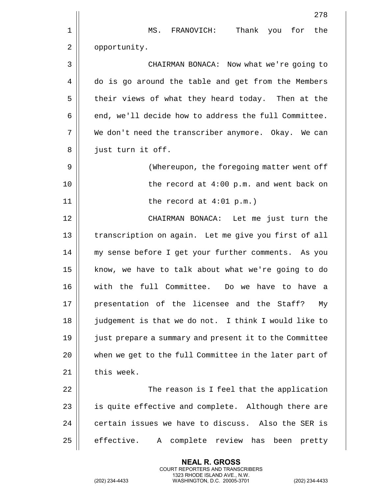|    | 278                                                    |
|----|--------------------------------------------------------|
| 1  | MS. FRANOVICH: Thank you for the                       |
| 2  | opportunity.                                           |
| 3  | CHAIRMAN BONACA: Now what we're going to               |
| 4  | do is go around the table and get from the Members     |
| 5  | their views of what they heard today. Then at the      |
| 6  | end, we'll decide how to address the full Committee.   |
| 7  | We don't need the transcriber anymore. Okay. We can    |
| 8  | just turn it off.                                      |
| 9  | (Whereupon, the foregoing matter went off              |
| 10 | the record at $4:00$ p.m. and went back on             |
| 11 | the record at $4:01$ p.m.)                             |
| 12 | CHAIRMAN BONACA: Let me just turn the                  |
| 13 | transcription on again. Let me give you first of all   |
| 14 | my sense before I get your further comments. As you    |
| 15 | know, we have to talk about what we're going to do     |
| 16 | with the full Committee. Do we have to have a          |
| 17 | presentation of the licensee and the Staff?<br>Mу      |
| 18 | judgement is that we do not. I think I would like to   |
| 19 | just prepare a summary and present it to the Committee |
| 20 | when we get to the full Committee in the later part of |
| 21 | this week.                                             |
| 22 | The reason is I feel that the application              |
| 23 | is quite effective and complete. Although there are    |
| 24 | certain issues we have to discuss. Also the SER is     |
| 25 | effective.<br>complete review has been<br>A<br>pretty  |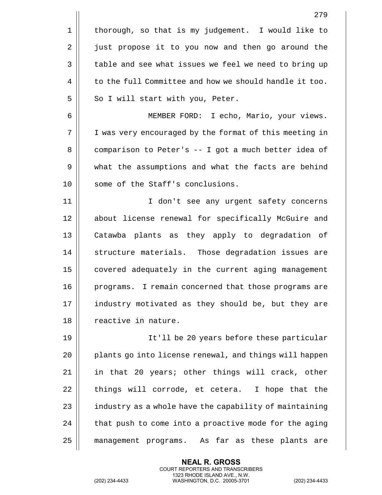|    | 279                                                    |
|----|--------------------------------------------------------|
| 1  | thorough, so that is my judgement. I would like to     |
| 2  | just propose it to you now and then go around the      |
| 3  | table and see what issues we feel we need to bring up  |
| 4  | to the full Committee and how we should handle it too. |
| 5  | So I will start with you, Peter.                       |
| 6  | MEMBER FORD: I echo, Mario, your views.                |
| 7  | I was very encouraged by the format of this meeting in |
| 8  | comparison to Peter's -- I got a much better idea of   |
| 9  | what the assumptions and what the facts are behind     |
| 10 | some of the Staff's conclusions.                       |
| 11 | I don't see any urgent safety concerns                 |
| 12 | about license renewal for specifically McGuire and     |
| 13 | Catawba plants as they apply to degradation of         |
| 14 | structure materials. Those degradation issues are      |
| 15 | covered adequately in the current aging management     |
| 16 | programs. I remain concerned that those programs are   |
| 17 | industry motivated as they should be, but they are     |
| 18 | reactive in nature.                                    |
| 19 | It'll be 20 years before these particular              |
| 20 | plants go into license renewal, and things will happen |
| 21 | in that 20 years; other things will crack, other       |
| 22 | things will corrode, et cetera. I hope that the        |
| 23 | industry as a whole have the capability of maintaining |
| 24 | that push to come into a proactive mode for the aging  |
| 25 | management programs. As far as these plants are        |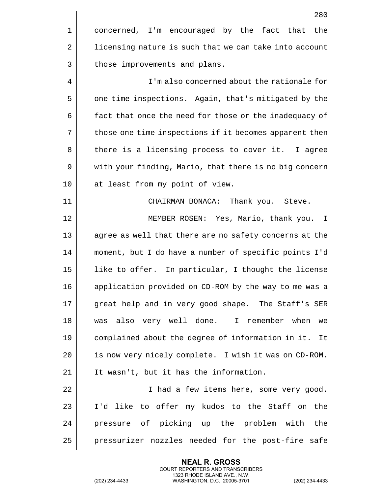|    | 280                                                    |
|----|--------------------------------------------------------|
| 1  | concerned, I'm encouraged by the fact that<br>the      |
| 2  | licensing nature is such that we can take into account |
| 3  | those improvements and plans.                          |
| 4  | I'm also concerned about the rationale for             |
| 5  | one time inspections. Again, that's mitigated by the   |
| 6  | fact that once the need for those or the inadequacy of |
| 7  | those one time inspections if it becomes apparent then |
| 8  | there is a licensing process to cover it. I agree      |
| 9  | with your finding, Mario, that there is no big concern |
| 10 | at least from my point of view.                        |
| 11 | CHAIRMAN BONACA: Thank you. Steve.                     |
| 12 | MEMBER ROSEN: Yes, Mario, thank you.<br>$\mathbb{I}$   |
| 13 | agree as well that there are no safety concerns at the |
| 14 | moment, but I do have a number of specific points I'd  |
| 15 | like to offer. In particular, I thought the license    |
| 16 | application provided on CD-ROM by the way to me was a  |
| 17 | great help and in very good shape. The Staff's SER     |
| 18 | was also very well done. I remember when<br>we         |
| 19 | complained about the degree of information in it. It   |
| 20 | is now very nicely complete. I wish it was on CD-ROM.  |
| 21 | It wasn't, but it has the information.                 |
| 22 | I had a few items here, some very good.                |
| 23 | I'd like to offer my kudos to the Staff on the         |
| 24 | pressure of picking up the problem with<br>the         |
| 25 | pressurizer nozzles needed for the post-fire safe      |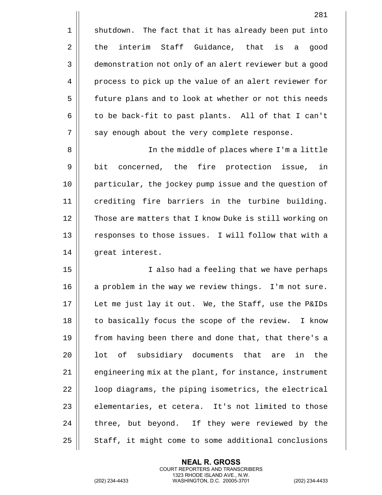$1 \parallel$  shutdown. The fact that it has already been put into  $2 \parallel$  the interim Staff Guidance, that is a good 3 | demonstration not only of an alert reviewer but a good 4 process to pick up the value of an alert reviewer for 5 | future plans and to look at whether or not this needs  $6 \parallel$  to be back-fit to past plants. All of that I can't 7 || say enough about the very complete response.

8 In the middle of places where I'm a little 9 || bit concerned, the fire protection issue, in 10 particular, the jockey pump issue and the question of 11 crediting fire barriers in the turbine building. 12 || Those are matters that I know Duke is still working on 13 || responses to those issues. I will follow that with a 14 | great interest.

15 || I also had a feeling that we have perhaps 16 || a problem in the way we review things. I'm not sure. 17 Let me just lay it out. We, the Staff, use the P&IDs 18 || to basically focus the scope of the review. I know 19 || from having been there and done that, that there's a  $20$  || lot of subsidiary documents that are in the 21 | engineering mix at the plant, for instance, instrument 22 | | loop diagrams, the piping isometrics, the electrical  $23$  || elementaries, et cetera. It's not limited to those 24 || three, but beyond. If they were reviewed by the  $25$   $\parallel$  Staff, it might come to some additional conclusions

> **NEAL R. GROSS** COURT REPORTERS AND TRANSCRIBERS 1323 RHODE ISLAND AVE., N.W.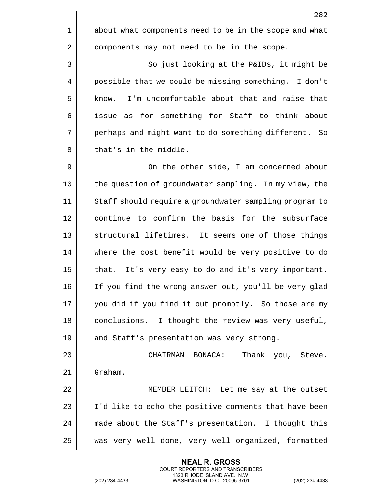| 282                                                    |    |
|--------------------------------------------------------|----|
| about what components need to be in the scope and what | 1  |
| components may not need to be in the scope.            | 2  |
| So just looking at the P&IDs, it might be              | 3  |
| possible that we could be missing something. I don't   | 4  |
| I'm uncomfortable about that and raise that<br>know.   | 5  |
| issue as for something for Staff to think about        | 6  |
| perhaps and might want to do something different. So   | 7  |
| that's in the middle.                                  | 8  |
| On the other side, I am concerned about                | 9  |
| the question of groundwater sampling. In my view, the  | 10 |
| Staff should require a groundwater sampling program to | 11 |
| continue to confirm the basis for the subsurface       | 12 |
| structural lifetimes. It seems one of those things     | 13 |
| where the cost benefit would be very positive to do    | 14 |
| that. It's very easy to do and it's very important.    | 15 |
| If you find the wrong answer out, you'll be very glad  | 16 |
| you did if you find it out promptly. So those are my   | 17 |
| conclusions. I thought the review was very useful,     | 18 |
| and Staff's presentation was very strong.              | 19 |
| CHAIRMAN BONACA:<br>Thank you, Steve.                  | 20 |
| Graham.                                                | 21 |
| MEMBER LEITCH: Let me say at the outset                | 22 |
| I'd like to echo the positive comments that have been  | 23 |
| made about the Staff's presentation. I thought this    | 24 |
| was very well done, very well organized, formatted     | 25 |

(202) 234-4433 WASHINGTON, D.C. 20005-3701 (202) 234-4433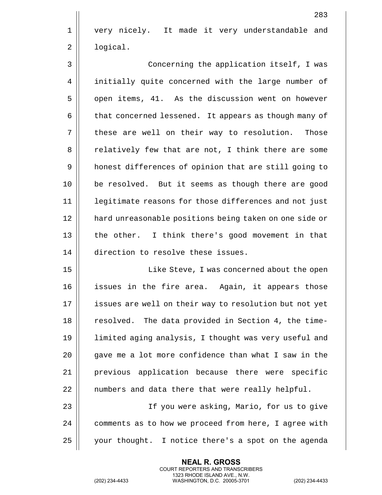1 || very nicely. It made it very understandable and 2 | logical.

3 || Concerning the application itself, I was 4 | initially quite concerned with the large number of 5 | open items, 41. As the discussion went on however 6 | that concerned lessened. It appears as though many of  $7 \parallel$  these are well on their way to resolution. Those 8 || relatively few that are not, I think there are some 9 | honest differences of opinion that are still going to 10 be resolved. But it seems as though there are good 11 || legitimate reasons for those differences and not just 12 hard unreasonable positions being taken on one side or 13 || the other. I think there's good movement in that 14 direction to resolve these issues.

15 || Like Steve, I was concerned about the open issues in the fire area. Again, it appears those 17 || issues are well on their way to resolution but not yet 18 || resolved. The data provided in Section 4, the time- limited aging analysis, I thought was very useful and  $\parallel$  qave me a lot more confidence than what I saw in the previous application because there were specific | numbers and data there that were really helpful.

23 If you were asking, Mario, for us to give 24 | comments as to how we proceed from here, I agree with 25 your thought. I notice there's a spot on the agenda

> **NEAL R. GROSS** COURT REPORTERS AND TRANSCRIBERS 1323 RHODE ISLAND AVE., N.W.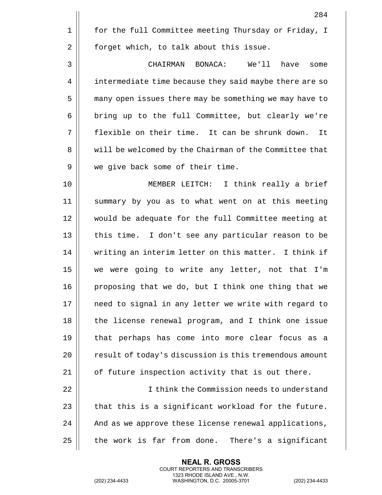|    | 284                                                    |
|----|--------------------------------------------------------|
| 1  | for the full Committee meeting Thursday or Friday, I   |
| 2  | forget which, to talk about this issue.                |
| 3  | CHAIRMAN BONACA: We'll have<br>some                    |
| 4  | intermediate time because they said maybe there are so |
| 5  | many open issues there may be something we may have to |
| 6  | bring up to the full Committee, but clearly we're      |
| 7  | flexible on their time. It can be shrunk down.<br>It   |
| 8  | will be welcomed by the Chairman of the Committee that |
| 9  | we give back some of their time.                       |
| 10 | MEMBER LEITCH: I think really a brief                  |
| 11 | summary by you as to what went on at this meeting      |
| 12 | would be adequate for the full Committee meeting at    |
| 13 | this time.<br>I don't see any particular reason to be  |
| 14 | writing an interim letter on this matter. I think if   |
| 15 | we were going to write any letter, not that I'm        |
| 16 | proposing that we do, but I think one thing that we    |
| 17 | need to signal in any letter we write with regard to   |
| 18 | the license renewal program, and I think one issue     |
| 19 | that perhaps has come into more clear focus as a       |
| 20 | result of today's discussion is this tremendous amount |
| 21 | of future inspection activity that is out there.       |
| 22 | I think the Commission needs to understand             |
| 23 | that this is a significant workload for the future.    |
| 24 | And as we approve these license renewal applications,  |
| 25 | the work is far from done. There's a significant       |

(202) 234-4433 WASHINGTON, D.C. 20005-3701 (202) 234-4433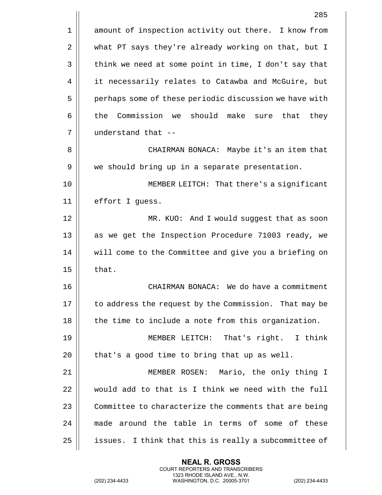|             | 285                                                         |
|-------------|-------------------------------------------------------------|
| $\mathbf 1$ | amount of inspection activity out there. I know from        |
| 2           | what PT says they're already working on that, but I         |
| 3           | think we need at some point in time, I don't say that       |
| 4           | it necessarily relates to Catawba and McGuire, but          |
| 5           | perhaps some of these periodic discussion we have with      |
| 6           | Commission we should<br>the<br>make<br>that<br>they<br>sure |
| 7           | understand that --                                          |
| 8           | CHAIRMAN BONACA: Maybe it's an item that                    |
| 9           | we should bring up in a separate presentation.              |
| 10          | MEMBER LEITCH: That there's a significant                   |
| 11          | effort I guess.                                             |
| 12          | MR. KUO: And I would suggest that as soon                   |
| 13          | as we get the Inspection Procedure 71003 ready, we          |
| 14          | will come to the Committee and give you a briefing on       |
| 15          | that.                                                       |
| 16          | CHAIRMAN BONACA: We do have a commitment                    |
| 17          | to address the request by the Commission. That may be       |
| 18          | the time to include a note from this organization.          |
| 19          | MEMBER LEITCH: That's right. I think                        |
| 20          | that's a good time to bring that up as well.                |
| 21          | MEMBER ROSEN: Mario, the only thing I                       |
| 22          | would add to that is I think we need with the full          |
| 23          | Committee to characterize the comments that are being       |
| 24          | made around the table in terms of some of these             |
| 25          | issues. I think that this is really a subcommittee of       |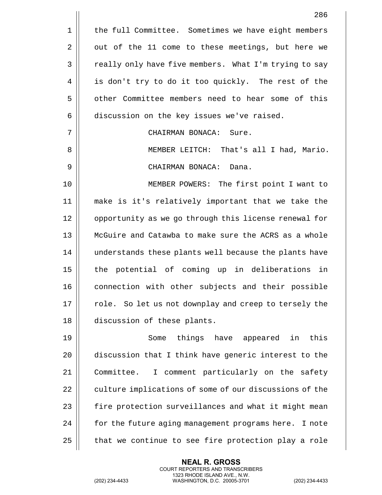|    | 286                                                    |
|----|--------------------------------------------------------|
| 1  | the full Committee. Sometimes we have eight members    |
| 2  | out of the 11 come to these meetings, but here we      |
| 3  | really only have five members. What I'm trying to say  |
| 4  | is don't try to do it too quickly. The rest of the     |
| 5  | other Committee members need to hear some of this      |
| 6  | discussion on the key issues we've raised.             |
| 7  | CHAIRMAN BONACA: Sure.                                 |
| 8  | MEMBER LEITCH: That's all I had, Mario.                |
| 9  | CHAIRMAN BONACA: Dana.                                 |
| 10 | MEMBER POWERS: The first point I want to               |
| 11 | make is it's relatively important that we take the     |
| 12 | opportunity as we go through this license renewal for  |
| 13 | McGuire and Catawba to make sure the ACRS as a whole   |
| 14 | understands these plants well because the plants have  |
| 15 | the potential of coming up in deliberations in         |
| 16 | connection with other subjects and their possible      |
| 17 | role. So let us not downplay and creep to tersely the  |
| 18 | discussion of these plants.                            |
| 19 | things have appeared in this<br>Some                   |
| 20 | discussion that I think have generic interest to the   |
| 21 | Committee.<br>I comment particularly on the safety     |
| 22 | culture implications of some of our discussions of the |
| 23 | fire protection surveillances and what it might mean   |
| 24 | for the future aging management programs here. I note  |
| 25 | that we continue to see fire protection play a role    |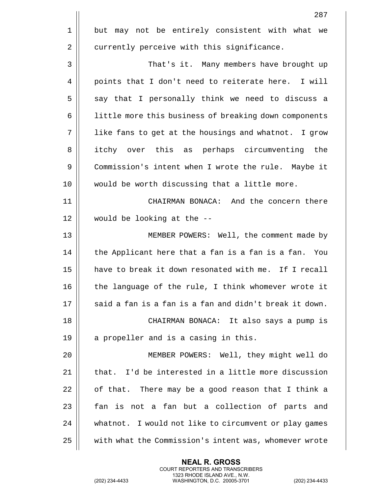|    | 287                                                    |
|----|--------------------------------------------------------|
| 1  | but may not be entirely consistent with what we        |
| 2  | currently perceive with this significance.             |
| 3  | That's it. Many members have brought up                |
| 4  | points that I don't need to reiterate here. I will     |
| 5  | say that I personally think we need to discuss a       |
| 6  | little more this business of breaking down components  |
| 7  | like fans to get at the housings and whatnot. I grow   |
| 8  | itchy over this as perhaps circumventing the           |
| 9  | Commission's intent when I wrote the rule. Maybe it    |
| 10 | would be worth discussing that a little more.          |
| 11 | CHAIRMAN BONACA: And the concern there                 |
| 12 | would be looking at the --                             |
| 13 | MEMBER POWERS: Well, the comment made by               |
| 14 | the Applicant here that a fan is a fan is a fan. You   |
| 15 | have to break it down resonated with me. If I recall   |
| 16 | the language of the rule, I think whomever wrote it    |
| 17 | said a fan is a fan is a fan and didn't break it down. |
| 18 | CHAIRMAN BONACA: It also says a pump is                |
| 19 | a propeller and is a casing in this.                   |
| 20 | MEMBER POWERS: Well, they might well do                |
| 21 | that. I'd be interested in a little more discussion    |
| 22 | of that. There may be a good reason that I think a     |
| 23 | fan is not a fan but a collection of parts and         |
| 24 | whatnot. I would not like to circumvent or play games  |
| 25 | with what the Commission's intent was, whomever wrote  |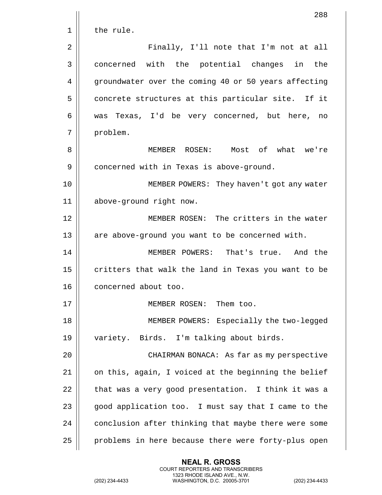|    | 288                                                  |
|----|------------------------------------------------------|
| 1  | the rule.                                            |
| 2  | Finally, I'll note that I'm not at all               |
| 3  | concerned with the potential changes in the          |
| 4  | groundwater over the coming 40 or 50 years affecting |
| 5  | concrete structures at this particular site. If it   |
| 6  | was Texas, I'd be very concerned, but here, no       |
| 7  | problem.                                             |
| 8  | MEMBER ROSEN: Most of what we're                     |
| 9  | concerned with in Texas is above-ground.             |
| 10 | MEMBER POWERS: They haven't got any water            |
| 11 | above-ground right now.                              |
| 12 | MEMBER ROSEN: The critters in the water              |
| 13 | are above-ground you want to be concerned with.      |
| 14 | MEMBER POWERS: That's true. And the                  |
| 15 | critters that walk the land in Texas you want to be  |
| 16 | concerned about too.                                 |
| 17 | MEMBER ROSEN: Them too.                              |
| 18 | MEMBER POWERS: Especially the two-legged             |
| 19 | variety. Birds. I'm talking about birds.             |
| 20 | CHAIRMAN BONACA: As far as my perspective            |
| 21 | on this, again, I voiced at the beginning the belief |
| 22 | that was a very good presentation. I think it was a  |
| 23 | good application too. I must say that I came to the  |
| 24 | conclusion after thinking that maybe there were some |
| 25 | problems in here because there were forty-plus open  |

**NEAL R. GROSS** COURT REPORTERS AND TRANSCRIBERS 1323 RHODE ISLAND AVE., N.W.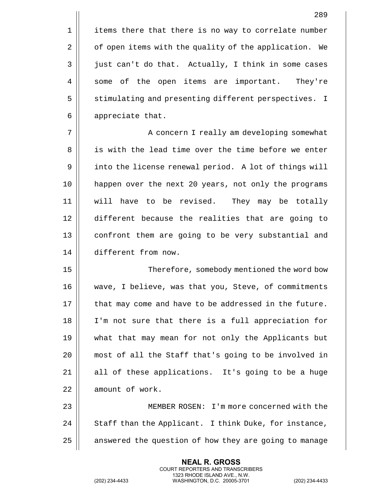1 | items there that there is no way to correlate number 2 | of open items with the quality of the application. We  $3 \parallel$  just can't do that. Actually, I think in some cases 4 || some of the open items are important. They're 5 | stimulating and presenting different perspectives. I 6 | appreciate that.

7 || A concern I really am developing somewhat 8 || is with the lead time over the time before we enter 9 | into the license renewal period. A lot of things will 10 happen over the next 20 years, not only the programs 11 will have to be revised. They may be totally 12 different because the realities that are going to 13 || confront them are going to be very substantial and 14 different from now.

 Therefore, somebody mentioned the word bow 16 || wave, I believe, was that you, Steve, of commitments  $\parallel$  that may come and have to be addressed in the future. 18 || I'm not sure that there is a full appreciation for what that may mean for not only the Applicants but most of all the Staff that's going to be involved in all of these applications. It's going to be a huge 22 | amount of work.

23 MEMBER ROSEN: I'm more concerned with the  $24$  || Staff than the Applicant. I think Duke, for instance,  $25$  | answered the question of how they are going to manage

> **NEAL R. GROSS** COURT REPORTERS AND TRANSCRIBERS 1323 RHODE ISLAND AVE., N.W.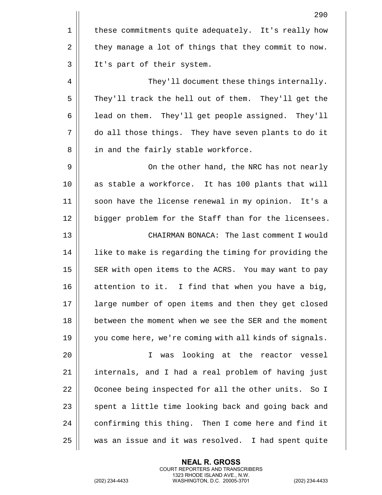|    | 290                                                    |
|----|--------------------------------------------------------|
| 1  | these commitments quite adequately. It's really how    |
| 2  | they manage a lot of things that they commit to now.   |
| 3  | It's part of their system.                             |
| 4  | They'll document these things internally.              |
| 5  | They'll track the hell out of them. They'll get the    |
| 6  | lead on them. They'll get people assigned. They'll     |
| 7  | do all those things. They have seven plants to do it   |
| 8  | in and the fairly stable workforce.                    |
| 9  | On the other hand, the NRC has not nearly              |
| 10 | as stable a workforce. It has 100 plants that will     |
| 11 | soon have the license renewal in my opinion. It's a    |
| 12 | bigger problem for the Staff than for the licensees.   |
| 13 | CHAIRMAN BONACA: The last comment I would              |
| 14 | like to make is regarding the timing for providing the |
| 15 | SER with open items to the ACRS. You may want to pay   |
| 16 | attention to it. I find that when you have a big,      |
| 17 | large number of open items and then they get closed    |
| 18 | between the moment when we see the SER and the moment  |
| 19 | you come here, we're coming with all kinds of signals. |
| 20 | looking at the reactor vessel<br>I.<br>was             |
| 21 | internals, and I had a real problem of having just     |
| 22 | Oconee being inspected for all the other units. So I   |
| 23 | spent a little time looking back and going back and    |
| 24 | confirming this thing. Then I come here and find it    |
| 25 | was an issue and it was resolved. I had spent quite    |

**NEAL R. GROSS** COURT REPORTERS AND TRANSCRIBERS 1323 RHODE ISLAND AVE., N.W.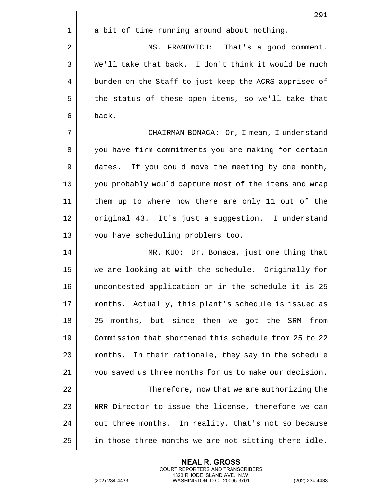|      | 291                                                    |
|------|--------------------------------------------------------|
| 1    | a bit of time running around about nothing.            |
| 2    | MS. FRANOVICH: That's a good comment.                  |
| 3    | We'll take that back. I don't think it would be much   |
| 4    | burden on the Staff to just keep the ACRS apprised of  |
| 5    | the status of these open items, so we'll take that     |
| 6    | back.                                                  |
| 7    | CHAIRMAN BONACA: Or, I mean, I understand              |
| 8    | you have firm commitments you are making for certain   |
| 9    | dates. If you could move the meeting by one month,     |
| 10   | you probably would capture most of the items and wrap  |
| 11   | them up to where now there are only 11 out of the      |
| 12   | original 43. It's just a suggestion. I understand      |
| 13   | you have scheduling problems too.                      |
| 14   | MR. KUO: Dr. Bonaca, just one thing that               |
| 15   | we are looking at with the schedule. Originally for    |
| 16   | uncontested application or in the schedule it is 25    |
| $17$ | months. Actually, this plant's schedule is issued as   |
| 18   | months, but since then we got the SRM<br>25<br>from    |
| 19   | Commission that shortened this schedule from 25 to 22  |
| 20   | months. In their rationale, they say in the schedule   |
| 21   | you saved us three months for us to make our decision. |
| 22   | Therefore, now that we are authorizing the             |
| 23   | NRR Director to issue the license, therefore we can    |
| 24   | cut three months. In reality, that's not so because    |
| 25   | in those three months we are not sitting there idle.   |

**NEAL R. GROSS** COURT REPORTERS AND TRANSCRIBERS 1323 RHODE ISLAND AVE., N.W.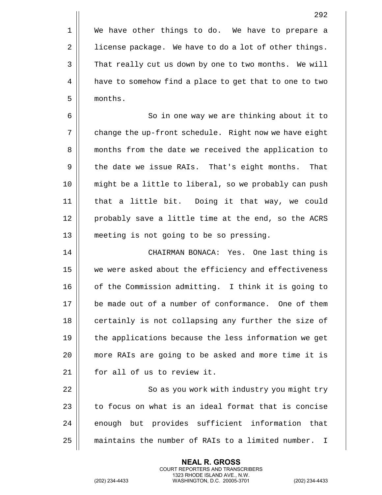1 | We have other things to do. We have to prepare a 2 | license package. We have to do a lot of other things. 3 | That really cut us down by one to two months. We will 4 | have to somehow find a place to get that to one to two 5 months.

6 | So in one way we are thinking about it to 7 | change the up-front schedule. Right now we have eight 8 || months from the date we received the application to 9 | the date we issue RAIs. That's eight months. That 10 might be a little to liberal, so we probably can push 11 that a little bit. Doing it that way, we could 12 || probably save a little time at the end, so the ACRS 13 meeting is not going to be so pressing.

14 CHAIRMAN BONACA: Yes. One last thing is 15 || we were asked about the efficiency and effectiveness 16 || of the Commission admitting. I think it is going to 17 be made out of a number of conformance. One of them 18 || certainly is not collapsing any further the size of 19 || the applications because the less information we get 20 more RAIs are going to be asked and more time it is 21 || for all of us to review it.

22 || So as you work with industry you might try 23  $\parallel$  to focus on what is an ideal format that is concise 24 | enough but provides sufficient information that 25 | maintains the number of RAIs to a limited number. I

> **NEAL R. GROSS** COURT REPORTERS AND TRANSCRIBERS 1323 RHODE ISLAND AVE., N.W.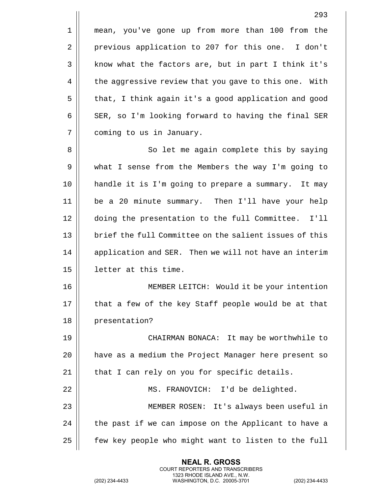1 mean, you've gone up from more than 100 from the 2 | previous application to 207 for this one. I don't 3 | know what the factors are, but in part I think it's 4 | the aggressive review that you gave to this one. With 5 || that, I think again it's a good application and good  $6 \parallel$  SER, so I'm looking forward to having the final SER 7 | coming to us in January. 8 || So let me again complete this by saying 9 || what I sense from the Members the way I'm going to 10 handle it is I'm going to prepare a summary. It may 11 be a 20 minute summary. Then I'll have your help 12 doing the presentation to the full Committee. I'll 13 || brief the full Committee on the salient issues of this 14 | application and SER. Then we will not have an interim 15 letter at this time. 16 MEMBER LEITCH: Would it be your intention  $17$  || that a few of the key Staff people would be at that 18 || presentation? 19 CHAIRMAN BONACA: It may be worthwhile to 20 have as a medium the Project Manager here present so  $21$  || that I can rely on you for specific details. 22 MS. FRANOVICH: I'd be delighted. 23 MEMBER ROSEN: It's always been useful in 24  $\parallel$  the past if we can impose on the Applicant to have a 25 | few key people who might want to listen to the full

> **NEAL R. GROSS** COURT REPORTERS AND TRANSCRIBERS 1323 RHODE ISLAND AVE., N.W.

(202) 234-4433 WASHINGTON, D.C. 20005-3701 (202) 234-4433

293